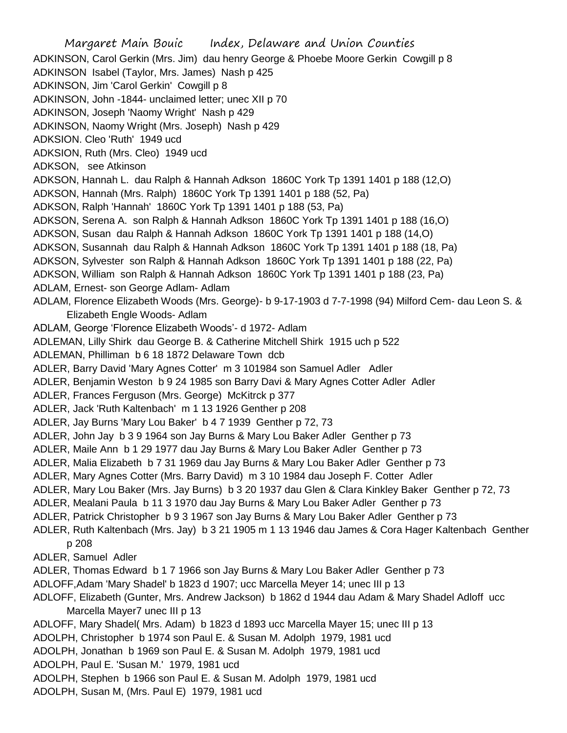Margaret Main Bouic Index, Delaware and Union Counties ADKINSON, Carol Gerkin (Mrs. Jim) dau henry George & Phoebe Moore Gerkin Cowgill p 8 ADKINSON Isabel (Taylor, Mrs. James) Nash p 425 ADKINSON, Jim 'Carol Gerkin' Cowgill p 8 ADKINSON, John -1844- unclaimed letter; unec XII p 70 ADKINSON, Joseph 'Naomy Wright' Nash p 429 ADKINSON, Naomy Wright (Mrs. Joseph) Nash p 429 ADKSION. Cleo 'Ruth' 1949 ucd ADKSION, Ruth (Mrs. Cleo) 1949 ucd ADKSON, see Atkinson ADKSON, Hannah L. dau Ralph & Hannah Adkson 1860C York Tp 1391 1401 p 188 (12,O) ADKSON, Hannah (Mrs. Ralph) 1860C York Tp 1391 1401 p 188 (52, Pa) ADKSON, Ralph 'Hannah' 1860C York Tp 1391 1401 p 188 (53, Pa) ADKSON, Serena A. son Ralph & Hannah Adkson 1860C York Tp 1391 1401 p 188 (16,O) ADKSON, Susan dau Ralph & Hannah Adkson 1860C York Tp 1391 1401 p 188 (14,O) ADKSON, Susannah dau Ralph & Hannah Adkson 1860C York Tp 1391 1401 p 188 (18, Pa) ADKSON, Sylvester son Ralph & Hannah Adkson 1860C York Tp 1391 1401 p 188 (22, Pa) ADKSON, William son Ralph & Hannah Adkson 1860C York Tp 1391 1401 p 188 (23, Pa) ADLAM, Ernest- son George Adlam- Adlam ADLAM, Florence Elizabeth Woods (Mrs. George)- b 9-17-1903 d 7-7-1998 (94) Milford Cem- dau Leon S. & Elizabeth Engle Woods- Adlam ADLAM, George 'Florence Elizabeth Woods'- d 1972- Adlam ADLEMAN, Lilly Shirk dau George B. & Catherine Mitchell Shirk 1915 uch p 522 ADLEMAN, Philliman b 6 18 1872 Delaware Town dcb ADLER, Barry David 'Mary Agnes Cotter' m 3 101984 son Samuel Adler Adler ADLER, Benjamin Weston b 9 24 1985 son Barry Davi & Mary Agnes Cotter Adler Adler ADLER, Frances Ferguson (Mrs. George) McKitrck p 377 ADLER, Jack 'Ruth Kaltenbach' m 1 13 1926 Genther p 208 ADLER, Jay Burns 'Mary Lou Baker' b 4 7 1939 Genther p 72, 73 ADLER, John Jay b 3 9 1964 son Jay Burns & Mary Lou Baker Adler Genther p 73 ADLER, Maile Ann b 1 29 1977 dau Jay Burns & Mary Lou Baker Adler Genther p 73 ADLER, Malia Elizabeth b 7 31 1969 dau Jay Burns & Mary Lou Baker Adler Genther p 73 ADLER, Mary Agnes Cotter (Mrs. Barry David) m 3 10 1984 dau Joseph F. Cotter Adler ADLER, Mary Lou Baker (Mrs. Jay Burns) b 3 20 1937 dau Glen & Clara Kinkley Baker Genther p 72, 73 ADLER, Mealani Paula b 11 3 1970 dau Jay Burns & Mary Lou Baker Adler Genther p 73 ADLER, Patrick Christopher b 9 3 1967 son Jay Burns & Mary Lou Baker Adler Genther p 73 ADLER, Ruth Kaltenbach (Mrs. Jay) b 3 21 1905 m 1 13 1946 dau James & Cora Hager Kaltenbach Genther p 208 ADLER, Samuel Adler ADLER, Thomas Edward b 1 7 1966 son Jay Burns & Mary Lou Baker Adler Genther p 73 ADLOFF,Adam 'Mary Shadel' b 1823 d 1907; ucc Marcella Meyer 14; unec III p 13 ADLOFF, Elizabeth (Gunter, Mrs. Andrew Jackson) b 1862 d 1944 dau Adam & Mary Shadel Adloff ucc Marcella Mayer7 unec III p 13 ADLOFF, Mary Shadel( Mrs. Adam) b 1823 d 1893 ucc Marcella Mayer 15; unec III p 13 ADOLPH, Christopher b 1974 son Paul E. & Susan M. Adolph 1979, 1981 ucd ADOLPH, Jonathan b 1969 son Paul E. & Susan M. Adolph 1979, 1981 ucd ADOLPH, Paul E. 'Susan M.' 1979, 1981 ucd ADOLPH, Stephen b 1966 son Paul E. & Susan M. Adolph 1979, 1981 ucd ADOLPH, Susan M, (Mrs. Paul E) 1979, 1981 ucd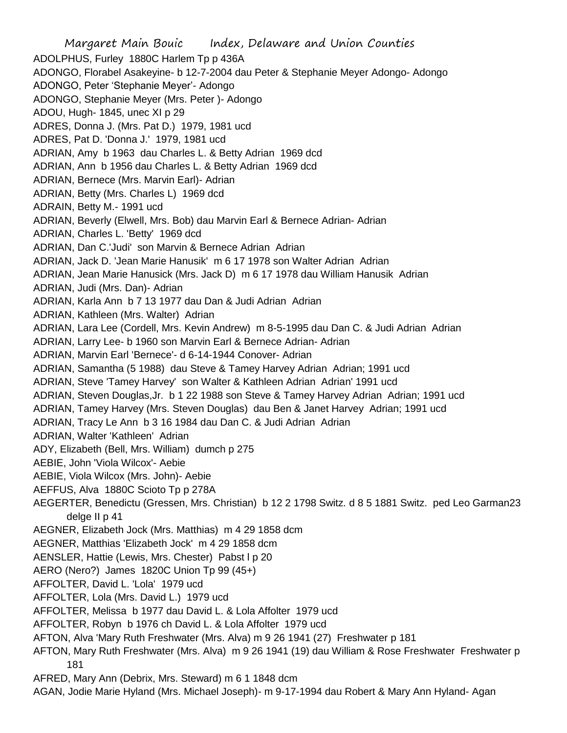Margaret Main Bouic Index, Delaware and Union Counties ADOLPHUS, Furley 1880C Harlem Tp p 436A ADONGO, Florabel Asakeyine- b 12-7-2004 dau Peter & Stephanie Meyer Adongo- Adongo ADONGO, Peter 'Stephanie Meyer'- Adongo ADONGO, Stephanie Meyer (Mrs. Peter )- Adongo ADOU, Hugh- 1845, unec XI p 29 ADRES, Donna J. (Mrs. Pat D.) 1979, 1981 ucd ADRES, Pat D. 'Donna J.' 1979, 1981 ucd ADRIAN, Amy b 1963 dau Charles L. & Betty Adrian 1969 dcd ADRIAN, Ann b 1956 dau Charles L. & Betty Adrian 1969 dcd ADRIAN, Bernece (Mrs. Marvin Earl)- Adrian ADRIAN, Betty (Mrs. Charles L) 1969 dcd ADRAIN, Betty M.- 1991 ucd ADRIAN, Beverly (Elwell, Mrs. Bob) dau Marvin Earl & Bernece Adrian- Adrian ADRIAN, Charles L. 'Betty' 1969 dcd ADRIAN, Dan C.'Judi' son Marvin & Bernece Adrian Adrian ADRIAN, Jack D. 'Jean Marie Hanusik' m 6 17 1978 son Walter Adrian Adrian ADRIAN, Jean Marie Hanusick (Mrs. Jack D) m 6 17 1978 dau William Hanusik Adrian ADRIAN, Judi (Mrs. Dan)- Adrian ADRIAN, Karla Ann b 7 13 1977 dau Dan & Judi Adrian Adrian ADRIAN, Kathleen (Mrs. Walter) Adrian ADRIAN, Lara Lee (Cordell, Mrs. Kevin Andrew) m 8-5-1995 dau Dan C. & Judi Adrian Adrian ADRIAN, Larry Lee- b 1960 son Marvin Earl & Bernece Adrian- Adrian ADRIAN, Marvin Earl 'Bernece'- d 6-14-1944 Conover- Adrian ADRIAN, Samantha (5 1988) dau Steve & Tamey Harvey Adrian Adrian; 1991 ucd ADRIAN, Steve 'Tamey Harvey' son Walter & Kathleen Adrian Adrian' 1991 ucd ADRIAN, Steven Douglas,Jr. b 1 22 1988 son Steve & Tamey Harvey Adrian Adrian; 1991 ucd ADRIAN, Tamey Harvey (Mrs. Steven Douglas) dau Ben & Janet Harvey Adrian; 1991 ucd ADRIAN, Tracy Le Ann b 3 16 1984 dau Dan C. & Judi Adrian Adrian ADRIAN, Walter 'Kathleen' Adrian ADY, Elizabeth (Bell, Mrs. William) dumch p 275 AEBIE, John 'Viola Wilcox'- Aebie AEBIE, Viola Wilcox (Mrs. John)- Aebie AEFFUS, Alva 1880C Scioto Tp p 278A AEGERTER, Benedictu (Gressen, Mrs. Christian) b 12 2 1798 Switz. d 8 5 1881 Switz. ped Leo Garman23 delge II p 41 AEGNER, Elizabeth Jock (Mrs. Matthias) m 4 29 1858 dcm AEGNER, Matthias 'Elizabeth Jock' m 4 29 1858 dcm AENSLER, Hattie (Lewis, Mrs. Chester) Pabst l p 20 AERO (Nero?) James 1820C Union Tp 99 (45+) AFFOLTER, David L. 'Lola' 1979 ucd AFFOLTER, Lola (Mrs. David L.) 1979 ucd AFFOLTER, Melissa b 1977 dau David L. & Lola Affolter 1979 ucd AFFOLTER, Robyn b 1976 ch David L. & Lola Affolter 1979 ucd AFTON, Alva 'Mary Ruth Freshwater (Mrs. Alva) m 9 26 1941 (27) Freshwater p 181 AFTON, Mary Ruth Freshwater (Mrs. Alva) m 9 26 1941 (19) dau William & Rose Freshwater Freshwater p 181 AFRED, Mary Ann (Debrix, Mrs. Steward) m 6 1 1848 dcm AGAN, Jodie Marie Hyland (Mrs. Michael Joseph)- m 9-17-1994 dau Robert & Mary Ann Hyland- Agan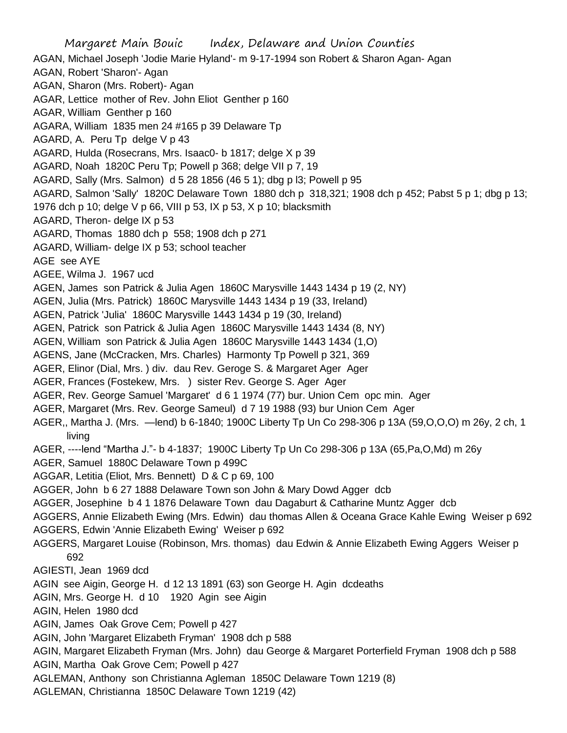Margaret Main Bouic Index, Delaware and Union Counties AGAN, Michael Joseph 'Jodie Marie Hyland'- m 9-17-1994 son Robert & Sharon Agan- Agan AGAN, Robert 'Sharon'- Agan AGAN, Sharon (Mrs. Robert)- Agan AGAR, Lettice mother of Rev. John Eliot Genther p 160 AGAR, William Genther p 160 AGARA, William 1835 men 24 #165 p 39 Delaware Tp AGARD, A. Peru Tp delge V p 43 AGARD, Hulda (Rosecrans, Mrs. Isaac0- b 1817; delge X p 39 AGARD, Noah 1820C Peru Tp; Powell p 368; delge VII p 7, 19 AGARD, Sally (Mrs. Salmon) d 5 28 1856 (46 5 1); dbg p l3; Powell p 95 AGARD, Salmon 'Sally' 1820C Delaware Town 1880 dch p 318,321; 1908 dch p 452; Pabst 5 p 1; dbg p 13; 1976 dch p 10; delge V p 66, VIII p 53, IX p 53, X p 10; blacksmith AGARD, Theron- delge IX p 53 AGARD, Thomas 1880 dch p 558; 1908 dch p 271 AGARD, William- delge IX p 53; school teacher AGE see AYE AGEE, Wilma J. 1967 ucd AGEN, James son Patrick & Julia Agen 1860C Marysville 1443 1434 p 19 (2, NY) AGEN, Julia (Mrs. Patrick) 1860C Marysville 1443 1434 p 19 (33, Ireland) AGEN, Patrick 'Julia' 1860C Marysville 1443 1434 p 19 (30, Ireland) AGEN, Patrick son Patrick & Julia Agen 1860C Marysville 1443 1434 (8, NY) AGEN, William son Patrick & Julia Agen 1860C Marysville 1443 1434 (1,O) AGENS, Jane (McCracken, Mrs. Charles) Harmonty Tp Powell p 321, 369 AGER, Elinor (Dial, Mrs. ) div. dau Rev. Geroge S. & Margaret Ager Ager AGER, Frances (Fostekew, Mrs. ) sister Rev. George S. Ager Ager AGER, Rev. George Samuel 'Margaret' d 6 1 1974 (77) bur. Union Cem opc min. Ager AGER, Margaret (Mrs. Rev. George Sameul) d 7 19 1988 (93) bur Union Cem Ager AGER,, Martha J. (Mrs. —lend) b 6-1840; 1900C Liberty Tp Un Co 298-306 p 13A (59,O,O,O) m 26y, 2 ch, 1 living AGER, ----lend "Martha J."- b 4-1837; 1900C Liberty Tp Un Co 298-306 p 13A (65,Pa,O,Md) m 26y AGER, Samuel 1880C Delaware Town p 499C AGGAR, Letitia (Eliot, Mrs. Bennett) D & C p 69, 100 AGGER, John b 6 27 1888 Delaware Town son John & Mary Dowd Agger dcb AGGER, Josephine b 4 1 1876 Delaware Town dau Dagaburt & Catharine Muntz Agger dcb AGGERS, Annie Elizabeth Ewing (Mrs. Edwin) dau thomas Allen & Oceana Grace Kahle Ewing Weiser p 692 AGGERS, Edwin 'Annie Elizabeth Ewing' Weiser p 692 AGGERS, Margaret Louise (Robinson, Mrs. thomas) dau Edwin & Annie Elizabeth Ewing Aggers Weiser p 692 AGIESTI, Jean 1969 dcd AGIN see Aigin, George H. d 12 13 1891 (63) son George H. Agin dcdeaths AGIN, Mrs. George H. d 10 1920 Agin see Aigin AGIN, Helen 1980 dcd AGIN, James Oak Grove Cem; Powell p 427 AGIN, John 'Margaret Elizabeth Fryman' 1908 dch p 588 AGIN, Margaret Elizabeth Fryman (Mrs. John) dau George & Margaret Porterfield Fryman 1908 dch p 588 AGIN, Martha Oak Grove Cem; Powell p 427 AGLEMAN, Anthony son Christianna Agleman 1850C Delaware Town 1219 (8) AGLEMAN, Christianna 1850C Delaware Town 1219 (42)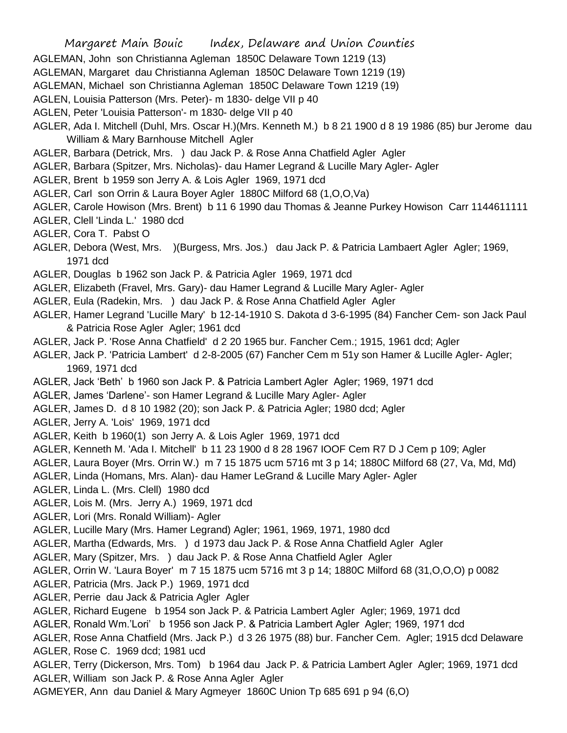- AGLEMAN, John son Christianna Agleman 1850C Delaware Town 1219 (13)
- AGLEMAN, Margaret dau Christianna Agleman 1850C Delaware Town 1219 (19)
- AGLEMAN, Michael son Christianna Agleman 1850C Delaware Town 1219 (19)
- AGLEN, Louisia Patterson (Mrs. Peter)- m 1830- delge VII p 40
- AGLEN, Peter 'Louisia Patterson'- m 1830- delge VII p 40
- AGLER, Ada I. Mitchell (Duhl, Mrs. Oscar H.)(Mrs. Kenneth M.) b 8 21 1900 d 8 19 1986 (85) bur Jerome dau William & Mary Barnhouse Mitchell Agler
- AGLER, Barbara (Detrick, Mrs. ) dau Jack P. & Rose Anna Chatfield Agler Agler
- AGLER, Barbara (Spitzer, Mrs. Nicholas)- dau Hamer Legrand & Lucille Mary Agler- Agler
- AGLER, Brent b 1959 son Jerry A. & Lois Agler 1969, 1971 dcd
- AGLER, Carl son Orrin & Laura Boyer Agler 1880C Milford 68 (1,O,O,Va)
- AGLER, Carole Howison (Mrs. Brent) b 11 6 1990 dau Thomas & Jeanne Purkey Howison Carr 1144611111
- AGLER, Clell 'Linda L.' 1980 dcd
- AGLER, Cora T. Pabst O
- AGLER, Debora (West, Mrs. )(Burgess, Mrs. Jos.) dau Jack P. & Patricia Lambaert Agler Agler; 1969, 1971 dcd
- AGLER, Douglas b 1962 son Jack P. & Patricia Agler 1969, 1971 dcd
- AGLER, Elizabeth (Fravel, Mrs. Gary)- dau Hamer Legrand & Lucille Mary Agler- Agler
- AGLER, Eula (Radekin, Mrs. ) dau Jack P. & Rose Anna Chatfield Agler Agler
- AGLER, Hamer Legrand 'Lucille Mary' b 12-14-1910 S. Dakota d 3-6-1995 (84) Fancher Cem- son Jack Paul & Patricia Rose Agler Agler; 1961 dcd
- AGLER, Jack P. 'Rose Anna Chatfield' d 2 20 1965 bur. Fancher Cem.; 1915, 1961 dcd; Agler
- AGLER, Jack P. 'Patricia Lambert' d 2-8-2005 (67) Fancher Cem m 51y son Hamer & Lucille Agler- Agler; 1969, 1971 dcd
- AGLER, Jack 'Beth' b 1960 son Jack P. & Patricia Lambert Agler Agler; 1969, 1971 dcd
- AGLER, James 'Darlene'- son Hamer Legrand & Lucille Mary Agler- Agler
- AGLER, James D. d 8 10 1982 (20); son Jack P. & Patricia Agler; 1980 dcd; Agler
- AGLER, Jerry A. 'Lois' 1969, 1971 dcd
- AGLER, Keith b 1960(1) son Jerry A. & Lois Agler 1969, 1971 dcd
- AGLER, Kenneth M. 'Ada I. Mitchell' b 11 23 1900 d 8 28 1967 IOOF Cem R7 D J Cem p 109; Agler
- AGLER, Laura Boyer (Mrs. Orrin W.) m 7 15 1875 ucm 5716 mt 3 p 14; 1880C Milford 68 (27, Va, Md, Md)
- AGLER, Linda (Homans, Mrs. Alan)- dau Hamer LeGrand & Lucille Mary Agler- Agler
- AGLER, Linda L. (Mrs. Clell) 1980 dcd
- AGLER, Lois M. (Mrs. Jerry A.) 1969, 1971 dcd
- AGLER, Lori (Mrs. Ronald William)- Agler
- AGLER, Lucille Mary (Mrs. Hamer Legrand) Agler; 1961, 1969, 1971, 1980 dcd
- AGLER, Martha (Edwards, Mrs. ) d 1973 dau Jack P. & Rose Anna Chatfield Agler Agler
- AGLER, Mary (Spitzer, Mrs. ) dau Jack P. & Rose Anna Chatfield Agler Agler
- AGLER, Orrin W. 'Laura Boyer' m 7 15 1875 ucm 5716 mt 3 p 14; 1880C Milford 68 (31,O,O,O) p 0082
- AGLER, Patricia (Mrs. Jack P.) 1969, 1971 dcd
- AGLER, Perrie dau Jack & Patricia Agler Agler
- AGLER, Richard Eugene b 1954 son Jack P. & Patricia Lambert Agler Agler; 1969, 1971 dcd
- AGLER, Ronald Wm.'Lori' b 1956 son Jack P. & Patricia Lambert Agler Agler; 1969, 1971 dcd
- AGLER, Rose Anna Chatfield (Mrs. Jack P.) d 3 26 1975 (88) bur. Fancher Cem. Agler; 1915 dcd Delaware AGLER, Rose C. 1969 dcd; 1981 ucd
- AGLER, Terry (Dickerson, Mrs. Tom) b 1964 dau Jack P. & Patricia Lambert Agler Agler; 1969, 1971 dcd AGLER, William son Jack P. & Rose Anna Agler Agler
- AGMEYER, Ann dau Daniel & Mary Agmeyer 1860C Union Tp 685 691 p 94 (6,O)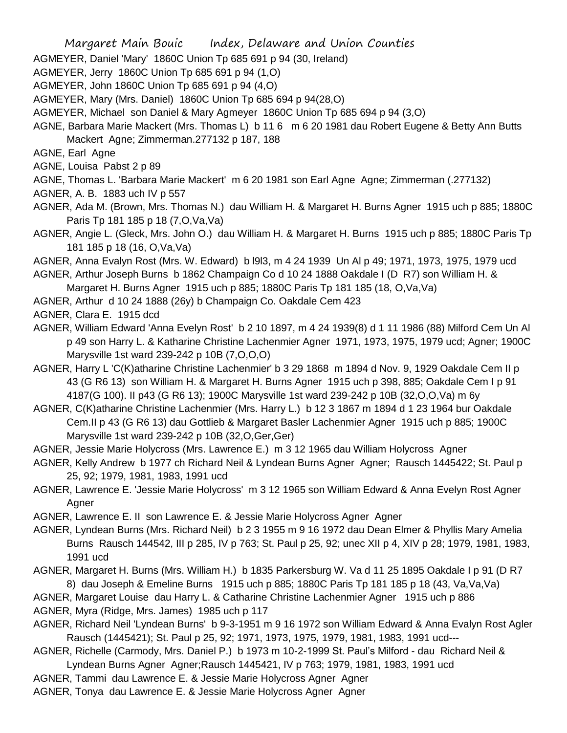AGMEYER, Daniel 'Mary' 1860C Union Tp 685 691 p 94 (30, Ireland)

- AGMEYER, Jerry 1860C Union Tp 685 691 p 94 (1,O)
- AGMEYER, John 1860C Union Tp 685 691 p 94 (4,O)
- AGMEYER, Mary (Mrs. Daniel) 1860C Union Tp 685 694 p 94(28,O)
- AGMEYER, Michael son Daniel & Mary Agmeyer 1860C Union Tp 685 694 p 94 (3,O)
- AGNE, Barbara Marie Mackert (Mrs. Thomas L) b 11 6 m 6 20 1981 dau Robert Eugene & Betty Ann Butts Mackert Agne; Zimmerman.277132 p 187, 188
- AGNE, Earl Agne
- AGNE, Louisa Pabst 2 p 89
- AGNE, Thomas L. 'Barbara Marie Mackert' m 6 20 1981 son Earl Agne Agne; Zimmerman (.277132)
- AGNER, A. B. 1883 uch IV p 557
- AGNER, Ada M. (Brown, Mrs. Thomas N.) dau William H. & Margaret H. Burns Agner 1915 uch p 885; 1880C Paris Tp 181 185 p 18 (7,O,Va,Va)
- AGNER, Angie L. (Gleck, Mrs. John O.) dau William H. & Margaret H. Burns 1915 uch p 885; 1880C Paris Tp 181 185 p 18 (16, O,Va,Va)
- AGNER, Anna Evalyn Rost (Mrs. W. Edward) b l9l3, m 4 24 1939 Un Al p 49; 1971, 1973, 1975, 1979 ucd
- AGNER, Arthur Joseph Burns b 1862 Champaign Co d 10 24 1888 Oakdale I (D R7) son William H. &
- Margaret H. Burns Agner 1915 uch p 885; 1880C Paris Tp 181 185 (18, O,Va,Va)
- AGNER, Arthur d 10 24 1888 (26y) b Champaign Co. Oakdale Cem 423
- AGNER, Clara E. 1915 dcd
- AGNER, William Edward 'Anna Evelyn Rost' b 2 10 1897, m 4 24 1939(8) d 1 11 1986 (88) Milford Cem Un Al p 49 son Harry L. & Katharine Christine Lachenmier Agner 1971, 1973, 1975, 1979 ucd; Agner; 1900C Marysville 1st ward 239-242 p 10B (7,O,O,O)
- AGNER, Harry L 'C(K)atharine Christine Lachenmier' b 3 29 1868 m 1894 d Nov. 9, 1929 Oakdale Cem II p 43 (G R6 13) son William H. & Margaret H. Burns Agner 1915 uch p 398, 885; Oakdale Cem I p 91 4187(G 100). II p43 (G R6 13); 1900C Marysville 1st ward 239-242 p 10B (32,O,O,Va) m 6y
- AGNER, C(K)atharine Christine Lachenmier (Mrs. Harry L.) b 12 3 1867 m 1894 d 1 23 1964 bur Oakdale Cem.II p 43 (G R6 13) dau Gottlieb & Margaret Basler Lachenmier Agner 1915 uch p 885; 1900C Marysville 1st ward 239-242 p 10B (32,O,Ger,Ger)
- AGNER, Jessie Marie Holycross (Mrs. Lawrence E.) m 3 12 1965 dau William Holycross Agner
- AGNER, Kelly Andrew b 1977 ch Richard Neil & Lyndean Burns Agner Agner; Rausch 1445422; St. Paul p 25, 92; 1979, 1981, 1983, 1991 ucd
- AGNER, Lawrence E. 'Jessie Marie Holycross' m 3 12 1965 son William Edward & Anna Evelyn Rost Agner Agner
- AGNER, Lawrence E. II son Lawrence E. & Jessie Marie Holycross Agner Agner
- AGNER, Lyndean Burns (Mrs. Richard Neil) b 2 3 1955 m 9 16 1972 dau Dean Elmer & Phyllis Mary Amelia Burns Rausch 144542, III p 285, IV p 763; St. Paul p 25, 92; unec XII p 4, XIV p 28; 1979, 1981, 1983, 1991 ucd
- AGNER, Margaret H. Burns (Mrs. William H.) b 1835 Parkersburg W. Va d 11 25 1895 Oakdale I p 91 (D R7 8) dau Joseph & Emeline Burns 1915 uch p 885; 1880C Paris Tp 181 185 p 18 (43, Va,Va,Va)
- AGNER, Margaret Louise dau Harry L. & Catharine Christine Lachenmier Agner 1915 uch p 886
- AGNER, Myra (Ridge, Mrs. James) 1985 uch p 117
- AGNER, Richard Neil 'Lyndean Burns' b 9-3-1951 m 9 16 1972 son William Edward & Anna Evalyn Rost Agler Rausch (1445421); St. Paul p 25, 92; 1971, 1973, 1975, 1979, 1981, 1983, 1991 ucd---
- AGNER, Richelle (Carmody, Mrs. Daniel P.) b 1973 m 10-2-1999 St. Paul's Milford dau Richard Neil & Lyndean Burns Agner Agner;Rausch 1445421, IV p 763; 1979, 1981, 1983, 1991 ucd
- AGNER, Tammi dau Lawrence E. & Jessie Marie Holycross Agner Agner
- AGNER, Tonya dau Lawrence E. & Jessie Marie Holycross Agner Agner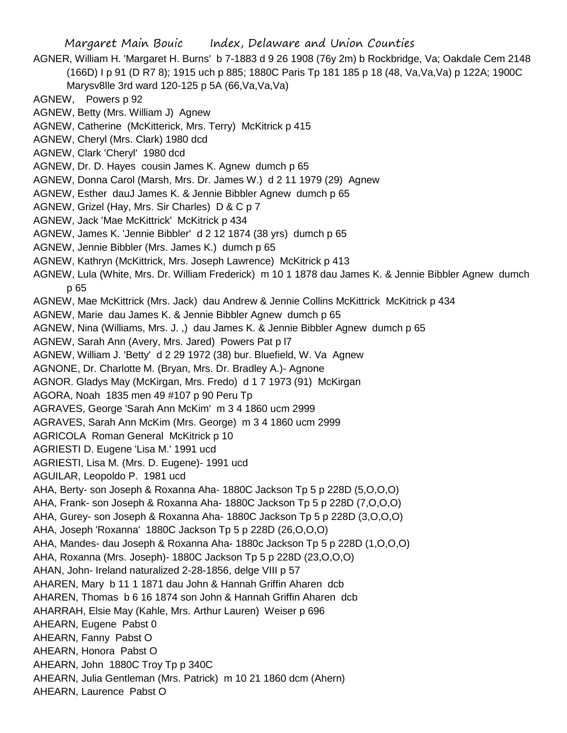Margaret Main Bouic Index, Delaware and Union Counties AGNER, William H. 'Margaret H. Burns' b 7-1883 d 9 26 1908 (76y 2m) b Rockbridge, Va; Oakdale Cem 2148 (166D) I p 91 (D R7 8); 1915 uch p 885; 1880C Paris Tp 181 185 p 18 (48, Va,Va,Va) p 122A; 1900C Marysv8lle 3rd ward 120-125 p 5A (66,Va,Va,Va) AGNEW, Powers p 92 AGNEW, Betty (Mrs. William J) Agnew AGNEW, Catherine (McKitterick, Mrs. Terry) McKitrick p 415 AGNEW, Cheryl (Mrs. Clark) 1980 dcd AGNEW, Clark 'Cheryl' 1980 dcd AGNEW, Dr. D. Hayes cousin James K. Agnew dumch p 65 AGNEW, Donna Carol (Marsh, Mrs. Dr. James W.) d 2 11 1979 (29) Agnew AGNEW, Esther dauJ James K. & Jennie Bibbler Agnew dumch p 65 AGNEW, Grizel (Hay, Mrs. Sir Charles) D & C p 7 AGNEW, Jack 'Mae McKittrick' McKitrick p 434 AGNEW, James K. 'Jennie Bibbler' d 2 12 1874 (38 yrs) dumch p 65 AGNEW, Jennie Bibbler (Mrs. James K.) dumch p 65 AGNEW, Kathryn (McKittrick, Mrs. Joseph Lawrence) McKitrick p 413 AGNEW, Lula (White, Mrs. Dr. William Frederick) m 10 1 1878 dau James K. & Jennie Bibbler Agnew dumch p 65 AGNEW, Mae McKittrick (Mrs. Jack) dau Andrew & Jennie Collins McKittrick McKitrick p 434 AGNEW, Marie dau James K. & Jennie Bibbler Agnew dumch p 65 AGNEW, Nina (Williams, Mrs. J. ,) dau James K. & Jennie Bibbler Agnew dumch p 65 AGNEW, Sarah Ann (Avery, Mrs. Jared) Powers Pat p l7 AGNEW, William J. 'Betty' d 2 29 1972 (38) bur. Bluefield, W. Va Agnew AGNONE, Dr. Charlotte M. (Bryan, Mrs. Dr. Bradley A.)- Agnone AGNOR. Gladys May (McKirgan, Mrs. Fredo) d 1 7 1973 (91) McKirgan AGORA, Noah 1835 men 49 #107 p 90 Peru Tp AGRAVES, George 'Sarah Ann McKim' m 3 4 1860 ucm 2999 AGRAVES, Sarah Ann McKim (Mrs. George) m 3 4 1860 ucm 2999 AGRICOLA Roman General McKitrick p 10 AGRIESTI D. Eugene 'Lisa M.' 1991 ucd AGRIESTI, Lisa M. (Mrs. D. Eugene)- 1991 ucd AGUILAR, Leopoldo P. 1981 ucd AHA, Berty- son Joseph & Roxanna Aha- 1880C Jackson Tp 5 p 228D (5,O,O,O) AHA, Frank- son Joseph & Roxanna Aha- 1880C Jackson Tp 5 p 228D (7,O,O,O) AHA, Gurey- son Joseph & Roxanna Aha- 1880C Jackson Tp 5 p 228D (3,O,O,O) AHA, Joseph 'Roxanna' 1880C Jackson Tp 5 p 228D (26,O,O,O) AHA, Mandes- dau Joseph & Roxanna Aha- 1880c Jackson Tp 5 p 228D (1,O,O,O) AHA, Roxanna (Mrs. Joseph)- 1880C Jackson Tp 5 p 228D (23,O,O,O) AHAN, John- Ireland naturalized 2-28-1856, delge VIII p 57 AHAREN, Mary b 11 1 1871 dau John & Hannah Griffin Aharen dcb AHAREN, Thomas b 6 16 1874 son John & Hannah Griffin Aharen dcb AHARRAH, Elsie May (Kahle, Mrs. Arthur Lauren) Weiser p 696 AHEARN, Eugene Pabst 0 AHEARN, Fanny Pabst O AHEARN, Honora Pabst O AHEARN, John 1880C Troy Tp p 340C AHEARN, Julia Gentleman (Mrs. Patrick) m 10 21 1860 dcm (Ahern) AHEARN, Laurence Pabst O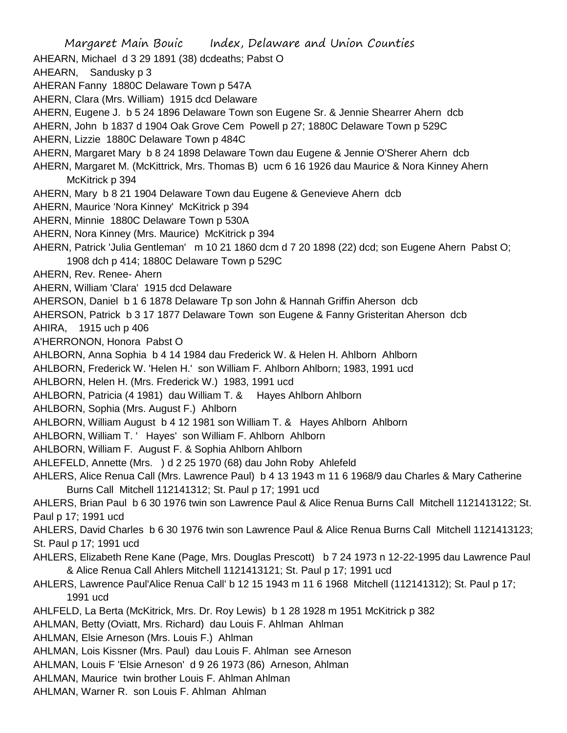Margaret Main Bouic Index, Delaware and Union Counties AHEARN, Michael d 3 29 1891 (38) dcdeaths; Pabst O AHEARN, Sandusky p 3 AHERAN Fanny 1880C Delaware Town p 547A AHERN, Clara (Mrs. William) 1915 dcd Delaware AHERN, Eugene J. b 5 24 1896 Delaware Town son Eugene Sr. & Jennie Shearrer Ahern dcb AHERN, John b 1837 d 1904 Oak Grove Cem Powell p 27; 1880C Delaware Town p 529C AHERN, Lizzie 1880C Delaware Town p 484C AHERN, Margaret Mary b 8 24 1898 Delaware Town dau Eugene & Jennie O'Sherer Ahern dcb AHERN, Margaret M. (McKittrick, Mrs. Thomas B) ucm 6 16 1926 dau Maurice & Nora Kinney Ahern McKitrick p 394 AHERN, Mary b 8 21 1904 Delaware Town dau Eugene & Genevieve Ahern dcb AHERN, Maurice 'Nora Kinney' McKitrick p 394 AHERN, Minnie 1880C Delaware Town p 530A AHERN, Nora Kinney (Mrs. Maurice) McKitrick p 394 AHERN, Patrick 'Julia Gentleman' m 10 21 1860 dcm d 7 20 1898 (22) dcd; son Eugene Ahern Pabst O; 1908 dch p 414; 1880C Delaware Town p 529C AHERN, Rev. Renee- Ahern AHERN, William 'Clara' 1915 dcd Delaware AHERSON, Daniel b 1 6 1878 Delaware Tp son John & Hannah Griffin Aherson dcb AHERSON, Patrick b 3 17 1877 Delaware Town son Eugene & Fanny Gristeritan Aherson dcb AHIRA, 1915 uch p 406 A'HERRONON, Honora Pabst O AHLBORN, Anna Sophia b 4 14 1984 dau Frederick W. & Helen H. Ahlborn Ahlborn AHLBORN, Frederick W. 'Helen H.' son William F. Ahlborn Ahlborn; 1983, 1991 ucd AHLBORN, Helen H. (Mrs. Frederick W.) 1983, 1991 ucd AHLBORN, Patricia (4 1981) dau William T. & Hayes Ahlborn Ahlborn AHLBORN, Sophia (Mrs. August F.) Ahlborn AHLBORN, William August b 4 12 1981 son William T. & Hayes Ahlborn Ahlborn AHLBORN, William T. ' Hayes' son William F. Ahlborn Ahlborn AHLBORN, William F. August F. & Sophia Ahlborn Ahlborn AHLEFELD, Annette (Mrs. ) d 2 25 1970 (68) dau John Roby Ahlefeld AHLERS, Alice Renua Call (Mrs. Lawrence Paul) b 4 13 1943 m 11 6 1968/9 dau Charles & Mary Catherine Burns Call Mitchell 112141312; St. Paul p 17; 1991 ucd AHLERS, Brian Paul b 6 30 1976 twin son Lawrence Paul & Alice Renua Burns Call Mitchell 1121413122; St. Paul p 17; 1991 ucd AHLERS, David Charles b 6 30 1976 twin son Lawrence Paul & Alice Renua Burns Call Mitchell 1121413123; St. Paul p 17; 1991 ucd AHLERS, Elizabeth Rene Kane (Page, Mrs. Douglas Prescott) b 7 24 1973 n 12-22-1995 dau Lawrence Paul & Alice Renua Call Ahlers Mitchell 1121413121; St. Paul p 17; 1991 ucd AHLERS, Lawrence Paul'Alice Renua Call' b 12 15 1943 m 11 6 1968 Mitchell (112141312); St. Paul p 17; 1991 ucd AHLFELD, La Berta (McKitrick, Mrs. Dr. Roy Lewis) b 1 28 1928 m 1951 McKitrick p 382 AHLMAN, Betty (Oviatt, Mrs. Richard) dau Louis F. Ahlman Ahlman AHLMAN, Elsie Arneson (Mrs. Louis F.) Ahlman AHLMAN, Lois Kissner (Mrs. Paul) dau Louis F. Ahlman see Arneson AHLMAN, Louis F 'Elsie Arneson' d 9 26 1973 (86) Arneson, Ahlman AHLMAN, Maurice twin brother Louis F. Ahlman Ahlman AHLMAN, Warner R. son Louis F. Ahlman Ahlman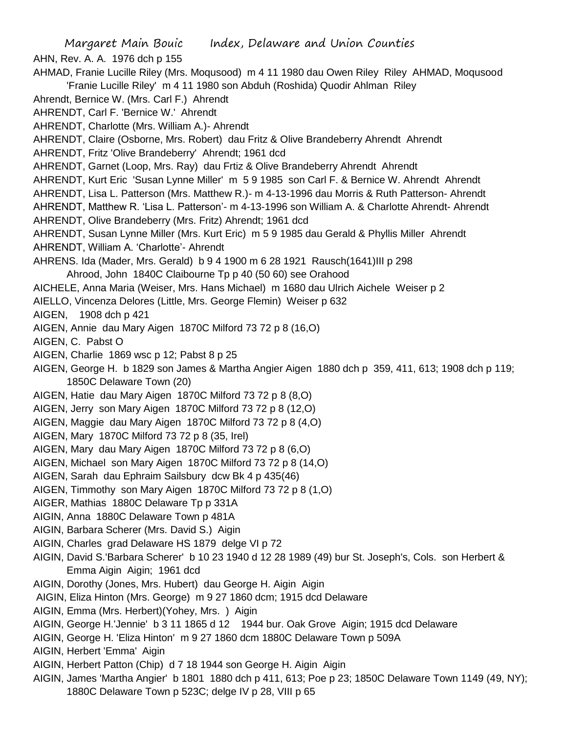Margaret Main Bouic Index, Delaware and Union Counties AHN, Rev. A. A. 1976 dch p 155 AHMAD, Franie Lucille Riley (Mrs. Moqusood) m 4 11 1980 dau Owen Riley Riley AHMAD, Moqusood 'Franie Lucille Riley' m 4 11 1980 son Abduh (Roshida) Quodir Ahlman Riley Ahrendt, Bernice W. (Mrs. Carl F.) Ahrendt AHRENDT, Carl F. 'Bernice W.' Ahrendt AHRENDT, Charlotte (Mrs. William A.)- Ahrendt AHRENDT, Claire (Osborne, Mrs. Robert) dau Fritz & Olive Brandeberry Ahrendt Ahrendt AHRENDT, Fritz 'Olive Brandeberry' Ahrendt; 1961 dcd AHRENDT, Garnet (Loop, Mrs. Ray) dau Frtiz & Olive Brandeberry Ahrendt Ahrendt AHRENDT, Kurt Eric 'Susan Lynne Miller' m 5 9 1985 son Carl F. & Bernice W. Ahrendt Ahrendt AHRENDT, Lisa L. Patterson (Mrs. Matthew R.)- m 4-13-1996 dau Morris & Ruth Patterson- Ahrendt AHRENDT, Matthew R. 'Lisa L. Patterson'- m 4-13-1996 son William A. & Charlotte Ahrendt- Ahrendt AHRENDT, Olive Brandeberry (Mrs. Fritz) Ahrendt; 1961 dcd AHRENDT, Susan Lynne Miller (Mrs. Kurt Eric) m 5 9 1985 dau Gerald & Phyllis Miller Ahrendt AHRENDT, William A. 'Charlotte'- Ahrendt AHRENS. Ida (Mader, Mrs. Gerald) b 9 4 1900 m 6 28 1921 Rausch(1641)III p 298 Ahrood, John 1840C Claibourne Tp p 40 (50 60) see Orahood AICHELE, Anna Maria (Weiser, Mrs. Hans Michael) m 1680 dau Ulrich Aichele Weiser p 2 AIELLO, Vincenza Delores (Little, Mrs. George Flemin) Weiser p 632 AIGEN, 1908 dch p 421 AIGEN, Annie dau Mary Aigen 1870C Milford 73 72 p 8 (16,O) AIGEN, C. Pabst O AIGEN, Charlie 1869 wsc p 12; Pabst 8 p 25 AIGEN, George H. b 1829 son James & Martha Angier Aigen 1880 dch p 359, 411, 613; 1908 dch p 119; 1850C Delaware Town (20) AIGEN, Hatie dau Mary Aigen 1870C Milford 73 72 p 8 (8,O) AIGEN, Jerry son Mary Aigen 1870C Milford 73 72 p 8 (12,O) AIGEN, Maggie dau Mary Aigen 1870C Milford 73 72 p 8 (4,O) AIGEN, Mary 1870C Milford 73 72 p 8 (35, Irel) AIGEN, Mary dau Mary Aigen 1870C Milford 73 72 p 8 (6,O) AIGEN, Michael son Mary Aigen 1870C Milford 73 72 p 8 (14,O) AIGEN, Sarah dau Ephraim Sailsbury dcw Bk 4 p 435(46) AIGEN, Timmothy son Mary Aigen 1870C Milford 73 72 p 8 (1,O) AIGER, Mathias 1880C Delaware Tp p 331A AIGIN, Anna 1880C Delaware Town p 481A AIGIN, Barbara Scherer (Mrs. David S.) Aigin AIGIN, Charles grad Delaware HS 1879 delge VI p 72 AIGIN, David S.'Barbara Scherer' b 10 23 1940 d 12 28 1989 (49) bur St. Joseph's, Cols. son Herbert & Emma Aigin Aigin; 1961 dcd AIGIN, Dorothy (Jones, Mrs. Hubert) dau George H. Aigin Aigin AIGIN, Eliza Hinton (Mrs. George) m 9 27 1860 dcm; 1915 dcd Delaware AIGIN, Emma (Mrs. Herbert)(Yohey, Mrs. ) Aigin AIGIN, George H.'Jennie' b 3 11 1865 d 12 1944 bur. Oak Grove Aigin; 1915 dcd Delaware AIGIN, George H. 'Eliza Hinton' m 9 27 1860 dcm 1880C Delaware Town p 509A AIGIN, Herbert 'Emma' Aigin AIGIN, Herbert Patton (Chip) d 7 18 1944 son George H. Aigin Aigin

AIGIN, James 'Martha Angier' b 1801 1880 dch p 411, 613; Poe p 23; 1850C Delaware Town 1149 (49, NY); 1880C Delaware Town p 523C; delge IV p 28, VIII p 65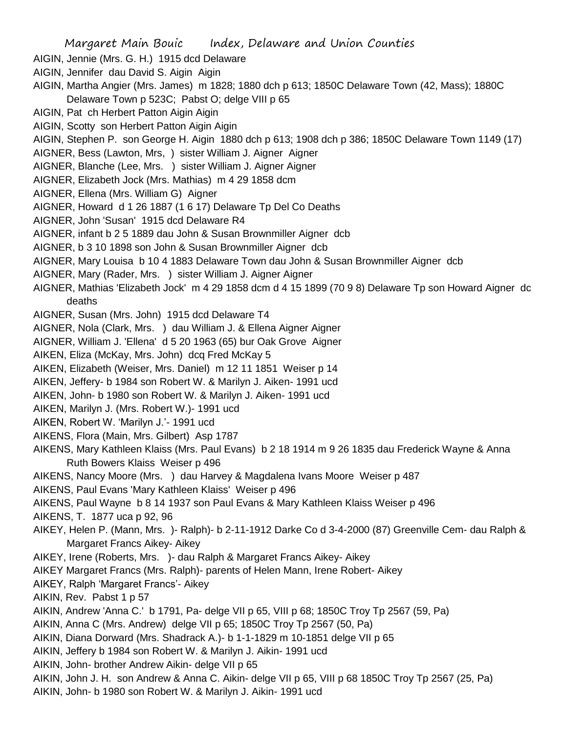- AIGIN, Jennie (Mrs. G. H.) 1915 dcd Delaware
- AIGIN, Jennifer dau David S. Aigin Aigin
- AIGIN, Martha Angier (Mrs. James) m 1828; 1880 dch p 613; 1850C Delaware Town (42, Mass); 1880C Delaware Town p 523C; Pabst O; delge VIII p 65
- AIGIN, Pat ch Herbert Patton Aigin Aigin
- AIGIN, Scotty son Herbert Patton Aigin Aigin
- AIGIN, Stephen P. son George H. Aigin 1880 dch p 613; 1908 dch p 386; 1850C Delaware Town 1149 (17)
- AIGNER, Bess (Lawton, Mrs, ) sister William J. Aigner Aigner
- AIGNER, Blanche (Lee, Mrs. ) sister William J. Aigner Aigner
- AIGNER, Elizabeth Jock (Mrs. Mathias) m 4 29 1858 dcm
- AIGNER, Ellena (Mrs. William G) Aigner
- AIGNER, Howard d 1 26 1887 (1 6 17) Delaware Tp Del Co Deaths
- AIGNER, John 'Susan' 1915 dcd Delaware R4
- AIGNER, infant b 2 5 1889 dau John & Susan Brownmiller Aigner dcb
- AIGNER, b 3 10 1898 son John & Susan Brownmiller Aigner dcb
- AIGNER, Mary Louisa b 10 4 1883 Delaware Town dau John & Susan Brownmiller Aigner dcb
- AIGNER, Mary (Rader, Mrs. ) sister William J. Aigner Aigner
- AIGNER, Mathias 'Elizabeth Jock' m 4 29 1858 dcm d 4 15 1899 (70 9 8) Delaware Tp son Howard Aigner dc deaths
- AIGNER, Susan (Mrs. John) 1915 dcd Delaware T4
- AIGNER, Nola (Clark, Mrs. ) dau William J. & Ellena Aigner Aigner
- AIGNER, William J. 'Ellena' d 5 20 1963 (65) bur Oak Grove Aigner
- AIKEN, Eliza (McKay, Mrs. John) dcq Fred McKay 5
- AIKEN, Elizabeth (Weiser, Mrs. Daniel) m 12 11 1851 Weiser p 14
- AIKEN, Jeffery- b 1984 son Robert W. & Marilyn J. Aiken- 1991 ucd
- AIKEN, John- b 1980 son Robert W. & Marilyn J. Aiken- 1991 ucd
- AIKEN, Marilyn J. (Mrs. Robert W.)- 1991 ucd
- AIKEN, Robert W. 'Marilyn J.'- 1991 ucd
- AIKENS, Flora (Main, Mrs. Gilbert) Asp 1787
- AIKENS, Mary Kathleen Klaiss (Mrs. Paul Evans) b 2 18 1914 m 9 26 1835 dau Frederick Wayne & Anna Ruth Bowers Klaiss Weiser p 496
- AIKENS, Nancy Moore (Mrs. ) dau Harvey & Magdalena Ivans Moore Weiser p 487
- AIKENS, Paul Evans 'Mary Kathleen Klaiss' Weiser p 496
- AIKENS, Paul Wayne b 8 14 1937 son Paul Evans & Mary Kathleen Klaiss Weiser p 496
- AIKENS, T. 1877 uca p 92, 96
- AIKEY, Helen P. (Mann, Mrs. )- Ralph)- b 2-11-1912 Darke Co d 3-4-2000 (87) Greenville Cem- dau Ralph & Margaret Francs Aikey- Aikey
- AIKEY, Irene (Roberts, Mrs. )- dau Ralph & Margaret Francs Aikey- Aikey
- AIKEY Margaret Francs (Mrs. Ralph)- parents of Helen Mann, Irene Robert- Aikey
- AIKEY, Ralph 'Margaret Francs'- Aikey
- AIKIN, Rev. Pabst 1 p 57
- AIKIN, Andrew 'Anna C.' b 1791, Pa- delge VII p 65, VIII p 68; 1850C Troy Tp 2567 (59, Pa)
- AIKIN, Anna C (Mrs. Andrew) delge VII p 65; 1850C Troy Tp 2567 (50, Pa)
- AIKIN, Diana Dorward (Mrs. Shadrack A.)- b 1-1-1829 m 10-1851 delge VII p 65
- AIKIN, Jeffery b 1984 son Robert W. & Marilyn J. Aikin- 1991 ucd
- AIKIN, John- brother Andrew Aikin- delge VII p 65
- AIKIN, John J. H. son Andrew & Anna C. Aikin- delge VII p 65, VIII p 68 1850C Troy Tp 2567 (25, Pa)
- AIKIN, John- b 1980 son Robert W. & Marilyn J. Aikin- 1991 ucd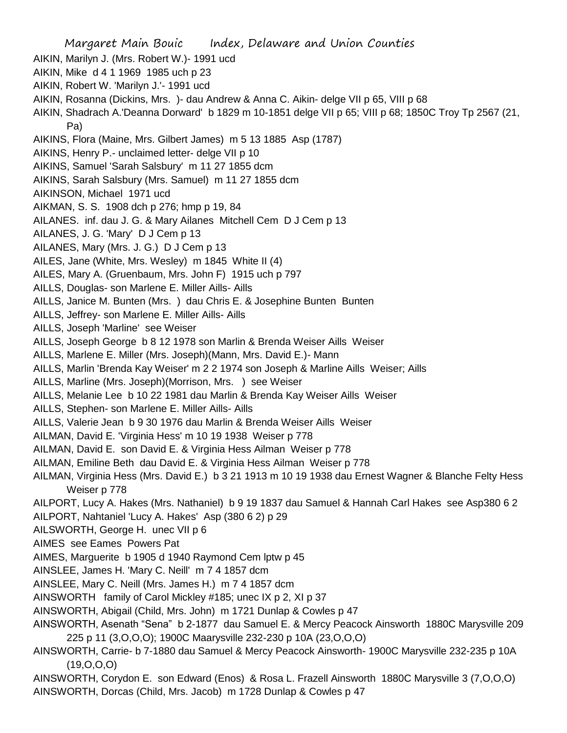Margaret Main Bouic Index, Delaware and Union Counties AIKIN, Marilyn J. (Mrs. Robert W.)- 1991 ucd AIKIN, Mike d 4 1 1969 1985 uch p 23 AIKIN, Robert W. 'Marilyn J.'- 1991 ucd AIKIN, Rosanna (Dickins, Mrs. )- dau Andrew & Anna C. Aikin- delge VII p 65, VIII p 68 AIKIN, Shadrach A.'Deanna Dorward' b 1829 m 10-1851 delge VII p 65; VIII p 68; 1850C Troy Tp 2567 (21, Pa) AIKINS, Flora (Maine, Mrs. Gilbert James) m 5 13 1885 Asp (1787) AIKINS, Henry P.- unclaimed letter- delge VII p 10 AIKINS, Samuel 'Sarah Salsbury' m 11 27 1855 dcm AIKINS, Sarah Salsbury (Mrs. Samuel) m 11 27 1855 dcm AIKINSON, Michael 1971 ucd AIKMAN, S. S. 1908 dch p 276; hmp p 19, 84 AILANES. inf. dau J. G. & Mary Ailanes Mitchell Cem D J Cem p 13 AILANES, J. G. 'Mary' D J Cem p 13 AILANES, Mary (Mrs. J. G.) D J Cem p 13 AILES, Jane (White, Mrs. Wesley) m 1845 White II (4) AILES, Mary A. (Gruenbaum, Mrs. John F) 1915 uch p 797 AILLS, Douglas- son Marlene E. Miller Aills- Aills AILLS, Janice M. Bunten (Mrs. ) dau Chris E. & Josephine Bunten Bunten AILLS, Jeffrey- son Marlene E. Miller Aills- Aills AILLS, Joseph 'Marline' see Weiser AILLS, Joseph George b 8 12 1978 son Marlin & Brenda Weiser Aills Weiser AILLS, Marlene E. Miller (Mrs. Joseph)(Mann, Mrs. David E.)- Mann AILLS, Marlin 'Brenda Kay Weiser' m 2 2 1974 son Joseph & Marline Aills Weiser; Aills AILLS, Marline (Mrs. Joseph)(Morrison, Mrs. ) see Weiser AILLS, Melanie Lee b 10 22 1981 dau Marlin & Brenda Kay Weiser Aills Weiser AILLS, Stephen- son Marlene E. Miller Aills- Aills AILLS, Valerie Jean b 9 30 1976 dau Marlin & Brenda Weiser Aills Weiser AILMAN, David E. 'Virginia Hess' m 10 19 1938 Weiser p 778 AILMAN, David E. son David E. & Virginia Hess Ailman Weiser p 778 AILMAN, Emiline Beth dau David E. & Virginia Hess Ailman Weiser p 778 AILMAN, Virginia Hess (Mrs. David E.) b 3 21 1913 m 10 19 1938 dau Ernest Wagner & Blanche Felty Hess Weiser p 778 AILPORT, Lucy A. Hakes (Mrs. Nathaniel) b 9 19 1837 dau Samuel & Hannah Carl Hakes see Asp380 6 2 AILPORT, Nahtaniel 'Lucy A. Hakes' Asp (380 6 2) p 29 AILSWORTH, George H. unec VII p 6 AIMES see Eames Powers Pat AIMES, Marguerite b 1905 d 1940 Raymond Cem lptw p 45 AINSLEE, James H. 'Mary C. Neill' m 7 4 1857 dcm AINSLEE, Mary C. Neill (Mrs. James H.) m 7 4 1857 dcm AINSWORTH family of Carol Mickley #185; unec IX p 2, XI p 37 AINSWORTH, Abigail (Child, Mrs. John) m 1721 Dunlap & Cowles p 47 AINSWORTH, Asenath "Sena" b 2-1877 dau Samuel E. & Mercy Peacock Ainsworth 1880C Marysville 209 225 p 11 (3,O,O,O); 1900C Maarysville 232-230 p 10A (23,O,O,O) AINSWORTH, Carrie- b 7-1880 dau Samuel & Mercy Peacock Ainsworth- 1900C Marysville 232-235 p 10A (19,O,O,O) AINSWORTH, Corydon E. son Edward (Enos) & Rosa L. Frazell Ainsworth 1880C Marysville 3 (7,O,O,O) AINSWORTH, Dorcas (Child, Mrs. Jacob) m 1728 Dunlap & Cowles p 47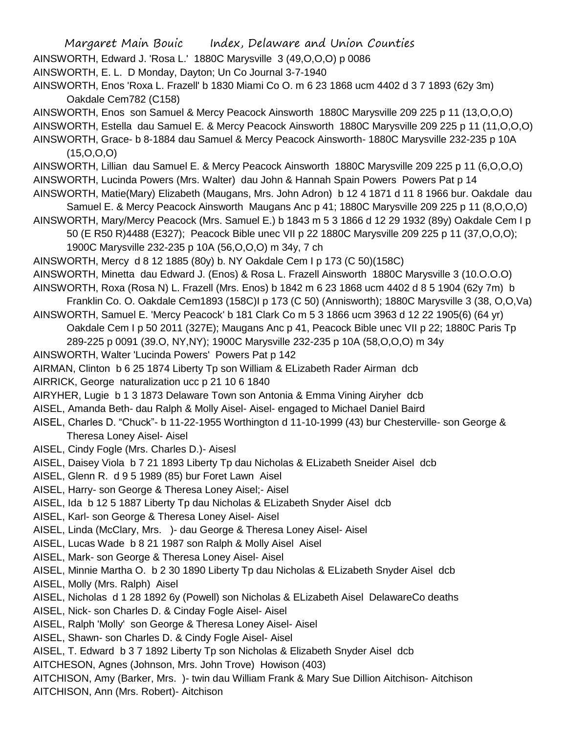Margaret Main Bouic Index, Delaware and Union Counties AINSWORTH, Edward J. 'Rosa L.' 1880C Marysville 3 (49,O,O,O) p 0086 AINSWORTH, E. L. D Monday, Dayton; Un Co Journal 3-7-1940 AINSWORTH, Enos 'Roxa L. Frazell' b 1830 Miami Co O. m 6 23 1868 ucm 4402 d 3 7 1893 (62y 3m) Oakdale Cem782 (C158) AINSWORTH, Enos son Samuel & Mercy Peacock Ainsworth 1880C Marysville 209 225 p 11 (13,O,O,O) AINSWORTH, Estella dau Samuel E. & Mercy Peacock Ainsworth 1880C Marysville 209 225 p 11 (11,O,O,O) AINSWORTH, Grace- b 8-1884 dau Samuel & Mercy Peacock Ainsworth- 1880C Marysville 232-235 p 10A  $(15, O, O, O)$ AINSWORTH, Lillian dau Samuel E. & Mercy Peacock Ainsworth 1880C Marysville 209 225 p 11 (6,O,O,O) AINSWORTH, Lucinda Powers (Mrs. Walter) dau John & Hannah Spain Powers Powers Pat p 14 AINSWORTH, Matie(Mary) Elizabeth (Maugans, Mrs. John Adron) b 12 4 1871 d 11 8 1966 bur. Oakdale dau Samuel E. & Mercy Peacock Ainsworth Maugans Anc p 41; 1880C Marysville 209 225 p 11 (8,O,O,O) AINSWORTH, Mary/Mercy Peacock (Mrs. Samuel E.) b 1843 m 5 3 1866 d 12 29 1932 (89y) Oakdale Cem I p 50 (E R50 R)4488 (E327); Peacock Bible unec VII p 22 1880C Marysville 209 225 p 11 (37,O,O,O); 1900C Marysville 232-235 p 10A (56,O,O,O) m 34y, 7 ch AINSWORTH, Mercy d 8 12 1885 (80y) b. NY Oakdale Cem I p 173 (C 50)(158C) AINSWORTH, Minetta dau Edward J. (Enos) & Rosa L. Frazell Ainsworth 1880C Marysville 3 (10.O.O.O) AINSWORTH, Roxa (Rosa N) L. Frazell (Mrs. Enos) b 1842 m 6 23 1868 ucm 4402 d 8 5 1904 (62y 7m) b Franklin Co. O. Oakdale Cem1893 (158C)I p 173 (C 50) (Annisworth); 1880C Marysville 3 (38, O,O,Va) AINSWORTH, Samuel E. 'Mercy Peacock' b 181 Clark Co m 5 3 1866 ucm 3963 d 12 22 1905(6) (64 yr) Oakdale Cem I p 50 2011 (327E); Maugans Anc p 41, Peacock Bible unec VII p 22; 1880C Paris Tp 289-225 p 0091 (39.O, NY,NY); 1900C Marysville 232-235 p 10A (58,O,O,O) m 34y AINSWORTH, Walter 'Lucinda Powers' Powers Pat p 142 AIRMAN, Clinton b 6 25 1874 Liberty Tp son William & ELizabeth Rader Airman dcb AIRRICK, George naturalization ucc p 21 10 6 1840 AIRYHER, Lugie b 1 3 1873 Delaware Town son Antonia & Emma Vining Airyher dcb AISEL, Amanda Beth- dau Ralph & Molly Aisel- Aisel- engaged to Michael Daniel Baird AISEL, Charles D. "Chuck"- b 11-22-1955 Worthington d 11-10-1999 (43) bur Chesterville- son George & Theresa Loney Aisel- Aisel AISEL, Cindy Fogle (Mrs. Charles D.)- Aisesl AISEL, Daisey Viola b 7 21 1893 Liberty Tp dau Nicholas & ELizabeth Sneider Aisel dcb AISEL, Glenn R. d 9 5 1989 (85) bur Foret Lawn Aisel AISEL, Harry- son George & Theresa Loney Aisel;- Aisel AISEL, Ida b 12 5 1887 Liberty Tp dau Nicholas & ELizabeth Snyder Aisel dcb AISEL, Karl- son George & Theresa Loney Aisel- Aisel AISEL, Linda (McClary, Mrs. )- dau George & Theresa Loney Aisel- Aisel AISEL, Lucas Wade b 8 21 1987 son Ralph & Molly Aisel Aisel AISEL, Mark- son George & Theresa Loney Aisel- Aisel AISEL, Minnie Martha O. b 2 30 1890 Liberty Tp dau Nicholas & ELizabeth Snyder Aisel dcb AISEL, Molly (Mrs. Ralph) Aisel AISEL, Nicholas d 1 28 1892 6y (Powell) son Nicholas & ELizabeth Aisel DelawareCo deaths AISEL, Nick- son Charles D. & Cinday Fogle Aisel- Aisel AISEL, Ralph 'Molly' son George & Theresa Loney Aisel- Aisel AISEL, Shawn- son Charles D. & Cindy Fogle Aisel- Aisel AISEL, T. Edward b 3 7 1892 Liberty Tp son Nicholas & Elizabeth Snyder Aisel dcb AITCHESON, Agnes (Johnson, Mrs. John Trove) Howison (403) AITCHISON, Amy (Barker, Mrs. )- twin dau William Frank & Mary Sue Dillion Aitchison- Aitchison AITCHISON, Ann (Mrs. Robert)- Aitchison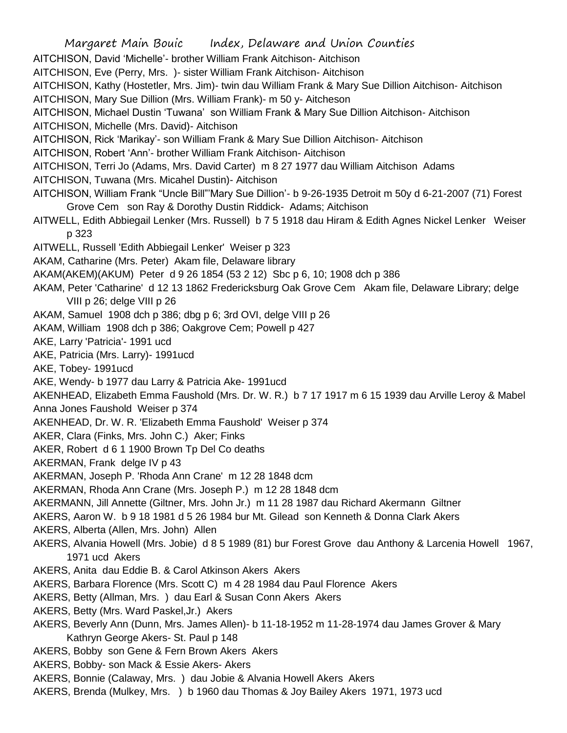Margaret Main Bouic Index, Delaware and Union Counties AITCHISON, David 'Michelle'- brother William Frank Aitchison- Aitchison AITCHISON, Eve (Perry, Mrs. )- sister William Frank Aitchison- Aitchison AITCHISON, Kathy (Hostetler, Mrs. Jim)- twin dau William Frank & Mary Sue Dillion Aitchison- Aitchison AITCHISON, Mary Sue Dillion (Mrs. William Frank)- m 50 y- Aitcheson AITCHISON, Michael Dustin 'Tuwana' son William Frank & Mary Sue Dillion Aitchison- Aitchison AITCHISON, Michelle (Mrs. David)- Aitchison AITCHISON, Rick 'Marikay'- son William Frank & Mary Sue Dillion Aitchison- Aitchison AITCHISON, Robert 'Ann'- brother William Frank Aitchison- Aitchison AITCHISON, Terri Jo (Adams, Mrs. David Carter) m 8 27 1977 dau William Aitchison Adams AITCHISON, Tuwana (Mrs. Micahel Dustin)- Aitchison AITCHISON, William Frank "Uncle Bill"'Mary Sue Dillion'- b 9-26-1935 Detroit m 50y d 6-21-2007 (71) Forest Grove Cem son Ray & Dorothy Dustin Riddick- Adams; Aitchison AITWELL, Edith Abbiegail Lenker (Mrs. Russell) b 7 5 1918 dau Hiram & Edith Agnes Nickel Lenker Weiser p 323 AITWELL, Russell 'Edith Abbiegail Lenker' Weiser p 323 AKAM, Catharine (Mrs. Peter) Akam file, Delaware library AKAM(AKEM)(AKUM) Peter d 9 26 1854 (53 2 12) Sbc p 6, 10; 1908 dch p 386 AKAM, Peter 'Catharine' d 12 13 1862 Fredericksburg Oak Grove Cem Akam file, Delaware Library; delge VIII p 26; delge VIII p 26 AKAM, Samuel 1908 dch p 386; dbg p 6; 3rd OVI, delge VIII p 26 AKAM, William 1908 dch p 386; Oakgrove Cem; Powell p 427 AKE, Larry 'Patricia'- 1991 ucd AKE, Patricia (Mrs. Larry)- 1991ucd AKE, Tobey- 1991ucd AKE, Wendy- b 1977 dau Larry & Patricia Ake- 1991ucd AKENHEAD, Elizabeth Emma Faushold (Mrs. Dr. W. R.) b 7 17 1917 m 6 15 1939 dau Arville Leroy & Mabel Anna Jones Faushold Weiser p 374 AKENHEAD, Dr. W. R. 'Elizabeth Emma Faushold' Weiser p 374 AKER, Clara (Finks, Mrs. John C.) Aker; Finks AKER, Robert d 6 1 1900 Brown Tp Del Co deaths AKERMAN, Frank delge IV p 43 AKERMAN, Joseph P. 'Rhoda Ann Crane' m 12 28 1848 dcm AKERMAN, Rhoda Ann Crane (Mrs. Joseph P.) m 12 28 1848 dcm AKERMANN, Jill Annette (Giltner, Mrs. John Jr.) m 11 28 1987 dau Richard Akermann Giltner AKERS, Aaron W. b 9 18 1981 d 5 26 1984 bur Mt. Gilead son Kenneth & Donna Clark Akers AKERS, Alberta (Allen, Mrs. John) Allen AKERS, Alvania Howell (Mrs. Jobie) d 8 5 1989 (81) bur Forest Grove dau Anthony & Larcenia Howell 1967, 1971 ucd Akers AKERS, Anita dau Eddie B. & Carol Atkinson Akers Akers AKERS, Barbara Florence (Mrs. Scott C) m 4 28 1984 dau Paul Florence Akers AKERS, Betty (Allman, Mrs. ) dau Earl & Susan Conn Akers Akers AKERS, Betty (Mrs. Ward Paskel,Jr.) Akers AKERS, Beverly Ann (Dunn, Mrs. James Allen)- b 11-18-1952 m 11-28-1974 dau James Grover & Mary Kathryn George Akers- St. Paul p 148 AKERS, Bobby son Gene & Fern Brown Akers Akers AKERS, Bobby- son Mack & Essie Akers- Akers AKERS, Bonnie (Calaway, Mrs. ) dau Jobie & Alvania Howell Akers Akers AKERS, Brenda (Mulkey, Mrs. ) b 1960 dau Thomas & Joy Bailey Akers 1971, 1973 ucd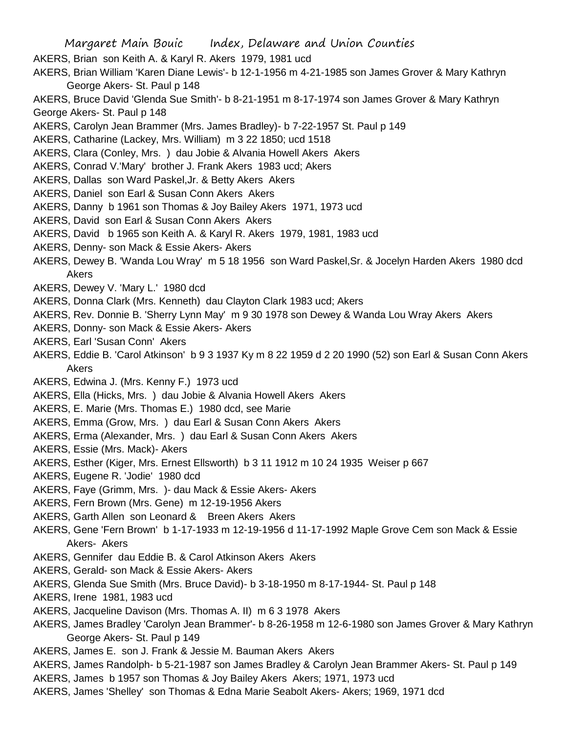Margaret Main Bouic Index, Delaware and Union Counties AKERS, Brian son Keith A. & Karyl R. Akers 1979, 1981 ucd AKERS, Brian William 'Karen Diane Lewis'- b 12-1-1956 m 4-21-1985 son James Grover & Mary Kathryn George Akers- St. Paul p 148 AKERS, Bruce David 'Glenda Sue Smith'- b 8-21-1951 m 8-17-1974 son James Grover & Mary Kathryn George Akers- St. Paul p 148 AKERS, Carolyn Jean Brammer (Mrs. James Bradley)- b 7-22-1957 St. Paul p 149 AKERS, Catharine (Lackey, Mrs. William) m 3 22 1850; ucd 1518 AKERS, Clara (Conley, Mrs. ) dau Jobie & Alvania Howell Akers Akers AKERS, Conrad V.'Mary' brother J. Frank Akers 1983 ucd; Akers AKERS, Dallas son Ward Paskel,Jr. & Betty Akers Akers AKERS, Daniel son Earl & Susan Conn Akers Akers AKERS, Danny b 1961 son Thomas & Joy Bailey Akers 1971, 1973 ucd AKERS, David son Earl & Susan Conn Akers Akers AKERS, David b 1965 son Keith A. & Karyl R. Akers 1979, 1981, 1983 ucd AKERS, Denny- son Mack & Essie Akers- Akers AKERS, Dewey B. 'Wanda Lou Wray' m 5 18 1956 son Ward Paskel,Sr. & Jocelyn Harden Akers 1980 dcd Akers AKERS, Dewey V. 'Mary L.' 1980 dcd AKERS, Donna Clark (Mrs. Kenneth) dau Clayton Clark 1983 ucd; Akers AKERS, Rev. Donnie B. 'Sherry Lynn May' m 9 30 1978 son Dewey & Wanda Lou Wray Akers Akers AKERS, Donny- son Mack & Essie Akers- Akers AKERS, Earl 'Susan Conn' Akers AKERS, Eddie B. 'Carol Atkinson' b 9 3 1937 Ky m 8 22 1959 d 2 20 1990 (52) son Earl & Susan Conn Akers Akers AKERS, Edwina J. (Mrs. Kenny F.) 1973 ucd AKERS, Ella (Hicks, Mrs. ) dau Jobie & Alvania Howell Akers Akers AKERS, E. Marie (Mrs. Thomas E.) 1980 dcd, see Marie AKERS, Emma (Grow, Mrs. ) dau Earl & Susan Conn Akers Akers AKERS, Erma (Alexander, Mrs. ) dau Earl & Susan Conn Akers Akers AKERS, Essie (Mrs. Mack)- Akers AKERS, Esther (Kiger, Mrs. Ernest Ellsworth) b 3 11 1912 m 10 24 1935 Weiser p 667 AKERS, Eugene R. 'Jodie' 1980 dcd AKERS, Faye (Grimm, Mrs. )- dau Mack & Essie Akers- Akers AKERS, Fern Brown (Mrs. Gene) m 12-19-1956 Akers AKERS, Garth Allen son Leonard & Breen Akers Akers AKERS, Gene 'Fern Brown' b 1-17-1933 m 12-19-1956 d 11-17-1992 Maple Grove Cem son Mack & Essie Akers- Akers AKERS, Gennifer dau Eddie B. & Carol Atkinson Akers Akers AKERS, Gerald- son Mack & Essie Akers- Akers AKERS, Glenda Sue Smith (Mrs. Bruce David)- b 3-18-1950 m 8-17-1944- St. Paul p 148 AKERS, Irene 1981, 1983 ucd

- AKERS, Jacqueline Davison (Mrs. Thomas A. II) m 6 3 1978 Akers
- AKERS, James Bradley 'Carolyn Jean Brammer'- b 8-26-1958 m 12-6-1980 son James Grover & Mary Kathryn George Akers- St. Paul p 149
- AKERS, James E. son J. Frank & Jessie M. Bauman Akers Akers
- AKERS, James Randolph- b 5-21-1987 son James Bradley & Carolyn Jean Brammer Akers- St. Paul p 149
- AKERS, James b 1957 son Thomas & Joy Bailey Akers Akers; 1971, 1973 ucd
- AKERS, James 'Shelley' son Thomas & Edna Marie Seabolt Akers- Akers; 1969, 1971 dcd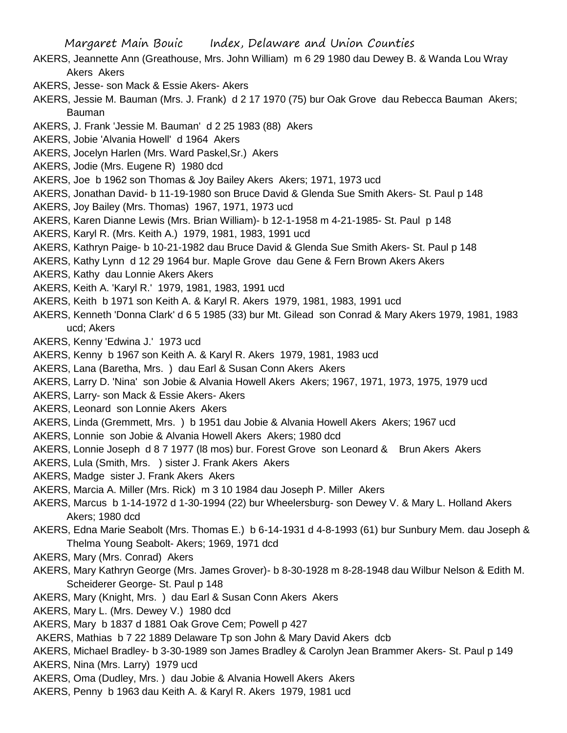- AKERS, Jeannette Ann (Greathouse, Mrs. John William) m 6 29 1980 dau Dewey B. & Wanda Lou Wray Akers Akers
- AKERS, Jesse- son Mack & Essie Akers- Akers
- AKERS, Jessie M. Bauman (Mrs. J. Frank) d 2 17 1970 (75) bur Oak Grove dau Rebecca Bauman Akers; Bauman
- AKERS, J. Frank 'Jessie M. Bauman' d 2 25 1983 (88) Akers
- AKERS, Jobie 'Alvania Howell' d 1964 Akers
- AKERS, Jocelyn Harlen (Mrs. Ward Paskel,Sr.) Akers
- AKERS, Jodie (Mrs. Eugene R) 1980 dcd
- AKERS, Joe b 1962 son Thomas & Joy Bailey Akers Akers; 1971, 1973 ucd
- AKERS, Jonathan David- b 11-19-1980 son Bruce David & Glenda Sue Smith Akers- St. Paul p 148
- AKERS, Joy Bailey (Mrs. Thomas) 1967, 1971, 1973 ucd
- AKERS, Karen Dianne Lewis (Mrs. Brian William)- b 12-1-1958 m 4-21-1985- St. Paul p 148
- AKERS, Karyl R. (Mrs. Keith A.) 1979, 1981, 1983, 1991 ucd
- AKERS, Kathryn Paige- b 10-21-1982 dau Bruce David & Glenda Sue Smith Akers- St. Paul p 148
- AKERS, Kathy Lynn d 12 29 1964 bur. Maple Grove dau Gene & Fern Brown Akers Akers
- AKERS, Kathy dau Lonnie Akers Akers
- AKERS, Keith A. 'Karyl R.' 1979, 1981, 1983, 1991 ucd
- AKERS, Keith b 1971 son Keith A. & Karyl R. Akers 1979, 1981, 1983, 1991 ucd
- AKERS, Kenneth 'Donna Clark' d 6 5 1985 (33) bur Mt. Gilead son Conrad & Mary Akers 1979, 1981, 1983 ucd; Akers
- AKERS, Kenny 'Edwina J.' 1973 ucd
- AKERS, Kenny b 1967 son Keith A. & Karyl R. Akers 1979, 1981, 1983 ucd
- AKERS, Lana (Baretha, Mrs. ) dau Earl & Susan Conn Akers Akers
- AKERS, Larry D. 'Nina' son Jobie & Alvania Howell Akers Akers; 1967, 1971, 1973, 1975, 1979 ucd
- AKERS, Larry- son Mack & Essie Akers- Akers
- AKERS, Leonard son Lonnie Akers Akers
- AKERS, Linda (Gremmett, Mrs. ) b 1951 dau Jobie & Alvania Howell Akers Akers; 1967 ucd
- AKERS, Lonnie son Jobie & Alvania Howell Akers Akers; 1980 dcd
- AKERS, Lonnie Joseph d 8 7 1977 (l8 mos) bur. Forest Grove son Leonard & Brun Akers Akers
- AKERS, Lula (Smith, Mrs. ) sister J. Frank Akers Akers
- AKERS, Madge sister J. Frank Akers Akers
- AKERS, Marcia A. Miller (Mrs. Rick) m 3 10 1984 dau Joseph P. Miller Akers
- AKERS, Marcus b 1-14-1972 d 1-30-1994 (22) bur Wheelersburg- son Dewey V. & Mary L. Holland Akers Akers; 1980 dcd
- AKERS, Edna Marie Seabolt (Mrs. Thomas E.) b 6-14-1931 d 4-8-1993 (61) bur Sunbury Mem. dau Joseph & Thelma Young Seabolt- Akers; 1969, 1971 dcd
- AKERS, Mary (Mrs. Conrad) Akers
- AKERS, Mary Kathryn George (Mrs. James Grover)- b 8-30-1928 m 8-28-1948 dau Wilbur Nelson & Edith M. Scheiderer George- St. Paul p 148
- AKERS, Mary (Knight, Mrs. ) dau Earl & Susan Conn Akers Akers
- AKERS, Mary L. (Mrs. Dewey V.) 1980 dcd
- AKERS, Mary b 1837 d 1881 Oak Grove Cem; Powell p 427
- AKERS, Mathias b 7 22 1889 Delaware Tp son John & Mary David Akers dcb
- AKERS, Michael Bradley- b 3-30-1989 son James Bradley & Carolyn Jean Brammer Akers- St. Paul p 149
- AKERS, Nina (Mrs. Larry) 1979 ucd
- AKERS, Oma (Dudley, Mrs. ) dau Jobie & Alvania Howell Akers Akers
- AKERS, Penny b 1963 dau Keith A. & Karyl R. Akers 1979, 1981 ucd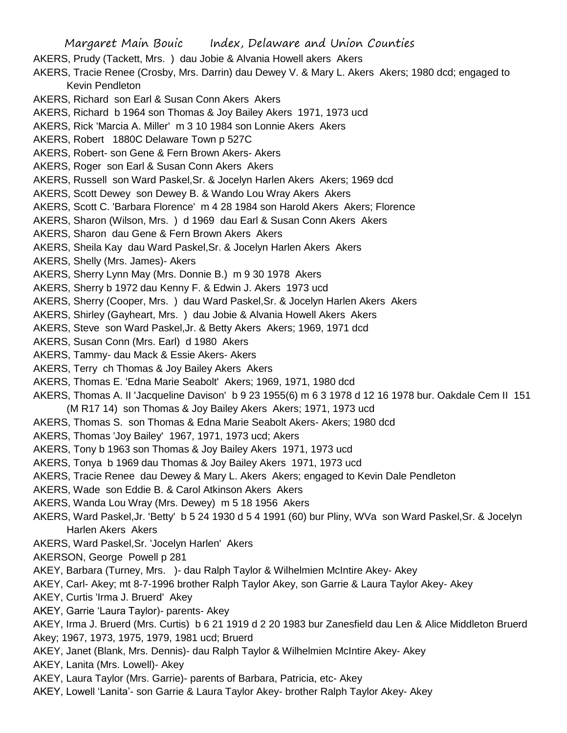Margaret Main Bouic Index, Delaware and Union Counties AKERS, Prudy (Tackett, Mrs. ) dau Jobie & Alvania Howell akers Akers AKERS, Tracie Renee (Crosby, Mrs. Darrin) dau Dewey V. & Mary L. Akers Akers; 1980 dcd; engaged to Kevin Pendleton AKERS, Richard son Earl & Susan Conn Akers Akers AKERS, Richard b 1964 son Thomas & Joy Bailey Akers 1971, 1973 ucd AKERS, Rick 'Marcia A. Miller' m 3 10 1984 son Lonnie Akers Akers AKERS, Robert 1880C Delaware Town p 527C AKERS, Robert- son Gene & Fern Brown Akers- Akers AKERS, Roger son Earl & Susan Conn Akers Akers AKERS, Russell son Ward Paskel,Sr. & Jocelyn Harlen Akers Akers; 1969 dcd AKERS, Scott Dewey son Dewey B. & Wando Lou Wray Akers Akers AKERS, Scott C. 'Barbara Florence' m 4 28 1984 son Harold Akers Akers; Florence AKERS, Sharon (Wilson, Mrs. ) d 1969 dau Earl & Susan Conn Akers Akers AKERS, Sharon dau Gene & Fern Brown Akers Akers AKERS, Sheila Kay dau Ward Paskel,Sr. & Jocelyn Harlen Akers Akers AKERS, Shelly (Mrs. James)- Akers AKERS, Sherry Lynn May (Mrs. Donnie B.) m 9 30 1978 Akers AKERS, Sherry b 1972 dau Kenny F. & Edwin J. Akers 1973 ucd AKERS, Sherry (Cooper, Mrs. ) dau Ward Paskel,Sr. & Jocelyn Harlen Akers Akers AKERS, Shirley (Gayheart, Mrs. ) dau Jobie & Alvania Howell Akers Akers AKERS, Steve son Ward Paskel,Jr. & Betty Akers Akers; 1969, 1971 dcd AKERS, Susan Conn (Mrs. Earl) d 1980 Akers AKERS, Tammy- dau Mack & Essie Akers- Akers AKERS, Terry ch Thomas & Joy Bailey Akers Akers AKERS, Thomas E. 'Edna Marie Seabolt' Akers; 1969, 1971, 1980 dcd AKERS, Thomas A. II 'Jacqueline Davison' b 9 23 1955(6) m 6 3 1978 d 12 16 1978 bur. Oakdale Cem II 151 (M R17 14) son Thomas & Joy Bailey Akers Akers; 1971, 1973 ucd AKERS, Thomas S. son Thomas & Edna Marie Seabolt Akers- Akers; 1980 dcd AKERS, Thomas 'Joy Bailey' 1967, 1971, 1973 ucd; Akers AKERS, Tony b 1963 son Thomas & Joy Bailey Akers 1971, 1973 ucd AKERS, Tonya b 1969 dau Thomas & Joy Bailey Akers 1971, 1973 ucd AKERS, Tracie Renee dau Dewey & Mary L. Akers Akers; engaged to Kevin Dale Pendleton AKERS, Wade son Eddie B. & Carol Atkinson Akers Akers AKERS, Wanda Lou Wray (Mrs. Dewey) m 5 18 1956 Akers AKERS, Ward Paskel,Jr. 'Betty' b 5 24 1930 d 5 4 1991 (60) bur Pliny, WVa son Ward Paskel,Sr. & Jocelyn Harlen Akers Akers AKERS, Ward Paskel,Sr. 'Jocelyn Harlen' Akers AKERSON, George Powell p 281 AKEY, Barbara (Turney, Mrs. )- dau Ralph Taylor & Wilhelmien McIntire Akey- Akey AKEY, Carl- Akey; mt 8-7-1996 brother Ralph Taylor Akey, son Garrie & Laura Taylor Akey- Akey AKEY, Curtis 'Irma J. Bruerd' Akey AKEY, Garrie 'Laura Taylor)- parents- Akey AKEY, Irma J. Bruerd (Mrs. Curtis) b 6 21 1919 d 2 20 1983 bur Zanesfield dau Len & Alice Middleton Bruerd Akey; 1967, 1973, 1975, 1979, 1981 ucd; Bruerd AKEY, Janet (Blank, Mrs. Dennis)- dau Ralph Taylor & Wilhelmien McIntire Akey- Akey AKEY, Lanita (Mrs. Lowell)- Akey AKEY, Laura Taylor (Mrs. Garrie)- parents of Barbara, Patricia, etc- Akey

AKEY, Lowell 'Lanita'- son Garrie & Laura Taylor Akey- brother Ralph Taylor Akey- Akey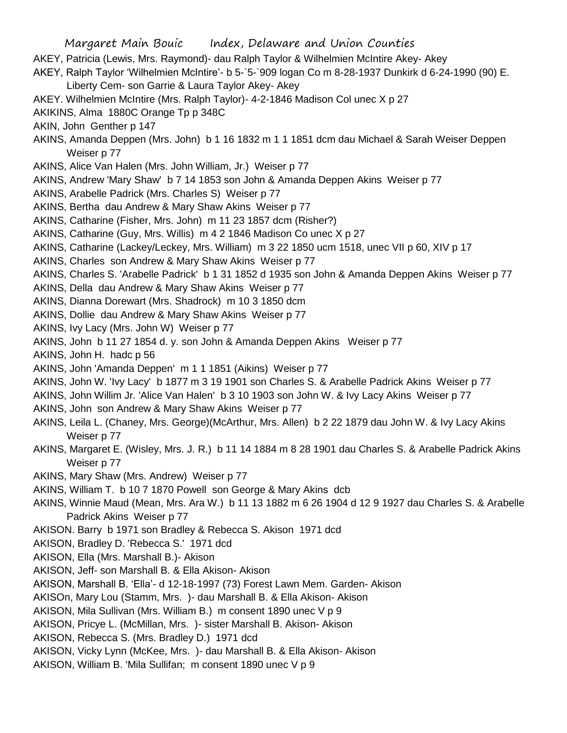- AKEY, Patricia (Lewis, Mrs. Raymond)- dau Ralph Taylor & Wilhelmien McIntire Akey- Akey
- AKEY, Ralph Taylor 'Wilhelmien McIntire'- b 5-`5-`909 logan Co m 8-28-1937 Dunkirk d 6-24-1990 (90) E.
	- Liberty Cem- son Garrie & Laura Taylor Akey- Akey
- AKEY. Wilhelmien McIntire (Mrs. Ralph Taylor)- 4-2-1846 Madison Col unec X p 27
- AKIKINS, Alma 1880C Orange Tp p 348C
- AKIN, John Genther p 147
- AKINS, Amanda Deppen (Mrs. John) b 1 16 1832 m 1 1 1851 dcm dau Michael & Sarah Weiser Deppen Weiser p 77
- AKINS, Alice Van Halen (Mrs. John William, Jr.) Weiser p 77
- AKINS, Andrew 'Mary Shaw' b 7 14 1853 son John & Amanda Deppen Akins Weiser p 77
- AKINS, Arabelle Padrick (Mrs. Charles S) Weiser p 77
- AKINS, Bertha dau Andrew & Mary Shaw Akins Weiser p 77
- AKINS, Catharine (Fisher, Mrs. John) m 11 23 1857 dcm (Risher?)
- AKINS, Catharine (Guy, Mrs. Willis) m 4 2 1846 Madison Co unec X p 27
- AKINS, Catharine (Lackey/Leckey, Mrs. William) m 3 22 1850 ucm 1518, unec VII p 60, XIV p 17
- AKINS, Charles son Andrew & Mary Shaw Akins Weiser p 77
- AKINS, Charles S. 'Arabelle Padrick' b 1 31 1852 d 1935 son John & Amanda Deppen Akins Weiser p 77
- AKINS, Della dau Andrew & Mary Shaw Akins Weiser p 77
- AKINS, Dianna Dorewart (Mrs. Shadrock) m 10 3 1850 dcm
- AKINS, Dollie dau Andrew & Mary Shaw Akins Weiser p 77
- AKINS, Ivy Lacy (Mrs. John W) Weiser p 77
- AKINS, John b 11 27 1854 d. y. son John & Amanda Deppen Akins Weiser p 77
- AKINS, John H. hadc p 56
- AKINS, John 'Amanda Deppen' m 1 1 1851 (Aikins) Weiser p 77
- AKINS, John W. 'Ivy Lacy' b 1877 m 3 19 1901 son Charles S. & Arabelle Padrick Akins Weiser p 77
- AKINS, John Willim Jr. 'Alice Van Halen' b 3 10 1903 son John W. & Ivy Lacy Akins Weiser p 77
- AKINS, John son Andrew & Mary Shaw Akins Weiser p 77
- AKINS, Leila L. (Chaney, Mrs. George)(McArthur, Mrs. Allen) b 2 22 1879 dau John W. & Ivy Lacy Akins Weiser p 77
- AKINS, Margaret E. (Wisley, Mrs. J. R.) b 11 14 1884 m 8 28 1901 dau Charles S. & Arabelle Padrick Akins Weiser p 77
- AKINS, Mary Shaw (Mrs. Andrew) Weiser p 77
- AKINS, William T. b 10 7 1870 Powell son George & Mary Akins dcb
- AKINS, Winnie Maud (Mean, Mrs. Ara W.) b 11 13 1882 m 6 26 1904 d 12 9 1927 dau Charles S. & Arabelle Padrick Akins Weiser p 77
- AKISON. Barry b 1971 son Bradley & Rebecca S. Akison 1971 dcd
- AKISON, Bradley D. 'Rebecca S.' 1971 dcd
- AKISON, Ella (Mrs. Marshall B.)- Akison
- AKISON, Jeff- son Marshall B. & Ella Akison- Akison
- AKISON, Marshall B. 'Ella'- d 12-18-1997 (73) Forest Lawn Mem. Garden- Akison
- AKISOn, Mary Lou (Stamm, Mrs. )- dau Marshall B. & Ella Akison- Akison
- AKISON, Mila Sullivan (Mrs. William B.) m consent 1890 unec V p 9
- AKISON, Pricye L. (McMillan, Mrs. )- sister Marshall B. Akison- Akison
- AKISON, Rebecca S. (Mrs. Bradley D.) 1971 dcd
- AKISON, Vicky Lynn (McKee, Mrs. )- dau Marshall B. & Ella Akison- Akison
- AKISON, William B. 'Mila Sullifan; m consent 1890 unec V p 9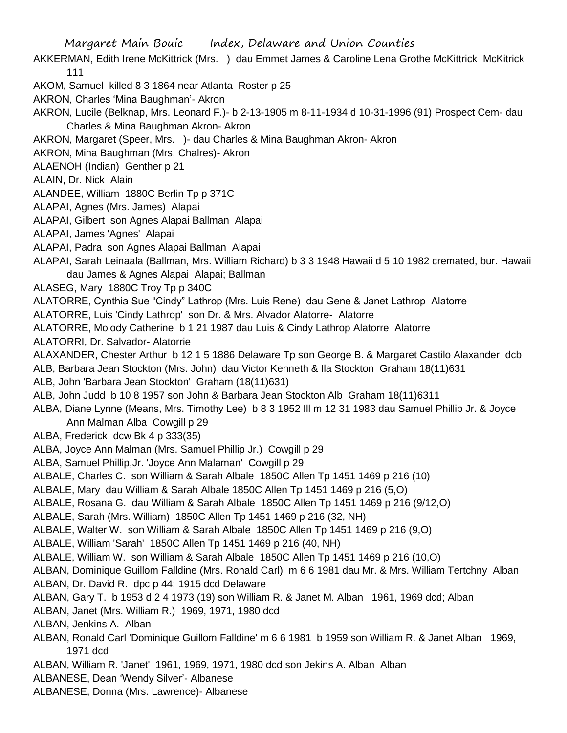AKKERMAN, Edith Irene McKittrick (Mrs. ) dau Emmet James & Caroline Lena Grothe McKittrick McKitrick 111

- AKOM, Samuel killed 8 3 1864 near Atlanta Roster p 25
- AKRON, Charles 'Mina Baughman'- Akron
- AKRON, Lucile (Belknap, Mrs. Leonard F.)- b 2-13-1905 m 8-11-1934 d 10-31-1996 (91) Prospect Cem- dau Charles & Mina Baughman Akron- Akron
- AKRON, Margaret (Speer, Mrs. )- dau Charles & Mina Baughman Akron- Akron
- AKRON, Mina Baughman (Mrs, Chalres)- Akron
- ALAENOH (Indian) Genther p 21
- ALAIN, Dr. Nick Alain
- ALANDEE, William 1880C Berlin Tp p 371C
- ALAPAI, Agnes (Mrs. James) Alapai
- ALAPAI, Gilbert son Agnes Alapai Ballman Alapai
- ALAPAI, James 'Agnes' Alapai
- ALAPAI, Padra son Agnes Alapai Ballman Alapai
- ALAPAI, Sarah Leinaala (Ballman, Mrs. William Richard) b 3 3 1948 Hawaii d 5 10 1982 cremated, bur. Hawaii dau James & Agnes Alapai Alapai; Ballman
- ALASEG, Mary 1880C Troy Tp p 340C
- ALATORRE, Cynthia Sue "Cindy" Lathrop (Mrs. Luis Rene) dau Gene & Janet Lathrop Alatorre
- ALATORRE, Luis 'Cindy Lathrop' son Dr. & Mrs. Alvador Alatorre- Alatorre
- ALATORRE, Molody Catherine b 1 21 1987 dau Luis & Cindy Lathrop Alatorre Alatorre
- ALATORRI, Dr. Salvador- Alatorrie
- ALAXANDER, Chester Arthur b 12 1 5 1886 Delaware Tp son George B. & Margaret Castilo Alaxander dcb
- ALB, Barbara Jean Stockton (Mrs. John) dau Victor Kenneth & Ila Stockton Graham 18(11)631
- ALB, John 'Barbara Jean Stockton' Graham (18(11)631)
- ALB, John Judd b 10 8 1957 son John & Barbara Jean Stockton Alb Graham 18(11)6311
- ALBA, Diane Lynne (Means, Mrs. Timothy Lee) b 8 3 1952 Ill m 12 31 1983 dau Samuel Phillip Jr. & Joyce Ann Malman Alba Cowgill p 29
- ALBA, Frederick dcw Bk 4 p 333(35)
- ALBA, Joyce Ann Malman (Mrs. Samuel Phillip Jr.) Cowgill p 29
- ALBA, Samuel Phillip,Jr. 'Joyce Ann Malaman' Cowgill p 29
- ALBALE, Charles C. son William & Sarah Albale 1850C Allen Tp 1451 1469 p 216 (10)
- ALBALE, Mary dau William & Sarah Albale 1850C Allen Tp 1451 1469 p 216 (5,O)
- ALBALE, Rosana G. dau William & Sarah Albale 1850C Allen Tp 1451 1469 p 216 (9/12,O)
- ALBALE, Sarah (Mrs. William) 1850C Allen Tp 1451 1469 p 216 (32, NH)
- ALBALE, Walter W. son William & Sarah Albale 1850C Allen Tp 1451 1469 p 216 (9,O)
- ALBALE, William 'Sarah' 1850C Allen Tp 1451 1469 p 216 (40, NH)
- ALBALE, William W. son William & Sarah Albale 1850C Allen Tp 1451 1469 p 216 (10,O)
- ALBAN, Dominique Guillom Falldine (Mrs. Ronald Carl) m 6 6 1981 dau Mr. & Mrs. William Tertchny Alban ALBAN, Dr. David R. dpc p 44; 1915 dcd Delaware
- ALBAN, Gary T. b 1953 d 2 4 1973 (19) son William R. & Janet M. Alban 1961, 1969 dcd; Alban
- ALBAN, Janet (Mrs. William R.) 1969, 1971, 1980 dcd
- ALBAN, Jenkins A. Alban
- ALBAN, Ronald Carl 'Dominique Guillom Falldine' m 6 6 1981 b 1959 son William R. & Janet Alban 1969, 1971 dcd
- ALBAN, William R. 'Janet' 1961, 1969, 1971, 1980 dcd son Jekins A. Alban Alban
- ALBANESE, Dean 'Wendy Silver'- Albanese
- ALBANESE, Donna (Mrs. Lawrence)- Albanese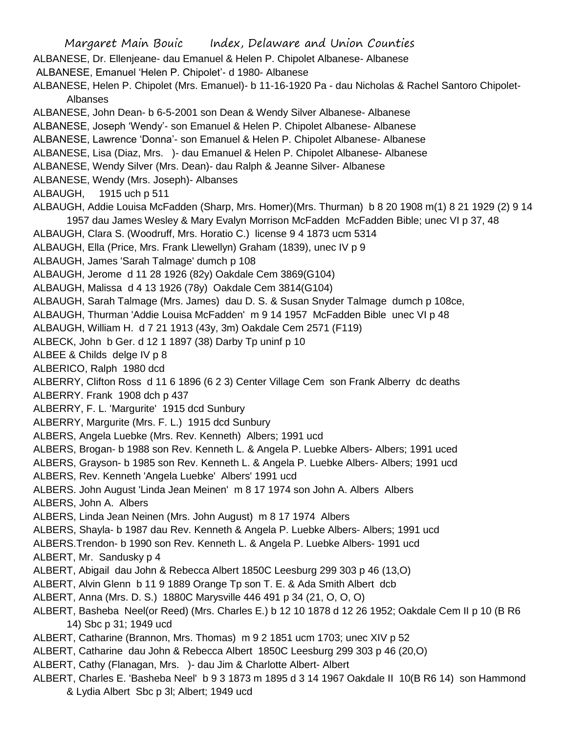Margaret Main Bouic Index, Delaware and Union Counties ALBANESE, Dr. Ellenjeane- dau Emanuel & Helen P. Chipolet Albanese- Albanese ALBANESE, Emanuel 'Helen P. Chipolet'- d 1980- Albanese ALBANESE, Helen P. Chipolet (Mrs. Emanuel)- b 11-16-1920 Pa - dau Nicholas & Rachel Santoro Chipolet-Albanses ALBANESE, John Dean- b 6-5-2001 son Dean & Wendy Silver Albanese- Albanese ALBANESE, Joseph 'Wendy'- son Emanuel & Helen P. Chipolet Albanese- Albanese ALBANESE, Lawrence 'Donna'- son Emanuel & Helen P. Chipolet Albanese- Albanese ALBANESE, Lisa (Diaz, Mrs. )- dau Emanuel & Helen P. Chipolet Albanese- Albanese ALBANESE, Wendy Silver (Mrs. Dean)- dau Ralph & Jeanne Silver- Albanese ALBANESE, Wendy (Mrs. Joseph)- Albanses ALBAUGH, 1915 uch p 511 ALBAUGH, Addie Louisa McFadden (Sharp, Mrs. Homer)(Mrs. Thurman) b 8 20 1908 m(1) 8 21 1929 (2) 9 14 1957 dau James Wesley & Mary Evalyn Morrison McFadden McFadden Bible; unec VI p 37, 48 ALBAUGH, Clara S. (Woodruff, Mrs. Horatio C.) license 9 4 1873 ucm 5314 ALBAUGH, Ella (Price, Mrs. Frank Llewellyn) Graham (1839), unec IV p 9 ALBAUGH, James 'Sarah Talmage' dumch p 108 ALBAUGH, Jerome d 11 28 1926 (82y) Oakdale Cem 3869(G104) ALBAUGH, Malissa d 4 13 1926 (78y) Oakdale Cem 3814(G104) ALBAUGH, Sarah Talmage (Mrs. James) dau D. S. & Susan Snyder Talmage dumch p 108ce, ALBAUGH, Thurman 'Addie Louisa McFadden' m 9 14 1957 McFadden Bible unec VI p 48 ALBAUGH, William H. d 7 21 1913 (43y, 3m) Oakdale Cem 2571 (F119) ALBECK, John b Ger. d 12 1 1897 (38) Darby Tp uninf p 10 ALBEE & Childs delge IV p 8 ALBERICO, Ralph 1980 dcd ALBERRY, Clifton Ross d 11 6 1896 (6 2 3) Center Village Cem son Frank Alberry dc deaths ALBERRY. Frank 1908 dch p 437 ALBERRY, F. L. 'Margurite' 1915 dcd Sunbury ALBERRY, Margurite (Mrs. F. L.) 1915 dcd Sunbury ALBERS, Angela Luebke (Mrs. Rev. Kenneth) Albers; 1991 ucd ALBERS, Brogan- b 1988 son Rev. Kenneth L. & Angela P. Luebke Albers- Albers; 1991 uced ALBERS, Grayson- b 1985 son Rev. Kenneth L. & Angela P. Luebke Albers- Albers; 1991 ucd ALBERS, Rev. Kenneth 'Angela Luebke' Albers' 1991 ucd ALBERS. John August 'Linda Jean Meinen' m 8 17 1974 son John A. Albers Albers ALBERS, John A. Albers ALBERS, Linda Jean Neinen (Mrs. John August) m 8 17 1974 Albers ALBERS, Shayla- b 1987 dau Rev. Kenneth & Angela P. Luebke Albers- Albers; 1991 ucd ALBERS.Trendon- b 1990 son Rev. Kenneth L. & Angela P. Luebke Albers- 1991 ucd ALBERT, Mr. Sandusky p 4 ALBERT, Abigail dau John & Rebecca Albert 1850C Leesburg 299 303 p 46 (13,O) ALBERT, Alvin Glenn b 11 9 1889 Orange Tp son T. E. & Ada Smith Albert dcb ALBERT, Anna (Mrs. D. S.) 1880C Marysville 446 491 p 34 (21, O, O, O) ALBERT, Basheba Neel(or Reed) (Mrs. Charles E.) b 12 10 1878 d 12 26 1952; Oakdale Cem II p 10 (B R6 14) Sbc p 31; 1949 ucd ALBERT, Catharine (Brannon, Mrs. Thomas) m 9 2 1851 ucm 1703; unec XIV p 52 ALBERT, Catharine dau John & Rebecca Albert 1850C Leesburg 299 303 p 46 (20,O) ALBERT, Cathy (Flanagan, Mrs. )- dau Jim & Charlotte Albert- Albert ALBERT, Charles E. 'Basheba Neel' b 9 3 1873 m 1895 d 3 14 1967 Oakdale II 10(B R6 14) son Hammond & Lydia Albert Sbc p 3l; Albert; 1949 ucd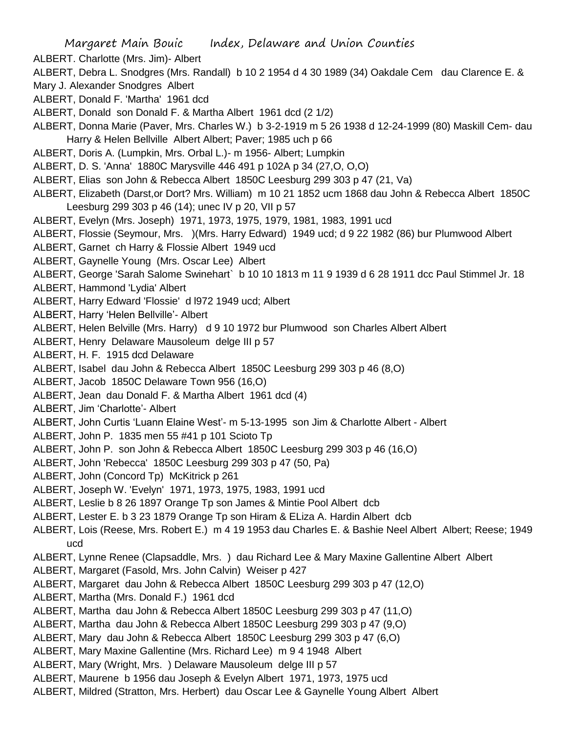- ALBERT. Charlotte (Mrs. Jim)- Albert
- ALBERT, Debra L. Snodgres (Mrs. Randall) b 10 2 1954 d 4 30 1989 (34) Oakdale Cem dau Clarence E. &
- Mary J. Alexander Snodgres Albert
- ALBERT, Donald F. 'Martha' 1961 dcd
- ALBERT, Donald son Donald F. & Martha Albert 1961 dcd (2 1/2)
- ALBERT, Donna Marie (Paver, Mrs. Charles W.) b 3-2-1919 m 5 26 1938 d 12-24-1999 (80) Maskill Cem- dau Harry & Helen Bellville Albert Albert; Paver; 1985 uch p 66
- ALBERT, Doris A. (Lumpkin, Mrs. Orbal L.)- m 1956- Albert; Lumpkin
- ALBERT, D. S. 'Anna' 1880C Marysville 446 491 p 102A p 34 (27,O, O,O)
- ALBERT, Elias son John & Rebecca Albert 1850C Leesburg 299 303 p 47 (21, Va)
- ALBERT, Elizabeth (Darst,or Dort? Mrs. William) m 10 21 1852 ucm 1868 dau John & Rebecca Albert 1850C Leesburg 299 303 p 46 (14); unec IV p 20, VII p 57
- ALBERT, Evelyn (Mrs. Joseph) 1971, 1973, 1975, 1979, 1981, 1983, 1991 ucd
- ALBERT, Flossie (Seymour, Mrs. )(Mrs. Harry Edward) 1949 ucd; d 9 22 1982 (86) bur Plumwood Albert
- ALBERT, Garnet ch Harry & Flossie Albert 1949 ucd
- ALBERT, Gaynelle Young (Mrs. Oscar Lee) Albert
- ALBERT, George 'Sarah Salome Swinehart` b 10 10 1813 m 11 9 1939 d 6 28 1911 dcc Paul Stimmel Jr. 18
- ALBERT, Hammond 'Lydia' Albert
- ALBERT, Harry Edward 'Flossie' d l972 1949 ucd; Albert
- ALBERT, Harry 'Helen Bellville'- Albert
- ALBERT, Helen Belville (Mrs. Harry) d 9 10 1972 bur Plumwood son Charles Albert Albert
- ALBERT, Henry Delaware Mausoleum delge III p 57
- ALBERT, H. F. 1915 dcd Delaware
- ALBERT, Isabel dau John & Rebecca Albert 1850C Leesburg 299 303 p 46 (8,O)
- ALBERT, Jacob 1850C Delaware Town 956 (16,O)
- ALBERT, Jean dau Donald F. & Martha Albert 1961 dcd (4)
- ALBERT, Jim 'Charlotte'- Albert
- ALBERT, John Curtis 'Luann Elaine West'- m 5-13-1995 son Jim & Charlotte Albert Albert
- ALBERT, John P. 1835 men 55 #41 p 101 Scioto Tp
- ALBERT, John P. son John & Rebecca Albert 1850C Leesburg 299 303 p 46 (16,O)
- ALBERT, John 'Rebecca' 1850C Leesburg 299 303 p 47 (50, Pa)
- ALBERT, John (Concord Tp) McKitrick p 261
- ALBERT, Joseph W. 'Evelyn' 1971, 1973, 1975, 1983, 1991 ucd
- ALBERT, Leslie b 8 26 1897 Orange Tp son James & Mintie Pool Albert dcb
- ALBERT, Lester E. b 3 23 1879 Orange Tp son Hiram & ELiza A. Hardin Albert dcb
- ALBERT, Lois (Reese, Mrs. Robert E.) m 4 19 1953 dau Charles E. & Bashie Neel Albert Albert; Reese; 1949 ucd
- ALBERT, Lynne Renee (Clapsaddle, Mrs. ) dau Richard Lee & Mary Maxine Gallentine Albert Albert
- ALBERT, Margaret (Fasold, Mrs. John Calvin) Weiser p 427
- ALBERT, Margaret dau John & Rebecca Albert 1850C Leesburg 299 303 p 47 (12,O)
- ALBERT, Martha (Mrs. Donald F.) 1961 dcd
- ALBERT, Martha dau John & Rebecca Albert 1850C Leesburg 299 303 p 47 (11,O)
- ALBERT, Martha dau John & Rebecca Albert 1850C Leesburg 299 303 p 47 (9,O)
- ALBERT, Mary dau John & Rebecca Albert 1850C Leesburg 299 303 p 47 (6,O)
- ALBERT, Mary Maxine Gallentine (Mrs. Richard Lee) m 9 4 1948 Albert
- ALBERT, Mary (Wright, Mrs. ) Delaware Mausoleum delge III p 57
- ALBERT, Maurene b 1956 dau Joseph & Evelyn Albert 1971, 1973, 1975 ucd
- ALBERT, Mildred (Stratton, Mrs. Herbert) dau Oscar Lee & Gaynelle Young Albert Albert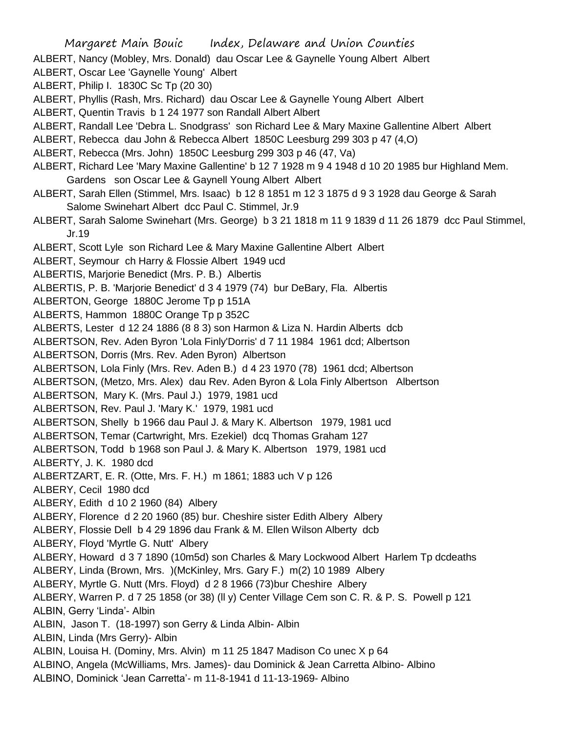Margaret Main Bouic Index, Delaware and Union Counties ALBERT, Nancy (Mobley, Mrs. Donald) dau Oscar Lee & Gaynelle Young Albert Albert ALBERT, Oscar Lee 'Gaynelle Young' Albert ALBERT, Philip I. 1830C Sc Tp (20 30) ALBERT, Phyllis (Rash, Mrs. Richard) dau Oscar Lee & Gaynelle Young Albert Albert ALBERT, Quentin Travis b 1 24 1977 son Randall Albert Albert ALBERT, Randall Lee 'Debra L. Snodgrass' son Richard Lee & Mary Maxine Gallentine Albert Albert ALBERT, Rebecca dau John & Rebecca Albert 1850C Leesburg 299 303 p 47 (4,O) ALBERT, Rebecca (Mrs. John) 1850C Leesburg 299 303 p 46 (47, Va) ALBERT, Richard Lee 'Mary Maxine Gallentine' b 12 7 1928 m 9 4 1948 d 10 20 1985 bur Highland Mem. Gardens son Oscar Lee & Gaynell Young Albert Albert ALBERT, Sarah Ellen (Stimmel, Mrs. Isaac) b 12 8 1851 m 12 3 1875 d 9 3 1928 dau George & Sarah Salome Swinehart Albert dcc Paul C. Stimmel, Jr.9 ALBERT, Sarah Salome Swinehart (Mrs. George) b 3 21 1818 m 11 9 1839 d 11 26 1879 dcc Paul Stimmel, Jr.19 ALBERT, Scott Lyle son Richard Lee & Mary Maxine Gallentine Albert Albert ALBERT, Seymour ch Harry & Flossie Albert 1949 ucd ALBERTIS, Marjorie Benedict (Mrs. P. B.) Albertis ALBERTIS, P. B. 'Marjorie Benedict' d 3 4 1979 (74) bur DeBary, Fla. Albertis ALBERTON, George 1880C Jerome Tp p 151A ALBERTS, Hammon 1880C Orange Tp p 352C ALBERTS, Lester d 12 24 1886 (8 8 3) son Harmon & Liza N. Hardin Alberts dcb ALBERTSON, Rev. Aden Byron 'Lola Finly'Dorris' d 7 11 1984 1961 dcd; Albertson ALBERTSON, Dorris (Mrs. Rev. Aden Byron) Albertson ALBERTSON, Lola Finly (Mrs. Rev. Aden B.) d 4 23 1970 (78) 1961 dcd; Albertson ALBERTSON, (Metzo, Mrs. Alex) dau Rev. Aden Byron & Lola Finly Albertson Albertson ALBERTSON, Mary K. (Mrs. Paul J.) 1979, 1981 ucd ALBERTSON, Rev. Paul J. 'Mary K.' 1979, 1981 ucd ALBERTSON, Shelly b 1966 dau Paul J. & Mary K. Albertson 1979, 1981 ucd ALBERTSON, Temar (Cartwright, Mrs. Ezekiel) dcq Thomas Graham 127 ALBERTSON, Todd b 1968 son Paul J. & Mary K. Albertson 1979, 1981 ucd ALBERTY, J. K. 1980 dcd ALBERTZART, E. R. (Otte, Mrs. F. H.) m 1861; 1883 uch V p 126 ALBERY, Cecil 1980 dcd ALBERY, Edith d 10 2 1960 (84) Albery ALBERY, Florence d 2 20 1960 (85) bur. Cheshire sister Edith Albery Albery ALBERY, Flossie Dell b 4 29 1896 dau Frank & M. Ellen Wilson Alberty dcb ALBERY, Floyd 'Myrtle G. Nutt' Albery ALBERY, Howard d 3 7 1890 (10m5d) son Charles & Mary Lockwood Albert Harlem Tp dcdeaths ALBERY, Linda (Brown, Mrs. )(McKinley, Mrs. Gary F.) m(2) 10 1989 Albery ALBERY, Myrtle G. Nutt (Mrs. Floyd) d 2 8 1966 (73)bur Cheshire Albery ALBERY, Warren P. d 7 25 1858 (or 38) (ll y) Center Village Cem son C. R. & P. S. Powell p 121 ALBIN, Gerry 'Linda'- Albin ALBIN, Jason T. (18-1997) son Gerry & Linda Albin- Albin ALBIN, Linda (Mrs Gerry)- Albin ALBIN, Louisa H. (Dominy, Mrs. Alvin) m 11 25 1847 Madison Co unec X p 64 ALBINO, Angela (McWilliams, Mrs. James)- dau Dominick & Jean Carretta Albino- Albino ALBINO, Dominick 'Jean Carretta'- m 11-8-1941 d 11-13-1969- Albino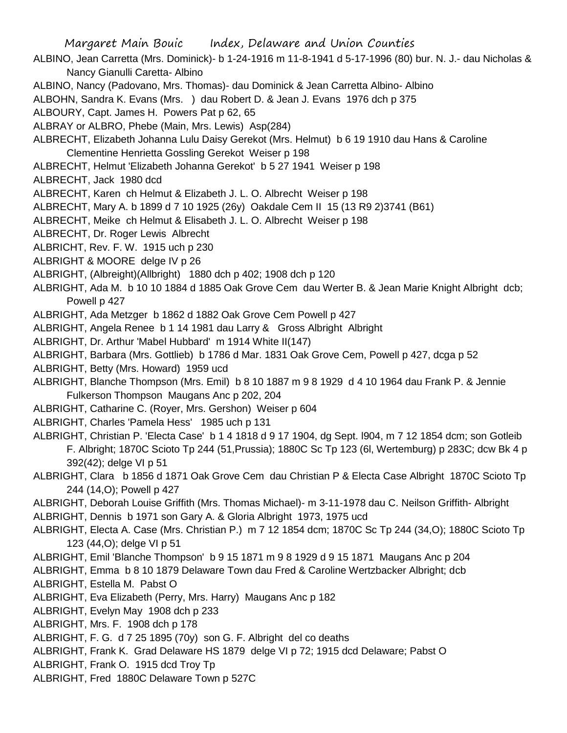ALBINO, Jean Carretta (Mrs. Dominick)- b 1-24-1916 m 11-8-1941 d 5-17-1996 (80) bur. N. J.- dau Nicholas & Nancy Gianulli Caretta- Albino

- ALBINO, Nancy (Padovano, Mrs. Thomas)- dau Dominick & Jean Carretta Albino- Albino
- ALBOHN, Sandra K. Evans (Mrs. ) dau Robert D. & Jean J. Evans 1976 dch p 375
- ALBOURY, Capt. James H. Powers Pat p 62, 65
- ALBRAY or ALBRO, Phebe (Main, Mrs. Lewis) Asp(284)
- ALBRECHT, Elizabeth Johanna Lulu Daisy Gerekot (Mrs. Helmut) b 6 19 1910 dau Hans & Caroline Clementine Henrietta Gossling Gerekot Weiser p 198
- ALBRECHT, Helmut 'Elizabeth Johanna Gerekot' b 5 27 1941 Weiser p 198
- ALBRECHT, Jack 1980 dcd
- ALBRECHT, Karen ch Helmut & Elizabeth J. L. O. Albrecht Weiser p 198
- ALBRECHT, Mary A. b 1899 d 7 10 1925 (26y) Oakdale Cem II 15 (13 R9 2)3741 (B61)
- ALBRECHT, Meike ch Helmut & Elisabeth J. L. O. Albrecht Weiser p 198
- ALBRECHT, Dr. Roger Lewis Albrecht
- ALBRICHT, Rev. F. W. 1915 uch p 230
- ALBRIGHT & MOORE delge IV p 26
- ALBRIGHT, (Albreight)(Allbright) 1880 dch p 402; 1908 dch p 120
- ALBRIGHT, Ada M. b 10 10 1884 d 1885 Oak Grove Cem dau Werter B. & Jean Marie Knight Albright dcb; Powell p 427
- ALBRIGHT, Ada Metzger b 1862 d 1882 Oak Grove Cem Powell p 427
- ALBRIGHT, Angela Renee b 1 14 1981 dau Larry & Gross Albright Albright
- ALBRIGHT, Dr. Arthur 'Mabel Hubbard' m 1914 White II(147)
- ALBRIGHT, Barbara (Mrs. Gottlieb) b 1786 d Mar. 1831 Oak Grove Cem, Powell p 427, dcga p 52
- ALBRIGHT, Betty (Mrs. Howard) 1959 ucd
- ALBRIGHT, Blanche Thompson (Mrs. Emil) b 8 10 1887 m 9 8 1929 d 4 10 1964 dau Frank P. & Jennie Fulkerson Thompson Maugans Anc p 202, 204
- ALBRIGHT, Catharine C. (Royer, Mrs. Gershon) Weiser p 604
- ALBRIGHT, Charles 'Pamela Hess' 1985 uch p 131
- ALBRIGHT, Christian P. 'Electa Case' b 1 4 1818 d 9 17 1904, dg Sept. l904, m 7 12 1854 dcm; son Gotleib F. Albright; 1870C Scioto Tp 244 (51,Prussia); 1880C Sc Tp 123 (6l, Wertemburg) p 283C; dcw Bk 4 p 392(42); delge VI p 51
- ALBRIGHT, Clara b 1856 d 1871 Oak Grove Cem dau Christian P & Electa Case Albright 1870C Scioto Tp 244 (14,O); Powell p 427
- ALBRIGHT, Deborah Louise Griffith (Mrs. Thomas Michael)- m 3-11-1978 dau C. Neilson Griffith- Albright ALBRIGHT, Dennis b 1971 son Gary A. & Gloria Albright 1973, 1975 ucd
- ALBRIGHT, Electa A. Case (Mrs. Christian P.) m 7 12 1854 dcm; 1870C Sc Tp 244 (34,O); 1880C Scioto Tp 123 (44,O); delge VI p 51
- ALBRIGHT, Emil 'Blanche Thompson' b 9 15 1871 m 9 8 1929 d 9 15 1871 Maugans Anc p 204
- ALBRIGHT, Emma b 8 10 1879 Delaware Town dau Fred & Caroline Wertzbacker Albright; dcb ALBRIGHT, Estella M. Pabst O
- ALBRIGHT, Eva Elizabeth (Perry, Mrs. Harry) Maugans Anc p 182
- ALBRIGHT, Evelyn May 1908 dch p 233
- ALBRIGHT, Mrs. F. 1908 dch p 178
- ALBRIGHT, F. G. d 7 25 1895 (70y) son G. F. Albright del co deaths
- ALBRIGHT, Frank K. Grad Delaware HS 1879 delge VI p 72; 1915 dcd Delaware; Pabst O
- ALBRIGHT, Frank O. 1915 dcd Troy Tp
- ALBRIGHT, Fred 1880C Delaware Town p 527C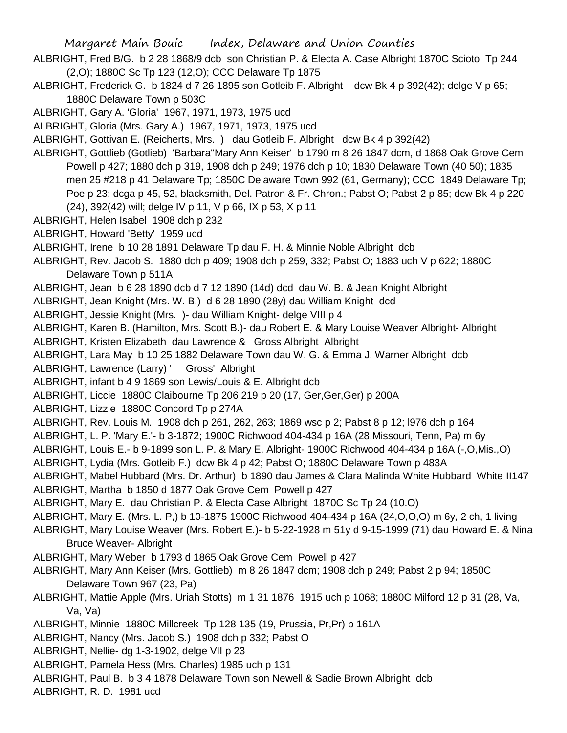- ALBRIGHT, Fred B/G. b 2 28 1868/9 dcb son Christian P. & Electa A. Case Albright 1870C Scioto Tp 244 (2,O); 1880C Sc Tp 123 (12,O); CCC Delaware Tp 1875
- ALBRIGHT, Frederick G. b 1824 d 7 26 1895 son Gotleib F. Albright dcw Bk 4 p 392(42); delge V p 65; 1880C Delaware Town p 503C
- ALBRIGHT, Gary A. 'Gloria' 1967, 1971, 1973, 1975 ucd
- ALBRIGHT, Gloria (Mrs. Gary A.) 1967, 1971, 1973, 1975 ucd
- ALBRIGHT, Gottivan E. (Reicherts, Mrs. ) dau Gotleib F. Albright dcw Bk 4 p 392(42)
- ALBRIGHT, Gottlieb (Gotlieb) 'Barbara''Mary Ann Keiser' b 1790 m 8 26 1847 dcm, d 1868 Oak Grove Cem Powell p 427; 1880 dch p 319, 1908 dch p 249; 1976 dch p 10; 1830 Delaware Town (40 50); 1835 men 25 #218 p 41 Delaware Tp; 1850C Delaware Town 992 (61, Germany); CCC 1849 Delaware Tp; Poe p 23; dcga p 45, 52, blacksmith, Del. Patron & Fr. Chron.; Pabst O; Pabst 2 p 85; dcw Bk 4 p 220 (24), 392(42) will; delge IV p 11, V p 66, IX p 53, X p 11
- ALBRIGHT, Helen Isabel 1908 dch p 232
- ALBRIGHT, Howard 'Betty' 1959 ucd
- ALBRIGHT, Irene b 10 28 1891 Delaware Tp dau F. H. & Minnie Noble Albright dcb
- ALBRIGHT, Rev. Jacob S. 1880 dch p 409; 1908 dch p 259, 332; Pabst O; 1883 uch V p 622; 1880C Delaware Town p 511A
- ALBRIGHT, Jean b 6 28 1890 dcb d 7 12 1890 (14d) dcd dau W. B. & Jean Knight Albright
- ALBRIGHT, Jean Knight (Mrs. W. B.) d 6 28 1890 (28y) dau William Knight dcd
- ALBRIGHT, Jessie Knight (Mrs. )- dau William Knight- delge VIII p 4
- ALBRIGHT, Karen B. (Hamilton, Mrs. Scott B.)- dau Robert E. & Mary Louise Weaver Albright- Albright
- ALBRIGHT, Kristen Elizabeth dau Lawrence & Gross Albright Albright
- ALBRIGHT, Lara May b 10 25 1882 Delaware Town dau W. G. & Emma J. Warner Albright dcb
- ALBRIGHT, Lawrence (Larry) ' Gross' Albright
- ALBRIGHT, infant b 4 9 1869 son Lewis/Louis & E. Albright dcb
- ALBRIGHT, Liccie 1880C Claibourne Tp 206 219 p 20 (17, Ger,Ger,Ger) p 200A
- ALBRIGHT, Lizzie 1880C Concord Tp p 274A
- ALBRIGHT, Rev. Louis M. 1908 dch p 261, 262, 263; 1869 wsc p 2; Pabst 8 p 12; l976 dch p 164
- ALBRIGHT, L. P. 'Mary E.'- b 3-1872; 1900C Richwood 404-434 p 16A (28,Missouri, Tenn, Pa) m 6y
- ALBRIGHT, Louis E.- b 9-1899 son L. P. & Mary E. Albright- 1900C Richwood 404-434 p 16A (-,O,Mis.,O)
- ALBRIGHT, Lydia (Mrs. Gotleib F.) dcw Bk 4 p 42; Pabst O; 1880C Delaware Town p 483A
- ALBRIGHT, Mabel Hubbard (Mrs. Dr. Arthur) b 1890 dau James & Clara Malinda White Hubbard White II147 ALBRIGHT, Martha b 1850 d 1877 Oak Grove Cem Powell p 427
- ALBRIGHT, Mary E. dau Christian P. & Electa Case Albright 1870C Sc Tp 24 (10.O)
- ALBRIGHT, Mary E. (Mrs. L. P,) b 10-1875 1900C Richwood 404-434 p 16A (24,O,O,O) m 6y, 2 ch, 1 living
- ALBRIGHT, Mary Louise Weaver (Mrs. Robert E.)- b 5-22-1928 m 51y d 9-15-1999 (71) dau Howard E. & Nina Bruce Weaver- Albright
- ALBRIGHT, Mary Weber b 1793 d 1865 Oak Grove Cem Powell p 427
- ALBRIGHT, Mary Ann Keiser (Mrs. Gottlieb) m 8 26 1847 dcm; 1908 dch p 249; Pabst 2 p 94; 1850C Delaware Town 967 (23, Pa)
- ALBRIGHT, Mattie Apple (Mrs. Uriah Stotts) m 1 31 1876 1915 uch p 1068; 1880C Milford 12 p 31 (28, Va, Va, Va)
- ALBRIGHT, Minnie 1880C Millcreek Tp 128 135 (19, Prussia, Pr,Pr) p 161A
- ALBRIGHT, Nancy (Mrs. Jacob S.) 1908 dch p 332; Pabst O
- ALBRIGHT, Nellie- dg 1-3-1902, delge VII p 23
- ALBRIGHT, Pamela Hess (Mrs. Charles) 1985 uch p 131
- ALBRIGHT, Paul B. b 3 4 1878 Delaware Town son Newell & Sadie Brown Albright dcb
- ALBRIGHT, R. D. 1981 ucd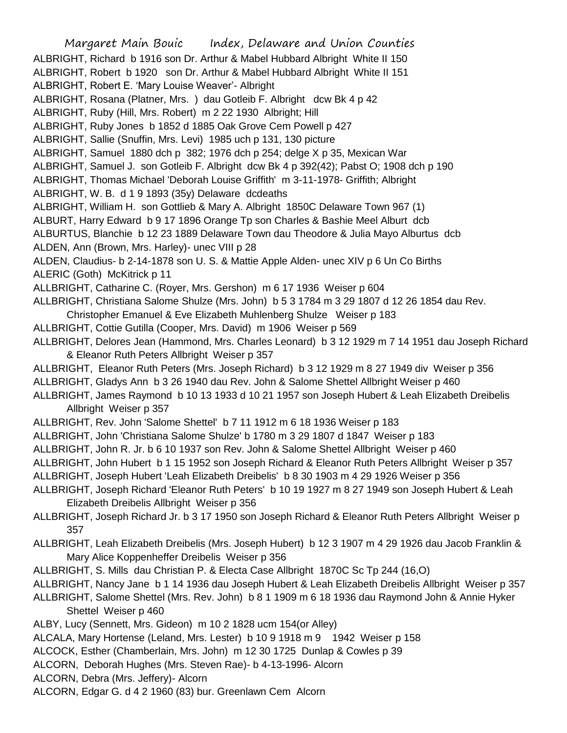Margaret Main Bouic Index, Delaware and Union Counties ALBRIGHT, Richard b 1916 son Dr. Arthur & Mabel Hubbard Albright White II 150 ALBRIGHT, Robert b 1920 son Dr. Arthur & Mabel Hubbard Albright White II 151 ALBRIGHT, Robert E. 'Mary Louise Weaver'- Albright ALBRIGHT, Rosana (Platner, Mrs. ) dau Gotleib F. Albright dcw Bk 4 p 42 ALBRIGHT, Ruby (Hill, Mrs. Robert) m 2 22 1930 Albright; Hill ALBRIGHT, Ruby Jones b 1852 d 1885 Oak Grove Cem Powell p 427 ALBRIGHT, Sallie (Snuffin, Mrs. Levi) 1985 uch p 131, 130 picture ALBRIGHT, Samuel 1880 dch p 382; 1976 dch p 254; delge X p 35, Mexican War ALBRIGHT, Samuel J. son Gotleib F. Albright dcw Bk 4 p 392(42); Pabst O; 1908 dch p 190 ALBRIGHT, Thomas Michael 'Deborah Louise Griffith' m 3-11-1978- Griffith; Albright ALBRIGHT, W. B. d 1 9 1893 (35y) Delaware dcdeaths ALBRIGHT, William H. son Gottlieb & Mary A. Albright 1850C Delaware Town 967 (1) ALBURT, Harry Edward b 9 17 1896 Orange Tp son Charles & Bashie Meel Alburt dcb ALBURTUS, Blanchie b 12 23 1889 Delaware Town dau Theodore & Julia Mayo Alburtus dcb ALDEN, Ann (Brown, Mrs. Harley)- unec VIII p 28 ALDEN, Claudius- b 2-14-1878 son U. S. & Mattie Apple Alden- unec XIV p 6 Un Co Births ALERIC (Goth) McKitrick p 11 ALLBRIGHT, Catharine C. (Royer, Mrs. Gershon) m 6 17 1936 Weiser p 604 ALLBRIGHT, Christiana Salome Shulze (Mrs. John) b 5 3 1784 m 3 29 1807 d 12 26 1854 dau Rev. Christopher Emanuel & Eve Elizabeth Muhlenberg Shulze Weiser p 183 ALLBRIGHT, Cottie Gutilla (Cooper, Mrs. David) m 1906 Weiser p 569 ALLBRIGHT, Delores Jean (Hammond, Mrs. Charles Leonard) b 3 12 1929 m 7 14 1951 dau Joseph Richard & Eleanor Ruth Peters Allbright Weiser p 357 ALLBRIGHT, Eleanor Ruth Peters (Mrs. Joseph Richard) b 3 12 1929 m 8 27 1949 div Weiser p 356 ALLBRIGHT, Gladys Ann b 3 26 1940 dau Rev. John & Salome Shettel Allbright Weiser p 460 ALLBRIGHT, James Raymond b 10 13 1933 d 10 21 1957 son Joseph Hubert & Leah Elizabeth Dreibelis Allbright Weiser p 357 ALLBRIGHT, Rev. John 'Salome Shettel' b 7 11 1912 m 6 18 1936 Weiser p 183 ALLBRIGHT, John 'Christiana Salome Shulze' b 1780 m 3 29 1807 d 1847 Weiser p 183 ALLBRIGHT, John R. Jr. b 6 10 1937 son Rev. John & Salome Shettel Allbright Weiser p 460 ALLBRIGHT, John Hubert b 1 15 1952 son Joseph Richard & Eleanor Ruth Peters Allbright Weiser p 357 ALLBRIGHT, Joseph Hubert 'Leah Elizabeth Dreibelis' b 8 30 1903 m 4 29 1926 Weiser p 356 ALLBRIGHT, Joseph Richard 'Eleanor Ruth Peters' b 10 19 1927 m 8 27 1949 son Joseph Hubert & Leah Elizabeth Dreibelis Allbright Weiser p 356 ALLBRIGHT, Joseph Richard Jr. b 3 17 1950 son Joseph Richard & Eleanor Ruth Peters Allbright Weiser p 357 ALLBRIGHT, Leah Elizabeth Dreibelis (Mrs. Joseph Hubert) b 12 3 1907 m 4 29 1926 dau Jacob Franklin & Mary Alice Koppenheffer Dreibelis Weiser p 356 ALLBRIGHT, S. Mills dau Christian P. & Electa Case Allbright 1870C Sc Tp 244 (16,O) ALLBRIGHT, Nancy Jane b 1 14 1936 dau Joseph Hubert & Leah Elizabeth Dreibelis Allbright Weiser p 357 ALLBRIGHT, Salome Shettel (Mrs. Rev. John) b 8 1 1909 m 6 18 1936 dau Raymond John & Annie Hyker Shettel Weiser p 460 ALBY, Lucy (Sennett, Mrs. Gideon) m 10 2 1828 ucm 154(or Alley) ALCALA, Mary Hortense (Leland, Mrs. Lester) b 10 9 1918 m 9 1942 Weiser p 158 ALCOCK, Esther (Chamberlain, Mrs. John) m 12 30 1725 Dunlap & Cowles p 39 ALCORN, Deborah Hughes (Mrs. Steven Rae)- b 4-13-1996- Alcorn ALCORN, Debra (Mrs. Jeffery)- Alcorn ALCORN, Edgar G. d 4 2 1960 (83) bur. Greenlawn Cem Alcorn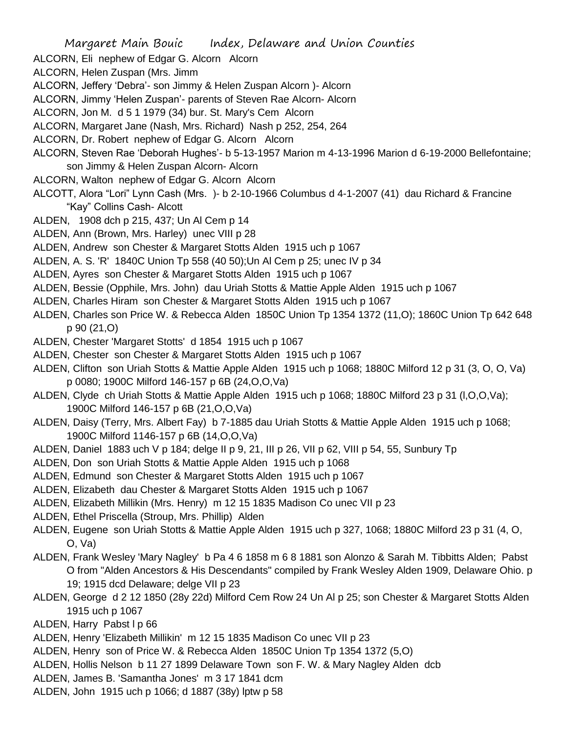ALCORN, Eli nephew of Edgar G. Alcorn Alcorn

ALCORN, Helen Zuspan (Mrs. Jimm

- ALCORN, Jeffery 'Debra'- son Jimmy & Helen Zuspan Alcorn )- Alcorn
- ALCORN, Jimmy 'Helen Zuspan'- parents of Steven Rae Alcorn- Alcorn
- ALCORN, Jon M. d 5 1 1979 (34) bur. St. Mary's Cem Alcorn
- ALCORN, Margaret Jane (Nash, Mrs. Richard) Nash p 252, 254, 264
- ALCORN, Dr. Robert nephew of Edgar G. Alcorn Alcorn
- ALCORN, Steven Rae 'Deborah Hughes'- b 5-13-1957 Marion m 4-13-1996 Marion d 6-19-2000 Bellefontaine; son Jimmy & Helen Zuspan Alcorn- Alcorn
- ALCORN, Walton nephew of Edgar G. Alcorn Alcorn
- ALCOTT, Alora "Lori" Lynn Cash (Mrs. )- b 2-10-1966 Columbus d 4-1-2007 (41) dau Richard & Francine "Kay" Collins Cash- Alcott
- ALDEN, 1908 dch p 215, 437; Un Al Cem p 14
- ALDEN, Ann (Brown, Mrs. Harley) unec VIII p 28
- ALDEN, Andrew son Chester & Margaret Stotts Alden 1915 uch p 1067
- ALDEN, A. S. 'R' 1840C Union Tp 558 (40 50);Un Al Cem p 25; unec IV p 34
- ALDEN, Ayres son Chester & Margaret Stotts Alden 1915 uch p 1067
- ALDEN, Bessie (Opphile, Mrs. John) dau Uriah Stotts & Mattie Apple Alden 1915 uch p 1067
- ALDEN, Charles Hiram son Chester & Margaret Stotts Alden 1915 uch p 1067
- ALDEN, Charles son Price W. & Rebecca Alden 1850C Union Tp 1354 1372 (11,O); 1860C Union Tp 642 648 p 90 (21,O)
- ALDEN, Chester 'Margaret Stotts' d 1854 1915 uch p 1067
- ALDEN, Chester son Chester & Margaret Stotts Alden 1915 uch p 1067
- ALDEN, Clifton son Uriah Stotts & Mattie Apple Alden 1915 uch p 1068; 1880C Milford 12 p 31 (3, O, O, Va) p 0080; 1900C Milford 146-157 p 6B (24,O,O,Va)
- ALDEN, Clyde ch Uriah Stotts & Mattie Apple Alden 1915 uch p 1068; 1880C Milford 23 p 31 (l,O,O,Va); 1900C Milford 146-157 p 6B (21,O,O,Va)
- ALDEN, Daisy (Terry, Mrs. Albert Fay) b 7-1885 dau Uriah Stotts & Mattie Apple Alden 1915 uch p 1068; 1900C Milford 1146-157 p 6B (14,O,O,Va)
- ALDEN, Daniel 1883 uch V p 184; delge II p 9, 21, III p 26, VII p 62, VIII p 54, 55, Sunbury Tp
- ALDEN, Don son Uriah Stotts & Mattie Apple Alden 1915 uch p 1068
- ALDEN, Edmund son Chester & Margaret Stotts Alden 1915 uch p 1067
- ALDEN, Elizabeth dau Chester & Margaret Stotts Alden 1915 uch p 1067
- ALDEN, Elizabeth Millikin (Mrs. Henry) m 12 15 1835 Madison Co unec VII p 23
- ALDEN, Ethel Priscella (Stroup, Mrs. Phillip) Alden
- ALDEN, Eugene son Uriah Stotts & Mattie Apple Alden 1915 uch p 327, 1068; 1880C Milford 23 p 31 (4, O, O, Va)
- ALDEN, Frank Wesley 'Mary Nagley' b Pa 4 6 1858 m 6 8 1881 son Alonzo & Sarah M. Tibbitts Alden; Pabst O from "Alden Ancestors & His Descendants" compiled by Frank Wesley Alden 1909, Delaware Ohio. p 19; 1915 dcd Delaware; delge VII p 23
- ALDEN, George d 2 12 1850 (28y 22d) Milford Cem Row 24 Un Al p 25; son Chester & Margaret Stotts Alden 1915 uch p 1067
- ALDEN, Harry Pabst l p 66
- ALDEN, Henry 'Elizabeth Millikin' m 12 15 1835 Madison Co unec VII p 23
- ALDEN, Henry son of Price W. & Rebecca Alden 1850C Union Tp 1354 1372 (5,O)
- ALDEN, Hollis Nelson b 11 27 1899 Delaware Town son F. W. & Mary Nagley Alden dcb
- ALDEN, James B. 'Samantha Jones' m 3 17 1841 dcm
- ALDEN, John 1915 uch p 1066; d 1887 (38y) lptw p 58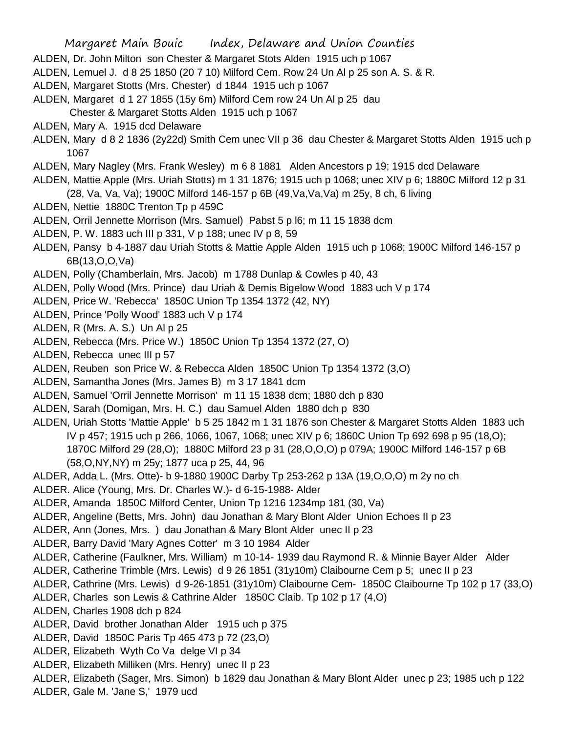- Margaret Main Bouic Index, Delaware and Union Counties ALDEN, Dr. John Milton son Chester & Margaret Stots Alden 1915 uch p 1067 ALDEN, Lemuel J. d 8 25 1850 (20 7 10) Milford Cem. Row 24 Un Al p 25 son A. S. & R. ALDEN, Margaret Stotts (Mrs. Chester) d 1844 1915 uch p 1067 ALDEN, Margaret d 1 27 1855 (15y 6m) Milford Cem row 24 Un Al p 25 dau Chester & Margaret Stotts Alden 1915 uch p 1067 ALDEN, Mary A. 1915 dcd Delaware ALDEN, Mary d 8 2 1836 (2y22d) Smith Cem unec VII p 36 dau Chester & Margaret Stotts Alden 1915 uch p 1067 ALDEN, Mary Nagley (Mrs. Frank Wesley) m 6 8 1881 Alden Ancestors p 19; 1915 dcd Delaware ALDEN, Mattie Apple (Mrs. Uriah Stotts) m 1 31 1876; 1915 uch p 1068; unec XIV p 6; 1880C Milford 12 p 31 (28, Va, Va, Va); 1900C Milford 146-157 p 6B (49,Va,Va,Va) m 25y, 8 ch, 6 living ALDEN, Nettie 1880C Trenton Tp p 459C ALDEN, Orril Jennette Morrison (Mrs. Samuel) Pabst 5 p l6; m 11 15 1838 dcm ALDEN, P. W. 1883 uch III p 331, V p 188; unec IV p 8, 59 ALDEN, Pansy b 4-1887 dau Uriah Stotts & Mattie Apple Alden 1915 uch p 1068; 1900C Milford 146-157 p 6B(13,O,O,Va) ALDEN, Polly (Chamberlain, Mrs. Jacob) m 1788 Dunlap & Cowles p 40, 43 ALDEN, Polly Wood (Mrs. Prince) dau Uriah & Demis Bigelow Wood 1883 uch V p 174 ALDEN, Price W. 'Rebecca' 1850C Union Tp 1354 1372 (42, NY) ALDEN, Prince 'Polly Wood' 1883 uch V p 174 ALDEN, R (Mrs. A. S.) Un Al p 25 ALDEN, Rebecca (Mrs. Price W.) 1850C Union Tp 1354 1372 (27, O) ALDEN, Rebecca unec III p 57 ALDEN, Reuben son Price W. & Rebecca Alden 1850C Union Tp 1354 1372 (3,O) ALDEN, Samantha Jones (Mrs. James B) m 3 17 1841 dcm ALDEN, Samuel 'Orril Jennette Morrison' m 11 15 1838 dcm; 1880 dch p 830 ALDEN, Sarah (Domigan, Mrs. H. C.) dau Samuel Alden 1880 dch p 830 ALDEN, Uriah Stotts 'Mattie Apple' b 5 25 1842 m 1 31 1876 son Chester & Margaret Stotts Alden 1883 uch IV p 457; 1915 uch p 266, 1066, 1067, 1068; unec XIV p 6; 1860C Union Tp 692 698 p 95 (18,O); 1870C Milford 29 (28,O); 1880C Milford 23 p 31 (28,O,O,O) p 079A; 1900C Milford 146-157 p 6B (58,O,NY,NY) m 25y; 1877 uca p 25, 44, 96 ALDER, Adda L. (Mrs. Otte)- b 9-1880 1900C Darby Tp 253-262 p 13A (19,O,O,O) m 2y no ch ALDER. Alice (Young, Mrs. Dr. Charles W.)- d 6-15-1988- Alder ALDER, Amanda 1850C Milford Center, Union Tp 1216 1234mp 181 (30, Va) ALDER, Angeline (Betts, Mrs. John) dau Jonathan & Mary Blont Alder Union Echoes II p 23 ALDER, Ann (Jones, Mrs. ) dau Jonathan & Mary Blont Alder unec II p 23 ALDER, Barry David 'Mary Agnes Cotter' m 3 10 1984 Alder ALDER, Catherine (Faulkner, Mrs. William) m 10-14- 1939 dau Raymond R. & Minnie Bayer Alder Alder ALDER, Catherine Trimble (Mrs. Lewis) d 9 26 1851 (31y10m) Claibourne Cem p 5; unec II p 23 ALDER, Cathrine (Mrs. Lewis) d 9-26-1851 (31y10m) Claibourne Cem- 1850C Claibourne Tp 102 p 17 (33,O) ALDER, Charles son Lewis & Cathrine Alder 1850C Claib. Tp 102 p 17 (4,O) ALDEN, Charles 1908 dch p 824 ALDER, David brother Jonathan Alder 1915 uch p 375 ALDER, David 1850C Paris Tp 465 473 p 72 (23,O) ALDER, Elizabeth Wyth Co Va delge VI p 34 ALDER, Elizabeth Milliken (Mrs. Henry) unec II p 23
	- ALDER, Elizabeth (Sager, Mrs. Simon) b 1829 dau Jonathan & Mary Blont Alder unec p 23; 1985 uch p 122
	- ALDER, Gale M. 'Jane S,' 1979 ucd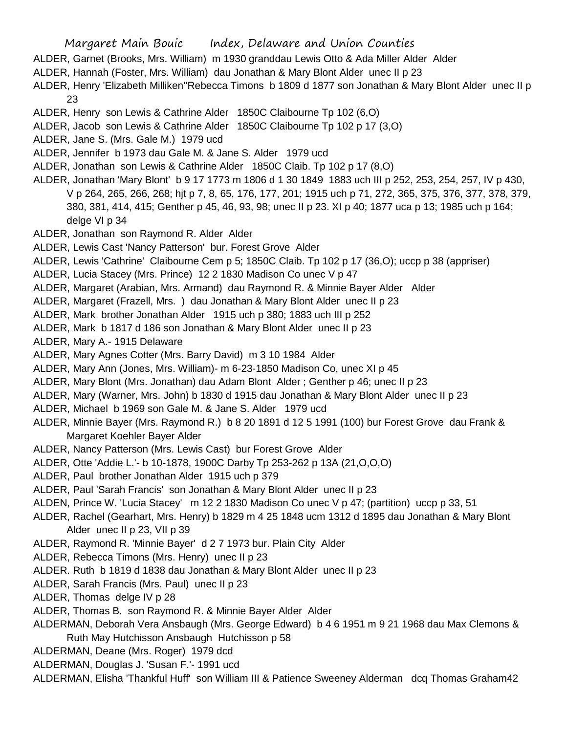ALDER, Garnet (Brooks, Mrs. William) m 1930 granddau Lewis Otto & Ada Miller Alder Alder

ALDER, Hannah (Foster, Mrs. William) dau Jonathan & Mary Blont Alder unec II p 23

ALDER, Henry 'Elizabeth Milliken''Rebecca Timons b 1809 d 1877 son Jonathan & Mary Blont Alder unec II p 23

- ALDER, Henry son Lewis & Cathrine Alder 1850C Claibourne Tp 102 (6,O)
- ALDER, Jacob son Lewis & Cathrine Alder 1850C Claibourne Tp 102 p 17 (3,O)
- ALDER, Jane S. (Mrs. Gale M.) 1979 ucd
- ALDER, Jennifer b 1973 dau Gale M. & Jane S. Alder 1979 ucd
- ALDER, Jonathan son Lewis & Cathrine Alder 1850C Claib. Tp 102 p 17 (8,O)
- ALDER, Jonathan 'Mary Blont' b 9 17 1773 m 1806 d 1 30 1849 1883 uch III p 252, 253, 254, 257, IV p 430, V p 264, 265, 266, 268; hjt p 7, 8, 65, 176, 177, 201; 1915 uch p 71, 272, 365, 375, 376, 377, 378, 379, 380, 381, 414, 415; Genther p 45, 46, 93, 98; unec II p 23. XI p 40; 1877 uca p 13; 1985 uch p 164; delge VI p 34
- ALDER, Jonathan son Raymond R. Alder Alder
- ALDER, Lewis Cast 'Nancy Patterson' bur. Forest Grove Alder
- ALDER, Lewis 'Cathrine' Claibourne Cem p 5; 1850C Claib. Tp 102 p 17 (36,O); uccp p 38 (appriser)
- ALDER, Lucia Stacey (Mrs. Prince) 12 2 1830 Madison Co unec V p 47
- ALDER, Margaret (Arabian, Mrs. Armand) dau Raymond R. & Minnie Bayer Alder Alder
- ALDER, Margaret (Frazell, Mrs. ) dau Jonathan & Mary Blont Alder unec II p 23
- ALDER, Mark brother Jonathan Alder 1915 uch p 380; 1883 uch III p 252
- ALDER, Mark b 1817 d 186 son Jonathan & Mary Blont Alder unec II p 23
- ALDER, Mary A.- 1915 Delaware
- ALDER, Mary Agnes Cotter (Mrs. Barry David) m 3 10 1984 Alder
- ALDER, Mary Ann (Jones, Mrs. William)- m 6-23-1850 Madison Co, unec XI p 45
- ALDER, Mary Blont (Mrs. Jonathan) dau Adam Blont Alder ; Genther p 46; unec II p 23
- ALDER, Mary (Warner, Mrs. John) b 1830 d 1915 dau Jonathan & Mary Blont Alder unec II p 23
- ALDER, Michael b 1969 son Gale M. & Jane S. Alder 1979 ucd
- ALDER, Minnie Bayer (Mrs. Raymond R.) b 8 20 1891 d 12 5 1991 (100) bur Forest Grove dau Frank & Margaret Koehler Bayer Alder
- ALDER, Nancy Patterson (Mrs. Lewis Cast) bur Forest Grove Alder
- ALDER, Otte 'Addie L.'- b 10-1878, 1900C Darby Tp 253-262 p 13A (21,O,O,O)
- ALDER, Paul brother Jonathan Alder 1915 uch p 379
- ALDER, Paul 'Sarah Francis' son Jonathan & Mary Blont Alder unec II p 23
- ALDEN, Prince W. 'Lucia Stacey' m 12 2 1830 Madison Co unec V p 47; (partition) uccp p 33, 51
- ALDER, Rachel (Gearhart, Mrs. Henry) b 1829 m 4 25 1848 ucm 1312 d 1895 dau Jonathan & Mary Blont Alder unec II p 23, VII p 39
- ALDER, Raymond R. 'Minnie Bayer' d 2 7 1973 bur. Plain City Alder
- ALDER, Rebecca Timons (Mrs. Henry) unec II p 23
- ALDER. Ruth b 1819 d 1838 dau Jonathan & Mary Blont Alder unec II p 23
- ALDER, Sarah Francis (Mrs. Paul) unec II p 23
- ALDER, Thomas delge IV p 28
- ALDER, Thomas B. son Raymond R. & Minnie Bayer Alder Alder
- ALDERMAN, Deborah Vera Ansbaugh (Mrs. George Edward) b 4 6 1951 m 9 21 1968 dau Max Clemons & Ruth May Hutchisson Ansbaugh Hutchisson p 58
- ALDERMAN, Deane (Mrs. Roger) 1979 dcd
- ALDERMAN, Douglas J. 'Susan F.'- 1991 ucd
- ALDERMAN, Elisha 'Thankful Huff' son William III & Patience Sweeney Alderman dcq Thomas Graham42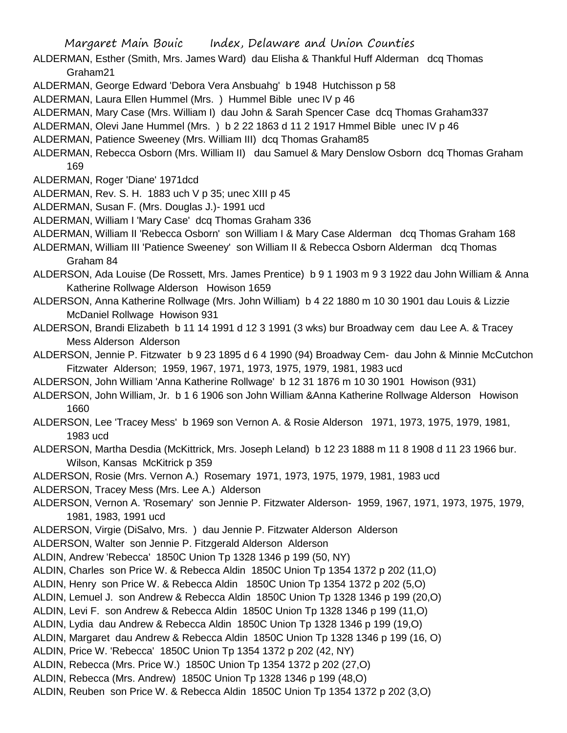- ALDERMAN, Esther (Smith, Mrs. James Ward) dau Elisha & Thankful Huff Alderman dcq Thomas Graham21
- ALDERMAN, George Edward 'Debora Vera Ansbuahg' b 1948 Hutchisson p 58
- ALDERMAN, Laura Ellen Hummel (Mrs. ) Hummel Bible unec IV p 46
- ALDERMAN, Mary Case (Mrs. William I) dau John & Sarah Spencer Case dcq Thomas Graham337
- ALDERMAN, Olevi Jane Hummel (Mrs. ) b 2 22 1863 d 11 2 1917 Hmmel Bible unec IV p 46
- ALDERMAN, Patience Sweeney (Mrs. William III) dcq Thomas Graham85
- ALDERMAN, Rebecca Osborn (Mrs. William II) dau Samuel & Mary Denslow Osborn dcq Thomas Graham 169
- ALDERMAN, Roger 'Diane' 1971dcd
- ALDERMAN, Rev. S. H. 1883 uch V p 35; unec XIII p 45
- ALDERMAN, Susan F. (Mrs. Douglas J.)- 1991 ucd
- ALDERMAN, William I 'Mary Case' dcq Thomas Graham 336
- ALDERMAN, William II 'Rebecca Osborn' son William I & Mary Case Alderman dcq Thomas Graham 168
- ALDERMAN, William III 'Patience Sweeney' son William II & Rebecca Osborn Alderman dcq Thomas Graham 84
- ALDERSON, Ada Louise (De Rossett, Mrs. James Prentice) b 9 1 1903 m 9 3 1922 dau John William & Anna Katherine Rollwage Alderson Howison 1659
- ALDERSON, Anna Katherine Rollwage (Mrs. John William) b 4 22 1880 m 10 30 1901 dau Louis & Lizzie McDaniel Rollwage Howison 931
- ALDERSON, Brandi Elizabeth b 11 14 1991 d 12 3 1991 (3 wks) bur Broadway cem dau Lee A. & Tracey Mess Alderson Alderson
- ALDERSON, Jennie P. Fitzwater b 9 23 1895 d 6 4 1990 (94) Broadway Cem- dau John & Minnie McCutchon Fitzwater Alderson; 1959, 1967, 1971, 1973, 1975, 1979, 1981, 1983 ucd
- ALDERSON, John William 'Anna Katherine Rollwage' b 12 31 1876 m 10 30 1901 Howison (931)
- ALDERSON, John William, Jr. b 1 6 1906 son John William &Anna Katherine Rollwage Alderson Howison 1660
- ALDERSON, Lee 'Tracey Mess' b 1969 son Vernon A. & Rosie Alderson 1971, 1973, 1975, 1979, 1981, 1983 ucd
- ALDERSON, Martha Desdia (McKittrick, Mrs. Joseph Leland) b 12 23 1888 m 11 8 1908 d 11 23 1966 bur. Wilson, Kansas McKitrick p 359
- ALDERSON, Rosie (Mrs. Vernon A.) Rosemary 1971, 1973, 1975, 1979, 1981, 1983 ucd
- ALDERSON, Tracey Mess (Mrs. Lee A.) Alderson
- ALDERSON, Vernon A. 'Rosemary' son Jennie P. Fitzwater Alderson- 1959, 1967, 1971, 1973, 1975, 1979, 1981, 1983, 1991 ucd
- ALDERSON, Virgie (DiSalvo, Mrs. ) dau Jennie P. Fitzwater Alderson Alderson
- ALDERSON, Walter son Jennie P. Fitzgerald Alderson Alderson
- ALDIN, Andrew 'Rebecca' 1850C Union Tp 1328 1346 p 199 (50, NY)
- ALDIN, Charles son Price W. & Rebecca Aldin 1850C Union Tp 1354 1372 p 202 (11,O)
- ALDIN, Henry son Price W. & Rebecca Aldin 1850C Union Tp 1354 1372 p 202 (5,O)
- ALDIN, Lemuel J. son Andrew & Rebecca Aldin 1850C Union Tp 1328 1346 p 199 (20,O)
- ALDIN, Levi F. son Andrew & Rebecca Aldin 1850C Union Tp 1328 1346 p 199 (11,O)
- ALDIN, Lydia dau Andrew & Rebecca Aldin 1850C Union Tp 1328 1346 p 199 (19,O)
- ALDIN, Margaret dau Andrew & Rebecca Aldin 1850C Union Tp 1328 1346 p 199 (16, O)
- ALDIN, Price W. 'Rebecca' 1850C Union Tp 1354 1372 p 202 (42, NY)
- ALDIN, Rebecca (Mrs. Price W.) 1850C Union Tp 1354 1372 p 202 (27,O)
- ALDIN, Rebecca (Mrs. Andrew) 1850C Union Tp 1328 1346 p 199 (48,O)
- ALDIN, Reuben son Price W. & Rebecca Aldin 1850C Union Tp 1354 1372 p 202 (3,O)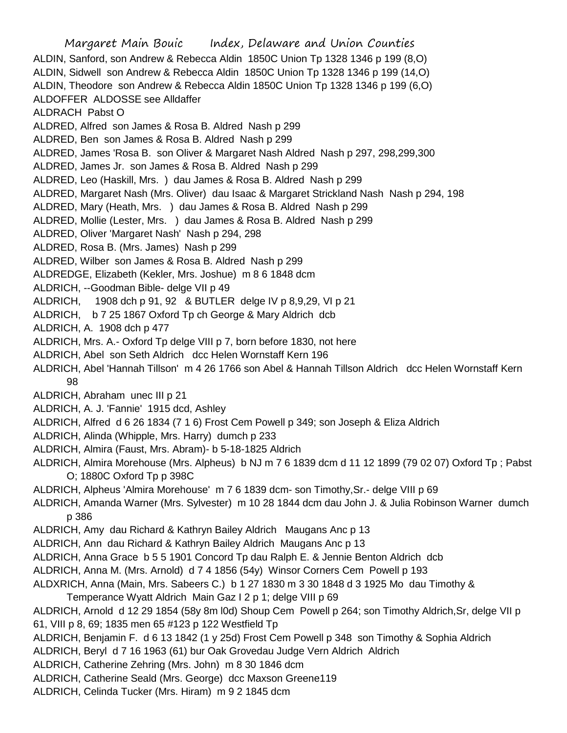Margaret Main Bouic Index, Delaware and Union Counties ALDIN, Sanford, son Andrew & Rebecca Aldin 1850C Union Tp 1328 1346 p 199 (8,O) ALDIN, Sidwell son Andrew & Rebecca Aldin 1850C Union Tp 1328 1346 p 199 (14,O) ALDIN, Theodore son Andrew & Rebecca Aldin 1850C Union Tp 1328 1346 p 199 (6,O) ALDOFFER ALDOSSE see Alldaffer ALDRACH Pabst O ALDRED, Alfred son James & Rosa B. Aldred Nash p 299 ALDRED, Ben son James & Rosa B. Aldred Nash p 299 ALDRED, James 'Rosa B. son Oliver & Margaret Nash Aldred Nash p 297, 298,299,300 ALDRED, James Jr. son James & Rosa B. Aldred Nash p 299 ALDRED, Leo (Haskill, Mrs. ) dau James & Rosa B. Aldred Nash p 299 ALDRED, Margaret Nash (Mrs. Oliver) dau Isaac & Margaret Strickland Nash Nash p 294, 198 ALDRED, Mary (Heath, Mrs. ) dau James & Rosa B. Aldred Nash p 299 ALDRED, Mollie (Lester, Mrs. ) dau James & Rosa B. Aldred Nash p 299 ALDRED, Oliver 'Margaret Nash' Nash p 294, 298 ALDRED, Rosa B. (Mrs. James) Nash p 299 ALDRED, Wilber son James & Rosa B. Aldred Nash p 299 ALDREDGE, Elizabeth (Kekler, Mrs. Joshue) m 8 6 1848 dcm ALDRICH, --Goodman Bible- delge VII p 49 ALDRICH, 1908 dch p 91, 92 & BUTLER delge IV p 8,9,29, VI p 21 ALDRICH, b 7 25 1867 Oxford Tp ch George & Mary Aldrich dcb ALDRICH, A. 1908 dch p 477 ALDRICH, Mrs. A.- Oxford Tp delge VIII p 7, born before 1830, not here ALDRICH, Abel son Seth Aldrich dcc Helen Wornstaff Kern 196 ALDRICH, Abel 'Hannah Tillson' m 4 26 1766 son Abel & Hannah Tillson Aldrich dcc Helen Wornstaff Kern 98 ALDRICH, Abraham unec III p 21 ALDRICH, A. J. 'Fannie' 1915 dcd, Ashley ALDRICH, Alfred d 6 26 1834 (7 1 6) Frost Cem Powell p 349; son Joseph & Eliza Aldrich ALDRICH, Alinda (Whipple, Mrs. Harry) dumch p 233 ALDRICH, Almira (Faust, Mrs. Abram)- b 5-18-1825 Aldrich ALDRICH, Almira Morehouse (Mrs. Alpheus) b NJ m 7 6 1839 dcm d 11 12 1899 (79 02 07) Oxford Tp ; Pabst O; 1880C Oxford Tp p 398C ALDRICH, Alpheus 'Almira Morehouse' m 7 6 1839 dcm- son Timothy,Sr.- delge VIII p 69 ALDRICH, Amanda Warner (Mrs. Sylvester) m 10 28 1844 dcm dau John J. & Julia Robinson Warner dumch p 386 ALDRICH, Amy dau Richard & Kathryn Bailey Aldrich Maugans Anc p 13 ALDRICH, Ann dau Richard & Kathryn Bailey Aldrich Maugans Anc p 13 ALDRICH, Anna Grace b 5 5 1901 Concord Tp dau Ralph E. & Jennie Benton Aldrich dcb ALDRICH, Anna M. (Mrs. Arnold) d 7 4 1856 (54y) Winsor Corners Cem Powell p 193 ALDXRICH, Anna (Main, Mrs. Sabeers C.) b 1 27 1830 m 3 30 1848 d 3 1925 Mo dau Timothy & Temperance Wyatt Aldrich Main Gaz I 2 p 1; delge VIII p 69 ALDRICH, Arnold d 12 29 1854 (58y 8m l0d) Shoup Cem Powell p 264; son Timothy Aldrich,Sr, delge VII p 61, VIII p 8, 69; 1835 men 65 #123 p 122 Westfield Tp ALDRICH, Benjamin F. d 6 13 1842 (1 y 25d) Frost Cem Powell p 348 son Timothy & Sophia Aldrich ALDRICH, Beryl d 7 16 1963 (61) bur Oak Grovedau Judge Vern Aldrich Aldrich ALDRICH, Catherine Zehring (Mrs. John) m 8 30 1846 dcm ALDRICH, Catherine Seald (Mrs. George) dcc Maxson Greene119

ALDRICH, Celinda Tucker (Mrs. Hiram) m 9 2 1845 dcm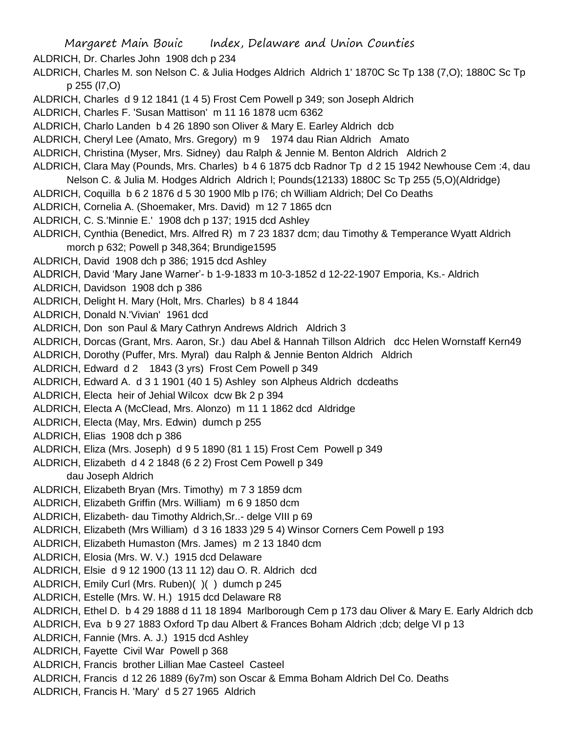- Margaret Main Bouic Index, Delaware and Union Counties
- ALDRICH, Dr. Charles John 1908 dch p 234
- ALDRICH, Charles M. son Nelson C. & Julia Hodges Aldrich Aldrich 1' 1870C Sc Tp 138 (7,O); 1880C Sc Tp p 255 (l7,O)
- ALDRICH, Charles d 9 12 1841 (1 4 5) Frost Cem Powell p 349; son Joseph Aldrich
- ALDRICH, Charles F. 'Susan Mattison' m 11 16 1878 ucm 6362
- ALDRICH, Charlo Landen b 4 26 1890 son Oliver & Mary E. Earley Aldrich dcb
- ALDRICH, Cheryl Lee (Amato, Mrs. Gregory) m 9 1974 dau Rian Aldrich Amato
- ALDRICH, Christina (Myser, Mrs. Sidney) dau Ralph & Jennie M. Benton Aldrich Aldrich 2
- ALDRICH, Clara May (Pounds, Mrs. Charles) b 4 6 1875 dcb Radnor Tp d 2 15 1942 Newhouse Cem :4, dau
- Nelson C. & Julia M. Hodges Aldrich Aldrich l; Pounds(12133) 1880C Sc Tp 255 (5,O)(Aldridge)
- ALDRICH, Coquilla b 6 2 1876 d 5 30 1900 Mlb p l76; ch William Aldrich; Del Co Deaths
- ALDRICH, Cornelia A. (Shoemaker, Mrs. David) m 12 7 1865 dcn
- ALDRICH, C. S.'Minnie E.' 1908 dch p 137; 1915 dcd Ashley
- ALDRICH, Cynthia (Benedict, Mrs. Alfred R) m 7 23 1837 dcm; dau Timothy & Temperance Wyatt Aldrich morch p 632; Powell p 348,364; Brundige1595
- ALDRICH, David 1908 dch p 386; 1915 dcd Ashley
- ALDRICH, David 'Mary Jane Warner'- b 1-9-1833 m 10-3-1852 d 12-22-1907 Emporia, Ks.- Aldrich
- ALDRICH, Davidson 1908 dch p 386
- ALDRICH, Delight H. Mary (Holt, Mrs. Charles) b 8 4 1844
- ALDRICH, Donald N.'Vivian' 1961 dcd
- ALDRICH, Don son Paul & Mary Cathryn Andrews Aldrich Aldrich 3
- ALDRICH, Dorcas (Grant, Mrs. Aaron, Sr.) dau Abel & Hannah Tillson Aldrich dcc Helen Wornstaff Kern49
- ALDRICH, Dorothy (Puffer, Mrs. Myral) dau Ralph & Jennie Benton Aldrich Aldrich
- ALDRICH, Edward d 2 1843 (3 yrs) Frost Cem Powell p 349
- ALDRICH, Edward A. d 3 1 1901 (40 1 5) Ashley son Alpheus Aldrich dcdeaths
- ALDRICH, Electa heir of Jehial Wilcox dcw Bk 2 p 394
- ALDRICH, Electa A (McClead, Mrs. Alonzo) m 11 1 1862 dcd Aldridge
- ALDRICH, Electa (May, Mrs. Edwin) dumch p 255
- ALDRICH, Elias 1908 dch p 386
- ALDRICH, Eliza (Mrs. Joseph) d 9 5 1890 (81 1 15) Frost Cem Powell p 349
- ALDRICH, Elizabeth d 4 2 1848 (6 2 2) Frost Cem Powell p 349 dau Joseph Aldrich
- ALDRICH, Elizabeth Bryan (Mrs. Timothy) m 7 3 1859 dcm
- ALDRICH, Elizabeth Griffin (Mrs. William) m 6 9 1850 dcm
- ALDRICH, Elizabeth- dau Timothy Aldrich,Sr..- delge VIII p 69
- ALDRICH, Elizabeth (Mrs William) d 3 16 1833 )29 5 4) Winsor Corners Cem Powell p 193
- ALDRICH, Elizabeth Humaston (Mrs. James) m 2 13 1840 dcm
- ALDRICH, Elosia (Mrs. W. V.) 1915 dcd Delaware
- ALDRICH, Elsie d 9 12 1900 (13 11 12) dau O. R. Aldrich dcd
- ALDRICH, Emily Curl (Mrs. Ruben)( )( ) dumch p 245
- ALDRICH, Estelle (Mrs. W. H.) 1915 dcd Delaware R8
- ALDRICH, Ethel D. b 4 29 1888 d 11 18 1894 Marlborough Cem p 173 dau Oliver & Mary E. Early Aldrich dcb
- ALDRICH, Eva b 9 27 1883 Oxford Tp dau Albert & Frances Boham Aldrich ;dcb; delge VI p 13
- ALDRICH, Fannie (Mrs. A. J.) 1915 dcd Ashley
- ALDRICH, Fayette Civil War Powell p 368
- ALDRICH, Francis brother Lillian Mae Casteel Casteel
- ALDRICH, Francis d 12 26 1889 (6y7m) son Oscar & Emma Boham Aldrich Del Co. Deaths
- ALDRICH, Francis H. 'Mary' d 5 27 1965 Aldrich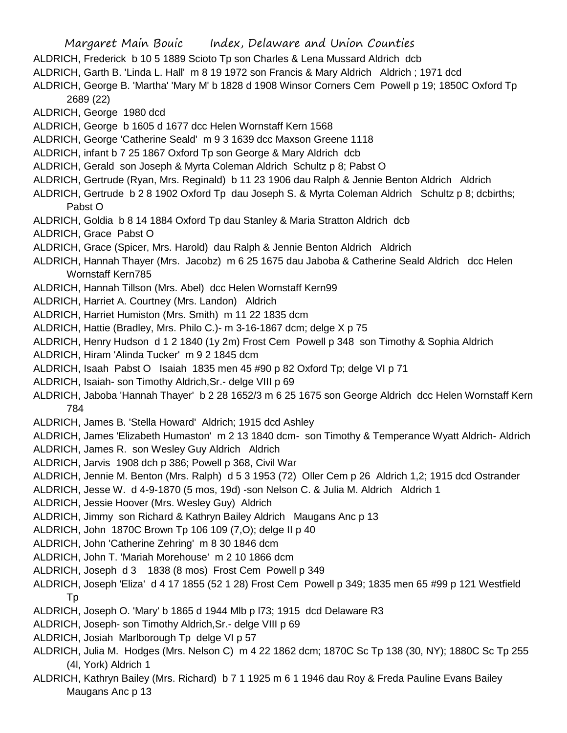Margaret Main Bouic Index, Delaware and Union Counties ALDRICH, Frederick b 10 5 1889 Scioto Tp son Charles & Lena Mussard Aldrich dcb ALDRICH, Garth B. 'Linda L. Hall' m 8 19 1972 son Francis & Mary Aldrich Aldrich ; 1971 dcd ALDRICH, George B. 'Martha' 'Mary M' b 1828 d 1908 Winsor Corners Cem Powell p 19; 1850C Oxford Tp 2689 (22) ALDRICH, George 1980 dcd ALDRICH, George b 1605 d 1677 dcc Helen Wornstaff Kern 1568 ALDRICH, George 'Catherine Seald' m 9 3 1639 dcc Maxson Greene 1118 ALDRICH, infant b 7 25 1867 Oxford Tp son George & Mary Aldrich dcb ALDRICH, Gerald son Joseph & Myrta Coleman Aldrich Schultz p 8; Pabst O ALDRICH, Gertrude (Ryan, Mrs. Reginald) b 11 23 1906 dau Ralph & Jennie Benton Aldrich Aldrich ALDRICH, Gertrude b 2 8 1902 Oxford Tp dau Joseph S. & Myrta Coleman Aldrich Schultz p 8; dcbirths; Pabst O ALDRICH, Goldia b 8 14 1884 Oxford Tp dau Stanley & Maria Stratton Aldrich dcb ALDRICH, Grace Pabst O ALDRICH, Grace (Spicer, Mrs. Harold) dau Ralph & Jennie Benton Aldrich Aldrich ALDRICH, Hannah Thayer (Mrs. Jacobz) m 6 25 1675 dau Jaboba & Catherine Seald Aldrich dcc Helen Wornstaff Kern785 ALDRICH, Hannah Tillson (Mrs. Abel) dcc Helen Wornstaff Kern99 ALDRICH, Harriet A. Courtney (Mrs. Landon) Aldrich ALDRICH, Harriet Humiston (Mrs. Smith) m 11 22 1835 dcm ALDRICH, Hattie (Bradley, Mrs. Philo C.)- m 3-16-1867 dcm; delge X p 75 ALDRICH, Henry Hudson d 1 2 1840 (1y 2m) Frost Cem Powell p 348 son Timothy & Sophia Aldrich ALDRICH, Hiram 'Alinda Tucker' m 9 2 1845 dcm ALDRICH, Isaah Pabst O Isaiah 1835 men 45 #90 p 82 Oxford Tp; delge VI p 71 ALDRICH, Isaiah- son Timothy Aldrich,Sr.- delge VIII p 69 ALDRICH, Jaboba 'Hannah Thayer' b 2 28 1652/3 m 6 25 1675 son George Aldrich dcc Helen Wornstaff Kern 784 ALDRICH, James B. 'Stella Howard' Aldrich; 1915 dcd Ashley ALDRICH, James 'Elizabeth Humaston' m 2 13 1840 dcm- son Timothy & Temperance Wyatt Aldrich- Aldrich ALDRICH, James R. son Wesley Guy Aldrich Aldrich ALDRICH, Jarvis 1908 dch p 386; Powell p 368, Civil War ALDRICH, Jennie M. Benton (Mrs. Ralph) d 5 3 1953 (72) Oller Cem p 26 Aldrich 1,2; 1915 dcd Ostrander ALDRICH, Jesse W. d 4-9-1870 (5 mos, 19d) -son Nelson C. & Julia M. Aldrich Aldrich 1 ALDRICH, Jessie Hoover (Mrs. Wesley Guy) Aldrich ALDRICH, Jimmy son Richard & Kathryn Bailey Aldrich Maugans Anc p 13 ALDRICH, John 1870C Brown Tp 106 109 (7,O); delge II p 40 ALDRICH, John 'Catherine Zehring' m 8 30 1846 dcm ALDRICH, John T. 'Mariah Morehouse' m 2 10 1866 dcm ALDRICH, Joseph d 3 1838 (8 mos) Frost Cem Powell p 349 ALDRICH, Joseph 'Eliza' d 4 17 1855 (52 1 28) Frost Cem Powell p 349; 1835 men 65 #99 p 121 Westfield Tp ALDRICH, Joseph O. 'Mary' b 1865 d 1944 Mlb p l73; 1915 dcd Delaware R3 ALDRICH, Joseph- son Timothy Aldrich,Sr.- delge VIII p 69 ALDRICH, Josiah Marlborough Tp delge VI p 57 ALDRICH, Julia M. Hodges (Mrs. Nelson C) m 4 22 1862 dcm; 1870C Sc Tp 138 (30, NY); 1880C Sc Tp 255

(4l, York) Aldrich 1

ALDRICH, Kathryn Bailey (Mrs. Richard) b 7 1 1925 m 6 1 1946 dau Roy & Freda Pauline Evans Bailey Maugans Anc p 13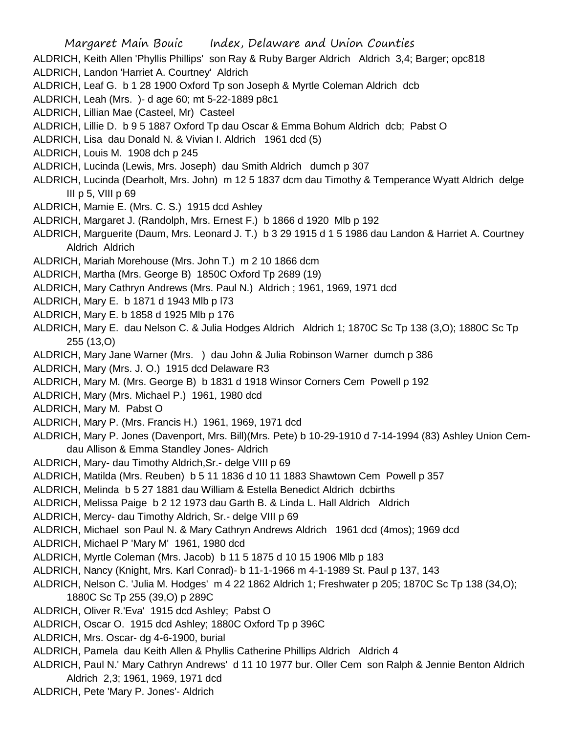ALDRICH, Keith Allen 'Phyllis Phillips' son Ray & Ruby Barger Aldrich Aldrich 3,4; Barger; opc818 ALDRICH, Landon 'Harriet A. Courtney' Aldrich ALDRICH, Leaf G. b 1 28 1900 Oxford Tp son Joseph & Myrtle Coleman Aldrich dcb ALDRICH, Leah (Mrs. )- d age 60; mt 5-22-1889 p8c1 ALDRICH, Lillian Mae (Casteel, Mr) Casteel ALDRICH, Lillie D. b 9 5 1887 Oxford Tp dau Oscar & Emma Bohum Aldrich dcb; Pabst O ALDRICH, Lisa dau Donald N. & Vivian I. Aldrich 1961 dcd (5) ALDRICH, Louis M. 1908 dch p 245 ALDRICH, Lucinda (Lewis, Mrs. Joseph) dau Smith Aldrich dumch p 307 ALDRICH, Lucinda (Dearholt, Mrs. John) m 12 5 1837 dcm dau Timothy & Temperance Wyatt Aldrich delge III  $p$  5, VIII  $p$  69 ALDRICH, Mamie E. (Mrs. C. S.) 1915 dcd Ashley ALDRICH, Margaret J. (Randolph, Mrs. Ernest F.) b 1866 d 1920 Mlb p 192 ALDRICH, Marguerite (Daum, Mrs. Leonard J. T.) b 3 29 1915 d 1 5 1986 dau Landon & Harriet A. Courtney Aldrich Aldrich ALDRICH, Mariah Morehouse (Mrs. John T.) m 2 10 1866 dcm ALDRICH, Martha (Mrs. George B) 1850C Oxford Tp 2689 (19) ALDRICH, Mary Cathryn Andrews (Mrs. Paul N.) Aldrich ; 1961, 1969, 1971 dcd ALDRICH, Mary E. b 1871 d 1943 Mlb p l73 ALDRICH, Mary E. b 1858 d 1925 Mlb p 176 ALDRICH, Mary E. dau Nelson C. & Julia Hodges Aldrich Aldrich 1; 1870C Sc Tp 138 (3,O); 1880C Sc Tp 255 (13,O) ALDRICH, Mary Jane Warner (Mrs. ) dau John & Julia Robinson Warner dumch p 386 ALDRICH, Mary (Mrs. J. O.) 1915 dcd Delaware R3 ALDRICH, Mary M. (Mrs. George B) b 1831 d 1918 Winsor Corners Cem Powell p 192 ALDRICH, Mary (Mrs. Michael P.) 1961, 1980 dcd ALDRICH, Mary M. Pabst O ALDRICH, Mary P. (Mrs. Francis H.) 1961, 1969, 1971 dcd ALDRICH, Mary P. Jones (Davenport, Mrs. Bill)(Mrs. Pete) b 10-29-1910 d 7-14-1994 (83) Ashley Union Cemdau Allison & Emma Standley Jones- Aldrich ALDRICH, Mary- dau Timothy Aldrich,Sr.- delge VIII p 69 ALDRICH, Matilda (Mrs. Reuben) b 5 11 1836 d 10 11 1883 Shawtown Cem Powell p 357 ALDRICH, Melinda b 5 27 1881 dau William & Estella Benedict Aldrich dcbirths ALDRICH, Melissa Paige b 2 12 1973 dau Garth B. & Linda L. Hall Aldrich Aldrich ALDRICH, Mercy- dau Timothy Aldrich, Sr.- delge VIII p 69 ALDRICH, Michael son Paul N. & Mary Cathryn Andrews Aldrich 1961 dcd (4mos); 1969 dcd ALDRICH, Michael P 'Mary M' 1961, 1980 dcd ALDRICH, Myrtle Coleman (Mrs. Jacob) b 11 5 1875 d 10 15 1906 Mlb p 183 ALDRICH, Nancy (Knight, Mrs. Karl Conrad)- b 11-1-1966 m 4-1-1989 St. Paul p 137, 143 ALDRICH, Nelson C. 'Julia M. Hodges' m 4 22 1862 Aldrich 1; Freshwater p 205; 1870C Sc Tp 138 (34,O); 1880C Sc Tp 255 (39,O) p 289C ALDRICH, Oliver R.'Eva' 1915 dcd Ashley; Pabst O ALDRICH, Oscar O. 1915 dcd Ashley; 1880C Oxford Tp p 396C

- ALDRICH, Mrs. Oscar- dg 4-6-1900, burial
- ALDRICH, Pamela dau Keith Allen & Phyllis Catherine Phillips Aldrich Aldrich 4
- ALDRICH, Paul N.' Mary Cathryn Andrews' d 11 10 1977 bur. Oller Cem son Ralph & Jennie Benton Aldrich Aldrich 2,3; 1961, 1969, 1971 dcd
- ALDRICH, Pete 'Mary P. Jones'- Aldrich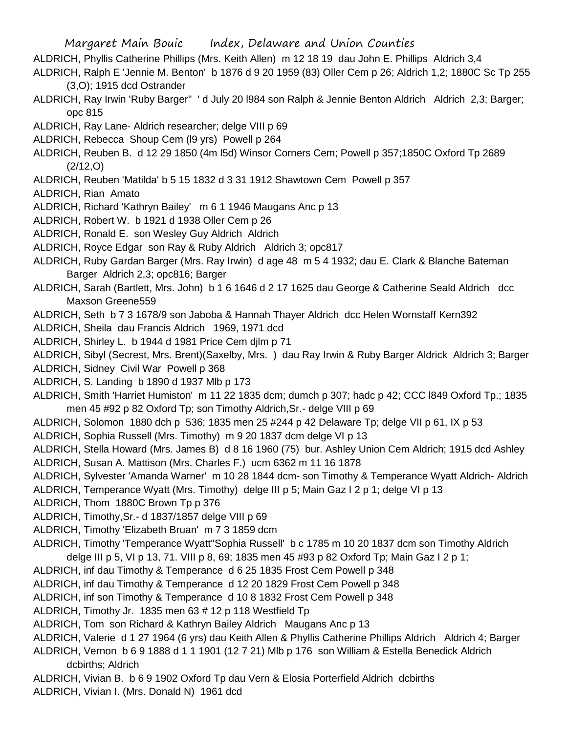- ALDRICH, Phyllis Catherine Phillips (Mrs. Keith Allen) m 12 18 19 dau John E. Phillips Aldrich 3,4
- ALDRICH, Ralph E 'Jennie M. Benton' b 1876 d 9 20 1959 (83) Oller Cem p 26; Aldrich 1,2; 1880C Sc Tp 255 (3,O); 1915 dcd Ostrander
- ALDRICH, Ray Irwin 'Ruby Barger'' ' d July 20 l984 son Ralph & Jennie Benton Aldrich Aldrich 2,3; Barger; opc 815
- ALDRICH, Ray Lane- Aldrich researcher; delge VIII p 69
- ALDRICH, Rebecca Shoup Cem (l9 yrs) Powell p 264
- ALDRICH, Reuben B. d 12 29 1850 (4m l5d) Winsor Corners Cem; Powell p 357;1850C Oxford Tp 2689 (2/12,O)
- ALDRICH, Reuben 'Matilda' b 5 15 1832 d 3 31 1912 Shawtown Cem Powell p 357
- ALDRICH, Rian Amato
- ALDRICH, Richard 'Kathryn Bailey' m 6 1 1946 Maugans Anc p 13
- ALDRICH, Robert W. b 1921 d 1938 Oller Cem p 26
- ALDRICH, Ronald E. son Wesley Guy Aldrich Aldrich
- ALDRICH, Royce Edgar son Ray & Ruby Aldrich Aldrich 3; opc817
- ALDRICH, Ruby Gardan Barger (Mrs. Ray Irwin) d age 48 m 5 4 1932; dau E. Clark & Blanche Bateman Barger Aldrich 2,3; opc816; Barger
- ALDRICH, Sarah (Bartlett, Mrs. John) b 1 6 1646 d 2 17 1625 dau George & Catherine Seald Aldrich dcc Maxson Greene559
- ALDRICH, Seth b 7 3 1678/9 son Jaboba & Hannah Thayer Aldrich dcc Helen Wornstaff Kern392
- ALDRICH, Sheila dau Francis Aldrich 1969, 1971 dcd
- ALDRICH, Shirley L. b 1944 d 1981 Price Cem djlm p 71
- ALDRICH, Sibyl (Secrest, Mrs. Brent)(Saxelby, Mrs. ) dau Ray Irwin & Ruby Barger Aldrick Aldrich 3; Barger
- ALDRICH, Sidney Civil War Powell p 368
- ALDRICH, S. Landing b 1890 d 1937 Mlb p 173
- ALDRICH, Smith 'Harriet Humiston' m 11 22 1835 dcm; dumch p 307; hadc p 42; CCC l849 Oxford Tp.; 1835 men 45 #92 p 82 Oxford Tp; son Timothy Aldrich,Sr.- delge VIII p 69
- ALDRICH, Solomon 1880 dch p 536; 1835 men 25 #244 p 42 Delaware Tp; delge VII p 61, IX p 53
- ALDRICH, Sophia Russell (Mrs. Timothy) m 9 20 1837 dcm delge VI p 13
- ALDRICH, Stella Howard (Mrs. James B) d 8 16 1960 (75) bur. Ashley Union Cem Aldrich; 1915 dcd Ashley
- ALDRICH, Susan A. Mattison (Mrs. Charles F.) ucm 6362 m 11 16 1878
- ALDRICH, Sylvester 'Amanda Warner' m 10 28 1844 dcm- son Timothy & Temperance Wyatt Aldrich- Aldrich
- ALDRICH, Temperance Wyatt (Mrs. Timothy) delge III p 5; Main Gaz I 2 p 1; delge VI p 13
- ALDRICH, Thom 1880C Brown Tp p 376
- ALDRICH, Timothy,Sr.- d 1837/1857 delge VIII p 69
- ALDRICH, Timothy 'Elizabeth Bruan' m 7 3 1859 dcm
- ALDRICH, Timothy 'Temperance Wyatt''Sophia Russell' b c 1785 m 10 20 1837 dcm son Timothy Aldrich delge III p 5, VI p 13, 71. VIII p 8, 69; 1835 men 45 #93 p 82 Oxford Tp; Main Gaz I 2 p 1;
- ALDRICH, inf dau Timothy & Temperance d 6 25 1835 Frost Cem Powell p 348
- ALDRICH, inf dau Timothy & Temperance d 12 20 1829 Frost Cem Powell p 348
- ALDRICH, inf son Timothy & Temperance d 10 8 1832 Frost Cem Powell p 348
- ALDRICH, Timothy Jr. 1835 men 63 # 12 p 118 Westfield Tp
- ALDRICH, Tom son Richard & Kathryn Bailey Aldrich Maugans Anc p 13
- ALDRICH, Valerie d 1 27 1964 (6 yrs) dau Keith Allen & Phyllis Catherine Phillips Aldrich Aldrich 4; Barger
- ALDRICH, Vernon b 6 9 1888 d 1 1 1901 (12 7 21) Mlb p 176 son William & Estella Benedick Aldrich dcbirths; Aldrich
- ALDRICH, Vivian B. b 6 9 1902 Oxford Tp dau Vern & Elosia Porterfield Aldrich dcbirths
- ALDRICH, Vivian I. (Mrs. Donald N) 1961 dcd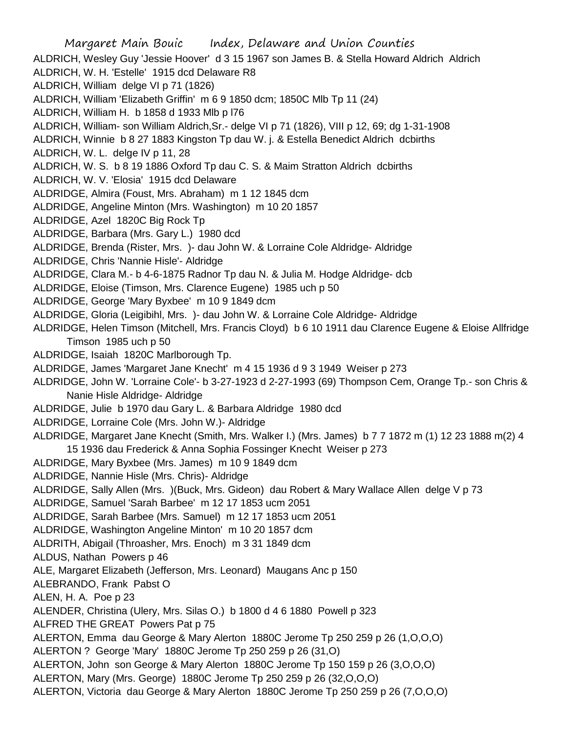Margaret Main Bouic Index, Delaware and Union Counties ALDRICH, Wesley Guy 'Jessie Hoover' d 3 15 1967 son James B. & Stella Howard Aldrich Aldrich ALDRICH, W. H. 'Estelle' 1915 dcd Delaware R8 ALDRICH, William delge VI p 71 (1826) ALDRICH, William 'Elizabeth Griffin' m 6 9 1850 dcm; 1850C Mlb Tp 11 (24) ALDRICH, William H. b 1858 d 1933 Mlb p l76 ALDRICH, William- son William Aldrich,Sr.- delge VI p 71 (1826), VIII p 12, 69; dg 1-31-1908 ALDRICH, Winnie b 8 27 1883 Kingston Tp dau W. j. & Estella Benedict Aldrich dcbirths ALDRICH, W. L. delge IV p 11, 28 ALDRICH, W. S. b 8 19 1886 Oxford Tp dau C. S. & Maim Stratton Aldrich dcbirths ALDRICH, W. V. 'Elosia' 1915 dcd Delaware ALDRIDGE, Almira (Foust, Mrs. Abraham) m 1 12 1845 dcm ALDRIDGE, Angeline Minton (Mrs. Washington) m 10 20 1857 ALDRIDGE, Azel 1820C Big Rock Tp ALDRIDGE, Barbara (Mrs. Gary L.) 1980 dcd ALDRIDGE, Brenda (Rister, Mrs. )- dau John W. & Lorraine Cole Aldridge- Aldridge ALDRIDGE, Chris 'Nannie Hisle'- Aldridge ALDRIDGE, Clara M.- b 4-6-1875 Radnor Tp dau N. & Julia M. Hodge Aldridge- dcb ALDRIDGE, Eloise (Timson, Mrs. Clarence Eugene) 1985 uch p 50 ALDRIDGE, George 'Mary Byxbee' m 10 9 1849 dcm ALDRIDGE, Gloria (Leigibihl, Mrs. )- dau John W. & Lorraine Cole Aldridge- Aldridge ALDRIDGE, Helen Timson (Mitchell, Mrs. Francis Cloyd) b 6 10 1911 dau Clarence Eugene & Eloise Allfridge Timson 1985 uch p 50 ALDRIDGE, Isaiah 1820C Marlborough Tp. ALDRIDGE, James 'Margaret Jane Knecht' m 4 15 1936 d 9 3 1949 Weiser p 273 ALDRIDGE, John W. 'Lorraine Cole'- b 3-27-1923 d 2-27-1993 (69) Thompson Cem, Orange Tp.- son Chris & Nanie Hisle Aldridge- Aldridge ALDRIDGE, Julie b 1970 dau Gary L. & Barbara Aldridge 1980 dcd ALDRIDGE, Lorraine Cole (Mrs. John W.)- Aldridge ALDRIDGE, Margaret Jane Knecht (Smith, Mrs. Walker I.) (Mrs. James) b 7 7 1872 m (1) 12 23 1888 m(2) 4 15 1936 dau Frederick & Anna Sophia Fossinger Knecht Weiser p 273 ALDRIDGE, Mary Byxbee (Mrs. James) m 10 9 1849 dcm ALDRIDGE, Nannie Hisle (Mrs. Chris)- Aldridge ALDRIDGE, Sally Allen (Mrs. )(Buck, Mrs. Gideon) dau Robert & Mary Wallace Allen delge V p 73 ALDRIDGE, Samuel 'Sarah Barbee' m 12 17 1853 ucm 2051 ALDRIDGE, Sarah Barbee (Mrs. Samuel) m 12 17 1853 ucm 2051 ALDRIDGE, Washington Angeline Minton' m 10 20 1857 dcm ALDRITH, Abigail (Throasher, Mrs. Enoch) m 3 31 1849 dcm ALDUS, Nathan Powers p 46 ALE, Margaret Elizabeth (Jefferson, Mrs. Leonard) Maugans Anc p 150 ALEBRANDO, Frank Pabst O ALEN, H. A. Poe p 23 ALENDER, Christina (Ulery, Mrs. Silas O.) b 1800 d 4 6 1880 Powell p 323 ALFRED THE GREAT Powers Pat p 75 ALERTON, Emma dau George & Mary Alerton 1880C Jerome Tp 250 259 p 26 (1,O,O,O) ALERTON ? George 'Mary' 1880C Jerome Tp 250 259 p 26 (31,O) ALERTON, John son George & Mary Alerton 1880C Jerome Tp 150 159 p 26 (3,O,O,O) ALERTON, Mary (Mrs. George) 1880C Jerome Tp 250 259 p 26 (32,O,O,O) ALERTON, Victoria dau George & Mary Alerton 1880C Jerome Tp 250 259 p 26 (7,O,O,O)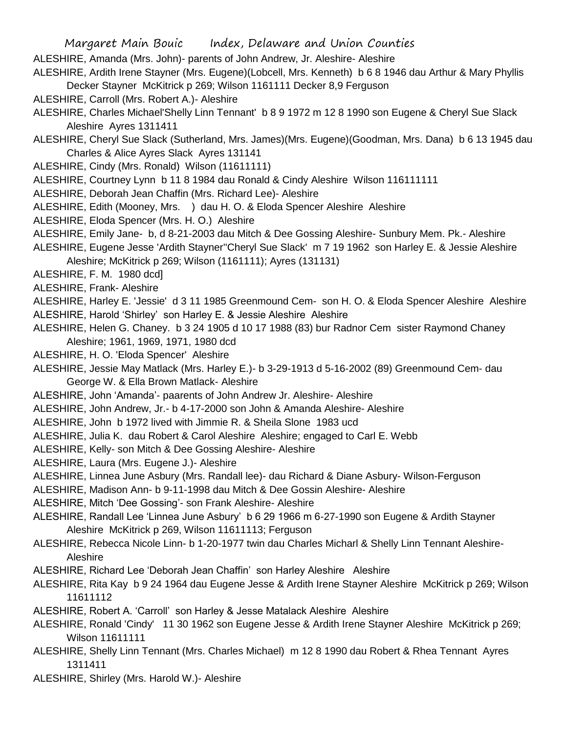Margaret Main Bouic Index, Delaware and Union Counties ALESHIRE, Amanda (Mrs. John)- parents of John Andrew, Jr. Aleshire- Aleshire ALESHIRE, Ardith Irene Stayner (Mrs. Eugene)(Lobcell, Mrs. Kenneth) b 6 8 1946 dau Arthur & Mary Phyllis Decker Stayner McKitrick p 269; Wilson 1161111 Decker 8,9 Ferguson ALESHIRE, Carroll (Mrs. Robert A.)- Aleshire ALESHIRE, Charles Michael'Shelly Linn Tennant' b 8 9 1972 m 12 8 1990 son Eugene & Cheryl Sue Slack Aleshire Ayres 1311411 ALESHIRE, Cheryl Sue Slack (Sutherland, Mrs. James)(Mrs. Eugene)(Goodman, Mrs. Dana) b 6 13 1945 dau Charles & Alice Ayres Slack Ayres 131141 ALESHIRE, Cindy (Mrs. Ronald) Wilson (11611111) ALESHIRE, Courtney Lynn b 11 8 1984 dau Ronald & Cindy Aleshire Wilson 116111111 ALESHIRE, Deborah Jean Chaffin (Mrs. Richard Lee)- Aleshire ALESHIRE, Edith (Mooney, Mrs. ) dau H. O. & Eloda Spencer Aleshire Aleshire ALESHIRE, Eloda Spencer (Mrs. H. O.) Aleshire ALESHIRE, Emily Jane- b, d 8-21-2003 dau Mitch & Dee Gossing Aleshire- Sunbury Mem. Pk.- Aleshire ALESHIRE, Eugene Jesse 'Ardith Stayner''Cheryl Sue Slack' m 7 19 1962 son Harley E. & Jessie Aleshire Aleshire; McKitrick p 269; Wilson (1161111); Ayres (131131) ALESHIRE, F. M. 1980 dcd] ALESHIRE, Frank- Aleshire ALESHIRE, Harley E. 'Jessie' d 3 11 1985 Greenmound Cem- son H. O. & Eloda Spencer Aleshire Aleshire

- ALESHIRE, Harold 'Shirley' son Harley E. & Jessie Aleshire Aleshire
- ALESHIRE, Helen G. Chaney. b 3 24 1905 d 10 17 1988 (83) bur Radnor Cem sister Raymond Chaney Aleshire; 1961, 1969, 1971, 1980 dcd
- ALESHIRE, H. O. 'Eloda Spencer' Aleshire
- ALESHIRE, Jessie May Matlack (Mrs. Harley E.)- b 3-29-1913 d 5-16-2002 (89) Greenmound Cem- dau George W. & Ella Brown Matlack- Aleshire
- ALESHIRE, John 'Amanda'- paarents of John Andrew Jr. Aleshire- Aleshire
- ALESHIRE, John Andrew, Jr.- b 4-17-2000 son John & Amanda Aleshire- Aleshire
- ALESHIRE, John b 1972 lived with Jimmie R. & Sheila Slone 1983 ucd
- ALESHIRE, Julia K. dau Robert & Carol Aleshire Aleshire; engaged to Carl E. Webb
- ALESHIRE, Kelly- son Mitch & Dee Gossing Aleshire- Aleshire
- ALESHIRE, Laura (Mrs. Eugene J.)- Aleshire
- ALESHIRE, Linnea June Asbury (Mrs. Randall lee)- dau Richard & Diane Asbury- Wilson-Ferguson
- ALESHIRE, Madison Ann- b 9-11-1998 dau Mitch & Dee Gossin Aleshire- Aleshire
- ALESHIRE, Mitch 'Dee Gossing'- son Frank Aleshire- Aleshire
- ALESHIRE, Randall Lee 'Linnea June Asbury' b 6 29 1966 m 6-27-1990 son Eugene & Ardith Stayner Aleshire McKitrick p 269, Wilson 11611113; Ferguson
- ALESHIRE, Rebecca Nicole Linn- b 1-20-1977 twin dau Charles Micharl & Shelly Linn Tennant Aleshire-Aleshire
- ALESHIRE, Richard Lee 'Deborah Jean Chaffin' son Harley Aleshire Aleshire
- ALESHIRE, Rita Kay b 9 24 1964 dau Eugene Jesse & Ardith Irene Stayner Aleshire McKitrick p 269; Wilson 11611112
- ALESHIRE, Robert A. 'Carroll' son Harley & Jesse Matalack Aleshire Aleshire
- ALESHIRE, Ronald 'Cindy' 11 30 1962 son Eugene Jesse & Ardith Irene Stayner Aleshire McKitrick p 269; Wilson 11611111
- ALESHIRE, Shelly Linn Tennant (Mrs. Charles Michael) m 12 8 1990 dau Robert & Rhea Tennant Ayres 1311411
- ALESHIRE, Shirley (Mrs. Harold W.)- Aleshire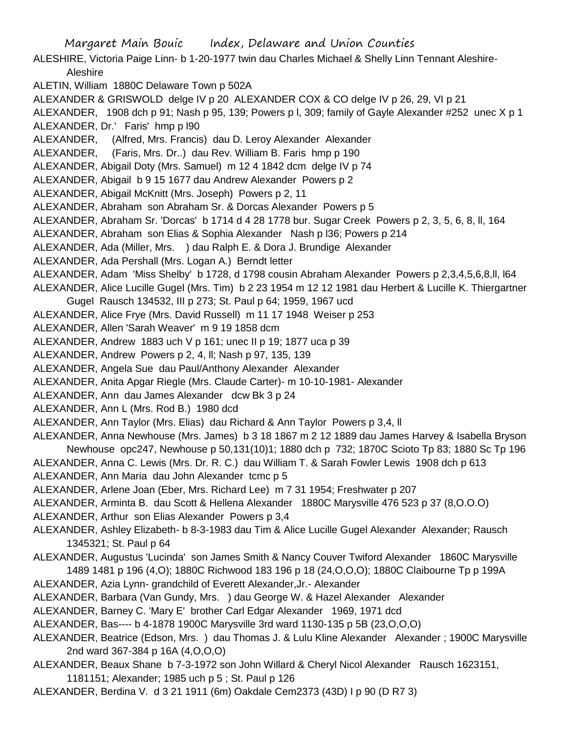Margaret Main Bouic Index, Delaware and Union Counties ALESHIRE, Victoria Paige Linn- b 1-20-1977 twin dau Charles Michael & Shelly Linn Tennant Aleshire-Aleshire ALETIN, William 1880C Delaware Town p 502A ALEXANDER & GRISWOLD delge IV p 20 ALEXANDER COX & CO delge IV p 26, 29, VI p 21 ALEXANDER, 1908 dch p 91; Nash p 95, 139; Powers p l, 309; family of Gayle Alexander #252 unec X p 1 ALEXANDER, Dr.' Faris' hmp p l90 ALEXANDER, (Alfred, Mrs. Francis) dau D. Leroy Alexander Alexander ALEXANDER, (Faris, Mrs. Dr..) dau Rev. William B. Faris hmp p 190 ALEXANDER, Abigail Doty (Mrs. Samuel) m 12 4 1842 dcm delge IV p 74 ALEXANDER, Abigail b 9 15 1677 dau Andrew Alexander Powers p 2 ALEXANDER, Abigail McKnitt (Mrs. Joseph) Powers p 2, 11 ALEXANDER, Abraham son Abraham Sr. & Dorcas Alexander Powers p 5 ALEXANDER, Abraham Sr. 'Dorcas' b 1714 d 4 28 1778 bur. Sugar Creek Powers p 2, 3, 5, 6, 8, ll, 164 ALEXANDER, Abraham son Elias & Sophia Alexander Nash p l36; Powers p 214 ALEXANDER, Ada (Miller, Mrs. ) dau Ralph E. & Dora J. Brundige Alexander ALEXANDER, Ada Pershall (Mrs. Logan A.) Berndt letter ALEXANDER, Adam 'Miss Shelby' b 1728, d 1798 cousin Abraham Alexander Powers p 2,3,4,5,6,8,ll, l64 ALEXANDER, Alice Lucille Gugel (Mrs. Tim) b 2 23 1954 m 12 12 1981 dau Herbert & Lucille K. Thiergartner Gugel Rausch 134532, III p 273; St. Paul p 64; 1959, 1967 ucd ALEXANDER, Alice Frye (Mrs. David Russell) m 11 17 1948 Weiser p 253 ALEXANDER, Allen 'Sarah Weaver' m 9 19 1858 dcm ALEXANDER, Andrew 1883 uch V p 161; unec II p 19; 1877 uca p 39 ALEXANDER, Andrew Powers p 2, 4, ll; Nash p 97, 135, 139 ALEXANDER, Angela Sue dau Paul/Anthony Alexander Alexander ALEXANDER, Anita Apgar Riegle (Mrs. Claude Carter)- m 10-10-1981- Alexander ALEXANDER, Ann dau James Alexander dcw Bk 3 p 24 ALEXANDER, Ann L (Mrs. Rod B.) 1980 dcd ALEXANDER, Ann Taylor (Mrs. Elias) dau Richard & Ann Taylor Powers p 3,4, ll ALEXANDER, Anna Newhouse (Mrs. James) b 3 18 1867 m 2 12 1889 dau James Harvey & Isabella Bryson Newhouse opc247, Newhouse p 50,131(10)1; 1880 dch p 732; 1870C Scioto Tp 83; 1880 Sc Tp 196 ALEXANDER, Anna C. Lewis (Mrs. Dr. R. C.) dau William T. & Sarah Fowler Lewis 1908 dch p 613 ALEXANDER, Ann Maria dau John Alexander tcmc p 5 ALEXANDER, Arlene Joan (Eber, Mrs. Richard Lee) m 7 31 1954; Freshwater p 207 ALEXANDER, Arminta B. dau Scott & Hellena Alexander 1880C Marysville 476 523 p 37 (8,O.O.O) ALEXANDER, Arthur son Elias Alexander Powers p 3,4 ALEXANDER, Ashley Elizabeth- b 8-3-1983 dau Tim & Alice Lucille Gugel Alexander Alexander; Rausch 1345321; St. Paul p 64 ALEXANDER, Augustus 'Lucinda' son James Smith & Nancy Couver Twiford Alexander 1860C Marysville 1489 1481 p 196 (4,O); 1880C Richwood 183 196 p 18 (24,O,O,O); 1880C Claibourne Tp p 199A ALEXANDER, Azia Lynn- grandchild of Everett Alexander,Jr.- Alexander ALEXANDER, Barbara (Van Gundy, Mrs. ) dau George W. & Hazel Alexander Alexander ALEXANDER, Barney C. 'Mary E' brother Carl Edgar Alexander 1969, 1971 dcd

ALEXANDER, Bas---- b 4-1878 1900C Marysville 3rd ward 1130-135 p 5B (23,O,O,O)

- ALEXANDER, Beatrice (Edson, Mrs. ) dau Thomas J. & Lulu Kline Alexander Alexander ; 1900C Marysville 2nd ward 367-384 p 16A (4,O,O,O)
- ALEXANDER, Beaux Shane b 7-3-1972 son John Willard & Cheryl Nicol Alexander Rausch 1623151, 1181151; Alexander; 1985 uch p 5 ; St. Paul p 126
- ALEXANDER, Berdina V. d 3 21 1911 (6m) Oakdale Cem2373 (43D) I p 90 (D R7 3)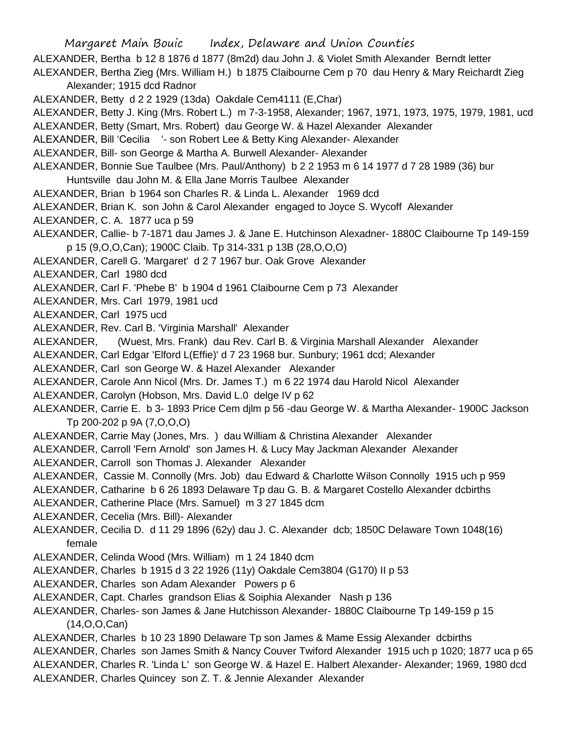Margaret Main Bouic Index, Delaware and Union Counties ALEXANDER, Bertha b 12 8 1876 d 1877 (8m2d) dau John J. & Violet Smith Alexander Berndt letter ALEXANDER, Bertha Zieg (Mrs. William H.) b 1875 Claibourne Cem p 70 dau Henry & Mary Reichardt Zieg Alexander; 1915 dcd Radnor ALEXANDER, Betty d 2 2 1929 (13da) Oakdale Cem4111 (E,Char) ALEXANDER, Betty J. King (Mrs. Robert L.) m 7-3-1958, Alexander; 1967, 1971, 1973, 1975, 1979, 1981, ucd ALEXANDER, Betty (Smart, Mrs. Robert) dau George W. & Hazel Alexander Alexander ALEXANDER, Bill 'Cecilia '- son Robert Lee & Betty King Alexander- Alexander ALEXANDER, Bill- son George & Martha A. Burwell Alexander- Alexander ALEXANDER, Bonnie Sue Taulbee (Mrs. Paul/Anthony) b 2 2 1953 m 6 14 1977 d 7 28 1989 (36) bur Huntsville dau John M. & Ella Jane Morris Taulbee Alexander ALEXANDER, Brian b 1964 son Charles R. & Linda L. Alexander 1969 dcd ALEXANDER, Brian K. son John & Carol Alexander engaged to Joyce S. Wycoff Alexander ALEXANDER, C. A. 1877 uca p 59 ALEXANDER, Callie- b 7-1871 dau James J. & Jane E. Hutchinson Alexadner- 1880C Claibourne Tp 149-159 p 15 (9,O,O,Can); 1900C Claib. Tp 314-331 p 13B (28,O,O,O) ALEXANDER, Carell G. 'Margaret' d 2 7 1967 bur. Oak Grove Alexander ALEXANDER, Carl 1980 dcd ALEXANDER, Carl F. 'Phebe B' b 1904 d 1961 Claibourne Cem p 73 Alexander ALEXANDER, Mrs. Carl 1979, 1981 ucd ALEXANDER, Carl 1975 ucd ALEXANDER, Rev. Carl B. 'Virginia Marshall' Alexander ALEXANDER, (Wuest, Mrs. Frank) dau Rev. Carl B. & Virginia Marshall Alexander Alexander ALEXANDER, Carl Edgar 'Elford L(Effie)' d 7 23 1968 bur. Sunbury; 1961 dcd; Alexander ALEXANDER, Carl son George W. & Hazel Alexander Alexander ALEXANDER, Carole Ann Nicol (Mrs. Dr. James T.) m 6 22 1974 dau Harold Nicol Alexander ALEXANDER, Carolyn (Hobson, Mrs. David L.0 delge IV p 62 ALEXANDER, Carrie E. b 3- 1893 Price Cem djlm p 56 -dau George W. & Martha Alexander- 1900C Jackson Tp 200-202 p 9A (7,O,O,O) ALEXANDER, Carrie May (Jones, Mrs. ) dau William & Christina Alexander Alexander ALEXANDER, Carroll 'Fern Arnold' son James H. & Lucy May Jackman Alexander Alexander ALEXANDER, Carroll son Thomas J. Alexander Alexander ALEXANDER, Cassie M. Connolly (Mrs. Job) dau Edward & Charlotte Wilson Connolly 1915 uch p 959 ALEXANDER, Catharine b 6 26 1893 Delaware Tp dau G. B. & Margaret Costello Alexander dcbirths ALEXANDER, Catherine Place (Mrs. Samuel) m 3 27 1845 dcm ALEXANDER, Cecelia (Mrs. Bill)- Alexander ALEXANDER, Cecilia D. d 11 29 1896 (62y) dau J. C. Alexander dcb; 1850C Delaware Town 1048(16) female ALEXANDER, Celinda Wood (Mrs. William) m 1 24 1840 dcm ALEXANDER, Charles b 1915 d 3 22 1926 (11y) Oakdale Cem3804 (G170) II p 53 ALEXANDER, Charles son Adam Alexander Powers p 6 ALEXANDER, Capt. Charles grandson Elias & Soiphia Alexander Nash p 136 ALEXANDER, Charles- son James & Jane Hutchisson Alexander- 1880C Claibourne Tp 149-159 p 15 (14,O,O,Can) ALEXANDER, Charles b 10 23 1890 Delaware Tp son James & Mame Essig Alexander dcbirths ALEXANDER, Charles son James Smith & Nancy Couver Twiford Alexander 1915 uch p 1020; 1877 uca p 65 ALEXANDER, Charles R. 'Linda L' son George W. & Hazel E. Halbert Alexander- Alexander; 1969, 1980 dcd ALEXANDER, Charles Quincey son Z. T. & Jennie Alexander Alexander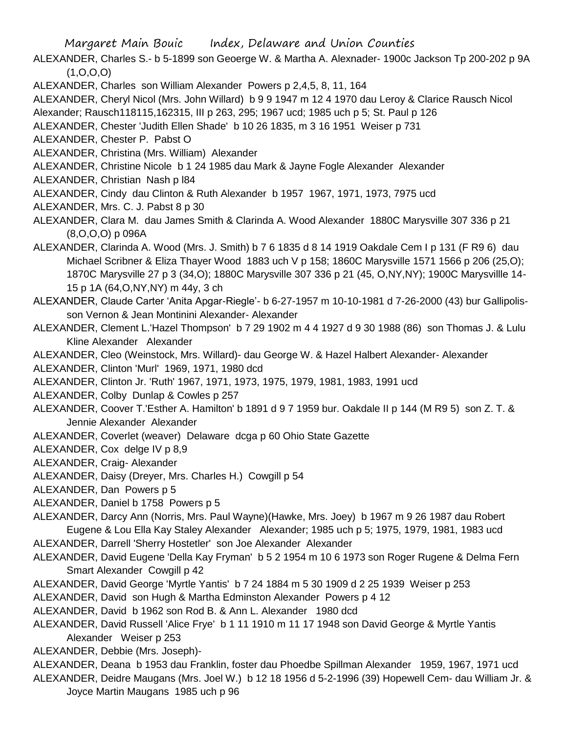- ALEXANDER, Charles S.- b 5-1899 son Geoerge W. & Martha A. Alexnader- 1900c Jackson Tp 200-202 p 9A  $(1, 0, 0, 0)$
- ALEXANDER, Charles son William Alexander Powers p 2,4,5, 8, 11, 164

ALEXANDER, Cheryl Nicol (Mrs. John Willard) b 9 9 1947 m 12 4 1970 dau Leroy & Clarice Rausch Nicol

Alexander; Rausch118115,162315, III p 263, 295; 1967 ucd; 1985 uch p 5; St. Paul p 126

ALEXANDER, Chester 'Judith Ellen Shade' b 10 26 1835, m 3 16 1951 Weiser p 731

ALEXANDER, Chester P. Pabst O

- ALEXANDER, Christina (Mrs. William) Alexander
- ALEXANDER, Christine Nicole b 1 24 1985 dau Mark & Jayne Fogle Alexander Alexander
- ALEXANDER, Christian Nash p l84
- ALEXANDER, Cindy dau Clinton & Ruth Alexander b 1957 1967, 1971, 1973, 7975 ucd
- ALEXANDER, Mrs. C. J. Pabst 8 p 30
- ALEXANDER, Clara M. dau James Smith & Clarinda A. Wood Alexander 1880C Marysville 307 336 p 21 (8,O,O,O) p 096A
- ALEXANDER, Clarinda A. Wood (Mrs. J. Smith) b 7 6 1835 d 8 14 1919 Oakdale Cem I p 131 (F R9 6) dau Michael Scribner & Eliza Thayer Wood 1883 uch V p 158; 1860C Marysville 1571 1566 p 206 (25,O); 1870C Marysville 27 p 3 (34,O); 1880C Marysville 307 336 p 21 (45, O,NY,NY); 1900C Marysvillle 14- 15 p 1A (64,O,NY,NY) m 44y, 3 ch
- ALEXANDER, Claude Carter 'Anita Apgar-Riegle'- b 6-27-1957 m 10-10-1981 d 7-26-2000 (43) bur Gallipolisson Vernon & Jean Montinini Alexander- Alexander
- ALEXANDER, Clement L.'Hazel Thompson' b 7 29 1902 m 4 4 1927 d 9 30 1988 (86) son Thomas J. & Lulu Kline Alexander Alexander
- ALEXANDER, Cleo (Weinstock, Mrs. Willard)- dau George W. & Hazel Halbert Alexander- Alexander
- ALEXANDER, Clinton 'Murl' 1969, 1971, 1980 dcd
- ALEXANDER, Clinton Jr. 'Ruth' 1967, 1971, 1973, 1975, 1979, 1981, 1983, 1991 ucd
- ALEXANDER, Colby Dunlap & Cowles p 257
- ALEXANDER, Coover T.'Esther A. Hamilton' b 1891 d 9 7 1959 bur. Oakdale II p 144 (M R9 5) son Z. T. & Jennie Alexander Alexander
- ALEXANDER, Coverlet (weaver) Delaware dcga p 60 Ohio State Gazette
- ALEXANDER, Cox delge IV p 8,9
- ALEXANDER, Craig- Alexander
- ALEXANDER, Daisy (Dreyer, Mrs. Charles H.) Cowgill p 54
- ALEXANDER, Dan Powers p 5
- ALEXANDER, Daniel b 1758 Powers p 5
- ALEXANDER, Darcy Ann (Norris, Mrs. Paul Wayne)(Hawke, Mrs. Joey) b 1967 m 9 26 1987 dau Robert Eugene & Lou Ella Kay Staley Alexander Alexander; 1985 uch p 5; 1975, 1979, 1981, 1983 ucd
- ALEXANDER, Darrell 'Sherry Hostetler' son Joe Alexander Alexander
- ALEXANDER, David Eugene 'Della Kay Fryman' b 5 2 1954 m 10 6 1973 son Roger Rugene & Delma Fern Smart Alexander Cowgill p 42
- ALEXANDER, David George 'Myrtle Yantis' b 7 24 1884 m 5 30 1909 d 2 25 1939 Weiser p 253
- ALEXANDER, David son Hugh & Martha Edminston Alexander Powers p 4 12
- ALEXANDER, David b 1962 son Rod B. & Ann L. Alexander 1980 dcd
- ALEXANDER, David Russell 'Alice Frye' b 1 11 1910 m 11 17 1948 son David George & Myrtle Yantis Alexander Weiser p 253
- ALEXANDER, Debbie (Mrs. Joseph)-
- ALEXANDER, Deana b 1953 dau Franklin, foster dau Phoedbe Spillman Alexander 1959, 1967, 1971 ucd
- ALEXANDER, Deidre Maugans (Mrs. Joel W.) b 12 18 1956 d 5-2-1996 (39) Hopewell Cem- dau William Jr. & Joyce Martin Maugans 1985 uch p 96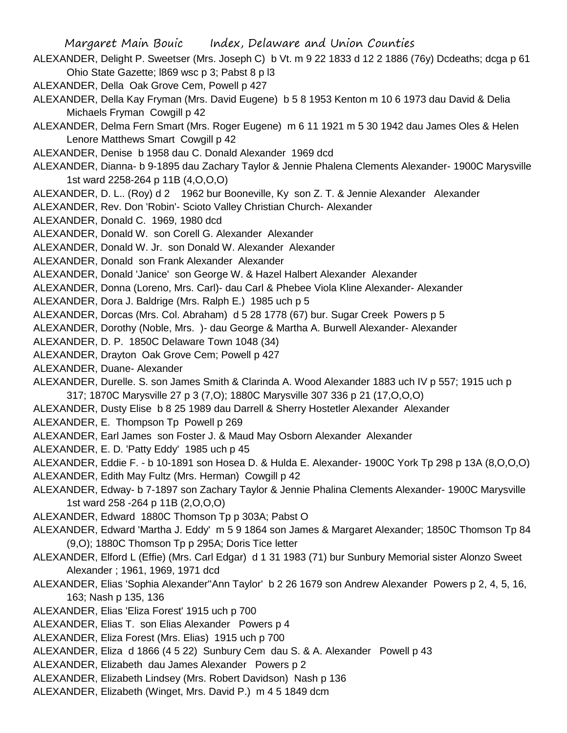- Margaret Main Bouic Index, Delaware and Union Counties ALEXANDER, Delight P. Sweetser (Mrs. Joseph C) b Vt. m 9 22 1833 d 12 2 1886 (76y) Dcdeaths; dcga p 61 Ohio State Gazette; l869 wsc p 3; Pabst 8 p l3 ALEXANDER, Della Oak Grove Cem, Powell p 427 ALEXANDER, Della Kay Fryman (Mrs. David Eugene) b 5 8 1953 Kenton m 10 6 1973 dau David & Delia Michaels Fryman Cowgill p 42 ALEXANDER, Delma Fern Smart (Mrs. Roger Eugene) m 6 11 1921 m 5 30 1942 dau James Oles & Helen Lenore Matthews Smart Cowgill p 42 ALEXANDER, Denise b 1958 dau C. Donald Alexander 1969 dcd ALEXANDER, Dianna- b 9-1895 dau Zachary Taylor & Jennie Phalena Clements Alexander- 1900C Marysville 1st ward 2258-264 p 11B (4,O,O,O) ALEXANDER, D. L.. (Roy) d 2 1962 bur Booneville, Ky son Z. T. & Jennie Alexander Alexander ALEXANDER, Rev. Don 'Robin'- Scioto Valley Christian Church- Alexander ALEXANDER, Donald C. 1969, 1980 dcd ALEXANDER, Donald W. son Corell G. Alexander Alexander ALEXANDER, Donald W. Jr. son Donald W. Alexander Alexander ALEXANDER, Donald son Frank Alexander Alexander ALEXANDER, Donald 'Janice' son George W. & Hazel Halbert Alexander Alexander ALEXANDER, Donna (Loreno, Mrs. Carl)- dau Carl & Phebee Viola Kline Alexander- Alexander ALEXANDER, Dora J. Baldrige (Mrs. Ralph E.) 1985 uch p 5 ALEXANDER, Dorcas (Mrs. Col. Abraham) d 5 28 1778 (67) bur. Sugar Creek Powers p 5 ALEXANDER, Dorothy (Noble, Mrs. )- dau George & Martha A. Burwell Alexander- Alexander ALEXANDER, D. P. 1850C Delaware Town 1048 (34) ALEXANDER, Drayton Oak Grove Cem; Powell p 427 ALEXANDER, Duane- Alexander ALEXANDER, Durelle. S. son James Smith & Clarinda A. Wood Alexander 1883 uch IV p 557; 1915 uch p 317; 1870C Marysville 27 p 3 (7,O); 1880C Marysville 307 336 p 21 (17,O,O,O) ALEXANDER, Dusty Elise b 8 25 1989 dau Darrell & Sherry Hostetler Alexander Alexander ALEXANDER, E. Thompson Tp Powell p 269 ALEXANDER, Earl James son Foster J. & Maud May Osborn Alexander Alexander ALEXANDER, E. D. 'Patty Eddy' 1985 uch p 45 ALEXANDER, Eddie F. - b 10-1891 son Hosea D. & Hulda E. Alexander- 1900C York Tp 298 p 13A (8,O,O,O) ALEXANDER, Edith May Fultz (Mrs. Herman) Cowgill p 42 ALEXANDER, Edway- b 7-1897 son Zachary Taylor & Jennie Phalina Clements Alexander- 1900C Marysville 1st ward 258 -264 p 11B (2,O,O,O) ALEXANDER, Edward 1880C Thomson Tp p 303A; Pabst O ALEXANDER, Edward 'Martha J. Eddy' m 5 9 1864 son James & Margaret Alexander; 1850C Thomson Tp 84 (9,O); 1880C Thomson Tp p 295A; Doris Tice letter ALEXANDER, Elford L (Effie) (Mrs. Carl Edgar) d 1 31 1983 (71) bur Sunbury Memorial sister Alonzo Sweet Alexander ; 1961, 1969, 1971 dcd ALEXANDER, Elias 'Sophia Alexander''Ann Taylor' b 2 26 1679 son Andrew Alexander Powers p 2, 4, 5, 16, 163; Nash p 135, 136 ALEXANDER, Elias 'Eliza Forest' 1915 uch p 700
	- ALEXANDER, Elias T. son Elias Alexander Powers p 4
	- ALEXANDER, Eliza Forest (Mrs. Elias) 1915 uch p 700
	- ALEXANDER, Eliza d 1866 (4 5 22) Sunbury Cem dau S. & A. Alexander Powell p 43
	- ALEXANDER, Elizabeth dau James Alexander Powers p 2
	- ALEXANDER, Elizabeth Lindsey (Mrs. Robert Davidson) Nash p 136
	- ALEXANDER, Elizabeth (Winget, Mrs. David P.) m 4 5 1849 dcm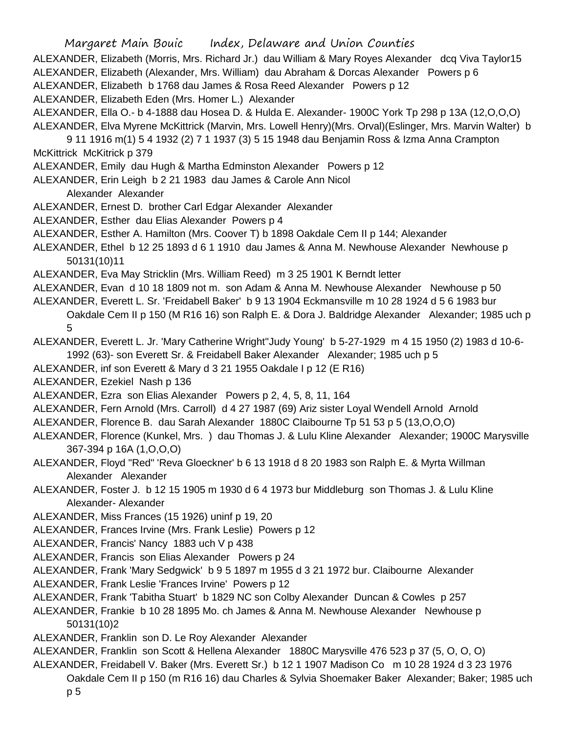Margaret Main Bouic Index, Delaware and Union Counties ALEXANDER, Elizabeth (Morris, Mrs. Richard Jr.) dau William & Mary Royes Alexander dcq Viva Taylor15 ALEXANDER, Elizabeth (Alexander, Mrs. William) dau Abraham & Dorcas Alexander Powers p 6 ALEXANDER, Elizabeth b 1768 dau James & Rosa Reed Alexander Powers p 12 ALEXANDER, Elizabeth Eden (Mrs. Homer L.) Alexander ALEXANDER, Ella O.- b 4-1888 dau Hosea D. & Hulda E. Alexander- 1900C York Tp 298 p 13A (12,O,O,O) ALEXANDER, Elva Myrene McKittrick (Marvin, Mrs. Lowell Henry)(Mrs. Orval)(Eslinger, Mrs. Marvin Walter) b 9 11 1916 m(1) 5 4 1932 (2) 7 1 1937 (3) 5 15 1948 dau Benjamin Ross & Izma Anna Crampton McKittrick McKitrick p 379 ALEXANDER, Emily dau Hugh & Martha Edminston Alexander Powers p 12 ALEXANDER, Erin Leigh b 2 21 1983 dau James & Carole Ann Nicol Alexander Alexander ALEXANDER, Ernest D. brother Carl Edgar Alexander Alexander ALEXANDER, Esther dau Elias Alexander Powers p 4 ALEXANDER, Esther A. Hamilton (Mrs. Coover T) b 1898 Oakdale Cem II p 144; Alexander ALEXANDER, Ethel b 12 25 1893 d 6 1 1910 dau James & Anna M. Newhouse Alexander Newhouse p 50131(10)11 ALEXANDER, Eva May Stricklin (Mrs. William Reed) m 3 25 1901 K Berndt letter ALEXANDER, Evan d 10 18 1809 not m. son Adam & Anna M. Newhouse Alexander Newhouse p 50 ALEXANDER, Everett L. Sr. 'Freidabell Baker' b 9 13 1904 Eckmansville m 10 28 1924 d 5 6 1983 bur Oakdale Cem II p 150 (M R16 16) son Ralph E. & Dora J. Baldridge Alexander Alexander; 1985 uch p 5 ALEXANDER, Everett L. Jr. 'Mary Catherine Wright''Judy Young' b 5-27-1929 m 4 15 1950 (2) 1983 d 10-6- 1992 (63)- son Everett Sr. & Freidabell Baker Alexander Alexander; 1985 uch p 5 ALEXANDER, inf son Everett & Mary d 3 21 1955 Oakdale I p 12 (E R16) ALEXANDER, Ezekiel Nash p 136 ALEXANDER, Ezra son Elias Alexander Powers p 2, 4, 5, 8, 11, 164 ALEXANDER, Fern Arnold (Mrs. Carroll) d 4 27 1987 (69) Ariz sister Loyal Wendell Arnold Arnold ALEXANDER, Florence B. dau Sarah Alexander 1880C Claibourne Tp 51 53 p 5 (13,O,O,O) ALEXANDER, Florence (Kunkel, Mrs. ) dau Thomas J. & Lulu Kline Alexander Alexander; 1900C Marysville 367-394 p 16A (1,O,O,O) ALEXANDER, Floyd "Red" 'Reva Gloeckner' b 6 13 1918 d 8 20 1983 son Ralph E. & Myrta Willman Alexander Alexander ALEXANDER, Foster J. b 12 15 1905 m 1930 d 6 4 1973 bur Middleburg son Thomas J. & Lulu Kline Alexander- Alexander ALEXANDER, Miss Frances (15 1926) uninf p 19, 20 ALEXANDER, Frances Irvine (Mrs. Frank Leslie) Powers p 12 ALEXANDER, Francis' Nancy 1883 uch V p 438 ALEXANDER, Francis son Elias Alexander Powers p 24 ALEXANDER, Frank 'Mary Sedgwick' b 9 5 1897 m 1955 d 3 21 1972 bur. Claibourne Alexander ALEXANDER, Frank Leslie 'Frances Irvine' Powers p 12 ALEXANDER, Frank 'Tabitha Stuart' b 1829 NC son Colby Alexander Duncan & Cowles p 257 ALEXANDER, Frankie b 10 28 1895 Mo. ch James & Anna M. Newhouse Alexander Newhouse p 50131(10)2 ALEXANDER, Franklin son D. Le Roy Alexander Alexander ALEXANDER, Franklin son Scott & Hellena Alexander 1880C Marysville 476 523 p 37 (5, O, O, O) ALEXANDER, Freidabell V. Baker (Mrs. Everett Sr.) b 12 1 1907 Madison Co m 10 28 1924 d 3 23 1976

Oakdale Cem II p 150 (m R16 16) dau Charles & Sylvia Shoemaker Baker Alexander; Baker; 1985 uch

p 5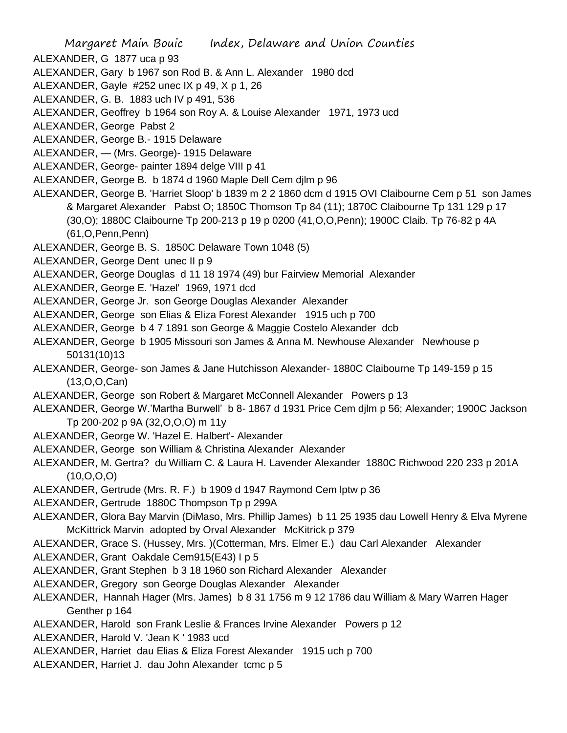- ALEXANDER, G 1877 uca p 93
- ALEXANDER, Gary b 1967 son Rod B. & Ann L. Alexander 1980 dcd
- ALEXANDER, Gayle #252 unec IX p 49, X p 1, 26
- ALEXANDER, G. B. 1883 uch IV p 491, 536
- ALEXANDER, Geoffrey b 1964 son Roy A. & Louise Alexander 1971, 1973 ucd
- ALEXANDER, George Pabst 2
- ALEXANDER, George B.- 1915 Delaware
- ALEXANDER, (Mrs. George)- 1915 Delaware
- ALEXANDER, George- painter 1894 delge VIII p 41
- ALEXANDER, George B. b 1874 d 1960 Maple Dell Cem djlm p 96
- ALEXANDER, George B. 'Harriet Sloop' b 1839 m 2 2 1860 dcm d 1915 OVI Claibourne Cem p 51 son James & Margaret Alexander Pabst O; 1850C Thomson Tp 84 (11); 1870C Claibourne Tp 131 129 p 17 (30,O); 1880C Claibourne Tp 200-213 p 19 p 0200 (41,O,O,Penn); 1900C Claib. Tp 76-82 p 4A (61,O,Penn,Penn)
- ALEXANDER, George B. S. 1850C Delaware Town 1048 (5)
- ALEXANDER, George Dent unec II p 9
- ALEXANDER, George Douglas d 11 18 1974 (49) bur Fairview Memorial Alexander
- ALEXANDER, George E. 'Hazel' 1969, 1971 dcd
- ALEXANDER, George Jr. son George Douglas Alexander Alexander
- ALEXANDER, George son Elias & Eliza Forest Alexander 1915 uch p 700
- ALEXANDER, George b 4 7 1891 son George & Maggie Costelo Alexander dcb
- ALEXANDER, George b 1905 Missouri son James & Anna M. Newhouse Alexander Newhouse p 50131(10)13
- ALEXANDER, George- son James & Jane Hutchisson Alexander- 1880C Claibourne Tp 149-159 p 15 (13,O,O,Can)
- ALEXANDER, George son Robert & Margaret McConnell Alexander Powers p 13
- ALEXANDER, George W.'Martha Burwell' b 8- 1867 d 1931 Price Cem djlm p 56; Alexander; 1900C Jackson Tp 200-202 p 9A (32,O,O,O) m 11y
- ALEXANDER, George W. 'Hazel E. Halbert'- Alexander
- ALEXANDER, George son William & Christina Alexander Alexander
- ALEXANDER, M. Gertra? du William C. & Laura H. Lavender Alexander 1880C Richwood 220 233 p 201A (10,O,O,O)
- ALEXANDER, Gertrude (Mrs. R. F.) b 1909 d 1947 Raymond Cem lptw p 36
- ALEXANDER, Gertrude 1880C Thompson Tp p 299A
- ALEXANDER, Glora Bay Marvin (DiMaso, Mrs. Phillip James) b 11 25 1935 dau Lowell Henry & Elva Myrene McKittrick Marvin adopted by Orval Alexander McKitrick p 379
- ALEXANDER, Grace S. (Hussey, Mrs. )(Cotterman, Mrs. Elmer E.) dau Carl Alexander Alexander
- ALEXANDER, Grant Oakdale Cem915(E43) I p 5
- ALEXANDER, Grant Stephen b 3 18 1960 son Richard Alexander Alexander
- ALEXANDER, Gregory son George Douglas Alexander Alexander
- ALEXANDER, Hannah Hager (Mrs. James) b 8 31 1756 m 9 12 1786 dau William & Mary Warren Hager Genther p 164
- ALEXANDER, Harold son Frank Leslie & Frances Irvine Alexander Powers p 12
- ALEXANDER, Harold V. 'Jean K ' 1983 ucd
- ALEXANDER, Harriet dau Elias & Eliza Forest Alexander 1915 uch p 700
- ALEXANDER, Harriet J. dau John Alexander tcmc p 5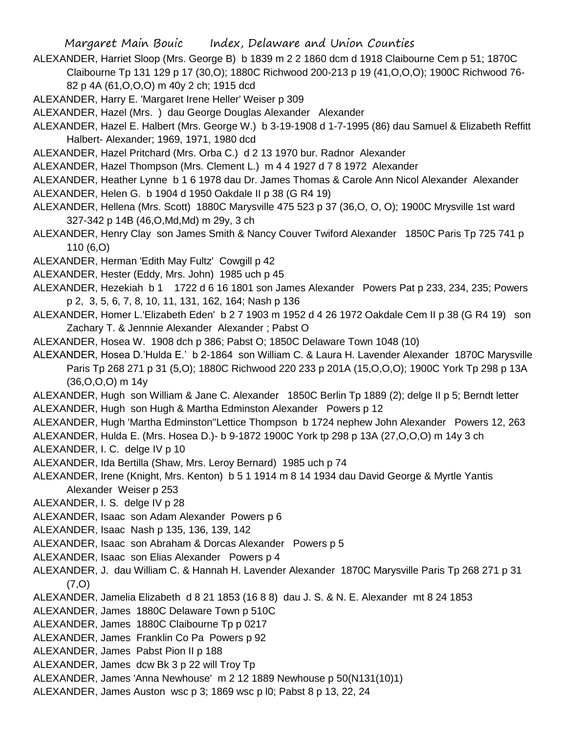- ALEXANDER, Harriet Sloop (Mrs. George B) b 1839 m 2 2 1860 dcm d 1918 Claibourne Cem p 51; 1870C Claibourne Tp 131 129 p 17 (30,O); 1880C Richwood 200-213 p 19 (41,O,O,O); 1900C Richwood 76- 82 p 4A (61,O,O,O) m 40y 2 ch; 1915 dcd
- ALEXANDER, Harry E. 'Margaret Irene Heller' Weiser p 309
- ALEXANDER, Hazel (Mrs. ) dau George Douglas Alexander Alexander
- ALEXANDER, Hazel E. Halbert (Mrs. George W.) b 3-19-1908 d 1-7-1995 (86) dau Samuel & Elizabeth Reffitt Halbert- Alexander; 1969, 1971, 1980 dcd
- ALEXANDER, Hazel Pritchard (Mrs. Orba C.) d 2 13 1970 bur. Radnor Alexander
- ALEXANDER, Hazel Thompson (Mrs. Clement L.) m 4 4 1927 d 7 8 1972 Alexander
- ALEXANDER, Heather Lynne b 1 6 1978 dau Dr. James Thomas & Carole Ann Nicol Alexander Alexander ALEXANDER, Helen G. b 1904 d 1950 Oakdale II p 38 (G R4 19)
- 
- ALEXANDER, Hellena (Mrs. Scott) 1880C Marysville 475 523 p 37 (36,O, O, O); 1900C Mrysville 1st ward 327-342 p 14B (46,O,Md,Md) m 29y, 3 ch
- ALEXANDER, Henry Clay son James Smith & Nancy Couver Twiford Alexander 1850C Paris Tp 725 741 p 110 (6,O)
- ALEXANDER, Herman 'Edith May Fultz' Cowgill p 42
- ALEXANDER, Hester (Eddy, Mrs. John) 1985 uch p 45
- ALEXANDER, Hezekiah b 1 1722 d 6 16 1801 son James Alexander Powers Pat p 233, 234, 235; Powers p 2, 3, 5, 6, 7, 8, 10, 11, 131, 162, 164; Nash p 136
- ALEXANDER, Homer L.'Elizabeth Eden' b 2 7 1903 m 1952 d 4 26 1972 Oakdale Cem II p 38 (G R4 19) son Zachary T. & Jennnie Alexander Alexander ; Pabst O
- ALEXANDER, Hosea W. 1908 dch p 386; Pabst O; 1850C Delaware Town 1048 (10)
- ALEXANDER, Hosea D.'Hulda E.' b 2-1864 son William C. & Laura H. Lavender Alexander 1870C Marysville Paris Tp 268 271 p 31 (5,O); 1880C Richwood 220 233 p 201A (15,O,O,O); 1900C York Tp 298 p 13A (36,O,O,O) m 14y
- ALEXANDER, Hugh son William & Jane C. Alexander 1850C Berlin Tp 1889 (2); delge II p 5; Berndt letter ALEXANDER, Hugh son Hugh & Martha Edminston Alexander Powers p 12
- ALEXANDER, Hugh 'Martha Edminston''Lettice Thompson b 1724 nephew John Alexander Powers 12, 263
- ALEXANDER, Hulda E. (Mrs. Hosea D.)- b 9-1872 1900C York tp 298 p 13A (27,O,O,O) m 14y 3 ch
- ALEXANDER, I. C. delge IV p 10
- ALEXANDER, Ida Bertilla (Shaw, Mrs. Leroy Bernard) 1985 uch p 74
- ALEXANDER, Irene (Knight, Mrs. Kenton) b 5 1 1914 m 8 14 1934 dau David George & Myrtle Yantis Alexander Weiser p 253
- ALEXANDER, I. S. delge IV p 28
- ALEXANDER, Isaac son Adam Alexander Powers p 6
- ALEXANDER, Isaac Nash p 135, 136, 139, 142
- ALEXANDER, Isaac son Abraham & Dorcas Alexander Powers p 5
- ALEXANDER, Isaac son Elias Alexander Powers p 4
- ALEXANDER, J. dau William C. & Hannah H. Lavender Alexander 1870C Marysville Paris Tp 268 271 p 31 (7,O)
- ALEXANDER, Jamelia Elizabeth d 8 21 1853 (16 8 8) dau J. S. & N. E. Alexander mt 8 24 1853
- ALEXANDER, James 1880C Delaware Town p 510C
- ALEXANDER, James 1880C Claibourne Tp p 0217
- ALEXANDER, James Franklin Co Pa Powers p 92
- ALEXANDER, James Pabst Pion II p 188
- ALEXANDER, James dcw Bk 3 p 22 will Troy Tp
- ALEXANDER, James 'Anna Newhouse' m 2 12 1889 Newhouse p 50(N131(10)1)
- ALEXANDER, James Auston wsc p 3; 1869 wsc p l0; Pabst 8 p 13, 22, 24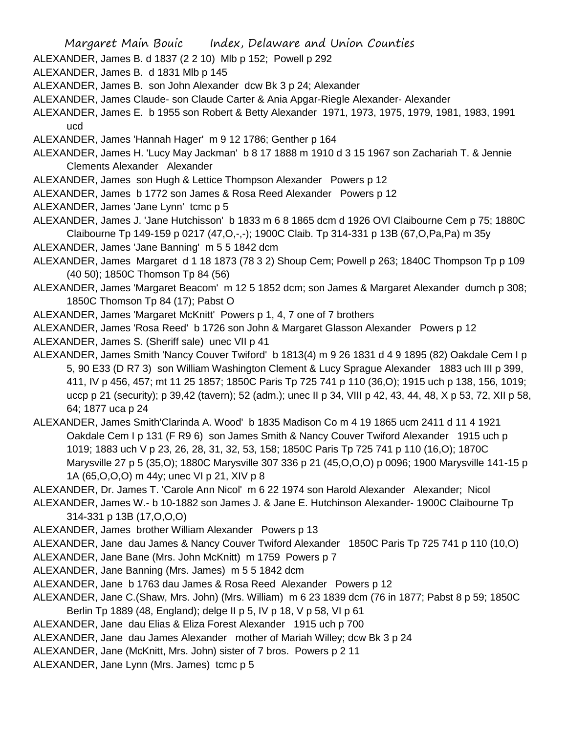ALEXANDER, James B. d 1837 (2 2 10) Mlb p 152; Powell p 292

ALEXANDER, James B. d 1831 Mlb p 145

- ALEXANDER, James B. son John Alexander dcw Bk 3 p 24; Alexander
- ALEXANDER, James Claude- son Claude Carter & Ania Apgar-Riegle Alexander- Alexander
- ALEXANDER, James E. b 1955 son Robert & Betty Alexander 1971, 1973, 1975, 1979, 1981, 1983, 1991 ucd
- ALEXANDER, James 'Hannah Hager' m 9 12 1786; Genther p 164
- ALEXANDER, James H. 'Lucy May Jackman' b 8 17 1888 m 1910 d 3 15 1967 son Zachariah T. & Jennie Clements Alexander Alexander
- ALEXANDER, James son Hugh & Lettice Thompson Alexander Powers p 12
- ALEXANDER, James b 1772 son James & Rosa Reed Alexander Powers p 12
- ALEXANDER, James 'Jane Lynn' tcmc p 5
- ALEXANDER, James J. 'Jane Hutchisson' b 1833 m 6 8 1865 dcm d 1926 OVI Claibourne Cem p 75; 1880C Claibourne Tp 149-159 p 0217 (47,O,-,-); 1900C Claib. Tp 314-331 p 13B (67,O,Pa,Pa) m 35y
- ALEXANDER, James 'Jane Banning' m 5 5 1842 dcm
- ALEXANDER, James Margaret d 1 18 1873 (78 3 2) Shoup Cem; Powell p 263; 1840C Thompson Tp p 109 (40 50); 1850C Thomson Tp 84 (56)
- ALEXANDER, James 'Margaret Beacom' m 12 5 1852 dcm; son James & Margaret Alexander dumch p 308; 1850C Thomson Tp 84 (17); Pabst O
- ALEXANDER, James 'Margaret McKnitt' Powers p 1, 4, 7 one of 7 brothers
- ALEXANDER, James 'Rosa Reed' b 1726 son John & Margaret Glasson Alexander Powers p 12
- ALEXANDER, James S. (Sheriff sale) unec VII p 41
- ALEXANDER, James Smith 'Nancy Couver Twiford' b 1813(4) m 9 26 1831 d 4 9 1895 (82) Oakdale Cem I p 5, 90 E33 (D R7 3) son William Washington Clement & Lucy Sprague Alexander 1883 uch III p 399, 411, IV p 456, 457; mt 11 25 1857; 1850C Paris Tp 725 741 p 110 (36,O); 1915 uch p 138, 156, 1019; uccp p 21 (security); p 39,42 (tavern); 52 (adm.); unec II p 34, VIII p 42, 43, 44, 48, X p 53, 72, XII p 58, 64; 1877 uca p 24
- ALEXANDER, James Smith'Clarinda A. Wood' b 1835 Madison Co m 4 19 1865 ucm 2411 d 11 4 1921 Oakdale Cem I p 131 (F R9 6) son James Smith & Nancy Couver Twiford Alexander 1915 uch p 1019; 1883 uch V p 23, 26, 28, 31, 32, 53, 158; 1850C Paris Tp 725 741 p 110 (16,O); 1870C Marysville 27 p 5 (35,O); 1880C Marysville 307 336 p 21 (45,O,O,O) p 0096; 1900 Marysville 141-15 p 1A (65,O,O,O) m 44y; unec VI p 21, XIV p 8
- ALEXANDER, Dr. James T. 'Carole Ann Nicol' m 6 22 1974 son Harold Alexander Alexander; Nicol
- ALEXANDER, James W.- b 10-1882 son James J. & Jane E. Hutchinson Alexander- 1900C Claibourne Tp 314-331 p 13B (17,O,O,O)
- ALEXANDER, James brother William Alexander Powers p 13
- ALEXANDER, Jane dau James & Nancy Couver Twiford Alexander 1850C Paris Tp 725 741 p 110 (10,O)
- ALEXANDER, Jane Bane (Mrs. John McKnitt) m 1759 Powers p 7
- ALEXANDER, Jane Banning (Mrs. James) m 5 5 1842 dcm
- ALEXANDER, Jane b 1763 dau James & Rosa Reed Alexander Powers p 12
- ALEXANDER, Jane C.(Shaw, Mrs. John) (Mrs. William) m 6 23 1839 dcm (76 in 1877; Pabst 8 p 59; 1850C Berlin Tp 1889 (48, England); delge II p 5, IV p 18, V p 58, VI p 61
- ALEXANDER, Jane dau Elias & Eliza Forest Alexander 1915 uch p 700
- ALEXANDER, Jane dau James Alexander mother of Mariah Willey; dcw Bk 3 p 24
- ALEXANDER, Jane (McKnitt, Mrs. John) sister of 7 bros. Powers p 2 11
- ALEXANDER, Jane Lynn (Mrs. James) tcmc p 5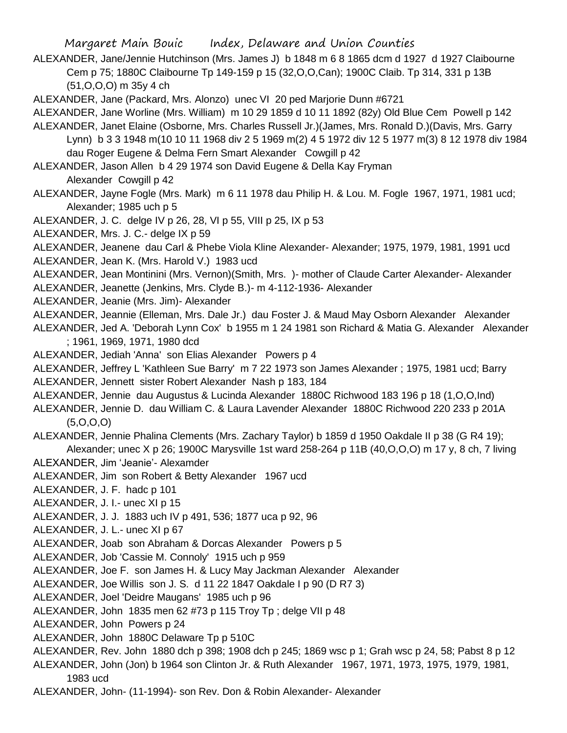ALEXANDER, Jane/Jennie Hutchinson (Mrs. James J) b 1848 m 6 8 1865 dcm d 1927 d 1927 Claibourne Cem p 75; 1880C Claibourne Tp 149-159 p 15 (32,O,O,Can); 1900C Claib. Tp 314, 331 p 13B (51,O,O,O) m 35y 4 ch

ALEXANDER, Jane (Packard, Mrs. Alonzo) unec VI 20 ped Marjorie Dunn #6721

ALEXANDER, Jane Worline (Mrs. William) m 10 29 1859 d 10 11 1892 (82y) Old Blue Cem Powell p 142

ALEXANDER, Janet Elaine (Osborne, Mrs. Charles Russell Jr.)(James, Mrs. Ronald D.)(Davis, Mrs. Garry Lynn) b 3 3 1948 m(10 10 11 1968 div 2 5 1969 m(2) 4 5 1972 div 12 5 1977 m(3) 8 12 1978 div 1984 dau Roger Eugene & Delma Fern Smart Alexander Cowgill p 42

ALEXANDER, Jason Allen b 4 29 1974 son David Eugene & Della Kay Fryman Alexander Cowgill p 42

ALEXANDER, Jayne Fogle (Mrs. Mark) m 6 11 1978 dau Philip H. & Lou. M. Fogle 1967, 1971, 1981 ucd; Alexander; 1985 uch p 5

ALEXANDER, J. C. delge IV p 26, 28, VI p 55, VIII p 25, IX p 53

ALEXANDER, Mrs. J. C.- delge IX p 59

ALEXANDER, Jeanene dau Carl & Phebe Viola Kline Alexander- Alexander; 1975, 1979, 1981, 1991 ucd

ALEXANDER, Jean K. (Mrs. Harold V.) 1983 ucd

ALEXANDER, Jean Montinini (Mrs. Vernon)(Smith, Mrs. )- mother of Claude Carter Alexander- Alexander

ALEXANDER, Jeanette (Jenkins, Mrs. Clyde B.)- m 4-112-1936- Alexander

ALEXANDER, Jeanie (Mrs. Jim)- Alexander

ALEXANDER, Jeannie (Elleman, Mrs. Dale Jr.) dau Foster J. & Maud May Osborn Alexander Alexander

ALEXANDER, Jed A. 'Deborah Lynn Cox' b 1955 m 1 24 1981 son Richard & Matia G. Alexander Alexander ; 1961, 1969, 1971, 1980 dcd

ALEXANDER, Jediah 'Anna' son Elias Alexander Powers p 4

ALEXANDER, Jeffrey L 'Kathleen Sue Barry' m 7 22 1973 son James Alexander ; 1975, 1981 ucd; Barry

ALEXANDER, Jennett sister Robert Alexander Nash p 183, 184

ALEXANDER, Jennie dau Augustus & Lucinda Alexander 1880C Richwood 183 196 p 18 (1,O,O,Ind)

ALEXANDER, Jennie D. dau William C. & Laura Lavender Alexander 1880C Richwood 220 233 p 201A (5,O,O,O)

ALEXANDER, Jennie Phalina Clements (Mrs. Zachary Taylor) b 1859 d 1950 Oakdale II p 38 (G R4 19); Alexander; unec X p 26; 1900C Marysville 1st ward 258-264 p 11B (40,O,O,O) m 17 y, 8 ch, 7 living

ALEXANDER, Jim 'Jeanie'- Alexamder

ALEXANDER, Jim son Robert & Betty Alexander 1967 ucd

ALEXANDER, J. F. hadc p 101

ALEXANDER, J. I.- unec XI p 15

ALEXANDER, J. J. 1883 uch IV p 491, 536; 1877 uca p 92, 96

ALEXANDER, J. L.- unec XI p 67

ALEXANDER, Joab son Abraham & Dorcas Alexander Powers p 5

ALEXANDER, Job 'Cassie M. Connoly' 1915 uch p 959

ALEXANDER, Joe F. son James H. & Lucy May Jackman Alexander Alexander

ALEXANDER, Joe Willis son J. S. d 11 22 1847 Oakdale I p 90 (D R7 3)

ALEXANDER, Joel 'Deidre Maugans' 1985 uch p 96

ALEXANDER, John 1835 men 62 #73 p 115 Troy Tp ; delge VII p 48

ALEXANDER, John Powers p 24

ALEXANDER, John 1880C Delaware Tp p 510C

ALEXANDER, Rev. John 1880 dch p 398; 1908 dch p 245; 1869 wsc p 1; Grah wsc p 24, 58; Pabst 8 p 12

ALEXANDER, John (Jon) b 1964 son Clinton Jr. & Ruth Alexander 1967, 1971, 1973, 1975, 1979, 1981, 1983 ucd

ALEXANDER, John- (11-1994)- son Rev. Don & Robin Alexander- Alexander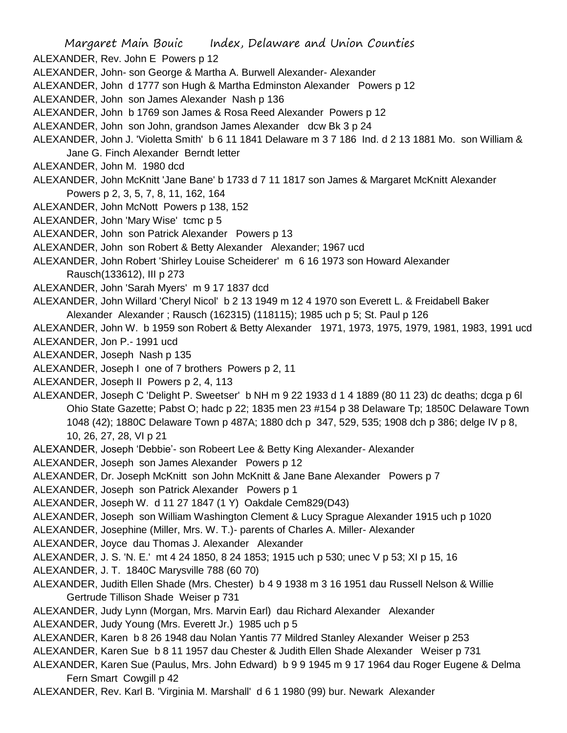ALEXANDER, Rev. John E Powers p 12

- ALEXANDER, John- son George & Martha A. Burwell Alexander- Alexander
- ALEXANDER, John d 1777 son Hugh & Martha Edminston Alexander Powers p 12
- ALEXANDER, John son James Alexander Nash p 136
- ALEXANDER, John b 1769 son James & Rosa Reed Alexander Powers p 12
- ALEXANDER, John son John, grandson James Alexander dcw Bk 3 p 24
- ALEXANDER, John J. 'Violetta Smith' b 6 11 1841 Delaware m 3 7 186 Ind. d 2 13 1881 Mo. son William & Jane G. Finch Alexander Berndt letter
- ALEXANDER, John M. 1980 dcd
- ALEXANDER, John McKnitt 'Jane Bane' b 1733 d 7 11 1817 son James & Margaret McKnitt Alexander Powers p 2, 3, 5, 7, 8, 11, 162, 164
- ALEXANDER, John McNott Powers p 138, 152
- ALEXANDER, John 'Mary Wise' tcmc p 5
- ALEXANDER, John son Patrick Alexander Powers p 13
- ALEXANDER, John son Robert & Betty Alexander Alexander; 1967 ucd
- ALEXANDER, John Robert 'Shirley Louise Scheiderer' m 6 16 1973 son Howard Alexander Rausch(133612), III p 273
- ALEXANDER, John 'Sarah Myers' m 9 17 1837 dcd
- ALEXANDER, John Willard 'Cheryl Nicol' b 2 13 1949 m 12 4 1970 son Everett L. & Freidabell Baker Alexander Alexander ; Rausch (162315) (118115); 1985 uch p 5; St. Paul p 126
- ALEXANDER, John W. b 1959 son Robert & Betty Alexander 1971, 1973, 1975, 1979, 1981, 1983, 1991 ucd ALEXANDER, Jon P.- 1991 ucd
- 
- ALEXANDER, Joseph Nash p 135
- ALEXANDER, Joseph I one of 7 brothers Powers p 2, 11
- ALEXANDER, Joseph II Powers p 2, 4, 113
- ALEXANDER, Joseph C 'Delight P. Sweetser' b NH m 9 22 1933 d 1 4 1889 (80 11 23) dc deaths; dcga p 6l Ohio State Gazette; Pabst O; hadc p 22; 1835 men 23 #154 p 38 Delaware Tp; 1850C Delaware Town 1048 (42); 1880C Delaware Town p 487A; 1880 dch p 347, 529, 535; 1908 dch p 386; delge IV p 8, 10, 26, 27, 28, VI p 21
- ALEXANDER, Joseph 'Debbie'- son Robeert Lee & Betty King Alexander- Alexander
- ALEXANDER, Joseph son James Alexander Powers p 12
- ALEXANDER, Dr. Joseph McKnitt son John McKnitt & Jane Bane Alexander Powers p 7
- ALEXANDER, Joseph son Patrick Alexander Powers p 1
- ALEXANDER, Joseph W. d 11 27 1847 (1 Y) Oakdale Cem829(D43)
- ALEXANDER, Joseph son William Washington Clement & Lucy Sprague Alexander 1915 uch p 1020
- ALEXANDER, Josephine (Miller, Mrs. W. T.)- parents of Charles A. Miller- Alexander
- ALEXANDER, Joyce dau Thomas J. Alexander Alexander
- ALEXANDER, J. S. 'N. E.' mt 4 24 1850, 8 24 1853; 1915 uch p 530; unec V p 53; XI p 15, 16
- ALEXANDER, J. T. 1840C Marysville 788 (60 70)
- ALEXANDER, Judith Ellen Shade (Mrs. Chester) b 4 9 1938 m 3 16 1951 dau Russell Nelson & Willie Gertrude Tillison Shade Weiser p 731
- ALEXANDER, Judy Lynn (Morgan, Mrs. Marvin Earl) dau Richard Alexander Alexander
- ALEXANDER, Judy Young (Mrs. Everett Jr.) 1985 uch p 5
- ALEXANDER, Karen b 8 26 1948 dau Nolan Yantis 77 Mildred Stanley Alexander Weiser p 253
- ALEXANDER, Karen Sue b 8 11 1957 dau Chester & Judith Ellen Shade Alexander Weiser p 731
- ALEXANDER, Karen Sue (Paulus, Mrs. John Edward) b 9 9 1945 m 9 17 1964 dau Roger Eugene & Delma Fern Smart Cowgill p 42
- ALEXANDER, Rev. Karl B. 'Virginia M. Marshall' d 6 1 1980 (99) bur. Newark Alexander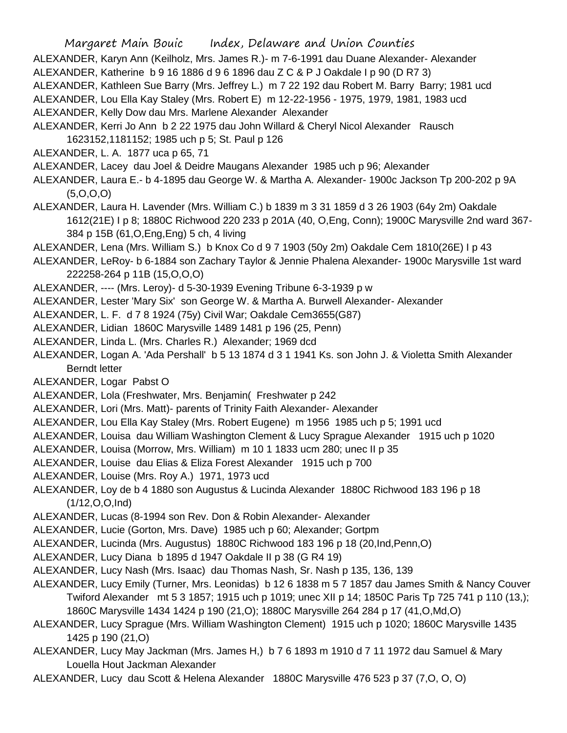Margaret Main Bouic Index, Delaware and Union Counties ALEXANDER, Karyn Ann (Keilholz, Mrs. James R.)- m 7-6-1991 dau Duane Alexander- Alexander ALEXANDER, Katherine b 9 16 1886 d 9 6 1896 dau Z C & P J Oakdale I p 90 (D R7 3) ALEXANDER, Kathleen Sue Barry (Mrs. Jeffrey L.) m 7 22 192 dau Robert M. Barry Barry; 1981 ucd ALEXANDER, Lou Ella Kay Staley (Mrs. Robert E) m 12-22-1956 - 1975, 1979, 1981, 1983 ucd ALEXANDER, Kelly Dow dau Mrs. Marlene Alexander Alexander ALEXANDER, Kerri Jo Ann b 2 22 1975 dau John Willard & Cheryl Nicol Alexander Rausch 1623152,1181152; 1985 uch p 5; St. Paul p 126 ALEXANDER, L. A. 1877 uca p 65, 71 ALEXANDER, Lacey dau Joel & Deidre Maugans Alexander 1985 uch p 96; Alexander ALEXANDER, Laura E.- b 4-1895 dau George W. & Martha A. Alexander- 1900c Jackson Tp 200-202 p 9A  $(5, O, O, O)$ ALEXANDER, Laura H. Lavender (Mrs. William C.) b 1839 m 3 31 1859 d 3 26 1903 (64y 2m) Oakdale 1612(21E) I p 8; 1880C Richwood 220 233 p 201A (40, O,Eng, Conn); 1900C Marysville 2nd ward 367- 384 p 15B (61,O,Eng,Eng) 5 ch, 4 living ALEXANDER, Lena (Mrs. William S.) b Knox Co d 9 7 1903 (50y 2m) Oakdale Cem 1810(26E) I p 43 ALEXANDER, LeRoy- b 6-1884 son Zachary Taylor & Jennie Phalena Alexander- 1900c Marysville 1st ward 222258-264 p 11B (15,O,O,O) ALEXANDER, ---- (Mrs. Leroy)- d 5-30-1939 Evening Tribune 6-3-1939 p w ALEXANDER, Lester 'Mary Six' son George W. & Martha A. Burwell Alexander- Alexander ALEXANDER, L. F. d 7 8 1924 (75y) Civil War; Oakdale Cem3655(G87) ALEXANDER, Lidian 1860C Marysville 1489 1481 p 196 (25, Penn) ALEXANDER, Linda L. (Mrs. Charles R.) Alexander; 1969 dcd ALEXANDER, Logan A. 'Ada Pershall' b 5 13 1874 d 3 1 1941 Ks. son John J. & Violetta Smith Alexander Berndt letter ALEXANDER, Logar Pabst O ALEXANDER, Lola (Freshwater, Mrs. Benjamin( Freshwater p 242 ALEXANDER, Lori (Mrs. Matt)- parents of Trinity Faith Alexander- Alexander ALEXANDER, Lou Ella Kay Staley (Mrs. Robert Eugene) m 1956 1985 uch p 5; 1991 ucd ALEXANDER, Louisa dau William Washington Clement & Lucy Sprague Alexander 1915 uch p 1020 ALEXANDER, Louisa (Morrow, Mrs. William) m 10 1 1833 ucm 280; unec II p 35 ALEXANDER, Louise dau Elias & Eliza Forest Alexander 1915 uch p 700 ALEXANDER, Louise (Mrs. Roy A.) 1971, 1973 ucd ALEXANDER, Loy de b 4 1880 son Augustus & Lucinda Alexander 1880C Richwood 183 196 p 18 (1/12,O,O,Ind) ALEXANDER, Lucas (8-1994 son Rev. Don & Robin Alexander- Alexander ALEXANDER, Lucie (Gorton, Mrs. Dave) 1985 uch p 60; Alexander; Gortpm ALEXANDER, Lucinda (Mrs. Augustus) 1880C Richwood 183 196 p 18 (20,Ind,Penn,O) ALEXANDER, Lucy Diana b 1895 d 1947 Oakdale II p 38 (G R4 19) ALEXANDER, Lucy Nash (Mrs. Isaac) dau Thomas Nash, Sr. Nash p 135, 136, 139 ALEXANDER, Lucy Emily (Turner, Mrs. Leonidas) b 12 6 1838 m 5 7 1857 dau James Smith & Nancy Couver Twiford Alexander mt 5 3 1857; 1915 uch p 1019; unec XII p 14; 1850C Paris Tp 725 741 p 110 (13,); 1860C Marysville 1434 1424 p 190 (21,O); 1880C Marysville 264 284 p 17 (41,O,Md,O) ALEXANDER, Lucy Sprague (Mrs. William Washington Clement) 1915 uch p 1020; 1860C Marysville 1435 1425 p 190 (21,O)

ALEXANDER, Lucy May Jackman (Mrs. James H,) b 7 6 1893 m 1910 d 7 11 1972 dau Samuel & Mary Louella Hout Jackman Alexander

ALEXANDER, Lucy dau Scott & Helena Alexander 1880C Marysville 476 523 p 37 (7,O, O, O)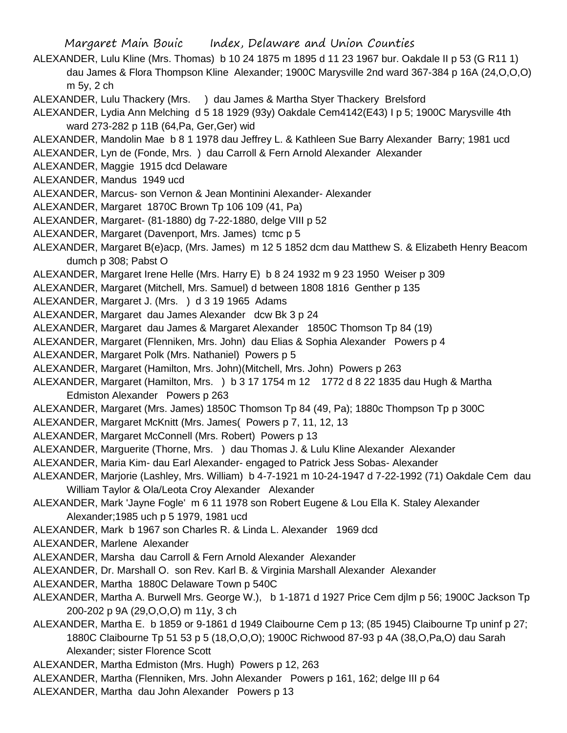- ALEXANDER, Lulu Kline (Mrs. Thomas) b 10 24 1875 m 1895 d 11 23 1967 bur. Oakdale II p 53 (G R11 1) dau James & Flora Thompson Kline Alexander; 1900C Marysville 2nd ward 367-384 p 16A (24,O,O,O) m 5y, 2 ch
- ALEXANDER, Lulu Thackery (Mrs. ) dau James & Martha Styer Thackery Brelsford
- ALEXANDER, Lydia Ann Melching d 5 18 1929 (93y) Oakdale Cem4142(E43) I p 5; 1900C Marysville 4th ward 273-282 p 11B (64,Pa, Ger,Ger) wid
- ALEXANDER, Mandolin Mae b 8 1 1978 dau Jeffrey L. & Kathleen Sue Barry Alexander Barry; 1981 ucd
- ALEXANDER, Lyn de (Fonde, Mrs. ) dau Carroll & Fern Arnold Alexander Alexander
- ALEXANDER, Maggie 1915 dcd Delaware
- ALEXANDER, Mandus 1949 ucd
- ALEXANDER, Marcus- son Vernon & Jean Montinini Alexander- Alexander
- ALEXANDER, Margaret 1870C Brown Tp 106 109 (41, Pa)
- ALEXANDER, Margaret- (81-1880) dg 7-22-1880, delge VIII p 52
- ALEXANDER, Margaret (Davenport, Mrs. James) tcmc p 5
- ALEXANDER, Margaret B(e)acp, (Mrs. James) m 12 5 1852 dcm dau Matthew S. & Elizabeth Henry Beacom dumch p 308; Pabst O
- ALEXANDER, Margaret Irene Helle (Mrs. Harry E) b 8 24 1932 m 9 23 1950 Weiser p 309
- ALEXANDER, Margaret (Mitchell, Mrs. Samuel) d between 1808 1816 Genther p 135
- ALEXANDER, Margaret J. (Mrs. ) d 3 19 1965 Adams
- ALEXANDER, Margaret dau James Alexander dcw Bk 3 p 24
- ALEXANDER, Margaret dau James & Margaret Alexander 1850C Thomson Tp 84 (19)
- ALEXANDER, Margaret (Flenniken, Mrs. John) dau Elias & Sophia Alexander Powers p 4
- ALEXANDER, Margaret Polk (Mrs. Nathaniel) Powers p 5
- ALEXANDER, Margaret (Hamilton, Mrs. John)(Mitchell, Mrs. John) Powers p 263
- ALEXANDER, Margaret (Hamilton, Mrs. ) b 3 17 1754 m 12 1772 d 8 22 1835 dau Hugh & Martha Edmiston Alexander Powers p 263
- ALEXANDER, Margaret (Mrs. James) 1850C Thomson Tp 84 (49, Pa); 1880c Thompson Tp p 300C
- ALEXANDER, Margaret McKnitt (Mrs. James( Powers p 7, 11, 12, 13
- ALEXANDER, Margaret McConnell (Mrs. Robert) Powers p 13
- ALEXANDER, Marguerite (Thorne, Mrs. ) dau Thomas J. & Lulu Kline Alexander Alexander
- ALEXANDER, Maria Kim- dau Earl Alexander- engaged to Patrick Jess Sobas- Alexander
- ALEXANDER, Marjorie (Lashley, Mrs. William) b 4-7-1921 m 10-24-1947 d 7-22-1992 (71) Oakdale Cem dau William Taylor & Ola/Leota Croy Alexander Alexander
- ALEXANDER, Mark 'Jayne Fogle' m 6 11 1978 son Robert Eugene & Lou Ella K. Staley Alexander Alexander;1985 uch p 5 1979, 1981 ucd
- ALEXANDER, Mark b 1967 son Charles R. & Linda L. Alexander 1969 dcd
- ALEXANDER, Marlene Alexander
- ALEXANDER, Marsha dau Carroll & Fern Arnold Alexander Alexander
- ALEXANDER, Dr. Marshall O. son Rev. Karl B. & Virginia Marshall Alexander Alexander
- ALEXANDER, Martha 1880C Delaware Town p 540C
- ALEXANDER, Martha A. Burwell Mrs. George W.), b 1-1871 d 1927 Price Cem djlm p 56; 1900C Jackson Tp 200-202 p 9A (29,O,O,O) m 11y, 3 ch
- ALEXANDER, Martha E. b 1859 or 9-1861 d 1949 Claibourne Cem p 13; (85 1945) Claibourne Tp uninf p 27; 1880C Claibourne Tp 51 53 p 5 (18,O,O,O); 1900C Richwood 87-93 p 4A (38,O,Pa,O) dau Sarah Alexander; sister Florence Scott
- ALEXANDER, Martha Edmiston (Mrs. Hugh) Powers p 12, 263
- ALEXANDER, Martha (Flenniken, Mrs. John Alexander Powers p 161, 162; delge III p 64
- ALEXANDER, Martha dau John Alexander Powers p 13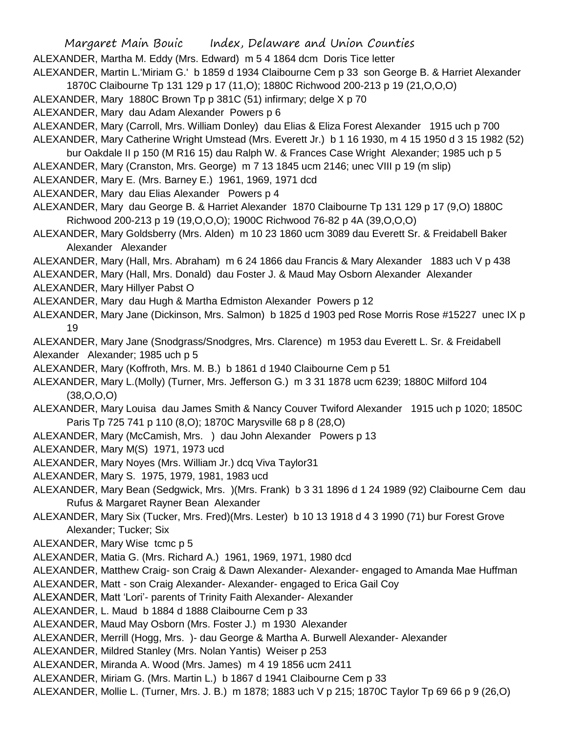ALEXANDER, Martha M. Eddy (Mrs. Edward) m 5 4 1864 dcm Doris Tice letter

ALEXANDER, Martin L.'Miriam G.' b 1859 d 1934 Claibourne Cem p 33 son George B. & Harriet Alexander 1870C Claibourne Tp 131 129 p 17 (11,O); 1880C Richwood 200-213 p 19 (21,O,O,O)

- ALEXANDER, Mary 1880C Brown Tp p 381C (51) infirmary; delge X p 70
- ALEXANDER, Mary dau Adam Alexander Powers p 6
- ALEXANDER, Mary (Carroll, Mrs. William Donley) dau Elias & Eliza Forest Alexander 1915 uch p 700
- ALEXANDER, Mary Catherine Wright Umstead (Mrs. Everett Jr.) b 1 16 1930, m 4 15 1950 d 3 15 1982 (52)
- bur Oakdale II p 150 (M R16 15) dau Ralph W. & Frances Case Wright Alexander; 1985 uch p 5
- ALEXANDER, Mary (Cranston, Mrs. George) m 7 13 1845 ucm 2146; unec VIII p 19 (m slip)
- ALEXANDER, Mary E. (Mrs. Barney E.) 1961, 1969, 1971 dcd
- ALEXANDER, Mary dau Elias Alexander Powers p 4
- ALEXANDER, Mary dau George B. & Harriet Alexander 1870 Claibourne Tp 131 129 p 17 (9,O) 1880C Richwood 200-213 p 19 (19,O,O,O); 1900C Richwood 76-82 p 4A (39,O,O,O)
- ALEXANDER, Mary Goldsberry (Mrs. Alden) m 10 23 1860 ucm 3089 dau Everett Sr. & Freidabell Baker Alexander Alexander
- ALEXANDER, Mary (Hall, Mrs. Abraham) m 6 24 1866 dau Francis & Mary Alexander 1883 uch V p 438
- ALEXANDER, Mary (Hall, Mrs. Donald) dau Foster J. & Maud May Osborn Alexander Alexander ALEXANDER, Mary Hillyer Pabst O
- ALEXANDER, Mary dau Hugh & Martha Edmiston Alexander Powers p 12
- ALEXANDER, Mary Jane (Dickinson, Mrs. Salmon) b 1825 d 1903 ped Rose Morris Rose #15227 unec IX p 19
- ALEXANDER, Mary Jane (Snodgrass/Snodgres, Mrs. Clarence) m 1953 dau Everett L. Sr. & Freidabell Alexander Alexander; 1985 uch p 5
- ALEXANDER, Mary (Koffroth, Mrs. M. B.) b 1861 d 1940 Claibourne Cem p 51
- ALEXANDER, Mary L.(Molly) (Turner, Mrs. Jefferson G.) m 3 31 1878 ucm 6239; 1880C Milford 104 (38,O,O,O)
- ALEXANDER, Mary Louisa dau James Smith & Nancy Couver Twiford Alexander 1915 uch p 1020; 1850C Paris Tp 725 741 p 110 (8,O); 1870C Marysville 68 p 8 (28,O)
- ALEXANDER, Mary (McCamish, Mrs. ) dau John Alexander Powers p 13
- ALEXANDER, Mary M(S) 1971, 1973 ucd
- ALEXANDER, Mary Noyes (Mrs. William Jr.) dcq Viva Taylor31
- ALEXANDER, Mary S. 1975, 1979, 1981, 1983 ucd
- ALEXANDER, Mary Bean (Sedgwick, Mrs. )(Mrs. Frank) b 3 31 1896 d 1 24 1989 (92) Claibourne Cem dau Rufus & Margaret Rayner Bean Alexander
- ALEXANDER, Mary Six (Tucker, Mrs. Fred)(Mrs. Lester) b 10 13 1918 d 4 3 1990 (71) bur Forest Grove Alexander; Tucker; Six
- ALEXANDER, Mary Wise tcmc p 5
- ALEXANDER, Matia G. (Mrs. Richard A.) 1961, 1969, 1971, 1980 dcd
- ALEXANDER, Matthew Craig- son Craig & Dawn Alexander- Alexander- engaged to Amanda Mae Huffman
- ALEXANDER, Matt son Craig Alexander- Alexander- engaged to Erica Gail Coy
- ALEXANDER, Matt 'Lori'- parents of Trinity Faith Alexander- Alexander
- ALEXANDER, L. Maud b 1884 d 1888 Claibourne Cem p 33
- ALEXANDER, Maud May Osborn (Mrs. Foster J.) m 1930 Alexander
- ALEXANDER, Merrill (Hogg, Mrs. )- dau George & Martha A. Burwell Alexander- Alexander
- ALEXANDER, Mildred Stanley (Mrs. Nolan Yantis) Weiser p 253
- ALEXANDER, Miranda A. Wood (Mrs. James) m 4 19 1856 ucm 2411
- ALEXANDER, Miriam G. (Mrs. Martin L.) b 1867 d 1941 Claibourne Cem p 33
- ALEXANDER, Mollie L. (Turner, Mrs. J. B.) m 1878; 1883 uch V p 215; 1870C Taylor Tp 69 66 p 9 (26,O)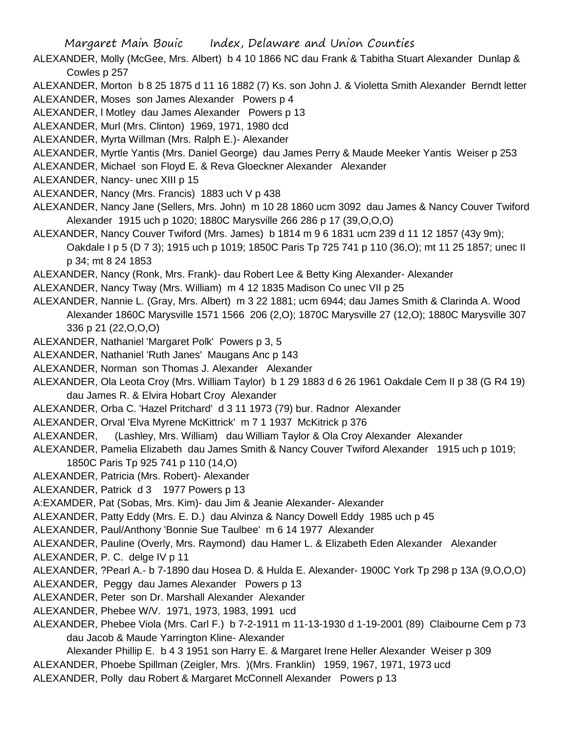- ALEXANDER, Molly (McGee, Mrs. Albert) b 4 10 1866 NC dau Frank & Tabitha Stuart Alexander Dunlap & Cowles p 257
- ALEXANDER, Morton b 8 25 1875 d 11 16 1882 (7) Ks. son John J. & Violetta Smith Alexander Berndt letter
- ALEXANDER, Moses son James Alexander Powers p 4
- ALEXANDER, l Motley dau James Alexander Powers p 13
- ALEXANDER, Murl (Mrs. Clinton) 1969, 1971, 1980 dcd
- ALEXANDER, Myrta Willman (Mrs. Ralph E.)- Alexander
- ALEXANDER, Myrtle Yantis (Mrs. Daniel George) dau James Perry & Maude Meeker Yantis Weiser p 253
- ALEXANDER, Michael son Floyd E. & Reva Gloeckner Alexander Alexander
- ALEXANDER, Nancy- unec XIII p 15
- ALEXANDER, Nancy (Mrs. Francis) 1883 uch V p 438
- ALEXANDER, Nancy Jane (Sellers, Mrs. John) m 10 28 1860 ucm 3092 dau James & Nancy Couver Twiford Alexander 1915 uch p 1020; 1880C Marysville 266 286 p 17 (39,O,O,O)
- ALEXANDER, Nancy Couver Twiford (Mrs. James) b 1814 m 9 6 1831 ucm 239 d 11 12 1857 (43y 9m); Oakdale I p 5 (D 7 3); 1915 uch p 1019; 1850C Paris Tp 725 741 p 110 (36,O); mt 11 25 1857; unec II p 34; mt 8 24 1853
- ALEXANDER, Nancy (Ronk, Mrs. Frank)- dau Robert Lee & Betty King Alexander- Alexander
- ALEXANDER, Nancy Tway (Mrs. William) m 4 12 1835 Madison Co unec VII p 25
- ALEXANDER, Nannie L. (Gray, Mrs. Albert) m 3 22 1881; ucm 6944; dau James Smith & Clarinda A. Wood Alexander 1860C Marysville 1571 1566 206 (2,O); 1870C Marysville 27 (12,O); 1880C Marysville 307 336 p 21 (22,O,O,O)
- ALEXANDER, Nathaniel 'Margaret Polk' Powers p 3, 5
- ALEXANDER, Nathaniel 'Ruth Janes' Maugans Anc p 143
- ALEXANDER, Norman son Thomas J. Alexander Alexander
- ALEXANDER, Ola Leota Croy (Mrs. William Taylor) b 1 29 1883 d 6 26 1961 Oakdale Cem II p 38 (G R4 19) dau James R. & Elvira Hobart Croy Alexander
- ALEXANDER, Orba C. 'Hazel Pritchard' d 3 11 1973 (79) bur. Radnor Alexander
- ALEXANDER, Orval 'Elva Myrene McKittrick' m 7 1 1937 McKitrick p 376
- ALEXANDER, (Lashley, Mrs. William) dau William Taylor & Ola Croy Alexander Alexander
- ALEXANDER, Pamelia Elizabeth dau James Smith & Nancy Couver Twiford Alexander 1915 uch p 1019; 1850C Paris Tp 925 741 p 110 (14,O)
- ALEXANDER, Patricia (Mrs. Robert)- Alexander
- ALEXANDER, Patrick d 3 1977 Powers p 13
- A:EXAMDER, Pat (Sobas, Mrs. Kim)- dau Jim & Jeanie Alexander- Alexander
- ALEXANDER, Patty Eddy (Mrs. E. D.) dau Alvinza & Nancy Dowell Eddy 1985 uch p 45
- ALEXANDER, Paul/Anthony 'Bonnie Sue Taulbee' m 6 14 1977 Alexander
- ALEXANDER, Pauline (Overly, Mrs. Raymond) dau Hamer L. & Elizabeth Eden Alexander Alexander
- ALEXANDER, P. C. delge IV p 11
- ALEXANDER, ?Pearl A.- b 7-1890 dau Hosea D. & Hulda E. Alexander- 1900C York Tp 298 p 13A (9,O,O,O)
- ALEXANDER, Peggy dau James Alexander Powers p 13
- ALEXANDER, Peter son Dr. Marshall Alexander Alexander
- ALEXANDER, Phebee W/V. 1971, 1973, 1983, 1991 ucd
- ALEXANDER, Phebee Viola (Mrs. Carl F.) b 7-2-1911 m 11-13-1930 d 1-19-2001 (89) Claibourne Cem p 73 dau Jacob & Maude Yarrington Kline- Alexander
	- Alexander Phillip E. b 4 3 1951 son Harry E. & Margaret Irene Heller Alexander Weiser p 309
- ALEXANDER, Phoebe Spillman (Zeigler, Mrs. )(Mrs. Franklin) 1959, 1967, 1971, 1973 ucd
- ALEXANDER, Polly dau Robert & Margaret McConnell Alexander Powers p 13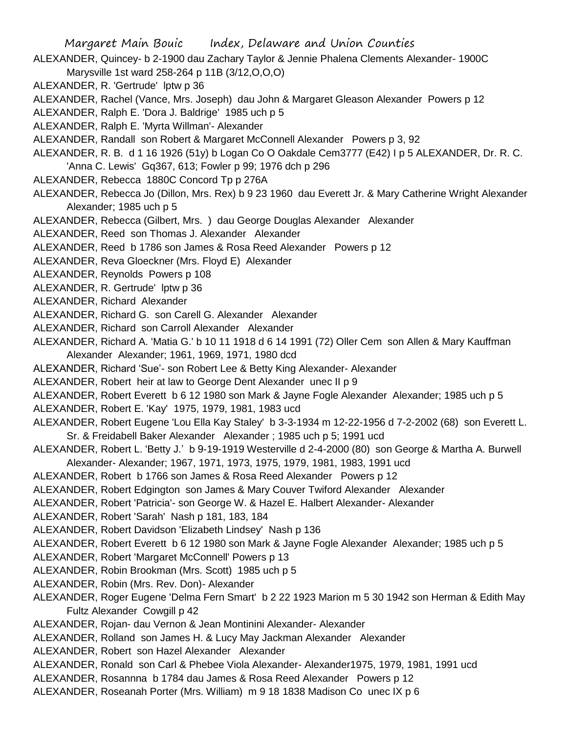- ALEXANDER, Quincey- b 2-1900 dau Zachary Taylor & Jennie Phalena Clements Alexander- 1900C Marysville 1st ward 258-264 p 11B (3/12,O,O,O)
- ALEXANDER, R. 'Gertrude' lptw p 36
- ALEXANDER, Rachel (Vance, Mrs. Joseph) dau John & Margaret Gleason Alexander Powers p 12
- ALEXANDER, Ralph E. 'Dora J. Baldrige' 1985 uch p 5
- ALEXANDER, Ralph E. 'Myrta Willman'- Alexander
- ALEXANDER, Randall son Robert & Margaret McConnell Alexander Powers p 3, 92
- ALEXANDER, R. B. d 1 16 1926 (51y) b Logan Co O Oakdale Cem3777 (E42) I p 5 ALEXANDER, Dr. R. C. 'Anna C. Lewis' Gq367, 613; Fowler p 99; 1976 dch p 296
- ALEXANDER, Rebecca 1880C Concord Tp p 276A
- ALEXANDER, Rebecca Jo (Dillon, Mrs. Rex) b 9 23 1960 dau Everett Jr. & Mary Catherine Wright Alexander Alexander; 1985 uch p 5
- ALEXANDER, Rebecca (Gilbert, Mrs. ) dau George Douglas Alexander Alexander
- ALEXANDER, Reed son Thomas J. Alexander Alexander
- ALEXANDER, Reed b 1786 son James & Rosa Reed Alexander Powers p 12
- ALEXANDER, Reva Gloeckner (Mrs. Floyd E) Alexander
- ALEXANDER, Reynolds Powers p 108
- ALEXANDER, R. Gertrude' lptw p 36
- ALEXANDER, Richard Alexander
- ALEXANDER, Richard G. son Carell G. Alexander Alexander
- ALEXANDER, Richard son Carroll Alexander Alexander
- ALEXANDER, Richard A. 'Matia G.' b 10 11 1918 d 6 14 1991 (72) Oller Cem son Allen & Mary Kauffman Alexander Alexander; 1961, 1969, 1971, 1980 dcd
- ALEXANDER, Richard 'Sue'- son Robert Lee & Betty King Alexander- Alexander
- ALEXANDER, Robert heir at law to George Dent Alexander unec II p 9
- ALEXANDER, Robert Everett b 6 12 1980 son Mark & Jayne Fogle Alexander Alexander; 1985 uch p 5
- ALEXANDER, Robert E. 'Kay' 1975, 1979, 1981, 1983 ucd
- ALEXANDER, Robert Eugene 'Lou Ella Kay Staley' b 3-3-1934 m 12-22-1956 d 7-2-2002 (68) son Everett L. Sr. & Freidabell Baker Alexander Alexander ; 1985 uch p 5; 1991 ucd
- ALEXANDER, Robert L. 'Betty J.' b 9-19-1919 Westerville d 2-4-2000 (80) son George & Martha A. Burwell Alexander- Alexander; 1967, 1971, 1973, 1975, 1979, 1981, 1983, 1991 ucd
- ALEXANDER, Robert b 1766 son James & Rosa Reed Alexander Powers p 12
- ALEXANDER, Robert Edgington son James & Mary Couver Twiford Alexander Alexander
- ALEXANDER, Robert 'Patricia'- son George W. & Hazel E. Halbert Alexander- Alexander
- ALEXANDER, Robert 'Sarah' Nash p 181, 183, 184
- ALEXANDER, Robert Davidson 'Elizabeth Lindsey' Nash p 136
- ALEXANDER, Robert Everett b 6 12 1980 son Mark & Jayne Fogle Alexander Alexander; 1985 uch p 5
- ALEXANDER, Robert 'Margaret McConnell' Powers p 13
- ALEXANDER, Robin Brookman (Mrs. Scott) 1985 uch p 5
- ALEXANDER, Robin (Mrs. Rev. Don)- Alexander
- ALEXANDER, Roger Eugene 'Delma Fern Smart' b 2 22 1923 Marion m 5 30 1942 son Herman & Edith May Fultz Alexander Cowgill p 42
- ALEXANDER, Rojan- dau Vernon & Jean Montinini Alexander- Alexander
- ALEXANDER, Rolland son James H. & Lucy May Jackman Alexander Alexander
- ALEXANDER, Robert son Hazel Alexander Alexander
- ALEXANDER, Ronald son Carl & Phebee Viola Alexander- Alexander1975, 1979, 1981, 1991 ucd
- ALEXANDER, Rosannna b 1784 dau James & Rosa Reed Alexander Powers p 12
- ALEXANDER, Roseanah Porter (Mrs. William) m 9 18 1838 Madison Co unec IX p 6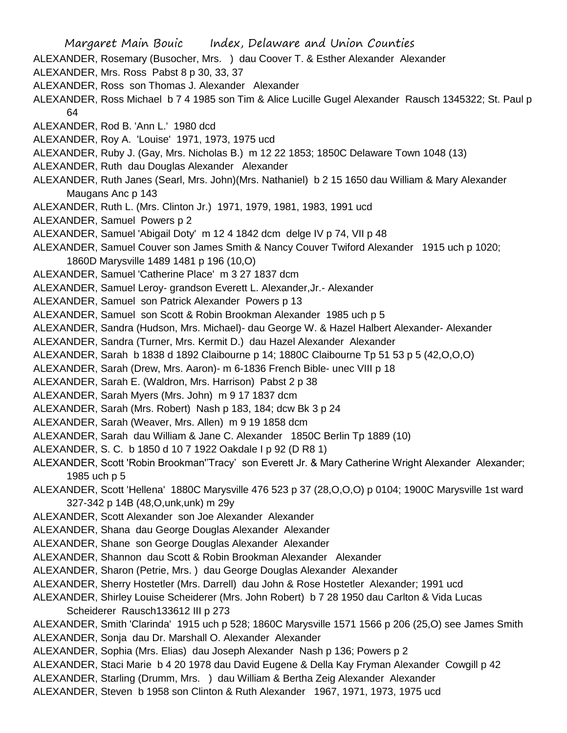- Margaret Main Bouic Index, Delaware and Union Counties
- ALEXANDER, Rosemary (Busocher, Mrs. ) dau Coover T. & Esther Alexander Alexander
- ALEXANDER, Mrs. Ross Pabst 8 p 30, 33, 37
- ALEXANDER, Ross son Thomas J. Alexander Alexander
- ALEXANDER, Ross Michael b 7 4 1985 son Tim & Alice Lucille Gugel Alexander Rausch 1345322; St. Paul p 64
- ALEXANDER, Rod B. 'Ann L.' 1980 dcd
- ALEXANDER, Roy A. 'Louise' 1971, 1973, 1975 ucd
- ALEXANDER, Ruby J. (Gay, Mrs. Nicholas B.) m 12 22 1853; 1850C Delaware Town 1048 (13)
- ALEXANDER, Ruth dau Douglas Alexander Alexander
- ALEXANDER, Ruth Janes (Searl, Mrs. John)(Mrs. Nathaniel) b 2 15 1650 dau William & Mary Alexander Maugans Anc p 143
- ALEXANDER, Ruth L. (Mrs. Clinton Jr.) 1971, 1979, 1981, 1983, 1991 ucd
- ALEXANDER, Samuel Powers p 2
- ALEXANDER, Samuel 'Abigail Doty' m 12 4 1842 dcm delge IV p 74, VII p 48
- ALEXANDER, Samuel Couver son James Smith & Nancy Couver Twiford Alexander 1915 uch p 1020; 1860D Marysville 1489 1481 p 196 (10,O)
- ALEXANDER, Samuel 'Catherine Place' m 3 27 1837 dcm
- ALEXANDER, Samuel Leroy- grandson Everett L. Alexander,Jr.- Alexander
- ALEXANDER, Samuel son Patrick Alexander Powers p 13
- ALEXANDER, Samuel son Scott & Robin Brookman Alexander 1985 uch p 5
- ALEXANDER, Sandra (Hudson, Mrs. Michael)- dau George W. & Hazel Halbert Alexander- Alexander
- ALEXANDER, Sandra (Turner, Mrs. Kermit D.) dau Hazel Alexander Alexander
- ALEXANDER, Sarah b 1838 d 1892 Claibourne p 14; 1880C Claibourne Tp 51 53 p 5 (42,O,O,O)
- ALEXANDER, Sarah (Drew, Mrs. Aaron)- m 6-1836 French Bible- unec VIII p 18
- ALEXANDER, Sarah E. (Waldron, Mrs. Harrison) Pabst 2 p 38
- ALEXANDER, Sarah Myers (Mrs. John) m 9 17 1837 dcm
- ALEXANDER, Sarah (Mrs. Robert) Nash p 183, 184; dcw Bk 3 p 24
- ALEXANDER, Sarah (Weaver, Mrs. Allen) m 9 19 1858 dcm
- ALEXANDER, Sarah dau William & Jane C. Alexander 1850C Berlin Tp 1889 (10)
- ALEXANDER, S. C. b 1850 d 10 7 1922 Oakdale I p 92 (D R8 1)
- ALEXANDER, Scott 'Robin Brookman''Tracy' son Everett Jr. & Mary Catherine Wright Alexander Alexander; 1985 uch p 5
- ALEXANDER, Scott 'Hellena' 1880C Marysville 476 523 p 37 (28,O,O,O) p 0104; 1900C Marysville 1st ward 327-342 p 14B (48,O,unk,unk) m 29y
- ALEXANDER, Scott Alexander son Joe Alexander Alexander
- ALEXANDER, Shana dau George Douglas Alexander Alexander
- ALEXANDER, Shane son George Douglas Alexander Alexander
- ALEXANDER, Shannon dau Scott & Robin Brookman Alexander Alexander
- ALEXANDER, Sharon (Petrie, Mrs. ) dau George Douglas Alexander Alexander
- ALEXANDER, Sherry Hostetler (Mrs. Darrell) dau John & Rose Hostetler Alexander; 1991 ucd
- ALEXANDER, Shirley Louise Scheiderer (Mrs. John Robert) b 7 28 1950 dau Carlton & Vida Lucas Scheiderer Rausch133612 III p 273
- ALEXANDER, Smith 'Clarinda' 1915 uch p 528; 1860C Marysville 1571 1566 p 206 (25,O) see James Smith ALEXANDER, Sonja dau Dr. Marshall O. Alexander Alexander
- ALEXANDER, Sophia (Mrs. Elias) dau Joseph Alexander Nash p 136; Powers p 2
- ALEXANDER, Staci Marie b 4 20 1978 dau David Eugene & Della Kay Fryman Alexander Cowgill p 42
- ALEXANDER, Starling (Drumm, Mrs. ) dau William & Bertha Zeig Alexander Alexander
- ALEXANDER, Steven b 1958 son Clinton & Ruth Alexander 1967, 1971, 1973, 1975 ucd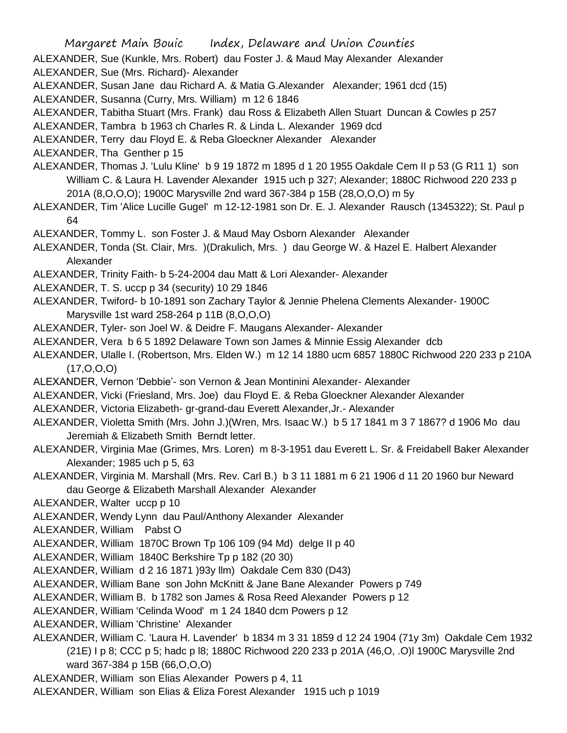ALEXANDER, Sue (Kunkle, Mrs. Robert) dau Foster J. & Maud May Alexander Alexander ALEXANDER, Sue (Mrs. Richard)- Alexander

ALEXANDER, Susan Jane dau Richard A. & Matia G.Alexander Alexander; 1961 dcd (15)

ALEXANDER, Susanna (Curry, Mrs. William) m 12 6 1846

ALEXANDER, Tabitha Stuart (Mrs. Frank) dau Ross & Elizabeth Allen Stuart Duncan & Cowles p 257

ALEXANDER, Tambra b 1963 ch Charles R. & Linda L. Alexander 1969 dcd

ALEXANDER, Terry dau Floyd E. & Reba Gloeckner Alexander Alexander

ALEXANDER, Tha Genther p 15

- ALEXANDER, Thomas J. 'Lulu Kline' b 9 19 1872 m 1895 d 1 20 1955 Oakdale Cem II p 53 (G R11 1) son William C. & Laura H. Lavender Alexander 1915 uch p 327; Alexander; 1880C Richwood 220 233 p 201A (8,O,O,O); 1900C Marysville 2nd ward 367-384 p 15B (28,O,O,O) m 5y
- ALEXANDER, Tim 'Alice Lucille Gugel' m 12-12-1981 son Dr. E. J. Alexander Rausch (1345322); St. Paul p 64

ALEXANDER, Tommy L. son Foster J. & Maud May Osborn Alexander Alexander

- ALEXANDER, Tonda (St. Clair, Mrs. )(Drakulich, Mrs. ) dau George W. & Hazel E. Halbert Alexander Alexander
- ALEXANDER, Trinity Faith- b 5-24-2004 dau Matt & Lori Alexander- Alexander
- ALEXANDER, T. S. uccp p 34 (security) 10 29 1846
- ALEXANDER, Twiford- b 10-1891 son Zachary Taylor & Jennie Phelena Clements Alexander- 1900C Marysville 1st ward 258-264 p 11B (8,O,O,O)
- ALEXANDER, Tyler- son Joel W. & Deidre F. Maugans Alexander- Alexander
- ALEXANDER, Vera b 6 5 1892 Delaware Town son James & Minnie Essig Alexander dcb
- ALEXANDER, Ulalle I. (Robertson, Mrs. Elden W.) m 12 14 1880 ucm 6857 1880C Richwood 220 233 p 210A (17,O,O,O)
- ALEXANDER, Vernon 'Debbie'- son Vernon & Jean Montinini Alexander- Alexander
- ALEXANDER, Vicki (Friesland, Mrs. Joe) dau Floyd E. & Reba Gloeckner Alexander Alexander
- ALEXANDER, Victoria Elizabeth- gr-grand-dau Everett Alexander,Jr.- Alexander
- ALEXANDER, Violetta Smith (Mrs. John J.)(Wren, Mrs. Isaac W.) b 5 17 1841 m 3 7 1867? d 1906 Mo dau Jeremiah & Elizabeth Smith Berndt letter.
- ALEXANDER, Virginia Mae (Grimes, Mrs. Loren) m 8-3-1951 dau Everett L. Sr. & Freidabell Baker Alexander Alexander; 1985 uch p 5, 63
- ALEXANDER, Virginia M. Marshall (Mrs. Rev. Carl B.) b 3 11 1881 m 6 21 1906 d 11 20 1960 bur Neward dau George & Elizabeth Marshall Alexander Alexander
- ALEXANDER, Walter uccp p 10
- ALEXANDER, Wendy Lynn dau Paul/Anthony Alexander Alexander
- ALEXANDER, William Pabst O
- ALEXANDER, William 1870C Brown Tp 106 109 (94 Md) delge II p 40
- ALEXANDER, William 1840C Berkshire Tp p 182 (20 30)
- ALEXANDER, William d 2 16 1871 )93y llm) Oakdale Cem 830 (D43)
- ALEXANDER, William Bane son John McKnitt & Jane Bane Alexander Powers p 749

ALEXANDER, William B. b 1782 son James & Rosa Reed Alexander Powers p 12

- ALEXANDER, William 'Celinda Wood' m 1 24 1840 dcm Powers p 12
- ALEXANDER, William 'Christine' Alexander
- ALEXANDER, William C. 'Laura H. Lavender' b 1834 m 3 31 1859 d 12 24 1904 (71y 3m) Oakdale Cem 1932 (21E) I p 8; CCC p 5; hadc p l8; 1880C Richwood 220 233 p 201A (46,O, .O)l 1900C Marysville 2nd ward 367-384 p 15B (66,O,O,O)
- ALEXANDER, William son Elias Alexander Powers p 4, 11
- ALEXANDER, William son Elias & Eliza Forest Alexander 1915 uch p 1019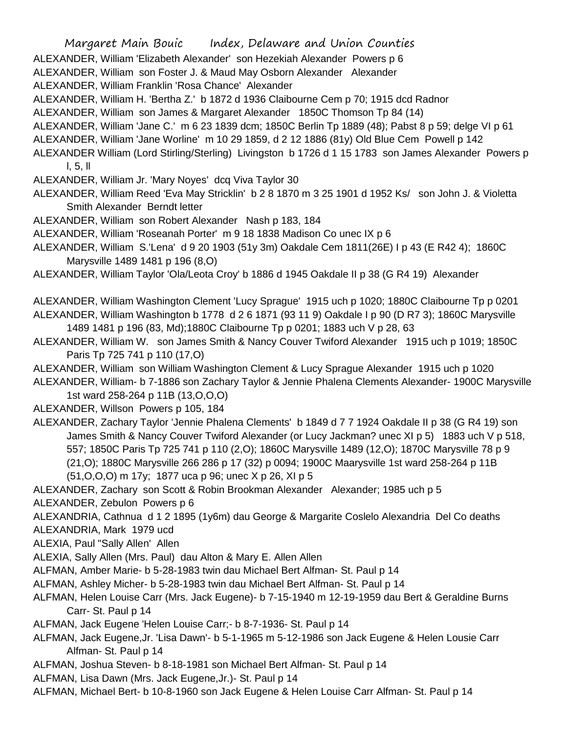Margaret Main Bouic Index, Delaware and Union Counties ALEXANDER, William 'Elizabeth Alexander' son Hezekiah Alexander Powers p 6 ALEXANDER, William son Foster J. & Maud May Osborn Alexander Alexander ALEXANDER, William Franklin 'Rosa Chance' Alexander ALEXANDER, William H. 'Bertha Z.' b 1872 d 1936 Claibourne Cem p 70; 1915 dcd Radnor ALEXANDER, William son James & Margaret Alexander 1850C Thomson Tp 84 (14) ALEXANDER, William 'Jane C.' m 6 23 1839 dcm; 1850C Berlin Tp 1889 (48); Pabst 8 p 59; delge VI p 61 ALEXANDER, William 'Jane Worline' m 10 29 1859, d 2 12 1886 (81y) Old Blue Cem Powell p 142 ALEXANDER William (Lord Stirling/Sterling) Livingston b 1726 d 1 15 1783 son James Alexander Powers p l, 5, ll ALEXANDER, William Jr. 'Mary Noyes' dcq Viva Taylor 30 ALEXANDER, William Reed 'Eva May Stricklin' b 2 8 1870 m 3 25 1901 d 1952 Ks/ son John J. & Violetta Smith Alexander Berndt letter ALEXANDER, William son Robert Alexander Nash p 183, 184 ALEXANDER, William 'Roseanah Porter' m 9 18 1838 Madison Co unec IX p 6 ALEXANDER, William S.'Lena' d 9 20 1903 (51y 3m) Oakdale Cem 1811(26E) I p 43 (E R42 4); 1860C Marysville 1489 1481 p 196 (8,O) ALEXANDER, William Taylor 'Ola/Leota Croy' b 1886 d 1945 Oakdale II p 38 (G R4 19) Alexander ALEXANDER, William Washington Clement 'Lucy Sprague' 1915 uch p 1020; 1880C Claibourne Tp p 0201 ALEXANDER, William Washington b 1778 d 2 6 1871 (93 11 9) Oakdale I p 90 (D R7 3); 1860C Marysville 1489 1481 p 196 (83, Md);1880C Claibourne Tp p 0201; 1883 uch V p 28, 63 ALEXANDER, William W. son James Smith & Nancy Couver Twiford Alexander 1915 uch p 1019; 1850C Paris Tp 725 741 p 110 (17,O) ALEXANDER, William son William Washington Clement & Lucy Sprague Alexander 1915 uch p 1020 ALEXANDER, William- b 7-1886 son Zachary Taylor & Jennie Phalena Clements Alexander- 1900C Marysville 1st ward 258-264 p 11B (13,O,O,O) ALEXANDER, Willson Powers p 105, 184 ALEXANDER, Zachary Taylor 'Jennie Phalena Clements' b 1849 d 7 7 1924 Oakdale II p 38 (G R4 19) son James Smith & Nancy Couver Twiford Alexander (or Lucy Jackman? unec XI p 5) 1883 uch V p 518, 557; 1850C Paris Tp 725 741 p 110 (2,O); 1860C Marysville 1489 (12,O); 1870C Marysville 78 p 9 (21,O); 1880C Marysville 266 286 p 17 (32) p 0094; 1900C Maarysville 1st ward 258-264 p 11B (51,O,O,O) m 17y; 1877 uca p 96; unec X p 26, XI p 5 ALEXANDER, Zachary son Scott & Robin Brookman Alexander Alexander; 1985 uch p 5 ALEXANDER, Zebulon Powers p 6 ALEXANDRIA, Cathnua d 1 2 1895 (1y6m) dau George & Margarite Coslelo Alexandria Del Co deaths ALEXANDRIA, Mark 1979 ucd ALEXIA, Paul "Sally Allen' Allen ALEXIA, Sally Allen (Mrs. Paul) dau Alton & Mary E. Allen Allen ALFMAN, Amber Marie- b 5-28-1983 twin dau Michael Bert Alfman- St. Paul p 14 ALFMAN, Ashley Micher- b 5-28-1983 twin dau Michael Bert Alfman- St. Paul p 14 ALFMAN, Helen Louise Carr (Mrs. Jack Eugene)- b 7-15-1940 m 12-19-1959 dau Bert & Geraldine Burns Carr- St. Paul p 14 ALFMAN, Jack Eugene 'Helen Louise Carr;- b 8-7-1936- St. Paul p 14 ALFMAN, Jack Eugene,Jr. 'Lisa Dawn'- b 5-1-1965 m 5-12-1986 son Jack Eugene & Helen Lousie Carr Alfman- St. Paul p 14 ALFMAN, Joshua Steven- b 8-18-1981 son Michael Bert Alfman- St. Paul p 14

- ALFMAN, Lisa Dawn (Mrs. Jack Eugene,Jr.)- St. Paul p 14
- ALFMAN, Michael Bert- b 10-8-1960 son Jack Eugene & Helen Louise Carr Alfman- St. Paul p 14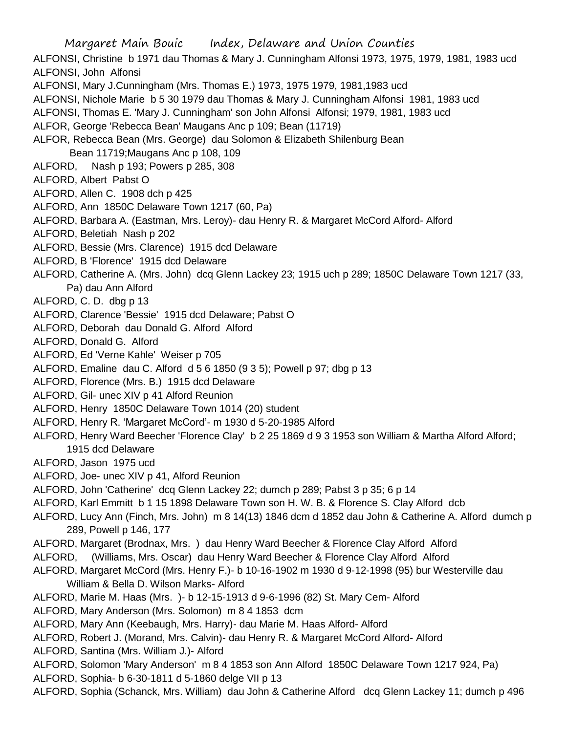Margaret Main Bouic Index, Delaware and Union Counties ALFONSI, Christine b 1971 dau Thomas & Mary J. Cunningham Alfonsi 1973, 1975, 1979, 1981, 1983 ucd ALFONSI, John Alfonsi ALFONSI, Mary J.Cunningham (Mrs. Thomas E.) 1973, 1975 1979, 1981,1983 ucd ALFONSI, Nichole Marie b 5 30 1979 dau Thomas & Mary J. Cunningham Alfonsi 1981, 1983 ucd ALFONSI, Thomas E. 'Mary J. Cunningham' son John Alfonsi Alfonsi; 1979, 1981, 1983 ucd ALFOR, George 'Rebecca Bean' Maugans Anc p 109; Bean (11719) ALFOR, Rebecca Bean (Mrs. George) dau Solomon & Elizabeth Shilenburg Bean Bean 11719;Maugans Anc p 108, 109 ALFORD, Nash p 193; Powers p 285, 308 ALFORD, Albert Pabst O ALFORD, Allen C. 1908 dch p 425 ALFORD, Ann 1850C Delaware Town 1217 (60, Pa) ALFORD, Barbara A. (Eastman, Mrs. Leroy)- dau Henry R. & Margaret McCord Alford- Alford ALFORD, Beletiah Nash p 202 ALFORD, Bessie (Mrs. Clarence) 1915 dcd Delaware ALFORD, B 'Florence' 1915 dcd Delaware ALFORD, Catherine A. (Mrs. John) dcq Glenn Lackey 23; 1915 uch p 289; 1850C Delaware Town 1217 (33, Pa) dau Ann Alford ALFORD, C. D. dbg p 13 ALFORD, Clarence 'Bessie' 1915 dcd Delaware; Pabst O ALFORD, Deborah dau Donald G. Alford Alford ALFORD, Donald G. Alford ALFORD, Ed 'Verne Kahle' Weiser p 705 ALFORD, Emaline dau C. Alford d 5 6 1850 (9 3 5); Powell p 97; dbg p 13 ALFORD, Florence (Mrs. B.) 1915 dcd Delaware ALFORD, Gil- unec XIV p 41 Alford Reunion ALFORD, Henry 1850C Delaware Town 1014 (20) student ALFORD, Henry R. 'Margaret McCord'- m 1930 d 5-20-1985 Alford ALFORD, Henry Ward Beecher 'Florence Clay' b 2 25 1869 d 9 3 1953 son William & Martha Alford Alford; 1915 dcd Delaware ALFORD, Jason 1975 ucd ALFORD, Joe- unec XIV p 41, Alford Reunion ALFORD, John 'Catherine' dcq Glenn Lackey 22; dumch p 289; Pabst 3 p 35; 6 p 14 ALFORD, Karl Emmitt b 1 15 1898 Delaware Town son H. W. B. & Florence S. Clay Alford dcb ALFORD, Lucy Ann (Finch, Mrs. John) m 8 14(13) 1846 dcm d 1852 dau John & Catherine A. Alford dumch p 289, Powell p 146, 177 ALFORD, Margaret (Brodnax, Mrs. ) dau Henry Ward Beecher & Florence Clay Alford Alford ALFORD, (Williams, Mrs. Oscar) dau Henry Ward Beecher & Florence Clay Alford Alford ALFORD, Margaret McCord (Mrs. Henry F.)- b 10-16-1902 m 1930 d 9-12-1998 (95) bur Westerville dau William & Bella D. Wilson Marks- Alford ALFORD, Marie M. Haas (Mrs. )- b 12-15-1913 d 9-6-1996 (82) St. Mary Cem- Alford ALFORD, Mary Anderson (Mrs. Solomon) m 8 4 1853 dcm ALFORD, Mary Ann (Keebaugh, Mrs. Harry)- dau Marie M. Haas Alford- Alford ALFORD, Robert J. (Morand, Mrs. Calvin)- dau Henry R. & Margaret McCord Alford- Alford ALFORD, Santina (Mrs. William J.)- Alford ALFORD, Solomon 'Mary Anderson' m 8 4 1853 son Ann Alford 1850C Delaware Town 1217 924, Pa) ALFORD, Sophia- b 6-30-1811 d 5-1860 delge VII p 13 ALFORD, Sophia (Schanck, Mrs. William) dau John & Catherine Alford dcq Glenn Lackey 11; dumch p 496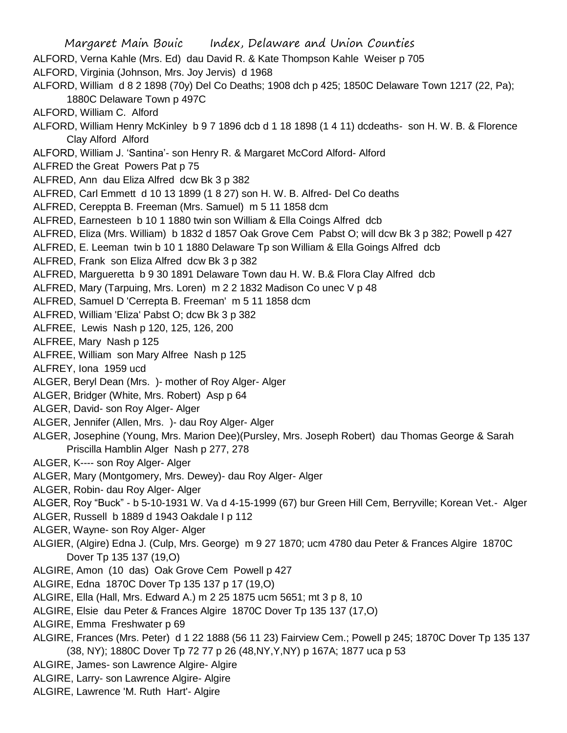Margaret Main Bouic Index, Delaware and Union Counties ALFORD, Verna Kahle (Mrs. Ed) dau David R. & Kate Thompson Kahle Weiser p 705 ALFORD, Virginia (Johnson, Mrs. Joy Jervis) d 1968 ALFORD, William d 8 2 1898 (70y) Del Co Deaths; 1908 dch p 425; 1850C Delaware Town 1217 (22, Pa); 1880C Delaware Town p 497C ALFORD, William C. Alford ALFORD, William Henry McKinley b 9 7 1896 dcb d 1 18 1898 (1 4 11) dcdeaths- son H. W. B. & Florence Clay Alford Alford ALFORD, William J. 'Santina'- son Henry R. & Margaret McCord Alford- Alford ALFRED the Great Powers Pat p 75 ALFRED, Ann dau Eliza Alfred dcw Bk 3 p 382 ALFRED, Carl Emmett d 10 13 1899 (1 8 27) son H. W. B. Alfred- Del Co deaths ALFRED, Cereppta B. Freeman (Mrs. Samuel) m 5 11 1858 dcm ALFRED, Earnesteen b 10 1 1880 twin son William & Ella Coings Alfred dcb ALFRED, Eliza (Mrs. William) b 1832 d 1857 Oak Grove Cem Pabst O; will dcw Bk 3 p 382; Powell p 427 ALFRED, E. Leeman twin b 10 1 1880 Delaware Tp son William & Ella Goings Alfred dcb ALFRED, Frank son Eliza Alfred dcw Bk 3 p 382 ALFRED, Margueretta b 9 30 1891 Delaware Town dau H. W. B.& Flora Clay Alfred dcb ALFRED, Mary (Tarpuing, Mrs. Loren) m 2 2 1832 Madison Co unec V p 48 ALFRED, Samuel D 'Cerrepta B. Freeman' m 5 11 1858 dcm ALFRED, William 'Eliza' Pabst O; dcw Bk 3 p 382 ALFREE, Lewis Nash p 120, 125, 126, 200 ALFREE, Mary Nash p 125 ALFREE, William son Mary Alfree Nash p 125 ALFREY, Iona 1959 ucd ALGER, Beryl Dean (Mrs. )- mother of Roy Alger- Alger ALGER, Bridger (White, Mrs. Robert) Asp p 64 ALGER, David- son Roy Alger- Alger ALGER, Jennifer (Allen, Mrs. )- dau Roy Alger- Alger ALGER, Josephine (Young, Mrs. Marion Dee)(Pursley, Mrs. Joseph Robert) dau Thomas George & Sarah Priscilla Hamblin Alger Nash p 277, 278 ALGER, K---- son Roy Alger- Alger ALGER, Mary (Montgomery, Mrs. Dewey)- dau Roy Alger- Alger ALGER, Robin- dau Roy Alger- Alger ALGER, Roy "Buck" - b 5-10-1931 W. Va d 4-15-1999 (67) bur Green Hill Cem, Berryville; Korean Vet.- Alger ALGER, Russell b 1889 d 1943 Oakdale I p 112 ALGER, Wayne- son Roy Alger- Alger ALGIER, (Algire) Edna J. (Culp, Mrs. George) m 9 27 1870; ucm 4780 dau Peter & Frances Algire 1870C Dover Tp 135 137 (19,O) ALGIRE, Amon (10 das) Oak Grove Cem Powell p 427 ALGIRE, Edna 1870C Dover Tp 135 137 p 17 (19,O) ALGIRE, Ella (Hall, Mrs. Edward A.) m 2 25 1875 ucm 5651; mt 3 p 8, 10 ALGIRE, Elsie dau Peter & Frances Algire 1870C Dover Tp 135 137 (17,O) ALGIRE, Emma Freshwater p 69 ALGIRE, Frances (Mrs. Peter) d 1 22 1888 (56 11 23) Fairview Cem.; Powell p 245; 1870C Dover Tp 135 137 (38, NY); 1880C Dover Tp 72 77 p 26 (48,NY,Y,NY) p 167A; 1877 uca p 53 ALGIRE, James- son Lawrence Algire- Algire ALGIRE, Larry- son Lawrence Algire- Algire

ALGIRE, Lawrence 'M. Ruth Hart'- Algire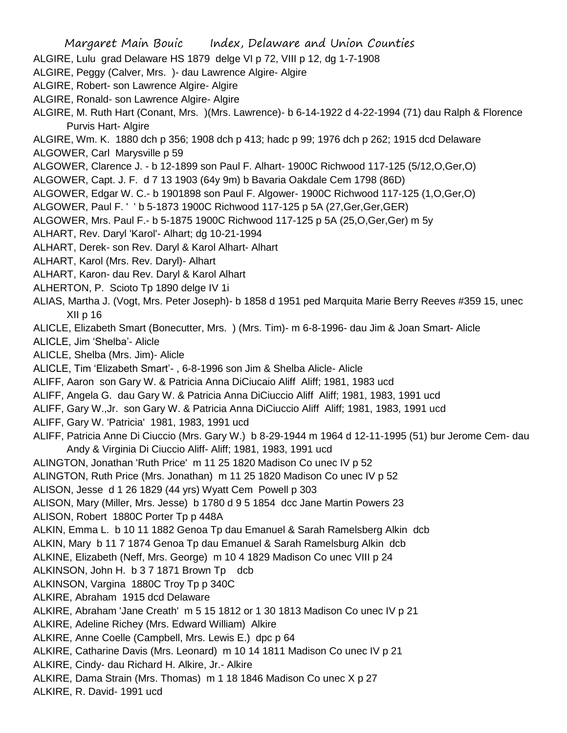- ALGIRE, Lulu grad Delaware HS 1879 delge VI p 72, VIII p 12, dg 1-7-1908
- ALGIRE, Peggy (Calver, Mrs. )- dau Lawrence Algire- Algire
- ALGIRE, Robert- son Lawrence Algire- Algire
- ALGIRE, Ronald- son Lawrence Algire- Algire
- ALGIRE, M. Ruth Hart (Conant, Mrs. )(Mrs. Lawrence)- b 6-14-1922 d 4-22-1994 (71) dau Ralph & Florence Purvis Hart- Algire
- ALGIRE, Wm. K. 1880 dch p 356; 1908 dch p 413; hadc p 99; 1976 dch p 262; 1915 dcd Delaware ALGOWER, Carl Marysville p 59
- ALGOWER, Clarence J. b 12-1899 son Paul F. Alhart- 1900C Richwood 117-125 (5/12,O,Ger,O)
- ALGOWER, Capt. J. F. d 7 13 1903 (64y 9m) b Bavaria Oakdale Cem 1798 (86D)
- ALGOWER, Edgar W. C.- b 1901898 son Paul F. Algower- 1900C Richwood 117-125 (1,O,Ger,O)
- ALGOWER, Paul F. ' ' b 5-1873 1900C Richwood 117-125 p 5A (27,Ger,Ger,GER)
- ALGOWER, Mrs. Paul F.- b 5-1875 1900C Richwood 117-125 p 5A (25,O,Ger,Ger) m 5y
- ALHART, Rev. Daryl 'Karol'- Alhart; dg 10-21-1994
- ALHART, Derek- son Rev. Daryl & Karol Alhart- Alhart
- ALHART, Karol (Mrs. Rev. Daryl)- Alhart
- ALHART, Karon- dau Rev. Daryl & Karol Alhart
- ALHERTON, P. Scioto Tp 1890 delge IV 1i
- ALIAS, Martha J. (Vogt, Mrs. Peter Joseph)- b 1858 d 1951 ped Marquita Marie Berry Reeves #359 15, unec XII p 16
- ALICLE, Elizabeth Smart (Bonecutter, Mrs. ) (Mrs. Tim)- m 6-8-1996- dau Jim & Joan Smart- Alicle
- ALICLE, Jim 'Shelba'- Alicle
- ALICLE, Shelba (Mrs. Jim)- Alicle
- ALICLE, Tim 'Elizabeth Smart'- , 6-8-1996 son Jim & Shelba Alicle- Alicle
- ALIFF, Aaron son Gary W. & Patricia Anna DiCiucaio Aliff Aliff; 1981, 1983 ucd
- ALIFF, Angela G. dau Gary W. & Patricia Anna DiCiuccio Aliff Aliff; 1981, 1983, 1991 ucd
- ALIFF, Gary W.,Jr. son Gary W. & Patricia Anna DiCiuccio Aliff Aliff; 1981, 1983, 1991 ucd
- ALIFF, Gary W. 'Patricia' 1981, 1983, 1991 ucd
- ALIFF, Patricia Anne Di Ciuccio (Mrs. Gary W.) b 8-29-1944 m 1964 d 12-11-1995 (51) bur Jerome Cem- dau Andy & Virginia Di Ciuccio Aliff- Aliff; 1981, 1983, 1991 ucd
- ALINGTON, Jonathan 'Ruth Price' m 11 25 1820 Madison Co unec IV p 52
- ALINGTON, Ruth Price (Mrs. Jonathan) m 11 25 1820 Madison Co unec IV p 52
- ALISON, Jesse d 1 26 1829 (44 yrs) Wyatt Cem Powell p 303
- ALISON, Mary (Miller, Mrs. Jesse) b 1780 d 9 5 1854 dcc Jane Martin Powers 23
- ALISON, Robert 1880C Porter Tp p 448A
- ALKIN, Emma L. b 10 11 1882 Genoa Tp dau Emanuel & Sarah Ramelsberg Alkin dcb
- ALKIN, Mary b 11 7 1874 Genoa Tp dau Emanuel & Sarah Ramelsburg Alkin dcb
- ALKINE, Elizabeth (Neff, Mrs. George) m 10 4 1829 Madison Co unec VIII p 24
- ALKINSON, John H. b 3 7 1871 Brown Tp dcb
- ALKINSON, Vargina 1880C Troy Tp p 340C
- ALKIRE, Abraham 1915 dcd Delaware
- ALKIRE, Abraham 'Jane Creath' m 5 15 1812 or 1 30 1813 Madison Co unec IV p 21
- ALKIRE, Adeline Richey (Mrs. Edward William) Alkire
- ALKIRE, Anne Coelle (Campbell, Mrs. Lewis E.) dpc p 64
- ALKIRE, Catharine Davis (Mrs. Leonard) m 10 14 1811 Madison Co unec IV p 21
- ALKIRE, Cindy- dau Richard H. Alkire, Jr.- Alkire
- ALKIRE, Dama Strain (Mrs. Thomas) m 1 18 1846 Madison Co unec X p 27
- ALKIRE, R. David- 1991 ucd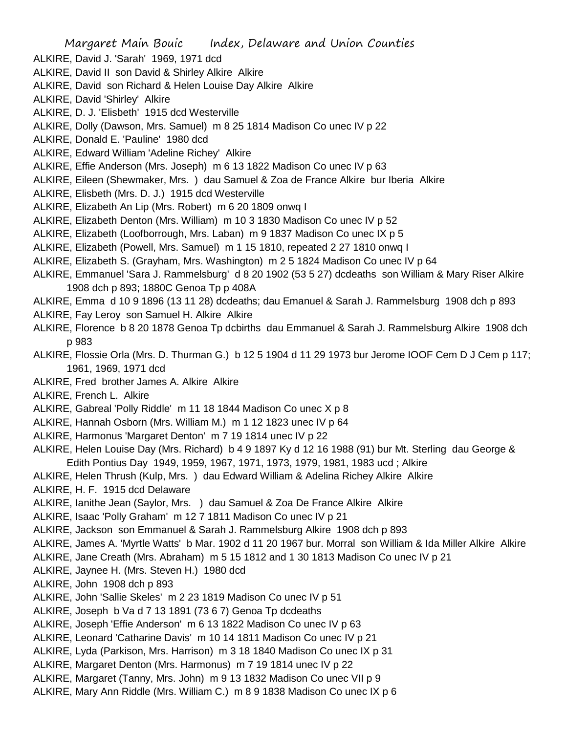Margaret Main Bouic Index, Delaware and Union Counties ALKIRE, David J. 'Sarah' 1969, 1971 dcd ALKIRE, David II son David & Shirley Alkire Alkire ALKIRE, David son Richard & Helen Louise Day Alkire Alkire ALKIRE, David 'Shirley' Alkire ALKIRE, D. J. 'Elisbeth' 1915 dcd Westerville ALKIRE, Dolly (Dawson, Mrs. Samuel) m 8 25 1814 Madison Co unec IV p 22 ALKIRE, Donald E. 'Pauline' 1980 dcd ALKIRE, Edward William 'Adeline Richey' Alkire ALKIRE, Effie Anderson (Mrs. Joseph) m 6 13 1822 Madison Co unec IV p 63 ALKIRE, Eileen (Shewmaker, Mrs. ) dau Samuel & Zoa de France Alkire bur Iberia Alkire ALKIRE, Elisbeth (Mrs. D. J.) 1915 dcd Westerville ALKIRE, Elizabeth An Lip (Mrs. Robert) m 6 20 1809 onwq I ALKIRE, Elizabeth Denton (Mrs. William) m 10 3 1830 Madison Co unec IV p 52 ALKIRE, Elizabeth (Loofborrough, Mrs. Laban) m 9 1837 Madison Co unec IX p 5 ALKIRE, Elizabeth (Powell, Mrs. Samuel) m 1 15 1810, repeated 2 27 1810 onwq I ALKIRE, Elizabeth S. (Grayham, Mrs. Washington) m 2 5 1824 Madison Co unec IV p 64 ALKIRE, Emmanuel 'Sara J. Rammelsburg' d 8 20 1902 (53 5 27) dcdeaths son William & Mary Riser Alkire 1908 dch p 893; 1880C Genoa Tp p 408A ALKIRE, Emma d 10 9 1896 (13 11 28) dcdeaths; dau Emanuel & Sarah J. Rammelsburg 1908 dch p 893 ALKIRE, Fay Leroy son Samuel H. Alkire Alkire ALKIRE, Florence b 8 20 1878 Genoa Tp dcbirths dau Emmanuel & Sarah J. Rammelsburg Alkire 1908 dch p 983 ALKIRE, Flossie Orla (Mrs. D. Thurman G.) b 12 5 1904 d 11 29 1973 bur Jerome IOOF Cem D J Cem p 117; 1961, 1969, 1971 dcd ALKIRE, Fred brother James A. Alkire Alkire ALKIRE, French L. Alkire ALKIRE, Gabreal 'Polly Riddle' m 11 18 1844 Madison Co unec X p 8 ALKIRE, Hannah Osborn (Mrs. William M.) m 1 12 1823 unec IV p 64 ALKIRE, Harmonus 'Margaret Denton' m 7 19 1814 unec IV p 22 ALKIRE, Helen Louise Day (Mrs. Richard) b 4 9 1897 Ky d 12 16 1988 (91) bur Mt. Sterling dau George & Edith Pontius Day 1949, 1959, 1967, 1971, 1973, 1979, 1981, 1983 ucd ; Alkire ALKIRE, Helen Thrush (Kulp, Mrs. ) dau Edward William & Adelina Richey Alkire Alkire ALKIRE, H. F. 1915 dcd Delaware ALKIRE, Ianithe Jean (Saylor, Mrs. ) dau Samuel & Zoa De France Alkire Alkire ALKIRE, Isaac 'Polly Graham' m 12 7 1811 Madison Co unec IV p 21 ALKIRE, Jackson son Emmanuel & Sarah J. Rammelsburg Alkire 1908 dch p 893 ALKIRE, James A. 'Myrtle Watts' b Mar. 1902 d 11 20 1967 bur. Morral son William & Ida Miller Alkire Alkire ALKIRE, Jane Creath (Mrs. Abraham) m 5 15 1812 and 1 30 1813 Madison Co unec IV p 21 ALKIRE, Jaynee H. (Mrs. Steven H.) 1980 dcd ALKIRE, John 1908 dch p 893 ALKIRE, John 'Sallie Skeles' m 2 23 1819 Madison Co unec IV p 51 ALKIRE, Joseph b Va d 7 13 1891 (73 6 7) Genoa Tp dcdeaths ALKIRE, Joseph 'Effie Anderson' m 6 13 1822 Madison Co unec IV p 63 ALKIRE, Leonard 'Catharine Davis' m 10 14 1811 Madison Co unec IV p 21 ALKIRE, Lyda (Parkison, Mrs. Harrison) m 3 18 1840 Madison Co unec IX p 31 ALKIRE, Margaret Denton (Mrs. Harmonus) m 7 19 1814 unec IV p 22 ALKIRE, Margaret (Tanny, Mrs. John) m 9 13 1832 Madison Co unec VII p 9 ALKIRE, Mary Ann Riddle (Mrs. William C.) m 8 9 1838 Madison Co unec IX p 6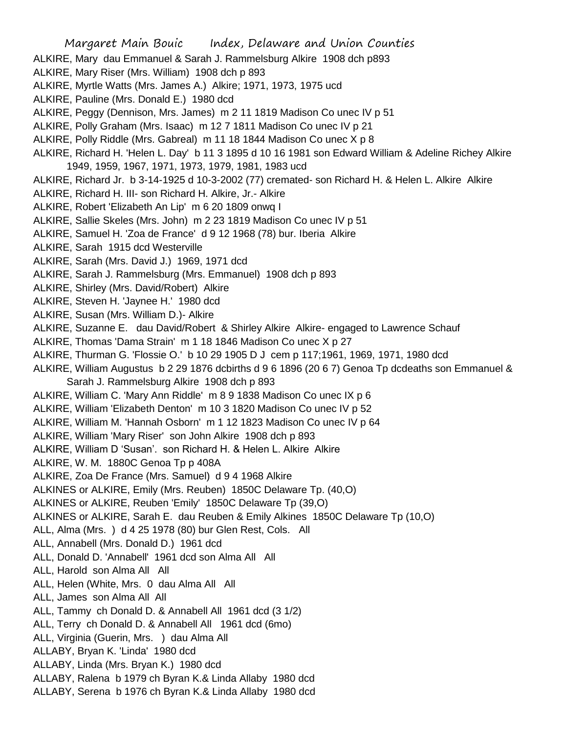- ALKIRE, Mary dau Emmanuel & Sarah J. Rammelsburg Alkire 1908 dch p893
- ALKIRE, Mary Riser (Mrs. William) 1908 dch p 893
- ALKIRE, Myrtle Watts (Mrs. James A.) Alkire; 1971, 1973, 1975 ucd
- ALKIRE, Pauline (Mrs. Donald E.) 1980 dcd
- ALKIRE, Peggy (Dennison, Mrs. James) m 2 11 1819 Madison Co unec IV p 51
- ALKIRE, Polly Graham (Mrs. Isaac) m 12 7 1811 Madison Co unec IV p 21
- ALKIRE, Polly Riddle (Mrs. Gabreal) m 11 18 1844 Madison Co unec X p 8
- ALKIRE, Richard H. 'Helen L. Day' b 11 3 1895 d 10 16 1981 son Edward William & Adeline Richey Alkire 1949, 1959, 1967, 1971, 1973, 1979, 1981, 1983 ucd
- ALKIRE, Richard Jr. b 3-14-1925 d 10-3-2002 (77) cremated- son Richard H. & Helen L. Alkire Alkire
- ALKIRE, Richard H. III- son Richard H. Alkire, Jr.- Alkire
- ALKIRE, Robert 'Elizabeth An Lip' m 6 20 1809 onwq I
- ALKIRE, Sallie Skeles (Mrs. John) m 2 23 1819 Madison Co unec IV p 51
- ALKIRE, Samuel H. 'Zoa de France' d 9 12 1968 (78) bur. Iberia Alkire
- ALKIRE, Sarah 1915 dcd Westerville
- ALKIRE, Sarah (Mrs. David J.) 1969, 1971 dcd
- ALKIRE, Sarah J. Rammelsburg (Mrs. Emmanuel) 1908 dch p 893
- ALKIRE, Shirley (Mrs. David/Robert) Alkire
- ALKIRE, Steven H. 'Jaynee H.' 1980 dcd
- ALKIRE, Susan (Mrs. William D.)- Alkire
- ALKIRE, Suzanne E. dau David/Robert & Shirley Alkire Alkire- engaged to Lawrence Schauf
- ALKIRE, Thomas 'Dama Strain' m 1 18 1846 Madison Co unec X p 27
- ALKIRE, Thurman G. 'Flossie O.' b 10 29 1905 D J cem p 117;1961, 1969, 1971, 1980 dcd
- ALKIRE, William Augustus b 2 29 1876 dcbirths d 9 6 1896 (20 6 7) Genoa Tp dcdeaths son Emmanuel & Sarah J. Rammelsburg Alkire 1908 dch p 893
- ALKIRE, William C. 'Mary Ann Riddle' m 8 9 1838 Madison Co unec IX p 6
- ALKIRE, William 'Elizabeth Denton' m 10 3 1820 Madison Co unec IV p 52
- ALKIRE, William M. 'Hannah Osborn' m 1 12 1823 Madison Co unec IV p 64
- ALKIRE, William 'Mary Riser' son John Alkire 1908 dch p 893
- ALKIRE, William D 'Susan'. son Richard H. & Helen L. Alkire Alkire
- ALKIRE, W. M. 1880C Genoa Tp p 408A
- ALKIRE, Zoa De France (Mrs. Samuel) d 9 4 1968 Alkire
- ALKINES or ALKIRE, Emily (Mrs. Reuben) 1850C Delaware Tp. (40,O)
- ALKINES or ALKIRE, Reuben 'Emily' 1850C Delaware Tp (39,O)
- ALKINES or ALKIRE, Sarah E. dau Reuben & Emily Alkines 1850C Delaware Tp (10,O)
- ALL, Alma (Mrs. ) d 4 25 1978 (80) bur Glen Rest, Cols. All
- ALL, Annabell (Mrs. Donald D.) 1961 dcd
- ALL, Donald D. 'Annabell' 1961 dcd son Alma All All
- ALL, Harold son Alma All All
- ALL, Helen (White, Mrs. 0 dau Alma All All
- ALL, James son Alma All All
- ALL, Tammy ch Donald D. & Annabell All 1961 dcd (3 1/2)
- ALL, Terry ch Donald D. & Annabell All 1961 dcd (6mo)
- ALL, Virginia (Guerin, Mrs. ) dau Alma All
- ALLABY, Bryan K. 'Linda' 1980 dcd
- ALLABY, Linda (Mrs. Bryan K.) 1980 dcd
- ALLABY, Ralena b 1979 ch Byran K.& Linda Allaby 1980 dcd
- ALLABY, Serena b 1976 ch Byran K.& Linda Allaby 1980 dcd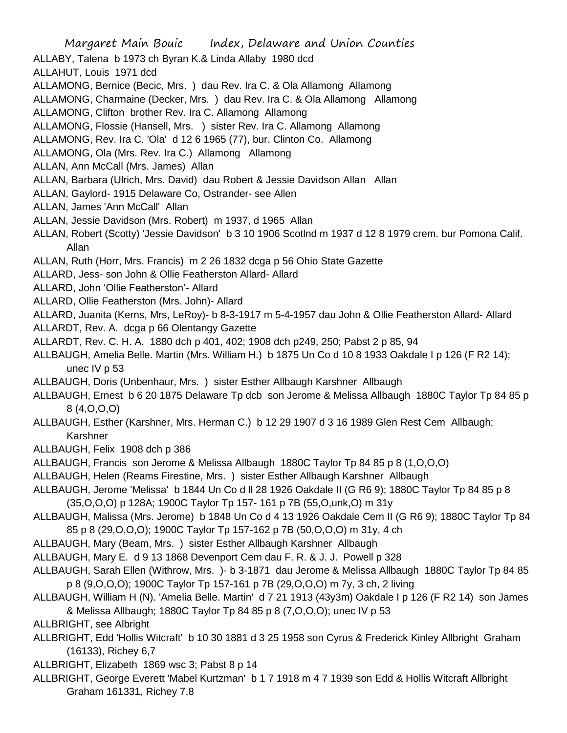Margaret Main Bouic Index, Delaware and Union Counties ALLABY, Talena b 1973 ch Byran K.& Linda Allaby 1980 dcd ALLAHUT, Louis 1971 dcd ALLAMONG, Bernice (Becic, Mrs. ) dau Rev. Ira C. & Ola Allamong Allamong ALLAMONG, Charmaine (Decker, Mrs. ) dau Rev. Ira C. & Ola Allamong Allamong ALLAMONG, Clifton brother Rev. Ira C. Allamong Allamong ALLAMONG, Flossie (Hansell, Mrs. ) sister Rev. Ira C. Allamong Allamong ALLAMONG, Rev. Ira C. 'Ola' d 12 6 1965 (77), bur. Clinton Co. Allamong ALLAMONG, Ola (Mrs. Rev. Ira C.) Allamong Allamong ALLAN, Ann McCall (Mrs. James) Allan ALLAN, Barbara (Ulrich, Mrs. David) dau Robert & Jessie Davidson Allan Allan ALLAN, Gaylord- 1915 Delaware Co, Ostrander- see Allen ALLAN, James 'Ann McCall' Allan ALLAN, Jessie Davidson (Mrs. Robert) m 1937, d 1965 Allan ALLAN, Robert (Scotty) 'Jessie Davidson' b 3 10 1906 Scotlnd m 1937 d 12 8 1979 crem. bur Pomona Calif. Allan ALLAN, Ruth (Horr, Mrs. Francis) m 2 26 1832 dcga p 56 Ohio State Gazette ALLARD, Jess- son John & Ollie Featherston Allard- Allard ALLARD, John 'Ollie Featherston'- Allard ALLARD, Ollie Featherston (Mrs. John)- Allard ALLARD, Juanita (Kerns, Mrs, LeRoy)- b 8-3-1917 m 5-4-1957 dau John & Ollie Featherston Allard- Allard ALLARDT, Rev. A. dcga p 66 Olentangy Gazette ALLARDT, Rev. C. H. A. 1880 dch p 401, 402; 1908 dch p249, 250; Pabst 2 p 85, 94 ALLBAUGH, Amelia Belle. Martin (Mrs. William H.) b 1875 Un Co d 10 8 1933 Oakdale I p 126 (F R2 14); unec IV p 53 ALLBAUGH, Doris (Unbenhaur, Mrs. ) sister Esther Allbaugh Karshner Allbaugh ALLBAUGH, Ernest b 6 20 1875 Delaware Tp dcb son Jerome & Melissa Allbaugh 1880C Taylor Tp 84 85 p 8 (4,O,O,O) ALLBAUGH, Esther (Karshner, Mrs. Herman C.) b 12 29 1907 d 3 16 1989 Glen Rest Cem Allbaugh; Karshner ALLBAUGH, Felix 1908 dch p 386 ALLBAUGH, Francis son Jerome & Melissa Allbaugh 1880C Taylor Tp 84 85 p 8 (1,O,O,O) ALLBAUGH, Helen (Reams Firestine, Mrs. ) sister Esther Allbaugh Karshner Allbaugh ALLBAUGH, Jerome 'Melissa' b 1844 Un Co d ll 28 1926 Oakdale II (G R6 9); 1880C Taylor Tp 84 85 p 8 (35,O,O,O) p 128A; 1900C Taylor Tp 157- 161 p 7B (55,O,unk,O) m 31y ALLBAUGH, Malissa (Mrs. Jerome) b 1848 Un Co d 4 13 1926 Oakdale Cem II (G R6 9); 1880C Taylor Tp 84 85 p 8 (29,O,O,O); 1900C Taylor Tp 157-162 p 7B (50,O,O,O) m 31y, 4 ch ALLBAUGH, Mary (Beam, Mrs. ) sister Esther Allbaugh Karshner Allbaugh ALLBAUGH, Mary E. d 9 13 1868 Devenport Cem dau F. R. & J. J. Powell p 328 ALLBAUGH, Sarah Ellen (Withrow, Mrs. )- b 3-1871 dau Jerome & Melissa Allbaugh 1880C Taylor Tp 84 85 p 8 (9,O,O,O); 1900C Taylor Tp 157-161 p 7B (29,O,O,O) m 7y, 3 ch, 2 living ALLBAUGH, William H (N). 'Amelia Belle. Martin' d 7 21 1913 (43y3m) Oakdale I p 126 (F R2 14) son James & Melissa Allbaugh; 1880C Taylor Tp 84 85 p 8 (7,O,O,O); unec IV p 53

ALLBRIGHT, see Albright

- ALLBRIGHT, Edd 'Hollis Witcraft' b 10 30 1881 d 3 25 1958 son Cyrus & Frederick Kinley Allbright Graham (16133), Richey 6,7
- ALLBRIGHT, Elizabeth 1869 wsc 3; Pabst 8 p 14
- ALLBRIGHT, George Everett 'Mabel Kurtzman' b 1 7 1918 m 4 7 1939 son Edd & Hollis Witcraft Allbright Graham 161331, Richey 7,8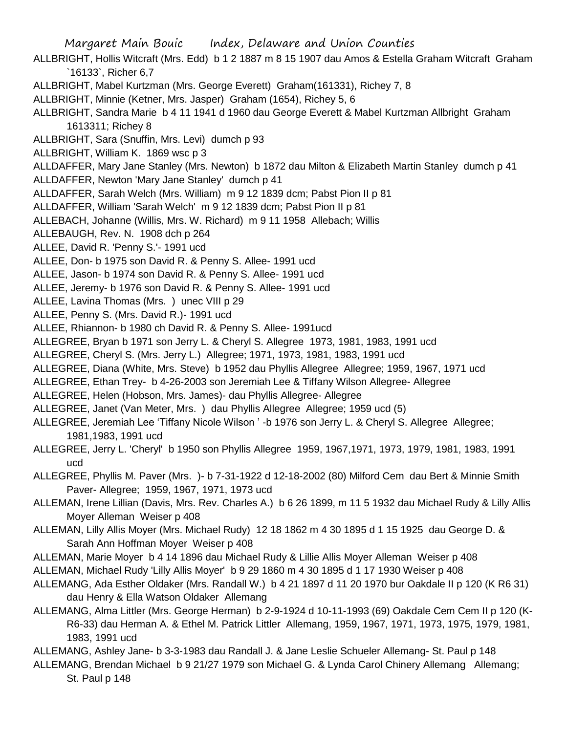- ALLBRIGHT, Hollis Witcraft (Mrs. Edd) b 1 2 1887 m 8 15 1907 dau Amos & Estella Graham Witcraft Graham `16133`, Richer 6,7
- ALLBRIGHT, Mabel Kurtzman (Mrs. George Everett) Graham(161331), Richey 7, 8
- ALLBRIGHT, Minnie (Ketner, Mrs. Jasper) Graham (1654), Richey 5, 6
- ALLBRIGHT, Sandra Marie b 4 11 1941 d 1960 dau George Everett & Mabel Kurtzman Allbright Graham 1613311; Richey 8
- ALLBRIGHT, Sara (Snuffin, Mrs. Levi) dumch p 93
- ALLBRIGHT, William K. 1869 wsc p 3
- ALLDAFFER, Mary Jane Stanley (Mrs. Newton) b 1872 dau Milton & Elizabeth Martin Stanley dumch p 41
- ALLDAFFER, Newton 'Mary Jane Stanley' dumch p 41
- ALLDAFFER, Sarah Welch (Mrs. William) m 9 12 1839 dcm; Pabst Pion II p 81
- ALLDAFFER, William 'Sarah Welch' m 9 12 1839 dcm; Pabst Pion II p 81
- ALLEBACH, Johanne (Willis, Mrs. W. Richard) m 9 11 1958 Allebach; Willis
- ALLEBAUGH, Rev. N. 1908 dch p 264
- ALLEE, David R. 'Penny S.'- 1991 ucd
- ALLEE, Don- b 1975 son David R. & Penny S. Allee- 1991 ucd
- ALLEE, Jason- b 1974 son David R. & Penny S. Allee- 1991 ucd
- ALLEE, Jeremy- b 1976 son David R. & Penny S. Allee- 1991 ucd
- ALLEE, Lavina Thomas (Mrs. ) unec VIII p 29
- ALLEE, Penny S. (Mrs. David R.)- 1991 ucd
- ALLEE, Rhiannon- b 1980 ch David R. & Penny S. Allee- 1991ucd
- ALLEGREE, Bryan b 1971 son Jerry L. & Cheryl S. Allegree 1973, 1981, 1983, 1991 ucd
- ALLEGREE, Cheryl S. (Mrs. Jerry L.) Allegree; 1971, 1973, 1981, 1983, 1991 ucd
- ALLEGREE, Diana (White, Mrs. Steve) b 1952 dau Phyllis Allegree Allegree; 1959, 1967, 1971 ucd
- ALLEGREE, Ethan Trey- b 4-26-2003 son Jeremiah Lee & Tiffany Wilson Allegree- Allegree
- ALLEGREE, Helen (Hobson, Mrs. James)- dau Phyllis Allegree- Allegree
- ALLEGREE, Janet (Van Meter, Mrs. ) dau Phyllis Allegree Allegree; 1959 ucd (5)
- ALLEGREE, Jeremiah Lee 'Tiffany Nicole Wilson ' -b 1976 son Jerry L. & Cheryl S. Allegree Allegree; 1981,1983, 1991 ucd
- ALLEGREE, Jerry L. 'Cheryl' b 1950 son Phyllis Allegree 1959, 1967,1971, 1973, 1979, 1981, 1983, 1991 ucd
- ALLEGREE, Phyllis M. Paver (Mrs. )- b 7-31-1922 d 12-18-2002 (80) Milford Cem dau Bert & Minnie Smith Paver- Allegree; 1959, 1967, 1971, 1973 ucd
- ALLEMAN, Irene Lillian (Davis, Mrs. Rev. Charles A.) b 6 26 1899, m 11 5 1932 dau Michael Rudy & Lilly Allis Moyer Alleman Weiser p 408
- ALLEMAN, Lilly Allis Moyer (Mrs. Michael Rudy) 12 18 1862 m 4 30 1895 d 1 15 1925 dau George D. & Sarah Ann Hoffman Moyer Weiser p 408
- ALLEMAN, Marie Moyer b 4 14 1896 dau Michael Rudy & Lillie Allis Moyer Alleman Weiser p 408
- ALLEMAN, Michael Rudy 'Lilly Allis Moyer' b 9 29 1860 m 4 30 1895 d 1 17 1930 Weiser p 408
- ALLEMANG, Ada Esther Oldaker (Mrs. Randall W.) b 4 21 1897 d 11 20 1970 bur Oakdale II p 120 (K R6 31) dau Henry & Ella Watson Oldaker Allemang
- ALLEMANG, Alma Littler (Mrs. George Herman) b 2-9-1924 d 10-11-1993 (69) Oakdale Cem Cem II p 120 (K-R6-33) dau Herman A. & Ethel M. Patrick Littler Allemang, 1959, 1967, 1971, 1973, 1975, 1979, 1981, 1983, 1991 ucd
- ALLEMANG, Ashley Jane- b 3-3-1983 dau Randall J. & Jane Leslie Schueler Allemang- St. Paul p 148
- ALLEMANG, Brendan Michael b 9 21/27 1979 son Michael G. & Lynda Carol Chinery Allemang Allemang; St. Paul p 148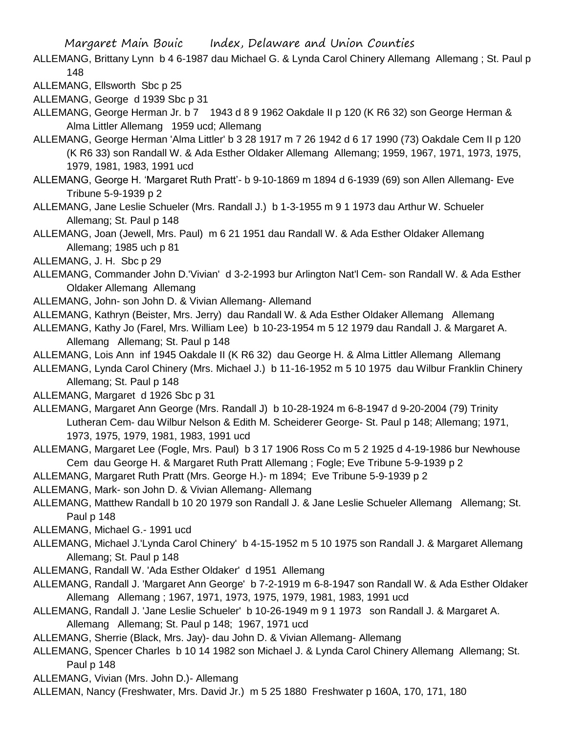- ALLEMANG, Brittany Lynn b 4 6-1987 dau Michael G. & Lynda Carol Chinery Allemang Allemang ; St. Paul p 148
- ALLEMANG, Ellsworth Sbc p 25

ALLEMANG, George d 1939 Sbc p 31

- ALLEMANG, George Herman Jr. b 7 1943 d 8 9 1962 Oakdale II p 120 (K R6 32) son George Herman & Alma Littler Allemang 1959 ucd; Allemang
- ALLEMANG, George Herman 'Alma Littler' b 3 28 1917 m 7 26 1942 d 6 17 1990 (73) Oakdale Cem II p 120 (K R6 33) son Randall W. & Ada Esther Oldaker Allemang Allemang; 1959, 1967, 1971, 1973, 1975, 1979, 1981, 1983, 1991 ucd
- ALLEMANG, George H. 'Margaret Ruth Pratt'- b 9-10-1869 m 1894 d 6-1939 (69) son Allen Allemang- Eve Tribune 5-9-1939 p 2
- ALLEMANG, Jane Leslie Schueler (Mrs. Randall J.) b 1-3-1955 m 9 1 1973 dau Arthur W. Schueler Allemang; St. Paul p 148
- ALLEMANG, Joan (Jewell, Mrs. Paul) m 6 21 1951 dau Randall W. & Ada Esther Oldaker Allemang Allemang; 1985 uch p 81
- ALLEMANG, J. H. Sbc p 29
- ALLEMANG, Commander John D.'Vivian' d 3-2-1993 bur Arlington Nat'l Cem- son Randall W. & Ada Esther Oldaker Allemang Allemang
- ALLEMANG, John- son John D. & Vivian Allemang- Allemand
- ALLEMANG, Kathryn (Beister, Mrs. Jerry) dau Randall W. & Ada Esther Oldaker Allemang Allemang
- ALLEMANG, Kathy Jo (Farel, Mrs. William Lee) b 10-23-1954 m 5 12 1979 dau Randall J. & Margaret A. Allemang Allemang; St. Paul p 148
- ALLEMANG, Lois Ann inf 1945 Oakdale II (K R6 32) dau George H. & Alma Littler Allemang Allemang
- ALLEMANG, Lynda Carol Chinery (Mrs. Michael J.) b 11-16-1952 m 5 10 1975 dau Wilbur Franklin Chinery Allemang; St. Paul p 148
- ALLEMANG, Margaret d 1926 Sbc p 31
- ALLEMANG, Margaret Ann George (Mrs. Randall J) b 10-28-1924 m 6-8-1947 d 9-20-2004 (79) Trinity Lutheran Cem- dau Wilbur Nelson & Edith M. Scheiderer George- St. Paul p 148; Allemang; 1971, 1973, 1975, 1979, 1981, 1983, 1991 ucd
- ALLEMANG, Margaret Lee (Fogle, Mrs. Paul) b 3 17 1906 Ross Co m 5 2 1925 d 4-19-1986 bur Newhouse Cem dau George H. & Margaret Ruth Pratt Allemang ; Fogle; Eve Tribune 5-9-1939 p 2
- ALLEMANG, Margaret Ruth Pratt (Mrs. George H.)- m 1894; Eve Tribune 5-9-1939 p 2
- ALLEMANG, Mark- son John D. & Vivian Allemang- Allemang
- ALLEMANG, Matthew Randall b 10 20 1979 son Randall J. & Jane Leslie Schueler Allemang Allemang; St. Paul p 148
- ALLEMANG, Michael G.- 1991 ucd
- ALLEMANG, Michael J.'Lynda Carol Chinery' b 4-15-1952 m 5 10 1975 son Randall J. & Margaret Allemang Allemang; St. Paul p 148
- ALLEMANG, Randall W. 'Ada Esther Oldaker' d 1951 Allemang
- ALLEMANG, Randall J. 'Margaret Ann George' b 7-2-1919 m 6-8-1947 son Randall W. & Ada Esther Oldaker Allemang Allemang ; 1967, 1971, 1973, 1975, 1979, 1981, 1983, 1991 ucd
- ALLEMANG, Randall J. 'Jane Leslie Schueler' b 10-26-1949 m 9 1 1973 son Randall J. & Margaret A. Allemang Allemang; St. Paul p 148; 1967, 1971 ucd
- ALLEMANG, Sherrie (Black, Mrs. Jay)- dau John D. & Vivian Allemang- Allemang
- ALLEMANG, Spencer Charles b 10 14 1982 son Michael J. & Lynda Carol Chinery Allemang Allemang; St. Paul p 148
- ALLEMANG, Vivian (Mrs. John D.)- Allemang
- ALLEMAN, Nancy (Freshwater, Mrs. David Jr.) m 5 25 1880 Freshwater p 160A, 170, 171, 180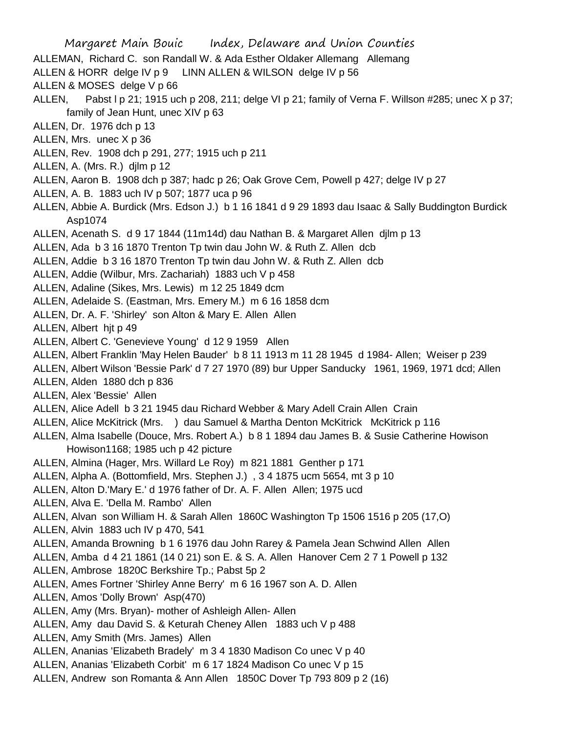Margaret Main Bouic Index, Delaware and Union Counties ALLEMAN, Richard C. son Randall W. & Ada Esther Oldaker Allemang Allemang ALLEN & HORR delge IV p 9 LINN ALLEN & WILSON delge IV p 56 ALLEN & MOSES delge V p 66 ALLEN, Pabst I p 21; 1915 uch p 208, 211; delge VI p 21; family of Verna F. Willson #285; unec X p 37; family of Jean Hunt, unec XIV p 63 ALLEN, Dr. 1976 dch p 13 ALLEN, Mrs. unec X p 36 ALLEN, Rev. 1908 dch p 291, 277; 1915 uch p 211 ALLEN, A. (Mrs. R.) djlm p 12 ALLEN, Aaron B. 1908 dch p 387; hadc p 26; Oak Grove Cem, Powell p 427; delge IV p 27 ALLEN, A. B. 1883 uch IV p 507; 1877 uca p 96 ALLEN, Abbie A. Burdick (Mrs. Edson J.) b 1 16 1841 d 9 29 1893 dau Isaac & Sally Buddington Burdick Asp1074 ALLEN, Acenath S. d 9 17 1844 (11m14d) dau Nathan B. & Margaret Allen djlm p 13 ALLEN, Ada b 3 16 1870 Trenton Tp twin dau John W. & Ruth Z. Allen dcb ALLEN, Addie b 3 16 1870 Trenton Tp twin dau John W. & Ruth Z. Allen dcb ALLEN, Addie (Wilbur, Mrs. Zachariah) 1883 uch V p 458 ALLEN, Adaline (Sikes, Mrs. Lewis) m 12 25 1849 dcm ALLEN, Adelaide S. (Eastman, Mrs. Emery M.) m 6 16 1858 dcm ALLEN, Dr. A. F. 'Shirley' son Alton & Mary E. Allen Allen ALLEN, Albert hjt p 49 ALLEN, Albert C. 'Genevieve Young' d 12 9 1959 Allen ALLEN, Albert Franklin 'May Helen Bauder' b 8 11 1913 m 11 28 1945 d 1984- Allen; Weiser p 239 ALLEN, Albert Wilson 'Bessie Park' d 7 27 1970 (89) bur Upper Sanducky 1961, 1969, 1971 dcd; Allen ALLEN, Alden 1880 dch p 836 ALLEN, Alex 'Bessie' Allen ALLEN, Alice Adell b 3 21 1945 dau Richard Webber & Mary Adell Crain Allen Crain ALLEN, Alice McKitrick (Mrs. ) dau Samuel & Martha Denton McKitrick McKitrick p 116 ALLEN, Alma Isabelle (Douce, Mrs. Robert A.) b 8 1 1894 dau James B. & Susie Catherine Howison Howison1168; 1985 uch p 42 picture ALLEN, Almina (Hager, Mrs. Willard Le Roy) m 821 1881 Genther p 171 ALLEN, Alpha A. (Bottomfield, Mrs. Stephen J.) , 3 4 1875 ucm 5654, mt 3 p 10 ALLEN, Alton D.'Mary E.' d 1976 father of Dr. A. F. Allen Allen; 1975 ucd ALLEN, Alva E. 'Della M. Rambo' Allen ALLEN, Alvan son William H. & Sarah Allen 1860C Washington Tp 1506 1516 p 205 (17,O) ALLEN, Alvin 1883 uch IV p 470, 541 ALLEN, Amanda Browning b 1 6 1976 dau John Rarey & Pamela Jean Schwind Allen Allen ALLEN, Amba d 4 21 1861 (14 0 21) son E. & S. A. Allen Hanover Cem 2 7 1 Powell p 132 ALLEN, Ambrose 1820C Berkshire Tp.; Pabst 5p 2 ALLEN, Ames Fortner 'Shirley Anne Berry' m 6 16 1967 son A. D. Allen ALLEN, Amos 'Dolly Brown' Asp(470) ALLEN, Amy (Mrs. Bryan)- mother of Ashleigh Allen- Allen ALLEN, Amy dau David S. & Keturah Cheney Allen 1883 uch V p 488 ALLEN, Amy Smith (Mrs. James) Allen ALLEN, Ananias 'Elizabeth Bradely' m 3 4 1830 Madison Co unec V p 40 ALLEN, Ananias 'Elizabeth Corbit' m 6 17 1824 Madison Co unec V p 15 ALLEN, Andrew son Romanta & Ann Allen 1850C Dover Tp 793 809 p 2 (16)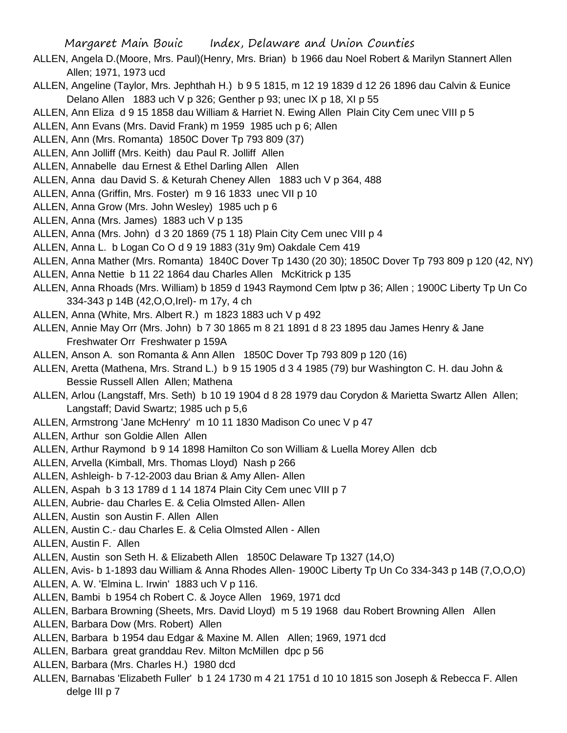- ALLEN, Angela D.(Moore, Mrs. Paul)(Henry, Mrs. Brian) b 1966 dau Noel Robert & Marilyn Stannert Allen Allen; 1971, 1973 ucd
- ALLEN, Angeline (Taylor, Mrs. Jephthah H.) b 9 5 1815, m 12 19 1839 d 12 26 1896 dau Calvin & Eunice Delano Allen 1883 uch V p 326; Genther p 93; unec IX p 18, XI p 55
- ALLEN, Ann Eliza d 9 15 1858 dau William & Harriet N. Ewing Allen Plain City Cem unec VIII p 5
- ALLEN, Ann Evans (Mrs. David Frank) m 1959 1985 uch p 6; Allen
- ALLEN, Ann (Mrs. Romanta) 1850C Dover Tp 793 809 (37)
- ALLEN, Ann Jolliff (Mrs. Keith) dau Paul R. Jolliff Allen
- ALLEN, Annabelle dau Ernest & Ethel Darling Allen Allen
- ALLEN, Anna dau David S. & Keturah Cheney Allen 1883 uch V p 364, 488
- ALLEN, Anna (Griffin, Mrs. Foster) m 9 16 1833 unec VII p 10
- ALLEN, Anna Grow (Mrs. John Wesley) 1985 uch p 6
- ALLEN, Anna (Mrs. James) 1883 uch V p 135
- ALLEN, Anna (Mrs. John) d 3 20 1869 (75 1 18) Plain City Cem unec VIII p 4
- ALLEN, Anna L. b Logan Co O d 9 19 1883 (31y 9m) Oakdale Cem 419
- ALLEN, Anna Mather (Mrs. Romanta) 1840C Dover Tp 1430 (20 30); 1850C Dover Tp 793 809 p 120 (42, NY)
- ALLEN, Anna Nettie b 11 22 1864 dau Charles Allen McKitrick p 135
- ALLEN, Anna Rhoads (Mrs. William) b 1859 d 1943 Raymond Cem lptw p 36; Allen ; 1900C Liberty Tp Un Co 334-343 p 14B (42,O,O,Irel)- m 17y, 4 ch
- ALLEN, Anna (White, Mrs. Albert R.) m 1823 1883 uch V p 492
- ALLEN, Annie May Orr (Mrs. John) b 7 30 1865 m 8 21 1891 d 8 23 1895 dau James Henry & Jane Freshwater Orr Freshwater p 159A
- ALLEN, Anson A. son Romanta & Ann Allen 1850C Dover Tp 793 809 p 120 (16)
- ALLEN, Aretta (Mathena, Mrs. Strand L.) b 9 15 1905 d 3 4 1985 (79) bur Washington C. H. dau John & Bessie Russell Allen Allen; Mathena
- ALLEN, Arlou (Langstaff, Mrs. Seth) b 10 19 1904 d 8 28 1979 dau Corydon & Marietta Swartz Allen Allen; Langstaff; David Swartz; 1985 uch p 5,6
- ALLEN, Armstrong 'Jane McHenry' m 10 11 1830 Madison Co unec V p 47
- ALLEN, Arthur son Goldie Allen Allen
- ALLEN, Arthur Raymond b 9 14 1898 Hamilton Co son William & Luella Morey Allen dcb
- ALLEN, Arvella (Kimball, Mrs. Thomas Lloyd) Nash p 266
- ALLEN, Ashleigh- b 7-12-2003 dau Brian & Amy Allen- Allen
- ALLEN, Aspah b 3 13 1789 d 1 14 1874 Plain City Cem unec VIII p 7
- ALLEN, Aubrie- dau Charles E. & Celia Olmsted Allen- Allen
- ALLEN, Austin son Austin F. Allen Allen
- ALLEN, Austin C.- dau Charles E. & Celia Olmsted Allen Allen
- ALLEN, Austin F. Allen
- ALLEN, Austin son Seth H. & Elizabeth Allen 1850C Delaware Tp 1327 (14,O)
- ALLEN, Avis- b 1-1893 dau William & Anna Rhodes Allen- 1900C Liberty Tp Un Co 334-343 p 14B (7,O,O,O)
- ALLEN, A. W. 'Elmina L. Irwin' 1883 uch V p 116.
- ALLEN, Bambi b 1954 ch Robert C. & Joyce Allen 1969, 1971 dcd
- ALLEN, Barbara Browning (Sheets, Mrs. David Lloyd) m 5 19 1968 dau Robert Browning Allen Allen
- ALLEN, Barbara Dow (Mrs. Robert) Allen
- ALLEN, Barbara b 1954 dau Edgar & Maxine M. Allen Allen; 1969, 1971 dcd
- ALLEN, Barbara great granddau Rev. Milton McMillen dpc p 56
- ALLEN, Barbara (Mrs. Charles H.) 1980 dcd
- ALLEN, Barnabas 'Elizabeth Fuller' b 1 24 1730 m 4 21 1751 d 10 10 1815 son Joseph & Rebecca F. Allen delge III p 7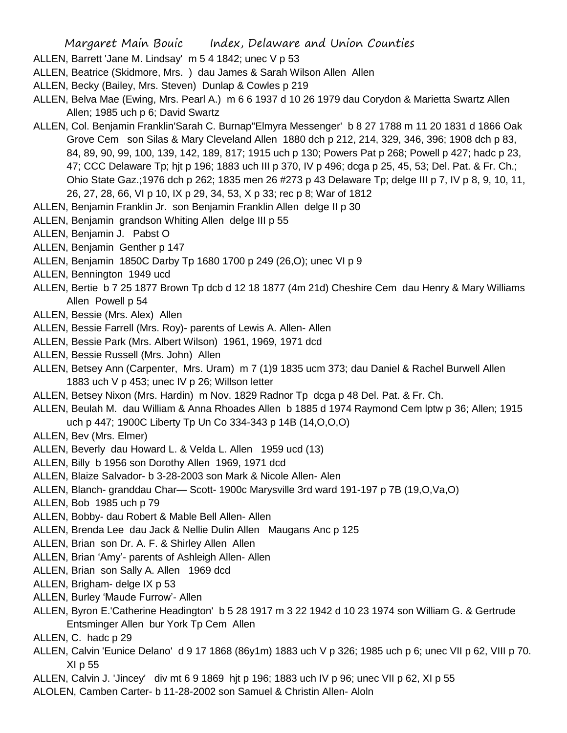ALLEN, Barrett 'Jane M. Lindsay' m 5 4 1842; unec V p 53

- ALLEN, Beatrice (Skidmore, Mrs. ) dau James & Sarah Wilson Allen Allen
- ALLEN, Becky (Bailey, Mrs. Steven) Dunlap & Cowles p 219
- ALLEN, Belva Mae (Ewing, Mrs. Pearl A.) m 6 6 1937 d 10 26 1979 dau Corydon & Marietta Swartz Allen Allen; 1985 uch p 6; David Swartz
- ALLEN, Col. Benjamin Franklin'Sarah C. Burnap''Elmyra Messenger' b 8 27 1788 m 11 20 1831 d 1866 Oak Grove Cem son Silas & Mary Cleveland Allen 1880 dch p 212, 214, 329, 346, 396; 1908 dch p 83, 84, 89, 90, 99, 100, 139, 142, 189, 817; 1915 uch p 130; Powers Pat p 268; Powell p 427; hadc p 23, 47; CCC Delaware Tp; hjt p 196; 1883 uch III p 370, IV p 496; dcga p 25, 45, 53; Del. Pat. & Fr. Ch.; Ohio State Gaz.;1976 dch p 262; 1835 men 26 #273 p 43 Delaware Tp; delge III p 7, IV p 8, 9, 10, 11, 26, 27, 28, 66, VI p 10, IX p 29, 34, 53, X p 33; rec p 8; War of 1812
- ALLEN, Benjamin Franklin Jr. son Benjamin Franklin Allen delge II p 30
- ALLEN, Benjamin grandson Whiting Allen delge III p 55
- ALLEN, Benjamin J. Pabst O
- ALLEN, Benjamin Genther p 147
- ALLEN, Benjamin 1850C Darby Tp 1680 1700 p 249 (26,O); unec VI p 9
- ALLEN, Bennington 1949 ucd
- ALLEN, Bertie b 7 25 1877 Brown Tp dcb d 12 18 1877 (4m 21d) Cheshire Cem dau Henry & Mary Williams Allen Powell p 54
- ALLEN, Bessie (Mrs. Alex) Allen
- ALLEN, Bessie Farrell (Mrs. Roy)- parents of Lewis A. Allen- Allen
- ALLEN, Bessie Park (Mrs. Albert Wilson) 1961, 1969, 1971 dcd
- ALLEN, Bessie Russell (Mrs. John) Allen
- ALLEN, Betsey Ann (Carpenter, Mrs. Uram) m 7 (1)9 1835 ucm 373; dau Daniel & Rachel Burwell Allen 1883 uch V p 453; unec IV p 26; Willson letter
- ALLEN, Betsey Nixon (Mrs. Hardin) m Nov. 1829 Radnor Tp dcga p 48 Del. Pat. & Fr. Ch.
- ALLEN, Beulah M. dau William & Anna Rhoades Allen b 1885 d 1974 Raymond Cem lptw p 36; Allen; 1915 uch p 447; 1900C Liberty Tp Un Co 334-343 p 14B (14,O,O,O)
- ALLEN, Bev (Mrs. Elmer)
- ALLEN, Beverly dau Howard L. & Velda L. Allen 1959 ucd (13)
- ALLEN, Billy b 1956 son Dorothy Allen 1969, 1971 dcd
- ALLEN, Blaize Salvador- b 3-28-2003 son Mark & Nicole Allen- Alen
- ALLEN, Blanch- granddau Char— Scott- 1900c Marysville 3rd ward 191-197 p 7B (19,O,Va,O)
- ALLEN, Bob 1985 uch p 79
- ALLEN, Bobby- dau Robert & Mable Bell Allen- Allen
- ALLEN, Brenda Lee dau Jack & Nellie Dulin Allen Maugans Anc p 125
- ALLEN, Brian son Dr. A. F. & Shirley Allen Allen
- ALLEN, Brian 'Amy'- parents of Ashleigh Allen- Allen
- ALLEN, Brian son Sally A. Allen 1969 dcd
- ALLEN, Brigham- delge IX p 53
- ALLEN, Burley 'Maude Furrow'- Allen
- ALLEN, Byron E.'Catherine Headington' b 5 28 1917 m 3 22 1942 d 10 23 1974 son William G. & Gertrude Entsminger Allen bur York Tp Cem Allen
- ALLEN, C. hadc p 29
- ALLEN, Calvin 'Eunice Delano' d 9 17 1868 (86y1m) 1883 uch V p 326; 1985 uch p 6; unec VII p 62, VIII p 70. XI p 55
- ALLEN, Calvin J. 'Jincey' div mt 6 9 1869 hjt p 196; 1883 uch IV p 96; unec VII p 62, XI p 55
- ALOLEN, Camben Carter- b 11-28-2002 son Samuel & Christin Allen- Aloln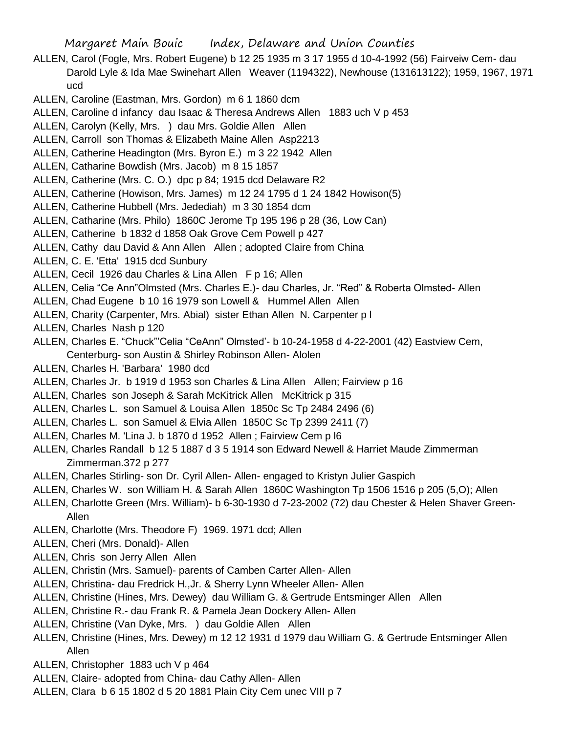- ALLEN, Carol (Fogle, Mrs. Robert Eugene) b 12 25 1935 m 3 17 1955 d 10-4-1992 (56) Fairveiw Cem- dau Darold Lyle & Ida Mae Swinehart Allen Weaver (1194322), Newhouse (131613122); 1959, 1967, 1971 ucd
- ALLEN, Caroline (Eastman, Mrs. Gordon) m 6 1 1860 dcm
- ALLEN, Caroline d infancy dau Isaac & Theresa Andrews Allen 1883 uch V p 453
- ALLEN, Carolyn (Kelly, Mrs. ) dau Mrs. Goldie Allen Allen
- ALLEN, Carroll son Thomas & Elizabeth Maine Allen Asp2213
- ALLEN, Catherine Headington (Mrs. Byron E.) m 3 22 1942 Allen
- ALLEN, Catharine Bowdish (Mrs. Jacob) m 8 15 1857
- ALLEN, Catherine (Mrs. C. O.) dpc p 84; 1915 dcd Delaware R2
- ALLEN, Catherine (Howison, Mrs. James) m 12 24 1795 d 1 24 1842 Howison(5)
- ALLEN, Catherine Hubbell (Mrs. Jedediah) m 3 30 1854 dcm
- ALLEN, Catharine (Mrs. Philo) 1860C Jerome Tp 195 196 p 28 (36, Low Can)
- ALLEN, Catherine b 1832 d 1858 Oak Grove Cem Powell p 427
- ALLEN, Cathy dau David & Ann Allen Allen; adopted Claire from China
- ALLEN, C. E. 'Etta' 1915 dcd Sunbury
- ALLEN, Cecil 1926 dau Charles & Lina Allen F p 16; Allen
- ALLEN, Celia "Ce Ann"Olmsted (Mrs. Charles E.)- dau Charles, Jr. "Red" & Roberta Olmsted- Allen
- ALLEN, Chad Eugene b 10 16 1979 son Lowell & Hummel Allen Allen
- ALLEN, Charity (Carpenter, Mrs. Abial) sister Ethan Allen N. Carpenter p l
- ALLEN, Charles Nash p 120
- ALLEN, Charles E. "Chuck"'Celia "CeAnn" Olmsted'- b 10-24-1958 d 4-22-2001 (42) Eastview Cem, Centerburg- son Austin & Shirley Robinson Allen- Alolen
- ALLEN, Charles H. 'Barbara' 1980 dcd
- ALLEN, Charles Jr. b 1919 d 1953 son Charles & Lina Allen Allen; Fairview p 16
- ALLEN, Charles son Joseph & Sarah McKitrick Allen McKitrick p 315
- ALLEN, Charles L. son Samuel & Louisa Allen 1850c Sc Tp 2484 2496 (6)
- ALLEN, Charles L. son Samuel & Elvia Allen 1850C Sc Tp 2399 2411 (7)
- ALLEN, Charles M. 'Lina J. b 1870 d 1952 Allen ; Fairview Cem p l6
- ALLEN, Charles Randall b 12 5 1887 d 3 5 1914 son Edward Newell & Harriet Maude Zimmerman Zimmerman.372 p 277
- ALLEN, Charles Stirling- son Dr. Cyril Allen- Allen- engaged to Kristyn Julier Gaspich
- ALLEN, Charles W. son William H. & Sarah Allen 1860C Washington Tp 1506 1516 p 205 (5,O); Allen
- ALLEN, Charlotte Green (Mrs. William)- b 6-30-1930 d 7-23-2002 (72) dau Chester & Helen Shaver Green-Allen
- ALLEN, Charlotte (Mrs. Theodore F) 1969. 1971 dcd; Allen
- ALLEN, Cheri (Mrs. Donald)- Allen
- ALLEN, Chris son Jerry Allen Allen
- ALLEN, Christin (Mrs. Samuel)- parents of Camben Carter Allen- Allen
- ALLEN, Christina- dau Fredrick H.,Jr. & Sherry Lynn Wheeler Allen- Allen
- ALLEN, Christine (Hines, Mrs. Dewey) dau William G. & Gertrude Entsminger Allen Allen
- ALLEN, Christine R.- dau Frank R. & Pamela Jean Dockery Allen- Allen
- ALLEN, Christine (Van Dyke, Mrs. ) dau Goldie Allen Allen
- ALLEN, Christine (Hines, Mrs. Dewey) m 12 12 1931 d 1979 dau William G. & Gertrude Entsminger Allen Allen
- ALLEN, Christopher 1883 uch V p 464
- ALLEN, Claire- adopted from China- dau Cathy Allen- Allen
- ALLEN, Clara b 6 15 1802 d 5 20 1881 Plain City Cem unec VIII p 7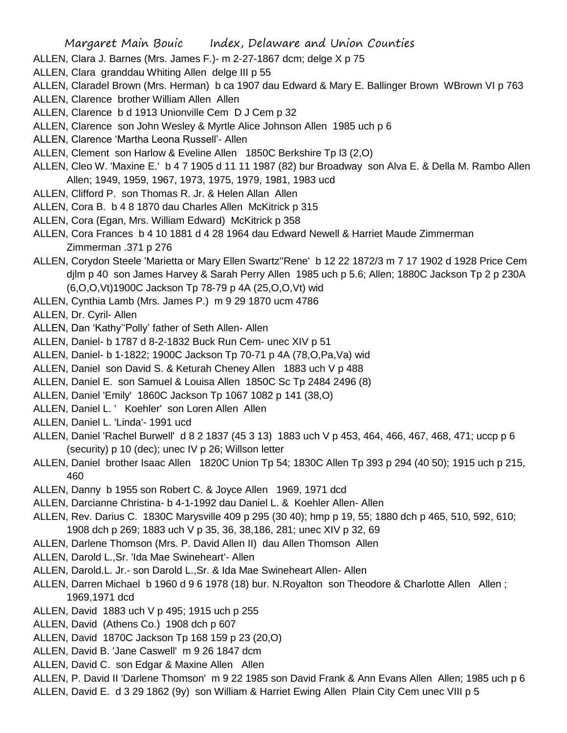- ALLEN, Clara J. Barnes (Mrs. James F.)- m 2-27-1867 dcm; delge X p 75
- ALLEN, Clara granddau Whiting Allen delge III p 55
- ALLEN, Claradel Brown (Mrs. Herman) b ca 1907 dau Edward & Mary E. Ballinger Brown WBrown VI p 763
- ALLEN, Clarence brother William Allen Allen
- ALLEN, Clarence b d 1913 Unionville Cem D J Cem p 32
- ALLEN, Clarence son John Wesley & Myrtle Alice Johnson Allen 1985 uch p 6
- ALLEN, Clarence 'Martha Leona Russell'- Allen
- ALLEN, Clement son Harlow & Eveline Allen 1850C Berkshire Tp l3 (2,O)
- ALLEN, Cleo W. 'Maxine E.' b 4 7 1905 d 11 11 1987 (82) bur Broadway son Alva E. & Della M. Rambo Allen Allen; 1949, 1959, 1967, 1973, 1975, 1979, 1981, 1983 ucd
- ALLEN, Clifford P. son Thomas R. Jr. & Helen Allan Allen
- ALLEN, Cora B. b 4 8 1870 dau Charles Allen McKitrick p 315
- ALLEN, Cora (Egan, Mrs. William Edward) McKitrick p 358
- ALLEN, Cora Frances b 4 10 1881 d 4 28 1964 dau Edward Newell & Harriet Maude Zimmerman Zimmerman .371 p 276
- ALLEN, Corydon Steele 'Marietta or Mary Ellen Swartz''Rene' b 12 22 1872/3 m 7 17 1902 d 1928 Price Cem djlm p 40 son James Harvey & Sarah Perry Allen 1985 uch p 5.6; Allen; 1880C Jackson Tp 2 p 230A (6,O,O,Vt)1900C Jackson Tp 78-79 p 4A (25,O,O,Vt) wid
- ALLEN, Cynthia Lamb (Mrs. James P.) m 9 29 1870 ucm 4786

ALLEN, Dr. Cyril- Allen

- ALLEN, Dan 'Kathy''Polly' father of Seth Allen- Allen
- ALLEN, Daniel- b 1787 d 8-2-1832 Buck Run Cem- unec XIV p 51
- ALLEN, Daniel- b 1-1822; 1900C Jackson Tp 70-71 p 4A (78,O,Pa,Va) wid
- ALLEN, Daniel son David S. & Keturah Cheney Allen 1883 uch V p 488
- ALLEN, Daniel E. son Samuel & Louisa Allen 1850C Sc Tp 2484 2496 (8)
- ALLEN, Daniel 'Emily' 1860C Jackson Tp 1067 1082 p 141 (38,O)
- ALLEN, Daniel L. ' Koehler' son Loren Allen Allen
- ALLEN, Daniel L. 'Linda'- 1991 ucd
- ALLEN, Daniel 'Rachel Burwell' d 8 2 1837 (45 3 13) 1883 uch V p 453, 464, 466, 467, 468, 471; uccp p 6 (security) p 10 (dec); unec IV p 26; Willson letter
- ALLEN, Daniel brother Isaac Allen 1820C Union Tp 54; 1830C Allen Tp 393 p 294 (40 50); 1915 uch p 215, 460
- ALLEN, Danny b 1955 son Robert C. & Joyce Allen 1969, 1971 dcd
- ALLEN, Darcianne Christina- b 4-1-1992 dau Daniel L. & Koehler Allen- Allen
- ALLEN, Rev. Darius C. 1830C Marysville 409 p 295 (30 40); hmp p 19, 55; 1880 dch p 465, 510, 592, 610; 1908 dch p 269; 1883 uch V p 35, 36, 38,186, 281; unec XIV p 32, 69
- ALLEN, Darlene Thomson (Mrs. P. David Allen II) dau Allen Thomson Allen
- ALLEN, Darold L.,Sr. 'Ida Mae Swineheart'- Allen
- ALLEN, Darold.L. Jr.- son Darold L.,Sr. & Ida Mae Swineheart Allen- Allen
- ALLEN, Darren Michael b 1960 d 9 6 1978 (18) bur. N.Royalton son Theodore & Charlotte Allen Allen ; 1969,1971 dcd
- ALLEN, David 1883 uch V p 495; 1915 uch p 255
- ALLEN, David (Athens Co.) 1908 dch p 607
- ALLEN, David 1870C Jackson Tp 168 159 p 23 (20,O)
- ALLEN, David B. 'Jane Caswell' m 9 26 1847 dcm
- ALLEN, David C. son Edgar & Maxine Allen Allen
- ALLEN, P. David II 'Darlene Thomson' m 9 22 1985 son David Frank & Ann Evans Allen Allen; 1985 uch p 6 ALLEN, David E. d 3 29 1862 (9y) son William & Harriet Ewing Allen Plain City Cem unec VIII p 5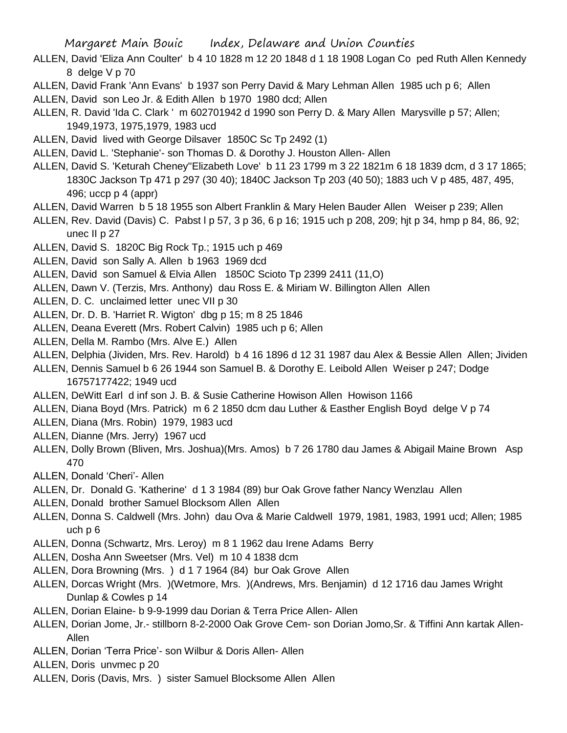- ALLEN, David 'Eliza Ann Coulter' b 4 10 1828 m 12 20 1848 d 1 18 1908 Logan Co ped Ruth Allen Kennedy 8 delge V p 70
- ALLEN, David Frank 'Ann Evans' b 1937 son Perry David & Mary Lehman Allen 1985 uch p 6; Allen
- ALLEN, David son Leo Jr. & Edith Allen b 1970 1980 dcd; Allen
- ALLEN, R. David 'Ida C. Clark ' m 602701942 d 1990 son Perry D. & Mary Allen Marysville p 57; Allen; 1949,1973, 1975,1979, 1983 ucd
- ALLEN, David lived with George Dilsaver 1850C Sc Tp 2492 (1)
- ALLEN, David L. 'Stephanie'- son Thomas D. & Dorothy J. Houston Allen- Allen
- ALLEN, David S. 'Keturah Cheney''Elizabeth Love' b 11 23 1799 m 3 22 1821m 6 18 1839 dcm, d 3 17 1865; 1830C Jackson Tp 471 p 297 (30 40); 1840C Jackson Tp 203 (40 50); 1883 uch V p 485, 487, 495, 496; uccp p 4 (appr)
- ALLEN, David Warren b 5 18 1955 son Albert Franklin & Mary Helen Bauder Allen Weiser p 239; Allen
- ALLEN, Rev. David (Davis) C. Pabst l p 57, 3 p 36, 6 p 16; 1915 uch p 208, 209; hjt p 34, hmp p 84, 86, 92; unec II p 27
- ALLEN, David S. 1820C Big Rock Tp.; 1915 uch p 469
- ALLEN, David son Sally A. Allen b 1963 1969 dcd
- ALLEN, David son Samuel & Elvia Allen 1850C Scioto Tp 2399 2411 (11,O)
- ALLEN, Dawn V. (Terzis, Mrs. Anthony) dau Ross E. & Miriam W. Billington Allen Allen
- ALLEN, D. C. unclaimed letter unec VII p 30
- ALLEN, Dr. D. B. 'Harriet R. Wigton' dbg p 15; m 8 25 1846
- ALLEN, Deana Everett (Mrs. Robert Calvin) 1985 uch p 6; Allen
- ALLEN, Della M. Rambo (Mrs. Alve E.) Allen
- ALLEN, Delphia (Jividen, Mrs. Rev. Harold) b 4 16 1896 d 12 31 1987 dau Alex & Bessie Allen Allen; Jividen
- ALLEN, Dennis Samuel b 6 26 1944 son Samuel B. & Dorothy E. Leibold Allen Weiser p 247; Dodge 16757177422; 1949 ucd
- ALLEN, DeWitt Earl d inf son J. B. & Susie Catherine Howison Allen Howison 1166
- ALLEN, Diana Boyd (Mrs. Patrick) m 6 2 1850 dcm dau Luther & Easther English Boyd delge V p 74
- ALLEN, Diana (Mrs. Robin) 1979, 1983 ucd
- ALLEN, Dianne (Mrs. Jerry) 1967 ucd
- ALLEN, Dolly Brown (Bliven, Mrs. Joshua)(Mrs. Amos) b 7 26 1780 dau James & Abigail Maine Brown Asp 470
- ALLEN, Donald 'Cheri'- Allen
- ALLEN, Dr. Donald G. 'Katherine' d 1 3 1984 (89) bur Oak Grove father Nancy Wenzlau Allen
- ALLEN, Donald brother Samuel Blocksom Allen Allen
- ALLEN, Donna S. Caldwell (Mrs. John) dau Ova & Marie Caldwell 1979, 1981, 1983, 1991 ucd; Allen; 1985 uch p 6
- ALLEN, Donna (Schwartz, Mrs. Leroy) m 8 1 1962 dau Irene Adams Berry
- ALLEN, Dosha Ann Sweetser (Mrs. Vel) m 10 4 1838 dcm
- ALLEN, Dora Browning (Mrs. ) d 1 7 1964 (84) bur Oak Grove Allen
- ALLEN, Dorcas Wright (Mrs. )(Wetmore, Mrs. )(Andrews, Mrs. Benjamin) d 12 1716 dau James Wright Dunlap & Cowles p 14
- ALLEN, Dorian Elaine- b 9-9-1999 dau Dorian & Terra Price Allen- Allen
- ALLEN, Dorian Jome, Jr.- stillborn 8-2-2000 Oak Grove Cem- son Dorian Jomo,Sr. & Tiffini Ann kartak Allen-Allen
- ALLEN, Dorian 'Terra Price'- son Wilbur & Doris Allen- Allen
- ALLEN, Doris unvmec p 20
- ALLEN, Doris (Davis, Mrs. ) sister Samuel Blocksome Allen Allen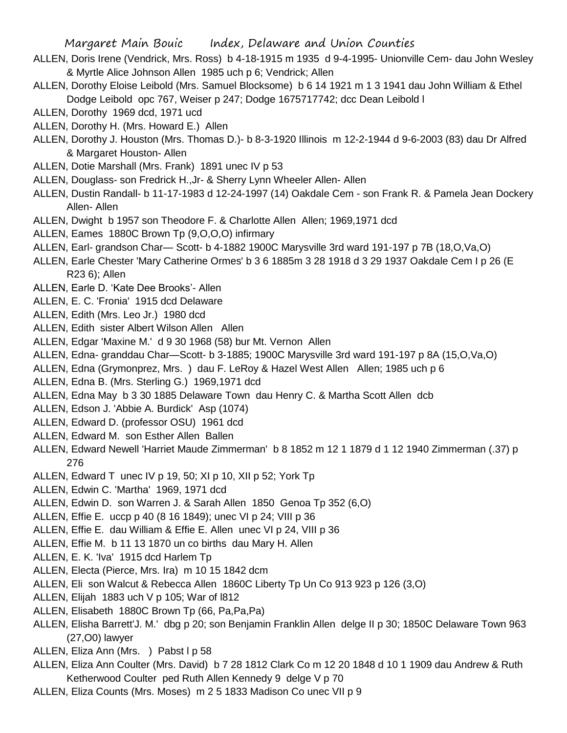- ALLEN, Doris Irene (Vendrick, Mrs. Ross) b 4-18-1915 m 1935 d 9-4-1995- Unionville Cem- dau John Wesley & Myrtle Alice Johnson Allen 1985 uch p 6; Vendrick; Allen
- ALLEN, Dorothy Eloise Leibold (Mrs. Samuel Blocksome) b 6 14 1921 m 1 3 1941 dau John William & Ethel Dodge Leibold opc 767, Weiser p 247; Dodge 1675717742; dcc Dean Leibold l
- ALLEN, Dorothy 1969 dcd, 1971 ucd
- ALLEN, Dorothy H. (Mrs. Howard E.) Allen
- ALLEN, Dorothy J. Houston (Mrs. Thomas D.)- b 8-3-1920 Illinois m 12-2-1944 d 9-6-2003 (83) dau Dr Alfred & Margaret Houston- Allen
- ALLEN, Dotie Marshall (Mrs. Frank) 1891 unec IV p 53
- ALLEN, Douglass- son Fredrick H.,Jr- & Sherry Lynn Wheeler Allen- Allen
- ALLEN, Dustin Randall- b 11-17-1983 d 12-24-1997 (14) Oakdale Cem son Frank R. & Pamela Jean Dockery Allen- Allen
- ALLEN, Dwight b 1957 son Theodore F. & Charlotte Allen Allen; 1969,1971 dcd
- ALLEN, Eames 1880C Brown Tp (9,O,O,O) infirmary
- ALLEN, Earl- grandson Char— Scott- b 4-1882 1900C Marysville 3rd ward 191-197 p 7B (18,O,Va,O)
- ALLEN, Earle Chester 'Mary Catherine Ormes' b 3 6 1885m 3 28 1918 d 3 29 1937 Oakdale Cem I p 26 (E R23 6); Allen
- ALLEN, Earle D. 'Kate Dee Brooks'- Allen
- ALLEN, E. C. 'Fronia' 1915 dcd Delaware
- ALLEN, Edith (Mrs. Leo Jr.) 1980 dcd
- ALLEN, Edith sister Albert Wilson Allen Allen
- ALLEN, Edgar 'Maxine M.' d 9 30 1968 (58) bur Mt. Vernon Allen
- ALLEN, Edna- granddau Char—Scott- b 3-1885; 1900C Marysville 3rd ward 191-197 p 8A (15,O,Va,O)
- ALLEN, Edna (Grymonprez, Mrs. ) dau F. LeRoy & Hazel West Allen Allen; 1985 uch p 6
- ALLEN, Edna B. (Mrs. Sterling G.) 1969,1971 dcd
- ALLEN, Edna May b 3 30 1885 Delaware Town dau Henry C. & Martha Scott Allen dcb
- ALLEN, Edson J. 'Abbie A. Burdick' Asp (1074)
- ALLEN, Edward D. (professor OSU) 1961 dcd
- ALLEN, Edward M. son Esther Allen Ballen
- ALLEN, Edward Newell 'Harriet Maude Zimmerman' b 8 1852 m 12 1 1879 d 1 12 1940 Zimmerman (.37) p 276
- ALLEN, Edward T unec IV p 19, 50; XI p 10, XII p 52; York Tp
- ALLEN, Edwin C. 'Martha' 1969, 1971 dcd
- ALLEN, Edwin D. son Warren J. & Sarah Allen 1850 Genoa Tp 352 (6,O)
- ALLEN, Effie E. uccp p 40 (8 16 1849); unec VI p 24; VIII p 36
- ALLEN, Effie E. dau William & Effie E. Allen unec VI p 24, VIII p 36
- ALLEN, Effie M. b 11 13 1870 un co births dau Mary H. Allen
- ALLEN, E. K. 'Iva' 1915 dcd Harlem Tp
- ALLEN, Electa (Pierce, Mrs. Ira) m 10 15 1842 dcm
- ALLEN, Eli son Walcut & Rebecca Allen 1860C Liberty Tp Un Co 913 923 p 126 (3,O)
- ALLEN, Elijah 1883 uch V p 105; War of l812
- ALLEN, Elisabeth 1880C Brown Tp (66, Pa,Pa,Pa)
- ALLEN, Elisha Barrett'J. M.' dbg p 20; son Benjamin Franklin Allen delge II p 30; 1850C Delaware Town 963 (27,O0) lawyer
- ALLEN, Eliza Ann (Mrs. ) Pabst I p 58
- ALLEN, Eliza Ann Coulter (Mrs. David) b 7 28 1812 Clark Co m 12 20 1848 d 10 1 1909 dau Andrew & Ruth Ketherwood Coulter ped Ruth Allen Kennedy 9 delge V p 70
- ALLEN, Eliza Counts (Mrs. Moses) m 2 5 1833 Madison Co unec VII p 9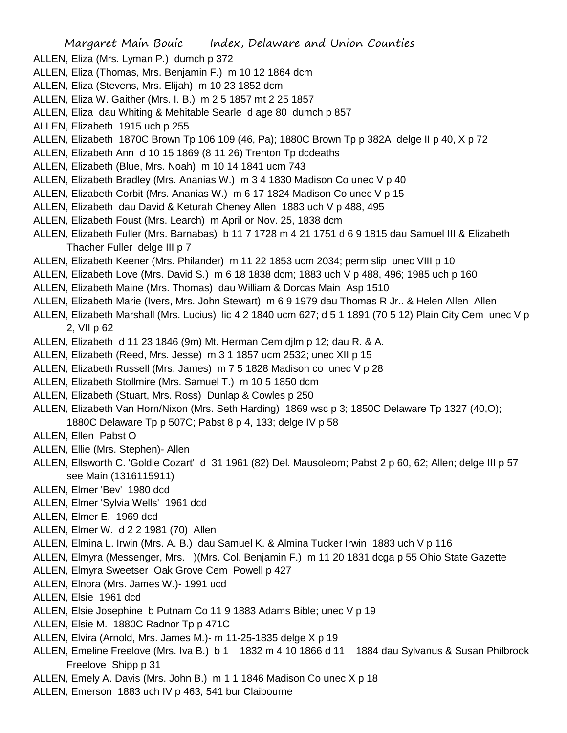- ALLEN, Eliza (Mrs. Lyman P.) dumch p 372
- ALLEN, Eliza (Thomas, Mrs. Benjamin F.) m 10 12 1864 dcm
- ALLEN, Eliza (Stevens, Mrs. Elijah) m 10 23 1852 dcm
- ALLEN, Eliza W. Gaither (Mrs. I. B.) m 2 5 1857 mt 2 25 1857
- ALLEN, Eliza dau Whiting & Mehitable Searle d age 80 dumch p 857
- ALLEN, Elizabeth 1915 uch p 255
- ALLEN, Elizabeth 1870C Brown Tp 106 109 (46, Pa); 1880C Brown Tp p 382A delge II p 40, X p 72
- ALLEN, Elizabeth Ann d 10 15 1869 (8 11 26) Trenton Tp dcdeaths
- ALLEN, Elizabeth (Blue, Mrs. Noah) m 10 14 1841 ucm 743
- ALLEN, Elizabeth Bradley (Mrs. Ananias W.) m 3 4 1830 Madison Co unec V p 40
- ALLEN, Elizabeth Corbit (Mrs. Ananias W.) m 6 17 1824 Madison Co unec V p 15
- ALLEN, Elizabeth dau David & Keturah Cheney Allen 1883 uch V p 488, 495
- ALLEN, Elizabeth Foust (Mrs. Learch) m April or Nov. 25, 1838 dcm
- ALLEN, Elizabeth Fuller (Mrs. Barnabas) b 11 7 1728 m 4 21 1751 d 6 9 1815 dau Samuel III & Elizabeth Thacher Fuller delge III p 7
- ALLEN, Elizabeth Keener (Mrs. Philander) m 11 22 1853 ucm 2034; perm slip unec VIII p 10
- ALLEN, Elizabeth Love (Mrs. David S.) m 6 18 1838 dcm; 1883 uch V p 488, 496; 1985 uch p 160
- ALLEN, Elizabeth Maine (Mrs. Thomas) dau William & Dorcas Main Asp 1510
- ALLEN, Elizabeth Marie (Ivers, Mrs. John Stewart) m 6 9 1979 dau Thomas R Jr.. & Helen Allen Allen
- ALLEN, Elizabeth Marshall (Mrs. Lucius) lic 4 2 1840 ucm 627; d 5 1 1891 (70 5 12) Plain City Cem unec V p 2, VII p 62
- ALLEN, Elizabeth d 11 23 1846 (9m) Mt. Herman Cem djlm p 12; dau R. & A.
- ALLEN, Elizabeth (Reed, Mrs. Jesse) m 3 1 1857 ucm 2532; unec XII p 15
- ALLEN, Elizabeth Russell (Mrs. James) m 7 5 1828 Madison co unec V p 28
- ALLEN, Elizabeth Stollmire (Mrs. Samuel T.) m 10 5 1850 dcm
- ALLEN, Elizabeth (Stuart, Mrs. Ross) Dunlap & Cowles p 250
- ALLEN, Elizabeth Van Horn/Nixon (Mrs. Seth Harding) 1869 wsc p 3; 1850C Delaware Tp 1327 (40,O);
	- 1880C Delaware Tp p 507C; Pabst 8 p 4, 133; delge IV p 58
- ALLEN, Ellen Pabst O
- ALLEN, Ellie (Mrs. Stephen)- Allen
- ALLEN, Ellsworth C. 'Goldie Cozart' d 31 1961 (82) Del. Mausoleom; Pabst 2 p 60, 62; Allen; delge III p 57 see Main (1316115911)
- ALLEN, Elmer 'Bev' 1980 dcd
- ALLEN, Elmer 'Sylvia Wells' 1961 dcd
- ALLEN, Elmer E. 1969 dcd
- ALLEN, Elmer W. d 2 2 1981 (70) Allen
- ALLEN, Elmina L. Irwin (Mrs. A. B.) dau Samuel K. & Almina Tucker Irwin 1883 uch V p 116
- ALLEN, Elmyra (Messenger, Mrs. )(Mrs. Col. Benjamin F.) m 11 20 1831 dcga p 55 Ohio State Gazette
- ALLEN, Elmyra Sweetser Oak Grove Cem Powell p 427
- ALLEN, Elnora (Mrs. James W.)- 1991 ucd
- ALLEN, Elsie 1961 dcd
- ALLEN, Elsie Josephine b Putnam Co 11 9 1883 Adams Bible; unec V p 19
- ALLEN, Elsie M. 1880C Radnor Tp p 471C
- ALLEN, Elvira (Arnold, Mrs. James M.)- m 11-25-1835 delge X p 19
- ALLEN, Emeline Freelove (Mrs. Iva B.) b 1 1832 m 4 10 1866 d 11 1884 dau Sylvanus & Susan Philbrook Freelove Shipp p 31
- ALLEN, Emely A. Davis (Mrs. John B.) m 1 1 1846 Madison Co unec X p 18
- ALLEN, Emerson 1883 uch IV p 463, 541 bur Claibourne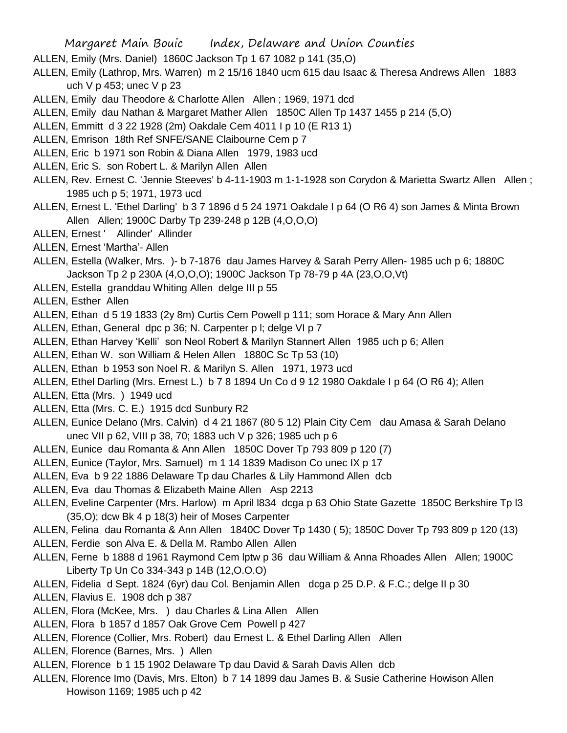- ALLEN, Emily (Mrs. Daniel) 1860C Jackson Tp 1 67 1082 p 141 (35,O)
- ALLEN, Emily (Lathrop, Mrs. Warren) m 2 15/16 1840 ucm 615 dau Isaac & Theresa Andrews Allen 1883 uch V p 453; unec V p 23
- ALLEN, Emily dau Theodore & Charlotte Allen Allen ; 1969, 1971 dcd
- ALLEN, Emily dau Nathan & Margaret Mather Allen 1850C Allen Tp 1437 1455 p 214 (5,O)
- ALLEN, Emmitt d 3 22 1928 (2m) Oakdale Cem 4011 I p 10 (E R13 1)
- ALLEN, Emrison 18th Ref SNFE/SANE Claibourne Cem p 7
- ALLEN, Eric b 1971 son Robin & Diana Allen 1979, 1983 ucd
- ALLEN, Eric S. son Robert L. & Marilyn Allen Allen
- ALLEN, Rev. Ernest C. 'Jennie Steeves' b 4-11-1903 m 1-1-1928 son Corydon & Marietta Swartz Allen Allen ; 1985 uch p 5; 1971, 1973 ucd
- ALLEN, Ernest L. 'Ethel Darling' b 3 7 1896 d 5 24 1971 Oakdale I p 64 (O R6 4) son James & Minta Brown Allen Allen; 1900C Darby Tp 239-248 p 12B (4,O,O,O)
- ALLEN, Ernest ' Allinder' Allinder
- ALLEN, Ernest 'Martha'- Allen
- ALLEN, Estella (Walker, Mrs. )- b 7-1876 dau James Harvey & Sarah Perry Allen- 1985 uch p 6; 1880C Jackson Tp 2 p 230A (4,O,O,O); 1900C Jackson Tp 78-79 p 4A (23,O,O,Vt)
- ALLEN, Estella granddau Whiting Allen delge III p 55
- ALLEN, Esther Allen
- ALLEN, Ethan d 5 19 1833 (2y 8m) Curtis Cem Powell p 111; som Horace & Mary Ann Allen
- ALLEN, Ethan, General dpc p 36; N. Carpenter p l; delge VI p 7
- ALLEN, Ethan Harvey 'Kelli' son Neol Robert & Marilyn Stannert Allen 1985 uch p 6; Allen
- ALLEN, Ethan W. son William & Helen Allen 1880C Sc Tp 53 (10)
- ALLEN, Ethan b 1953 son Noel R. & Marilyn S. Allen 1971, 1973 ucd
- ALLEN, Ethel Darling (Mrs. Ernest L.) b 7 8 1894 Un Co d 9 12 1980 Oakdale I p 64 (O R6 4); Allen
- ALLEN, Etta (Mrs. ) 1949 ucd
- ALLEN, Etta (Mrs. C. E.) 1915 dcd Sunbury R2
- ALLEN, Eunice Delano (Mrs. Calvin) d 4 21 1867 (80 5 12) Plain City Cem dau Amasa & Sarah Delano unec VII p 62, VIII p 38, 70; 1883 uch V p 326; 1985 uch p 6
- ALLEN, Eunice dau Romanta & Ann Allen 1850C Dover Tp 793 809 p 120 (7)
- ALLEN, Eunice (Taylor, Mrs. Samuel) m 1 14 1839 Madison Co unec IX p 17
- ALLEN, Eva b 9 22 1886 Delaware Tp dau Charles & Lily Hammond Allen dcb
- ALLEN, Eva dau Thomas & Elizabeth Maine Allen Asp 2213
- ALLEN, Eveline Carpenter (Mrs. Harlow) m April l834 dcga p 63 Ohio State Gazette 1850C Berkshire Tp l3 (35,O); dcw Bk 4 p 18(3) heir of Moses Carpenter
- ALLEN, Felina dau Romanta & Ann Allen 1840C Dover Tp 1430 ( 5); 1850C Dover Tp 793 809 p 120 (13)
- ALLEN, Ferdie son Alva E. & Della M. Rambo Allen Allen
- ALLEN, Ferne b 1888 d 1961 Raymond Cem lptw p 36 dau William & Anna Rhoades Allen Allen; 1900C Liberty Tp Un Co 334-343 p 14B (12,O.O.O)
- ALLEN, Fidelia d Sept. 1824 (6yr) dau Col. Benjamin Allen dcga p 25 D.P. & F.C.; delge II p 30
- ALLEN, Flavius E. 1908 dch p 387
- ALLEN, Flora (McKee, Mrs. ) dau Charles & Lina Allen Allen
- ALLEN, Flora b 1857 d 1857 Oak Grove Cem Powell p 427
- ALLEN, Florence (Collier, Mrs. Robert) dau Ernest L. & Ethel Darling Allen Allen
- ALLEN, Florence (Barnes, Mrs. ) Allen
- ALLEN, Florence b 1 15 1902 Delaware Tp dau David & Sarah Davis Allen dcb
- ALLEN, Florence Imo (Davis, Mrs. Elton) b 7 14 1899 dau James B. & Susie Catherine Howison Allen Howison 1169; 1985 uch p 42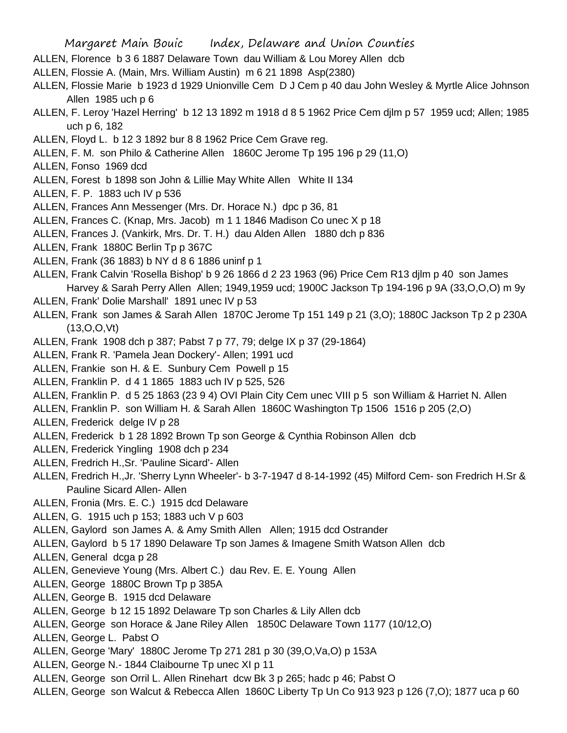- ALLEN, Florence b 3 6 1887 Delaware Town dau William & Lou Morey Allen dcb
- ALLEN, Flossie A. (Main, Mrs. William Austin) m 6 21 1898 Asp(2380)
- ALLEN, Flossie Marie b 1923 d 1929 Unionville Cem D J Cem p 40 dau John Wesley & Myrtle Alice Johnson Allen 1985 uch p 6
- ALLEN, F. Leroy 'Hazel Herring' b 12 13 1892 m 1918 d 8 5 1962 Price Cem djlm p 57 1959 ucd; Allen; 1985 uch p 6, 182
- ALLEN, Floyd L. b 12 3 1892 bur 8 8 1962 Price Cem Grave reg.
- ALLEN, F. M. son Philo & Catherine Allen 1860C Jerome Tp 195 196 p 29 (11,O)
- ALLEN, Fonso 1969 dcd
- ALLEN, Forest b 1898 son John & Lillie May White Allen White II 134
- ALLEN, F. P. 1883 uch IV p 536
- ALLEN, Frances Ann Messenger (Mrs. Dr. Horace N.) dpc p 36, 81
- ALLEN, Frances C. (Knap, Mrs. Jacob) m 1 1 1846 Madison Co unec X p 18
- ALLEN, Frances J. (Vankirk, Mrs. Dr. T. H.) dau Alden Allen 1880 dch p 836
- ALLEN, Frank 1880C Berlin Tp p 367C
- ALLEN, Frank (36 1883) b NY d 8 6 1886 uninf p 1
- ALLEN, Frank Calvin 'Rosella Bishop' b 9 26 1866 d 2 23 1963 (96) Price Cem R13 djlm p 40 son James Harvey & Sarah Perry Allen Allen; 1949,1959 ucd; 1900C Jackson Tp 194-196 p 9A (33,O,O,O) m 9y
- ALLEN, Frank' Dolie Marshall' 1891 unec IV p 53
- ALLEN, Frank son James & Sarah Allen 1870C Jerome Tp 151 149 p 21 (3,O); 1880C Jackson Tp 2 p 230A (13,O,O,Vt)
- ALLEN, Frank 1908 dch p 387; Pabst 7 p 77, 79; delge IX p 37 (29-1864)
- ALLEN, Frank R. 'Pamela Jean Dockery'- Allen; 1991 ucd
- ALLEN, Frankie son H. & E. Sunbury Cem Powell p 15
- ALLEN, Franklin P. d 4 1 1865 1883 uch IV p 525, 526
- ALLEN, Franklin P. d 5 25 1863 (23 9 4) OVI Plain City Cem unec VIII p 5 son William & Harriet N. Allen
- ALLEN, Franklin P. son William H. & Sarah Allen 1860C Washington Tp 1506 1516 p 205 (2,O)
- ALLEN, Frederick delge IV p 28
- ALLEN, Frederick b 1 28 1892 Brown Tp son George & Cynthia Robinson Allen dcb
- ALLEN, Frederick Yingling 1908 dch p 234
- ALLEN, Fredrich H.,Sr. 'Pauline Sicard'- Allen
- ALLEN, Fredrich H.,Jr. 'Sherry Lynn Wheeler'- b 3-7-1947 d 8-14-1992 (45) Milford Cem- son Fredrich H.Sr & Pauline Sicard Allen- Allen
- ALLEN, Fronia (Mrs. E. C.) 1915 dcd Delaware
- ALLEN, G. 1915 uch p 153; 1883 uch V p 603
- ALLEN, Gaylord son James A. & Amy Smith Allen Allen; 1915 dcd Ostrander
- ALLEN, Gaylord b 5 17 1890 Delaware Tp son James & Imagene Smith Watson Allen dcb
- ALLEN, General dcga p 28
- ALLEN, Genevieve Young (Mrs. Albert C.) dau Rev. E. E. Young Allen
- ALLEN, George 1880C Brown Tp p 385A
- ALLEN, George B. 1915 dcd Delaware
- ALLEN, George b 12 15 1892 Delaware Tp son Charles & Lily Allen dcb
- ALLEN, George son Horace & Jane Riley Allen 1850C Delaware Town 1177 (10/12,O)
- ALLEN, George L. Pabst O
- ALLEN, George 'Mary' 1880C Jerome Tp 271 281 p 30 (39,O,Va,O) p 153A
- ALLEN, George N.- 1844 Claibourne Tp unec XI p 11
- ALLEN, George son Orril L. Allen Rinehart dcw Bk 3 p 265; hadc p 46; Pabst O
- ALLEN, George son Walcut & Rebecca Allen 1860C Liberty Tp Un Co 913 923 p 126 (7,O); 1877 uca p 60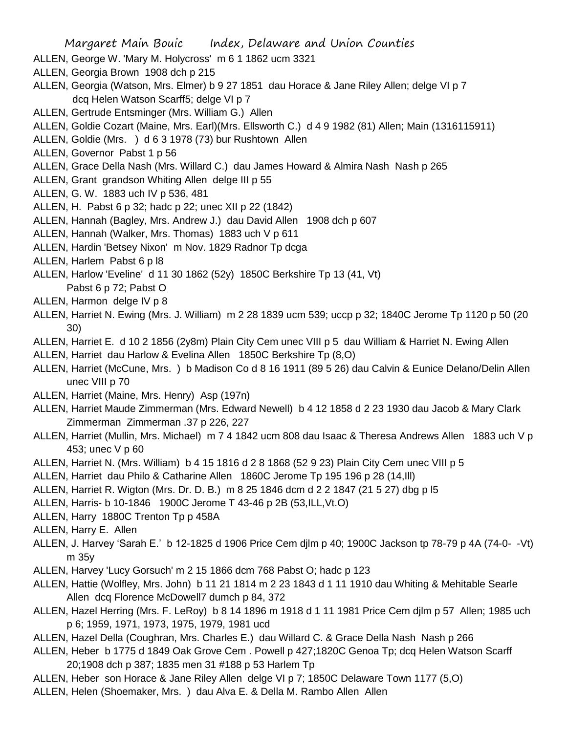- ALLEN, George W. 'Mary M. Holycross' m 6 1 1862 ucm 3321
- ALLEN, Georgia Brown 1908 dch p 215
- ALLEN, Georgia (Watson, Mrs. Elmer) b 9 27 1851 dau Horace & Jane Riley Allen; delge VI p 7 dcq Helen Watson Scarff5; delge VI p 7
- ALLEN, Gertrude Entsminger (Mrs. William G.) Allen
- ALLEN, Goldie Cozart (Maine, Mrs. Earl)(Mrs. Ellsworth C.) d 4 9 1982 (81) Allen; Main (1316115911)
- ALLEN, Goldie (Mrs. ) d 6 3 1978 (73) bur Rushtown Allen
- ALLEN, Governor Pabst 1 p 56
- ALLEN, Grace Della Nash (Mrs. Willard C.) dau James Howard & Almira Nash Nash p 265
- ALLEN, Grant grandson Whiting Allen delge III p 55
- ALLEN, G. W. 1883 uch IV p 536, 481
- ALLEN, H. Pabst 6 p 32; hadc p 22; unec XII p 22 (1842)
- ALLEN, Hannah (Bagley, Mrs. Andrew J.) dau David Allen 1908 dch p 607
- ALLEN, Hannah (Walker, Mrs. Thomas) 1883 uch V p 611
- ALLEN, Hardin 'Betsey Nixon' m Nov. 1829 Radnor Tp dcga
- ALLEN, Harlem Pabst 6 p l8
- ALLEN, Harlow 'Eveline' d 11 30 1862 (52y) 1850C Berkshire Tp 13 (41, Vt) Pabst 6 p 72; Pabst O
- ALLEN, Harmon delge IV p 8
- ALLEN, Harriet N. Ewing (Mrs. J. William) m 2 28 1839 ucm 539; uccp p 32; 1840C Jerome Tp 1120 p 50 (20 30)
- ALLEN, Harriet E. d 10 2 1856 (2y8m) Plain City Cem unec VIII p 5 dau William & Harriet N. Ewing Allen
- ALLEN, Harriet dau Harlow & Evelina Allen 1850C Berkshire Tp (8,O)
- ALLEN, Harriet (McCune, Mrs. ) b Madison Co d 8 16 1911 (89 5 26) dau Calvin & Eunice Delano/Delin Allen unec VIII p 70
- ALLEN, Harriet (Maine, Mrs. Henry) Asp (197n)
- ALLEN, Harriet Maude Zimmerman (Mrs. Edward Newell) b 4 12 1858 d 2 23 1930 dau Jacob & Mary Clark Zimmerman Zimmerman .37 p 226, 227
- ALLEN, Harriet (Mullin, Mrs. Michael) m 7 4 1842 ucm 808 dau Isaac & Theresa Andrews Allen 1883 uch V p 453; unec V p 60
- ALLEN, Harriet N. (Mrs. William) b 4 15 1816 d 2 8 1868 (52 9 23) Plain City Cem unec VIII p 5
- ALLEN, Harriet dau Philo & Catharine Allen 1860C Jerome Tp 195 196 p 28 (14,Ill)
- ALLEN, Harriet R. Wigton (Mrs. Dr. D. B.) m 8 25 1846 dcm d 2 2 1847 (21 5 27) dbg p l5
- ALLEN, Harris- b 10-1846 1900C Jerome T 43-46 p 2B (53,ILL,Vt.O)
- ALLEN, Harry 1880C Trenton Tp p 458A
- ALLEN, Harry E. Allen
- ALLEN, J. Harvey 'Sarah E.' b 12-1825 d 1906 Price Cem djlm p 40; 1900C Jackson tp 78-79 p 4A (74-0- -Vt) m 35y
- ALLEN, Harvey 'Lucy Gorsuch' m 2 15 1866 dcm 768 Pabst O; hadc p 123
- ALLEN, Hattie (Wolfley, Mrs. John) b 11 21 1814 m 2 23 1843 d 1 11 1910 dau Whiting & Mehitable Searle Allen dcq Florence McDowell7 dumch p 84, 372
- ALLEN, Hazel Herring (Mrs. F. LeRoy) b 8 14 1896 m 1918 d 1 11 1981 Price Cem djlm p 57 Allen; 1985 uch p 6; 1959, 1971, 1973, 1975, 1979, 1981 ucd
- ALLEN, Hazel Della (Coughran, Mrs. Charles E.) dau Willard C. & Grace Della Nash Nash p 266
- ALLEN, Heber b 1775 d 1849 Oak Grove Cem . Powell p 427;1820C Genoa Tp; dcq Helen Watson Scarff 20;1908 dch p 387; 1835 men 31 #188 p 53 Harlem Tp
- ALLEN, Heber son Horace & Jane Riley Allen delge VI p 7; 1850C Delaware Town 1177 (5,O)
- ALLEN, Helen (Shoemaker, Mrs. ) dau Alva E. & Della M. Rambo Allen Allen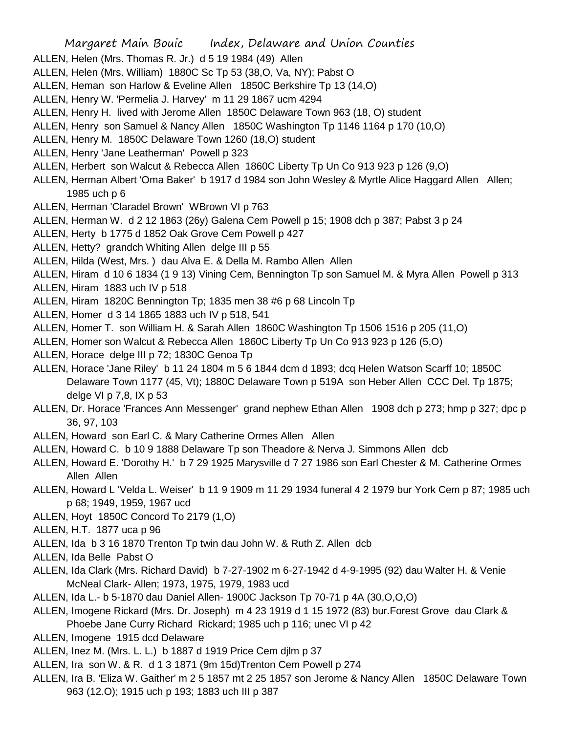- ALLEN, Helen (Mrs. Thomas R. Jr.) d 5 19 1984 (49) Allen
- ALLEN, Helen (Mrs. William) 1880C Sc Tp 53 (38,O, Va, NY); Pabst O
- ALLEN, Heman son Harlow & Eveline Allen 1850C Berkshire Tp 13 (14,O)
- ALLEN, Henry W. 'Permelia J. Harvey' m 11 29 1867 ucm 4294
- ALLEN, Henry H. lived with Jerome Allen 1850C Delaware Town 963 (18, O) student
- ALLEN, Henry son Samuel & Nancy Allen 1850C Washington Tp 1146 1164 p 170 (10,O)
- ALLEN, Henry M. 1850C Delaware Town 1260 (18,O) student
- ALLEN, Henry 'Jane Leatherman' Powell p 323
- ALLEN, Herbert son Walcut & Rebecca Allen 1860C Liberty Tp Un Co 913 923 p 126 (9,O)
- ALLEN, Herman Albert 'Oma Baker' b 1917 d 1984 son John Wesley & Myrtle Alice Haggard Allen Allen; 1985 uch p 6
- ALLEN, Herman 'Claradel Brown' WBrown VI p 763
- ALLEN, Herman W. d 2 12 1863 (26y) Galena Cem Powell p 15; 1908 dch p 387; Pabst 3 p 24
- ALLEN, Herty b 1775 d 1852 Oak Grove Cem Powell p 427
- ALLEN, Hetty? grandch Whiting Allen delge III p 55
- ALLEN, Hilda (West, Mrs. ) dau Alva E. & Della M. Rambo Allen Allen
- ALLEN, Hiram d 10 6 1834 (1 9 13) Vining Cem, Bennington Tp son Samuel M. & Myra Allen Powell p 313 ALLEN, Hiram 1883 uch IV p 518
- ALLEN, Hiram 1820C Bennington Tp; 1835 men 38 #6 p 68 Lincoln Tp
- ALLEN, Homer d 3 14 1865 1883 uch IV p 518, 541
- ALLEN, Homer T. son William H. & Sarah Allen 1860C Washington Tp 1506 1516 p 205 (11,O)
- ALLEN, Homer son Walcut & Rebecca Allen 1860C Liberty Tp Un Co 913 923 p 126 (5,O)
- ALLEN, Horace delge III p 72; 1830C Genoa Tp
- ALLEN, Horace 'Jane Riley' b 11 24 1804 m 5 6 1844 dcm d 1893; dcq Helen Watson Scarff 10; 1850C Delaware Town 1177 (45, Vt); 1880C Delaware Town p 519A son Heber Allen CCC Del. Tp 1875; delge VI p 7,8, IX p 53
- ALLEN, Dr. Horace 'Frances Ann Messenger' grand nephew Ethan Allen 1908 dch p 273; hmp p 327; dpc p 36, 97, 103
- ALLEN, Howard son Earl C. & Mary Catherine Ormes Allen Allen
- ALLEN, Howard C. b 10 9 1888 Delaware Tp son Theadore & Nerva J. Simmons Allen dcb
- ALLEN, Howard E. 'Dorothy H.' b 7 29 1925 Marysville d 7 27 1986 son Earl Chester & M. Catherine Ormes Allen Allen
- ALLEN, Howard L 'Velda L. Weiser' b 11 9 1909 m 11 29 1934 funeral 4 2 1979 bur York Cem p 87; 1985 uch p 68; 1949, 1959, 1967 ucd
- ALLEN, Hoyt 1850C Concord To 2179 (1,O)
- ALLEN, H.T. 1877 uca p 96
- ALLEN, Ida b 3 16 1870 Trenton Tp twin dau John W. & Ruth Z. Allen dcb
- ALLEN, Ida Belle Pabst O
- ALLEN, Ida Clark (Mrs. Richard David) b 7-27-1902 m 6-27-1942 d 4-9-1995 (92) dau Walter H. & Venie McNeal Clark- Allen; 1973, 1975, 1979, 1983 ucd
- ALLEN, Ida L.- b 5-1870 dau Daniel Allen- 1900C Jackson Tp 70-71 p 4A (30,O,O,O)
- ALLEN, Imogene Rickard (Mrs. Dr. Joseph) m 4 23 1919 d 1 15 1972 (83) bur.Forest Grove dau Clark & Phoebe Jane Curry Richard Rickard; 1985 uch p 116; unec VI p 42
- ALLEN, Imogene 1915 dcd Delaware
- ALLEN, Inez M. (Mrs. L. L.) b 1887 d 1919 Price Cem djlm p 37
- ALLEN, Ira son W. & R. d 1 3 1871 (9m 15d)Trenton Cem Powell p 274
- ALLEN, Ira B. 'Eliza W. Gaither' m 2 5 1857 mt 2 25 1857 son Jerome & Nancy Allen 1850C Delaware Town 963 (12.O); 1915 uch p 193; 1883 uch III p 387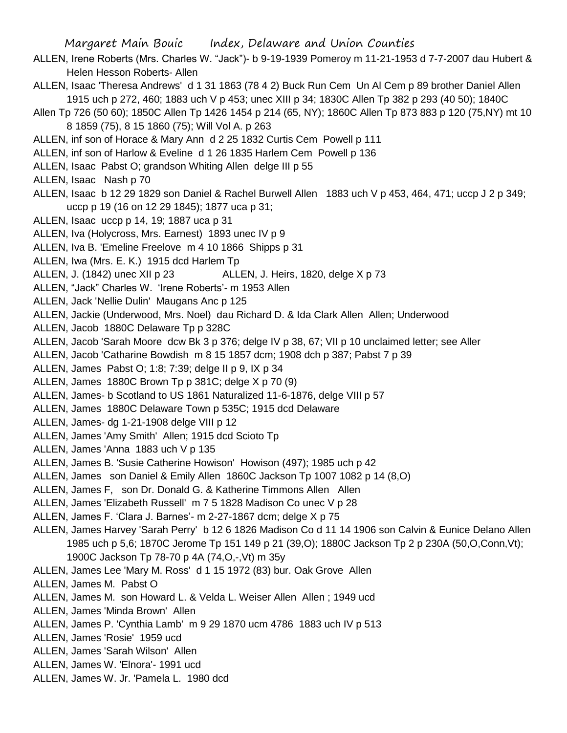- ALLEN, Irene Roberts (Mrs. Charles W. "Jack")- b 9-19-1939 Pomeroy m 11-21-1953 d 7-7-2007 dau Hubert & Helen Hesson Roberts- Allen
- ALLEN, Isaac 'Theresa Andrews' d 1 31 1863 (78 4 2) Buck Run Cem Un Al Cem p 89 brother Daniel Allen 1915 uch p 272, 460; 1883 uch V p 453; unec XIII p 34; 1830C Allen Tp 382 p 293 (40 50); 1840C
- Allen Tp 726 (50 60); 1850C Allen Tp 1426 1454 p 214 (65, NY); 1860C Allen Tp 873 883 p 120 (75,NY) mt 10 8 1859 (75), 8 15 1860 (75); Will Vol A. p 263
- ALLEN, inf son of Horace & Mary Ann d 2 25 1832 Curtis Cem Powell p 111
- ALLEN, inf son of Harlow & Eveline d 1 26 1835 Harlem Cem Powell p 136
- ALLEN, Isaac Pabst O; grandson Whiting Allen delge III p 55
- ALLEN, Isaac Nash p 70
- ALLEN, Isaac b 12 29 1829 son Daniel & Rachel Burwell Allen 1883 uch V p 453, 464, 471; uccp J 2 p 349; uccp p 19 (16 on 12 29 1845); 1877 uca p 31;
- ALLEN, Isaac uccp p 14, 19; 1887 uca p 31
- ALLEN, Iva (Holycross, Mrs. Earnest) 1893 unec IV p 9
- ALLEN, Iva B. 'Emeline Freelove m 4 10 1866 Shipps p 31
- ALLEN, Iwa (Mrs. E. K.) 1915 dcd Harlem Tp
- ALLEN, J. (1842) unec XII p 23 ALLEN, J. Heirs, 1820, delge X p 73
- ALLEN, "Jack" Charles W. 'Irene Roberts'- m 1953 Allen
- ALLEN, Jack 'Nellie Dulin' Maugans Anc p 125
- ALLEN, Jackie (Underwood, Mrs. Noel) dau Richard D. & Ida Clark Allen Allen; Underwood
- ALLEN, Jacob 1880C Delaware Tp p 328C
- ALLEN, Jacob 'Sarah Moore dcw Bk 3 p 376; delge IV p 38, 67; VII p 10 unclaimed letter; see Aller
- ALLEN, Jacob 'Catharine Bowdish m 8 15 1857 dcm; 1908 dch p 387; Pabst 7 p 39
- ALLEN, James Pabst O; 1:8; 7:39; delge II p 9, IX p 34
- ALLEN, James 1880C Brown Tp p 381C; delge X p 70 (9)
- ALLEN, James- b Scotland to US 1861 Naturalized 11-6-1876, delge VIII p 57
- ALLEN, James 1880C Delaware Town p 535C; 1915 dcd Delaware
- ALLEN, James- dg 1-21-1908 delge VIII p 12
- ALLEN, James 'Amy Smith' Allen; 1915 dcd Scioto Tp
- ALLEN, James 'Anna 1883 uch V p 135
- ALLEN, James B. 'Susie Catherine Howison' Howison (497); 1985 uch p 42
- ALLEN, James son Daniel & Emily Allen 1860C Jackson Tp 1007 1082 p 14 (8,O)
- ALLEN, James F, son Dr. Donald G. & Katherine Timmons Allen Allen
- ALLEN, James 'Elizabeth Russell' m 7 5 1828 Madison Co unec V p 28
- ALLEN, James F. 'Clara J. Barnes'- m 2-27-1867 dcm; delge X p 75
- ALLEN, James Harvey 'Sarah Perry' b 12 6 1826 Madison Co d 11 14 1906 son Calvin & Eunice Delano Allen 1985 uch p 5,6; 1870C Jerome Tp 151 149 p 21 (39,O); 1880C Jackson Tp 2 p 230A (50,O,Conn,Vt); 1900C Jackson Tp 78-70 p 4A (74,O,-,Vt) m 35y
- ALLEN, James Lee 'Mary M. Ross' d 1 15 1972 (83) bur. Oak Grove Allen
- ALLEN, James M. Pabst O
- ALLEN, James M. son Howard L. & Velda L. Weiser Allen Allen; 1949 ucd
- ALLEN, James 'Minda Brown' Allen
- ALLEN, James P. 'Cynthia Lamb' m 9 29 1870 ucm 4786 1883 uch IV p 513
- ALLEN, James 'Rosie' 1959 ucd
- ALLEN, James 'Sarah Wilson' Allen
- ALLEN, James W. 'Elnora'- 1991 ucd
- ALLEN, James W. Jr. 'Pamela L. 1980 dcd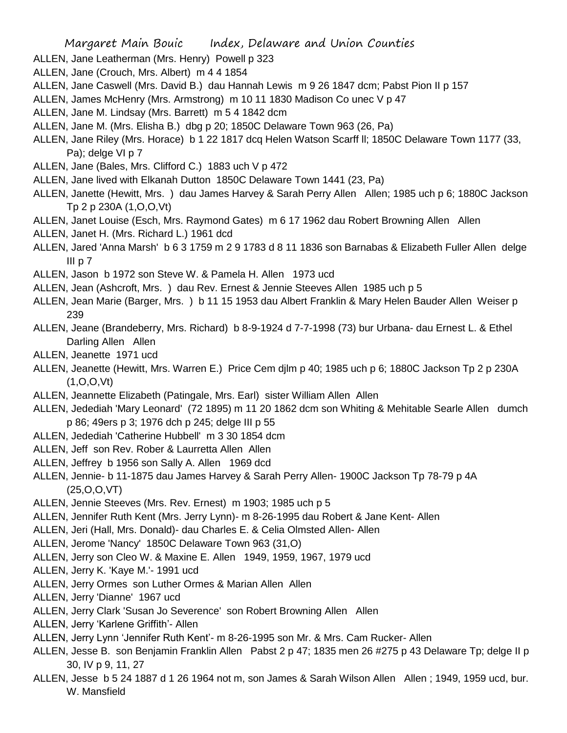- ALLEN, Jane Leatherman (Mrs. Henry) Powell p 323
- ALLEN, Jane (Crouch, Mrs. Albert) m 4 4 1854
- ALLEN, Jane Caswell (Mrs. David B.) dau Hannah Lewis m 9 26 1847 dcm; Pabst Pion II p 157
- ALLEN, James McHenry (Mrs. Armstrong) m 10 11 1830 Madison Co unec V p 47
- ALLEN, Jane M. Lindsay (Mrs. Barrett) m 5 4 1842 dcm
- ALLEN, Jane M. (Mrs. Elisha B.) dbg p 20; 1850C Delaware Town 963 (26, Pa)
- ALLEN, Jane Riley (Mrs. Horace) b 1 22 1817 dcq Helen Watson Scarff ll; 1850C Delaware Town 1177 (33, Pa); delge VI p 7
- ALLEN, Jane (Bales, Mrs. Clifford C.) 1883 uch V p 472
- ALLEN, Jane lived with Elkanah Dutton 1850C Delaware Town 1441 (23, Pa)
- ALLEN, Janette (Hewitt, Mrs. ) dau James Harvey & Sarah Perry Allen Allen; 1985 uch p 6; 1880C Jackson Tp 2 p 230A (1,O,O,Vt)
- ALLEN, Janet Louise (Esch, Mrs. Raymond Gates) m 6 17 1962 dau Robert Browning Allen Allen
- ALLEN, Janet H. (Mrs. Richard L.) 1961 dcd
- ALLEN, Jared 'Anna Marsh' b 6 3 1759 m 2 9 1783 d 8 11 1836 son Barnabas & Elizabeth Fuller Allen delge III  $p$   $7$
- ALLEN, Jason b 1972 son Steve W. & Pamela H. Allen 1973 ucd
- ALLEN, Jean (Ashcroft, Mrs. ) dau Rev. Ernest & Jennie Steeves Allen 1985 uch p 5
- ALLEN, Jean Marie (Barger, Mrs. ) b 11 15 1953 dau Albert Franklin & Mary Helen Bauder Allen Weiser p 239
- ALLEN, Jeane (Brandeberry, Mrs. Richard) b 8-9-1924 d 7-7-1998 (73) bur Urbana- dau Ernest L. & Ethel Darling Allen Allen
- ALLEN, Jeanette 1971 ucd
- ALLEN, Jeanette (Hewitt, Mrs. Warren E.) Price Cem djlm p 40; 1985 uch p 6; 1880C Jackson Tp 2 p 230A (1,O,O,Vt)
- ALLEN, Jeannette Elizabeth (Patingale, Mrs. Earl) sister William Allen Allen
- ALLEN, Jedediah 'Mary Leonard' (72 1895) m 11 20 1862 dcm son Whiting & Mehitable Searle Allen dumch p 86; 49ers p 3; 1976 dch p 245; delge III p 55
- ALLEN, Jedediah 'Catherine Hubbell' m 3 30 1854 dcm
- ALLEN, Jeff son Rev. Rober & Laurretta Allen Allen
- ALLEN, Jeffrey b 1956 son Sally A. Allen 1969 dcd
- ALLEN, Jennie- b 11-1875 dau James Harvey & Sarah Perry Allen- 1900C Jackson Tp 78-79 p 4A (25,O,O,VT)
- ALLEN, Jennie Steeves (Mrs. Rev. Ernest) m 1903; 1985 uch p 5
- ALLEN, Jennifer Ruth Kent (Mrs. Jerry Lynn)- m 8-26-1995 dau Robert & Jane Kent- Allen
- ALLEN, Jeri (Hall, Mrs. Donald)- dau Charles E. & Celia Olmsted Allen- Allen
- ALLEN, Jerome 'Nancy' 1850C Delaware Town 963 (31,O)
- ALLEN, Jerry son Cleo W. & Maxine E. Allen 1949, 1959, 1967, 1979 ucd
- ALLEN, Jerry K. 'Kaye M.'- 1991 ucd
- ALLEN, Jerry Ormes son Luther Ormes & Marian Allen Allen
- ALLEN, Jerry 'Dianne' 1967 ucd
- ALLEN, Jerry Clark 'Susan Jo Severence' son Robert Browning Allen Allen
- ALLEN, Jerry 'Karlene Griffith'- Allen
- ALLEN, Jerry Lynn 'Jennifer Ruth Kent'- m 8-26-1995 son Mr. & Mrs. Cam Rucker- Allen
- ALLEN, Jesse B. son Benjamin Franklin Allen Pabst 2 p 47; 1835 men 26 #275 p 43 Delaware Tp; delge II p 30, IV p 9, 11, 27
- ALLEN, Jesse b 5 24 1887 d 1 26 1964 not m, son James & Sarah Wilson Allen Allen ; 1949, 1959 ucd, bur. W. Mansfield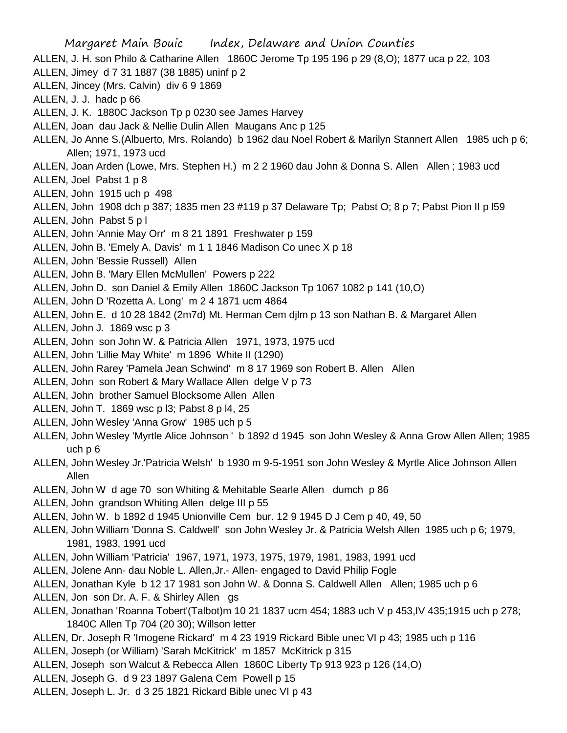- Margaret Main Bouic Index, Delaware and Union Counties ALLEN, J. H. son Philo & Catharine Allen 1860C Jerome Tp 195 196 p 29 (8,O); 1877 uca p 22, 103 ALLEN, Jimey d 7 31 1887 (38 1885) uninf p 2 ALLEN, Jincey (Mrs. Calvin) div 6 9 1869 ALLEN, J. J. hadc p 66 ALLEN, J. K. 1880C Jackson Tp p 0230 see James Harvey ALLEN, Joan dau Jack & Nellie Dulin Allen Maugans Anc p 125 ALLEN, Jo Anne S.(Albuerto, Mrs. Rolando) b 1962 dau Noel Robert & Marilyn Stannert Allen 1985 uch p 6; Allen; 1971, 1973 ucd ALLEN, Joan Arden (Lowe, Mrs. Stephen H.) m 2 2 1960 dau John & Donna S. Allen Allen ; 1983 ucd ALLEN, Joel Pabst 1 p 8 ALLEN, John 1915 uch p 498 ALLEN, John 1908 dch p 387; 1835 men 23 #119 p 37 Delaware Tp; Pabst O; 8 p 7; Pabst Pion II p l59 ALLEN, John Pabst 5 p l ALLEN, John 'Annie May Orr' m 8 21 1891 Freshwater p 159 ALLEN, John B. 'Emely A. Davis' m 1 1 1846 Madison Co unec X p 18 ALLEN, John 'Bessie Russell) Allen ALLEN, John B. 'Mary Ellen McMullen' Powers p 222 ALLEN, John D. son Daniel & Emily Allen 1860C Jackson Tp 1067 1082 p 141 (10,O) ALLEN, John D 'Rozetta A. Long' m 2 4 1871 ucm 4864 ALLEN, John E. d 10 28 1842 (2m7d) Mt. Herman Cem djlm p 13 son Nathan B. & Margaret Allen ALLEN, John J. 1869 wsc p 3 ALLEN, John son John W. & Patricia Allen 1971, 1973, 1975 ucd ALLEN, John 'Lillie May White' m 1896 White II (1290) ALLEN, John Rarey 'Pamela Jean Schwind' m 8 17 1969 son Robert B. Allen Allen ALLEN, John son Robert & Mary Wallace Allen delge V p 73 ALLEN, John brother Samuel Blocksome Allen Allen ALLEN, John T. 1869 wsc p l3; Pabst 8 p l4, 25 ALLEN, John Wesley 'Anna Grow' 1985 uch p 5 ALLEN, John Wesley 'Myrtle Alice Johnson ' b 1892 d 1945 son John Wesley & Anna Grow Allen Allen; 1985 uch p 6 ALLEN, John Wesley Jr.'Patricia Welsh' b 1930 m 9-5-1951 son John Wesley & Myrtle Alice Johnson Allen Allen ALLEN, John W d age 70 son Whiting & Mehitable Searle Allen dumch p 86 ALLEN, John grandson Whiting Allen delge III p 55 ALLEN, John W. b 1892 d 1945 Unionville Cem bur. 12 9 1945 D J Cem p 40, 49, 50 ALLEN, John William 'Donna S. Caldwell' son John Wesley Jr. & Patricia Welsh Allen 1985 uch p 6; 1979, 1981, 1983, 1991 ucd ALLEN, John William 'Patricia' 1967, 1971, 1973, 1975, 1979, 1981, 1983, 1991 ucd ALLEN, Jolene Ann- dau Noble L. Allen,Jr.- Allen- engaged to David Philip Fogle ALLEN, Jonathan Kyle b 12 17 1981 son John W. & Donna S. Caldwell Allen Allen; 1985 uch p 6 ALLEN, Jon son Dr. A. F. & Shirley Allen gs ALLEN, Jonathan 'Roanna Tobert'(Talbot)m 10 21 1837 ucm 454; 1883 uch V p 453,IV 435;1915 uch p 278; 1840C Allen Tp 704 (20 30); Willson letter ALLEN, Dr. Joseph R 'Imogene Rickard' m 4 23 1919 Rickard Bible unec VI p 43; 1985 uch p 116 ALLEN, Joseph (or William) 'Sarah McKitrick' m 1857 McKitrick p 315 ALLEN, Joseph son Walcut & Rebecca Allen 1860C Liberty Tp 913 923 p 126 (14,O) ALLEN, Joseph G. d 9 23 1897 Galena Cem Powell p 15
- ALLEN, Joseph L. Jr. d 3 25 1821 Rickard Bible unec VI p 43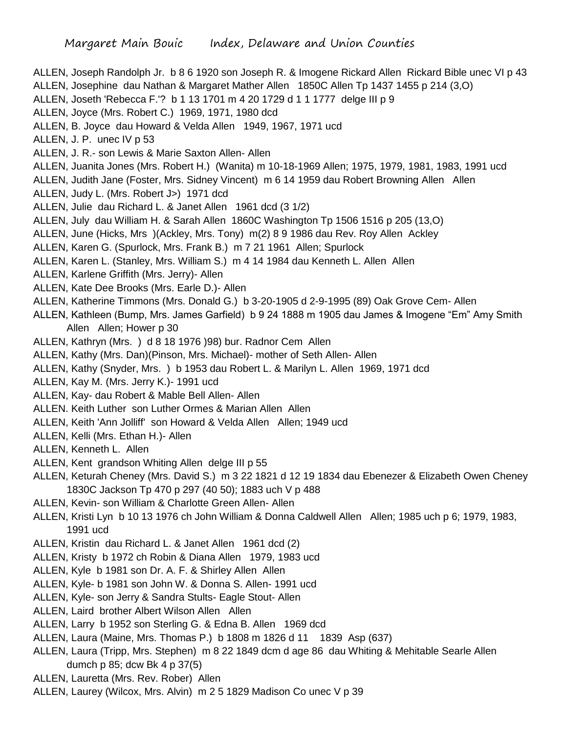ALLEN, Joseph Randolph Jr. b 8 6 1920 son Joseph R. & Imogene Rickard Allen Rickard Bible unec VI p 43 ALLEN, Josephine dau Nathan & Margaret Mather Allen 1850C Allen Tp 1437 1455 p 214 (3,O) ALLEN, Joseth 'Rebecca F.'? b 1 13 1701 m 4 20 1729 d 1 1 1777 delge III p 9 ALLEN, Joyce (Mrs. Robert C.) 1969, 1971, 1980 dcd ALLEN, B. Joyce dau Howard & Velda Allen 1949, 1967, 1971 ucd ALLEN, J. P. unec IV p 53 ALLEN, J. R.- son Lewis & Marie Saxton Allen- Allen ALLEN, Juanita Jones (Mrs. Robert H.) (Wanita) m 10-18-1969 Allen; 1975, 1979, 1981, 1983, 1991 ucd ALLEN, Judith Jane (Foster, Mrs. Sidney Vincent) m 6 14 1959 dau Robert Browning Allen Allen ALLEN, Judy L. (Mrs. Robert J>) 1971 dcd ALLEN, Julie dau Richard L. & Janet Allen 1961 dcd (3 1/2) ALLEN, July dau William H. & Sarah Allen 1860C Washington Tp 1506 1516 p 205 (13,O) ALLEN, June (Hicks, Mrs )(Ackley, Mrs. Tony) m(2) 8 9 1986 dau Rev. Roy Allen Ackley ALLEN, Karen G. (Spurlock, Mrs. Frank B.) m 7 21 1961 Allen; Spurlock ALLEN, Karen L. (Stanley, Mrs. William S.) m 4 14 1984 dau Kenneth L. Allen Allen ALLEN, Karlene Griffith (Mrs. Jerry)- Allen ALLEN, Kate Dee Brooks (Mrs. Earle D.)- Allen ALLEN, Katherine Timmons (Mrs. Donald G.) b 3-20-1905 d 2-9-1995 (89) Oak Grove Cem- Allen ALLEN, Kathleen (Bump, Mrs. James Garfield) b 9 24 1888 m 1905 dau James & Imogene "Em" Amy Smith Allen Allen; Hower p 30 ALLEN, Kathryn (Mrs. ) d 8 18 1976 )98) bur. Radnor Cem Allen ALLEN, Kathy (Mrs. Dan)(Pinson, Mrs. Michael)- mother of Seth Allen- Allen ALLEN, Kathy (Snyder, Mrs. ) b 1953 dau Robert L. & Marilyn L. Allen 1969, 1971 dcd ALLEN, Kay M. (Mrs. Jerry K.)- 1991 ucd ALLEN, Kay- dau Robert & Mable Bell Allen- Allen ALLEN. Keith Luther son Luther Ormes & Marian Allen Allen ALLEN, Keith 'Ann Jolliff' son Howard & Velda Allen Allen; 1949 ucd ALLEN, Kelli (Mrs. Ethan H.)- Allen ALLEN, Kenneth L. Allen ALLEN, Kent grandson Whiting Allen delge III p 55 ALLEN, Keturah Cheney (Mrs. David S.) m 3 22 1821 d 12 19 1834 dau Ebenezer & Elizabeth Owen Cheney 1830C Jackson Tp 470 p 297 (40 50); 1883 uch V p 488 ALLEN, Kevin- son William & Charlotte Green Allen- Allen ALLEN, Kristi Lyn b 10 13 1976 ch John William & Donna Caldwell Allen Allen; 1985 uch p 6; 1979, 1983, 1991 ucd ALLEN, Kristin dau Richard L. & Janet Allen 1961 dcd (2) ALLEN, Kristy b 1972 ch Robin & Diana Allen 1979, 1983 ucd ALLEN, Kyle b 1981 son Dr. A. F. & Shirley Allen Allen

- ALLEN, Kyle- b 1981 son John W. & Donna S. Allen- 1991 ucd
- ALLEN, Kyle- son Jerry & Sandra Stults- Eagle Stout- Allen
- ALLEN, Laird brother Albert Wilson Allen Allen
- ALLEN, Larry b 1952 son Sterling G. & Edna B. Allen 1969 dcd
- ALLEN, Laura (Maine, Mrs. Thomas P.) b 1808 m 1826 d 11 1839 Asp (637)
- ALLEN, Laura (Tripp, Mrs. Stephen) m 8 22 1849 dcm d age 86 dau Whiting & Mehitable Searle Allen dumch p 85; dcw Bk 4 p 37(5)
- ALLEN, Lauretta (Mrs. Rev. Rober) Allen
- ALLEN, Laurey (Wilcox, Mrs. Alvin) m 2 5 1829 Madison Co unec V p 39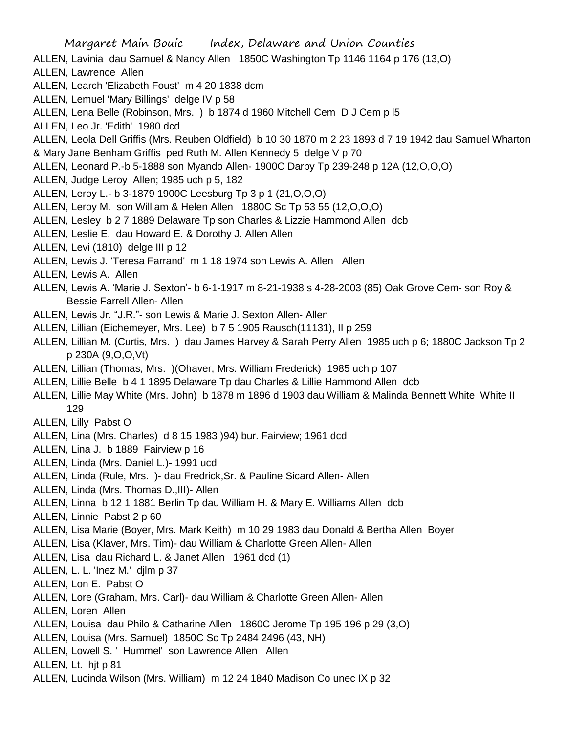Margaret Main Bouic Index, Delaware and Union Counties ALLEN, Lavinia dau Samuel & Nancy Allen 1850C Washington Tp 1146 1164 p 176 (13,O) ALLEN, Lawrence Allen ALLEN, Learch 'Elizabeth Foust' m 4 20 1838 dcm ALLEN, Lemuel 'Mary Billings' delge IV p 58 ALLEN, Lena Belle (Robinson, Mrs. ) b 1874 d 1960 Mitchell Cem D J Cem p l5 ALLEN, Leo Jr. 'Edith' 1980 dcd ALLEN, Leola Dell Griffis (Mrs. Reuben Oldfield) b 10 30 1870 m 2 23 1893 d 7 19 1942 dau Samuel Wharton & Mary Jane Benham Griffis ped Ruth M. Allen Kennedy 5 delge V p 70 ALLEN, Leonard P.-b 5-1888 son Myando Allen- 1900C Darby Tp 239-248 p 12A (12,O,O,O) ALLEN, Judge Leroy Allen; 1985 uch p 5, 182 ALLEN, Leroy L.- b 3-1879 1900C Leesburg Tp 3 p 1 (21,O,O,O) ALLEN, Leroy M. son William & Helen Allen 1880C Sc Tp 53 55 (12,O,O,O) ALLEN, Lesley b 2 7 1889 Delaware Tp son Charles & Lizzie Hammond Allen dcb ALLEN, Leslie E. dau Howard E. & Dorothy J. Allen Allen ALLEN, Levi (1810) delge III p 12 ALLEN, Lewis J. 'Teresa Farrand' m 1 18 1974 son Lewis A. Allen Allen ALLEN, Lewis A. Allen ALLEN, Lewis A. 'Marie J. Sexton'- b 6-1-1917 m 8-21-1938 s 4-28-2003 (85) Oak Grove Cem- son Roy & Bessie Farrell Allen- Allen ALLEN, Lewis Jr. "J.R."- son Lewis & Marie J. Sexton Allen- Allen ALLEN, Lillian (Eichemeyer, Mrs. Lee) b 7 5 1905 Rausch(11131), II p 259 ALLEN, Lillian M. (Curtis, Mrs. ) dau James Harvey & Sarah Perry Allen 1985 uch p 6; 1880C Jackson Tp 2 p 230A (9,O,O,Vt) ALLEN, Lillian (Thomas, Mrs. )(Ohaver, Mrs. William Frederick) 1985 uch p 107 ALLEN, Lillie Belle b 4 1 1895 Delaware Tp dau Charles & Lillie Hammond Allen dcb ALLEN, Lillie May White (Mrs. John) b 1878 m 1896 d 1903 dau William & Malinda Bennett White White II 129 ALLEN, Lilly Pabst O ALLEN, Lina (Mrs. Charles) d 8 15 1983 )94) bur. Fairview; 1961 dcd ALLEN, Lina J. b 1889 Fairview p 16 ALLEN, Linda (Mrs. Daniel L.)- 1991 ucd ALLEN, Linda (Rule, Mrs. )- dau Fredrick,Sr. & Pauline Sicard Allen- Allen ALLEN, Linda (Mrs. Thomas D.,III)- Allen ALLEN, Linna b 12 1 1881 Berlin Tp dau William H. & Mary E. Williams Allen dcb ALLEN, Linnie Pabst 2 p 60 ALLEN, Lisa Marie (Boyer, Mrs. Mark Keith) m 10 29 1983 dau Donald & Bertha Allen Boyer ALLEN, Lisa (Klaver, Mrs. Tim)- dau William & Charlotte Green Allen- Allen ALLEN, Lisa dau Richard L. & Janet Allen 1961 dcd (1) ALLEN, L. L. 'Inez M.' djlm p 37 ALLEN, Lon E. Pabst O ALLEN, Lore (Graham, Mrs. Carl)- dau William & Charlotte Green Allen- Allen ALLEN, Loren Allen ALLEN, Louisa dau Philo & Catharine Allen 1860C Jerome Tp 195 196 p 29 (3,O) ALLEN, Louisa (Mrs. Samuel) 1850C Sc Tp 2484 2496 (43, NH) ALLEN, Lowell S. ' Hummel' son Lawrence Allen Allen ALLEN, Lt. hjt p 81 ALLEN, Lucinda Wilson (Mrs. William) m 12 24 1840 Madison Co unec IX p 32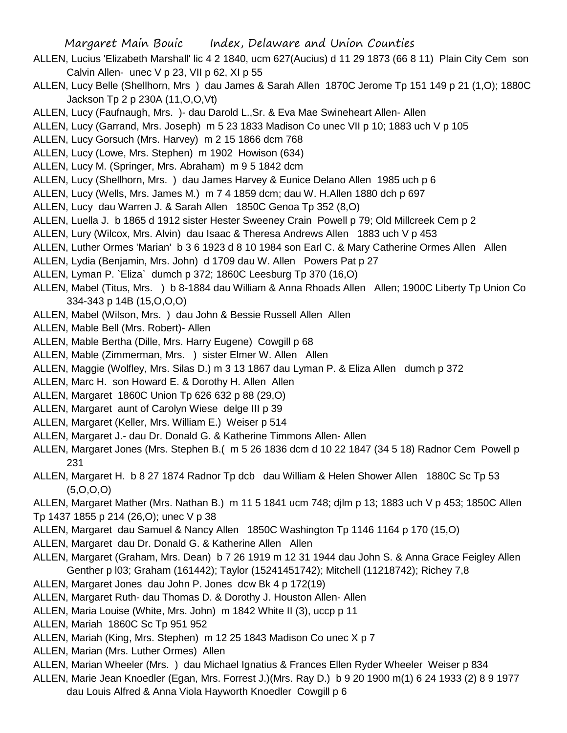- ALLEN, Lucius 'Elizabeth Marshall' lic 4 2 1840, ucm 627(Aucius) d 11 29 1873 (66 8 11) Plain City Cem son Calvin Allen- unec V p 23, VII p 62, XI p 55
- ALLEN, Lucy Belle (Shellhorn, Mrs ) dau James & Sarah Allen 1870C Jerome Tp 151 149 p 21 (1,O); 1880C Jackson Tp 2 p 230A (11,O,O,Vt)
- ALLEN, Lucy (Faufnaugh, Mrs. )- dau Darold L.,Sr. & Eva Mae Swineheart Allen- Allen
- ALLEN, Lucy (Garrand, Mrs. Joseph) m 5 23 1833 Madison Co unec VII p 10; 1883 uch V p 105
- ALLEN, Lucy Gorsuch (Mrs. Harvey) m 2 15 1866 dcm 768
- ALLEN, Lucy (Lowe, Mrs. Stephen) m 1902 Howison (634)
- ALLEN, Lucy M. (Springer, Mrs. Abraham) m 9 5 1842 dcm
- ALLEN, Lucy (Shellhorn, Mrs. ) dau James Harvey & Eunice Delano Allen 1985 uch p 6
- ALLEN, Lucy (Wells, Mrs. James M.) m 7 4 1859 dcm; dau W. H.Allen 1880 dch p 697
- ALLEN, Lucy dau Warren J. & Sarah Allen 1850C Genoa Tp 352 (8,O)
- ALLEN, Luella J. b 1865 d 1912 sister Hester Sweeney Crain Powell p 79; Old Millcreek Cem p 2
- ALLEN, Lury (Wilcox, Mrs. Alvin) dau Isaac & Theresa Andrews Allen 1883 uch V p 453
- ALLEN, Luther Ormes 'Marian' b 3 6 1923 d 8 10 1984 son Earl C. & Mary Catherine Ormes Allen Allen
- ALLEN, Lydia (Benjamin, Mrs. John) d 1709 dau W. Allen Powers Pat p 27
- ALLEN, Lyman P. `Eliza` dumch p 372; 1860C Leesburg Tp 370 (16,O)
- ALLEN, Mabel (Titus, Mrs. ) b 8-1884 dau William & Anna Rhoads Allen Allen; 1900C Liberty Tp Union Co 334-343 p 14B (15,O,O,O)
- ALLEN, Mabel (Wilson, Mrs. ) dau John & Bessie Russell Allen Allen
- ALLEN, Mable Bell (Mrs. Robert)- Allen
- ALLEN, Mable Bertha (Dille, Mrs. Harry Eugene) Cowgill p 68
- ALLEN, Mable (Zimmerman, Mrs. ) sister Elmer W. Allen Allen
- ALLEN, Maggie (Wolfley, Mrs. Silas D.) m 3 13 1867 dau Lyman P. & Eliza Allen dumch p 372
- ALLEN, Marc H. son Howard E. & Dorothy H. Allen Allen
- ALLEN, Margaret 1860C Union Tp 626 632 p 88 (29,O)
- ALLEN, Margaret aunt of Carolyn Wiese delge III p 39
- ALLEN, Margaret (Keller, Mrs. William E.) Weiser p 514
- ALLEN, Margaret J.- dau Dr. Donald G. & Katherine Timmons Allen- Allen
- ALLEN, Margaret Jones (Mrs. Stephen B.( m 5 26 1836 dcm d 10 22 1847 (34 5 18) Radnor Cem Powell p 231
- ALLEN, Margaret H. b 8 27 1874 Radnor Tp dcb dau William & Helen Shower Allen 1880C Sc Tp 53 (5,O,O,O)
- ALLEN, Margaret Mather (Mrs. Nathan B.) m 11 5 1841 ucm 748; djlm p 13; 1883 uch V p 453; 1850C Allen Tp 1437 1855 p 214 (26,O); unec V p 38
- ALLEN, Margaret dau Samuel & Nancy Allen 1850C Washington Tp 1146 1164 p 170 (15,O)
- ALLEN, Margaret dau Dr. Donald G. & Katherine Allen Allen
- ALLEN, Margaret (Graham, Mrs. Dean) b 7 26 1919 m 12 31 1944 dau John S. & Anna Grace Feigley Allen Genther p l03; Graham (161442); Taylor (15241451742); Mitchell (11218742); Richey 7,8
- ALLEN, Margaret Jones dau John P. Jones dcw Bk 4 p 172(19)
- ALLEN, Margaret Ruth- dau Thomas D. & Dorothy J. Houston Allen- Allen
- ALLEN, Maria Louise (White, Mrs. John) m 1842 White II (3), uccp p 11
- ALLEN, Mariah 1860C Sc Tp 951 952
- ALLEN, Mariah (King, Mrs. Stephen) m 12 25 1843 Madison Co unec X p 7
- ALLEN, Marian (Mrs. Luther Ormes) Allen
- ALLEN, Marian Wheeler (Mrs. ) dau Michael Ignatius & Frances Ellen Ryder Wheeler Weiser p 834
- ALLEN, Marie Jean Knoedler (Egan, Mrs. Forrest J.)(Mrs. Ray D.) b 9 20 1900 m(1) 6 24 1933 (2) 8 9 1977 dau Louis Alfred & Anna Viola Hayworth Knoedler Cowgill p 6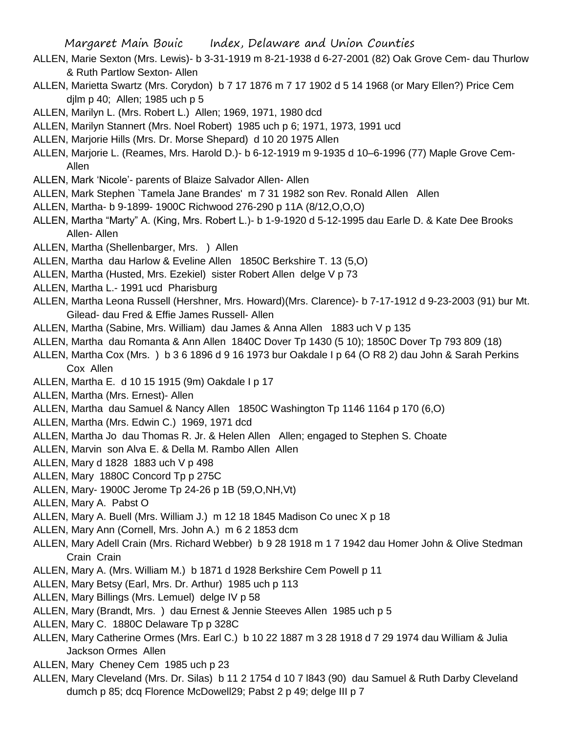- ALLEN, Marie Sexton (Mrs. Lewis)- b 3-31-1919 m 8-21-1938 d 6-27-2001 (82) Oak Grove Cem- dau Thurlow & Ruth Partlow Sexton- Allen
- ALLEN, Marietta Swartz (Mrs. Corydon) b 7 17 1876 m 7 17 1902 d 5 14 1968 (or Mary Ellen?) Price Cem djlm p 40; Allen; 1985 uch p 5
- ALLEN, Marilyn L. (Mrs. Robert L.) Allen; 1969, 1971, 1980 dcd
- ALLEN, Marilyn Stannert (Mrs. Noel Robert) 1985 uch p 6; 1971, 1973, 1991 ucd
- ALLEN, Marjorie Hills (Mrs. Dr. Morse Shepard) d 10 20 1975 Allen
- ALLEN, Marjorie L. (Reames, Mrs. Harold D.)- b 6-12-1919 m 9-1935 d 10–6-1996 (77) Maple Grove Cem-Allen
- ALLEN, Mark 'Nicole'- parents of Blaize Salvador Allen- Allen
- ALLEN, Mark Stephen `Tamela Jane Brandes' m 7 31 1982 son Rev. Ronald Allen Allen
- ALLEN, Martha- b 9-1899- 1900C Richwood 276-290 p 11A (8/12,O,O,O)
- ALLEN, Martha "Marty" A. (King, Mrs. Robert L.)- b 1-9-1920 d 5-12-1995 dau Earle D. & Kate Dee Brooks Allen- Allen
- ALLEN, Martha (Shellenbarger, Mrs. ) Allen
- ALLEN, Martha dau Harlow & Eveline Allen 1850C Berkshire T. 13 (5,O)
- ALLEN, Martha (Husted, Mrs. Ezekiel) sister Robert Allen delge V p 73
- ALLEN, Martha L.- 1991 ucd Pharisburg
- ALLEN, Martha Leona Russell (Hershner, Mrs. Howard)(Mrs. Clarence)- b 7-17-1912 d 9-23-2003 (91) bur Mt. Gilead- dau Fred & Effie James Russell- Allen
- ALLEN, Martha (Sabine, Mrs. William) dau James & Anna Allen 1883 uch V p 135
- ALLEN, Martha dau Romanta & Ann Allen 1840C Dover Tp 1430 (5 10); 1850C Dover Tp 793 809 (18)
- ALLEN, Martha Cox (Mrs. ) b 3 6 1896 d 9 16 1973 bur Oakdale I p 64 (O R8 2) dau John & Sarah Perkins Cox Allen
- ALLEN, Martha E. d 10 15 1915 (9m) Oakdale I p 17
- ALLEN, Martha (Mrs. Ernest)- Allen
- ALLEN, Martha dau Samuel & Nancy Allen 1850C Washington Tp 1146 1164 p 170 (6,O)
- ALLEN, Martha (Mrs. Edwin C.) 1969, 1971 dcd
- ALLEN, Martha Jo dau Thomas R. Jr. & Helen Allen Allen; engaged to Stephen S. Choate
- ALLEN, Marvin son Alva E. & Della M. Rambo Allen Allen
- ALLEN, Mary d 1828 1883 uch V p 498
- ALLEN, Mary 1880C Concord Tp p 275C
- ALLEN, Mary- 1900C Jerome Tp 24-26 p 1B (59,O,NH,Vt)
- ALLEN, Mary A. Pabst O
- ALLEN, Mary A. Buell (Mrs. William J.) m 12 18 1845 Madison Co unec X p 18
- ALLEN, Mary Ann (Cornell, Mrs. John A.) m 6 2 1853 dcm
- ALLEN, Mary Adell Crain (Mrs. Richard Webber) b 9 28 1918 m 1 7 1942 dau Homer John & Olive Stedman Crain Crain
- ALLEN, Mary A. (Mrs. William M.) b 1871 d 1928 Berkshire Cem Powell p 11
- ALLEN, Mary Betsy (Earl, Mrs. Dr. Arthur) 1985 uch p 113
- ALLEN, Mary Billings (Mrs. Lemuel) delge IV p 58
- ALLEN, Mary (Brandt, Mrs. ) dau Ernest & Jennie Steeves Allen 1985 uch p 5
- ALLEN, Mary C. 1880C Delaware Tp p 328C
- ALLEN, Mary Catherine Ormes (Mrs. Earl C.) b 10 22 1887 m 3 28 1918 d 7 29 1974 dau William & Julia Jackson Ormes Allen
- ALLEN, Mary Cheney Cem 1985 uch p 23
- ALLEN, Mary Cleveland (Mrs. Dr. Silas) b 11 2 1754 d 10 7 l843 (90) dau Samuel & Ruth Darby Cleveland dumch p 85; dcq Florence McDowell29; Pabst 2 p 49; delge III p 7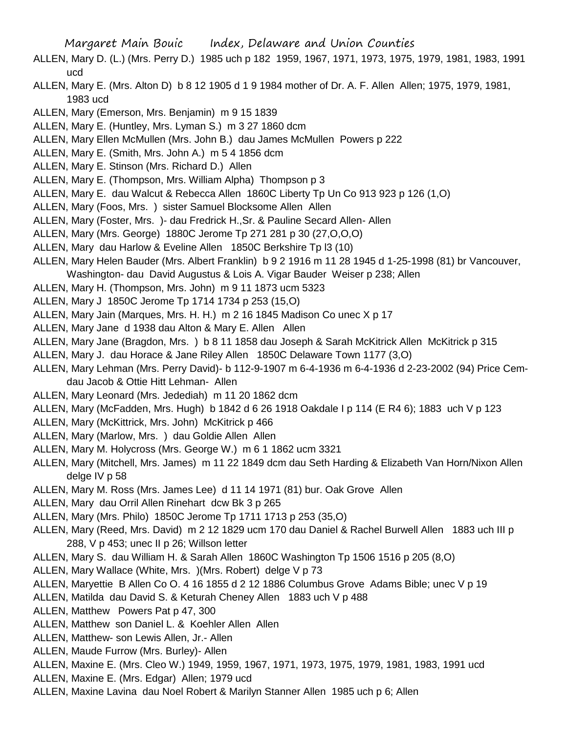- ALLEN, Mary D. (L.) (Mrs. Perry D.) 1985 uch p 182 1959, 1967, 1971, 1973, 1975, 1979, 1981, 1983, 1991 ucd
- ALLEN, Mary E. (Mrs. Alton D) b 8 12 1905 d 1 9 1984 mother of Dr. A. F. Allen Allen; 1975, 1979, 1981, 1983 ucd
- ALLEN, Mary (Emerson, Mrs. Benjamin) m 9 15 1839
- ALLEN, Mary E. (Huntley, Mrs. Lyman S.) m 3 27 1860 dcm
- ALLEN, Mary Ellen McMullen (Mrs. John B.) dau James McMullen Powers p 222
- ALLEN, Mary E. (Smith, Mrs. John A.) m 5 4 1856 dcm
- ALLEN, Mary E. Stinson (Mrs. Richard D.) Allen
- ALLEN, Mary E. (Thompson, Mrs. William Alpha) Thompson p 3
- ALLEN, Mary E. dau Walcut & Rebecca Allen 1860C Liberty Tp Un Co 913 923 p 126 (1,O)
- ALLEN, Mary (Foos, Mrs. ) sister Samuel Blocksome Allen Allen
- ALLEN, Mary (Foster, Mrs. )- dau Fredrick H.,Sr. & Pauline Secard Allen- Allen
- ALLEN, Mary (Mrs. George) 1880C Jerome Tp 271 281 p 30 (27,O,O,O)
- ALLEN, Mary dau Harlow & Eveline Allen 1850C Berkshire Tp l3 (10)
- ALLEN, Mary Helen Bauder (Mrs. Albert Franklin) b 9 2 1916 m 11 28 1945 d 1-25-1998 (81) br Vancouver, Washington- dau David Augustus & Lois A. Vigar Bauder Weiser p 238; Allen
- ALLEN, Mary H. (Thompson, Mrs. John) m 9 11 1873 ucm 5323
- ALLEN, Mary J 1850C Jerome Tp 1714 1734 p 253 (15,O)
- ALLEN, Mary Jain (Marques, Mrs. H. H.) m 2 16 1845 Madison Co unec X p 17
- ALLEN, Mary Jane d 1938 dau Alton & Mary E. Allen Allen
- ALLEN, Mary Jane (Bragdon, Mrs. ) b 8 11 1858 dau Joseph & Sarah McKitrick Allen McKitrick p 315
- ALLEN, Mary J. dau Horace & Jane Riley Allen 1850C Delaware Town 1177 (3,O)
- ALLEN, Mary Lehman (Mrs. Perry David)- b 112-9-1907 m 6-4-1936 m 6-4-1936 d 2-23-2002 (94) Price Cemdau Jacob & Ottie Hitt Lehman- Allen
- ALLEN, Mary Leonard (Mrs. Jedediah) m 11 20 1862 dcm
- ALLEN, Mary (McFadden, Mrs. Hugh) b 1842 d 6 26 1918 Oakdale I p 114 (E R4 6); 1883 uch V p 123
- ALLEN, Mary (McKittrick, Mrs. John) McKitrick p 466
- ALLEN, Mary (Marlow, Mrs. ) dau Goldie Allen Allen
- ALLEN, Mary M. Holycross (Mrs. George W.) m 6 1 1862 ucm 3321
- ALLEN, Mary (Mitchell, Mrs. James) m 11 22 1849 dcm dau Seth Harding & Elizabeth Van Horn/Nixon Allen delge IV p 58
- ALLEN, Mary M. Ross (Mrs. James Lee) d 11 14 1971 (81) bur. Oak Grove Allen
- ALLEN, Mary dau Orril Allen Rinehart dcw Bk 3 p 265
- ALLEN, Mary (Mrs. Philo) 1850C Jerome Tp 1711 1713 p 253 (35,O)
- ALLEN, Mary (Reed, Mrs. David) m 2 12 1829 ucm 170 dau Daniel & Rachel Burwell Allen 1883 uch III p 288, V p 453; unec II p 26; Willson letter
- ALLEN, Mary S. dau William H. & Sarah Allen 1860C Washington Tp 1506 1516 p 205 (8,O)
- ALLEN, Mary Wallace (White, Mrs. )(Mrs. Robert) delge V p 73
- ALLEN, Maryettie B Allen Co O. 4 16 1855 d 2 12 1886 Columbus Grove Adams Bible; unec V p 19
- ALLEN, Matilda dau David S. & Keturah Cheney Allen 1883 uch V p 488
- ALLEN, Matthew Powers Pat p 47, 300
- ALLEN, Matthew son Daniel L. & Koehler Allen Allen
- ALLEN, Matthew- son Lewis Allen, Jr.- Allen
- ALLEN, Maude Furrow (Mrs. Burley)- Allen
- ALLEN, Maxine E. (Mrs. Cleo W.) 1949, 1959, 1967, 1971, 1973, 1975, 1979, 1981, 1983, 1991 ucd
- ALLEN, Maxine E. (Mrs. Edgar) Allen; 1979 ucd
- ALLEN, Maxine Lavina dau Noel Robert & Marilyn Stanner Allen 1985 uch p 6; Allen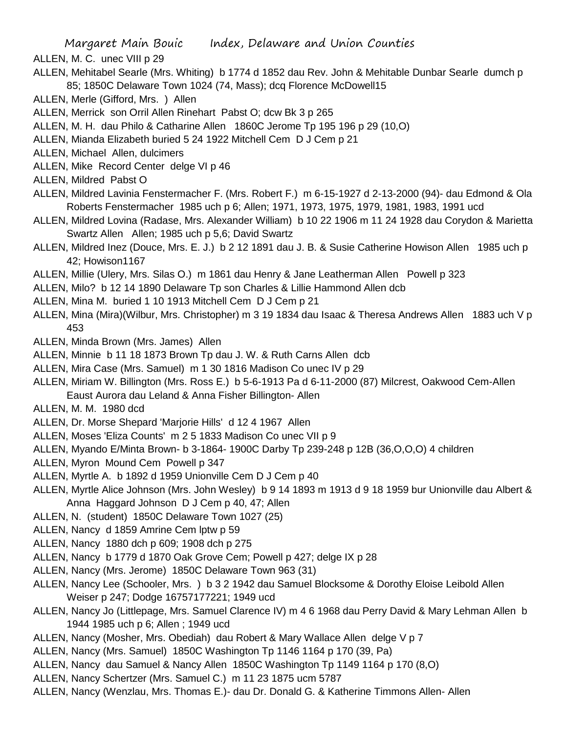- ALLEN, M. C. unec VIII p 29
- ALLEN, Mehitabel Searle (Mrs. Whiting) b 1774 d 1852 dau Rev. John & Mehitable Dunbar Searle dumch p 85; 1850C Delaware Town 1024 (74, Mass); dcq Florence McDowell15
- ALLEN, Merle (Gifford, Mrs. ) Allen
- ALLEN, Merrick son Orril Allen Rinehart Pabst O; dcw Bk 3 p 265
- ALLEN, M. H. dau Philo & Catharine Allen 1860C Jerome Tp 195 196 p 29 (10,O)
- ALLEN, Mianda Elizabeth buried 5 24 1922 Mitchell Cem D J Cem p 21
- ALLEN, Michael Allen, dulcimers
- ALLEN, Mike Record Center delge VI p 46
- ALLEN, Mildred Pabst O
- ALLEN, Mildred Lavinia Fenstermacher F. (Mrs. Robert F.) m 6-15-1927 d 2-13-2000 (94)- dau Edmond & Ola Roberts Fenstermacher 1985 uch p 6; Allen; 1971, 1973, 1975, 1979, 1981, 1983, 1991 ucd
- ALLEN, Mildred Lovina (Radase, Mrs. Alexander William) b 10 22 1906 m 11 24 1928 dau Corydon & Marietta Swartz Allen Allen; 1985 uch p 5,6; David Swartz
- ALLEN, Mildred Inez (Douce, Mrs. E. J.) b 2 12 1891 dau J. B. & Susie Catherine Howison Allen 1985 uch p 42; Howison1167
- ALLEN, Millie (Ulery, Mrs. Silas O.) m 1861 dau Henry & Jane Leatherman Allen Powell p 323
- ALLEN, Milo? b 12 14 1890 Delaware Tp son Charles & Lillie Hammond Allen dcb
- ALLEN, Mina M. buried 1 10 1913 Mitchell Cem D J Cem p 21
- ALLEN, Mina (Mira)(Wilbur, Mrs. Christopher) m 3 19 1834 dau Isaac & Theresa Andrews Allen 1883 uch V p 453
- ALLEN, Minda Brown (Mrs. James) Allen
- ALLEN, Minnie b 11 18 1873 Brown Tp dau J. W. & Ruth Carns Allen dcb
- ALLEN, Mira Case (Mrs. Samuel) m 1 30 1816 Madison Co unec IV p 29
- ALLEN, Miriam W. Billington (Mrs. Ross E.) b 5-6-1913 Pa d 6-11-2000 (87) Milcrest, Oakwood Cem-Allen Eaust Aurora dau Leland & Anna Fisher Billington- Allen
- ALLEN, M. M. 1980 dcd
- ALLEN, Dr. Morse Shepard 'Marjorie Hills' d 12 4 1967 Allen
- ALLEN, Moses 'Eliza Counts' m 2 5 1833 Madison Co unec VII p 9
- ALLEN, Myando E/Minta Brown- b 3-1864- 1900C Darby Tp 239-248 p 12B (36,O,O,O) 4 children
- ALLEN, Myron Mound Cem Powell p 347
- ALLEN, Myrtle A. b 1892 d 1959 Unionville Cem D J Cem p 40
- ALLEN, Myrtle Alice Johnson (Mrs. John Wesley) b 9 14 1893 m 1913 d 9 18 1959 bur Unionville dau Albert & Anna Haggard Johnson D J Cem p 40, 47; Allen
- ALLEN, N. (student) 1850C Delaware Town 1027 (25)
- ALLEN, Nancy d 1859 Amrine Cem lptw p 59
- ALLEN, Nancy 1880 dch p 609; 1908 dch p 275
- ALLEN, Nancy b 1779 d 1870 Oak Grove Cem; Powell p 427; delge IX p 28
- ALLEN, Nancy (Mrs. Jerome) 1850C Delaware Town 963 (31)
- ALLEN, Nancy Lee (Schooler, Mrs. ) b 3 2 1942 dau Samuel Blocksome & Dorothy Eloise Leibold Allen Weiser p 247; Dodge 16757177221; 1949 ucd
- ALLEN, Nancy Jo (Littlepage, Mrs. Samuel Clarence IV) m 4 6 1968 dau Perry David & Mary Lehman Allen b 1944 1985 uch p 6; Allen ; 1949 ucd
- ALLEN, Nancy (Mosher, Mrs. Obediah) dau Robert & Mary Wallace Allen delge V p 7
- ALLEN, Nancy (Mrs. Samuel) 1850C Washington Tp 1146 1164 p 170 (39, Pa)
- ALLEN, Nancy dau Samuel & Nancy Allen 1850C Washington Tp 1149 1164 p 170 (8,O)
- ALLEN, Nancy Schertzer (Mrs. Samuel C.) m 11 23 1875 ucm 5787
- ALLEN, Nancy (Wenzlau, Mrs. Thomas E.)- dau Dr. Donald G. & Katherine Timmons Allen- Allen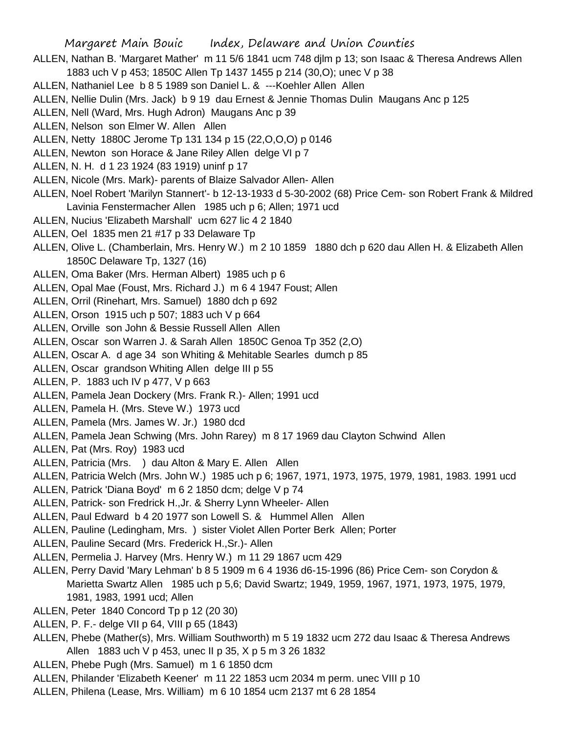- ALLEN, Nathan B. 'Margaret Mather' m 11 5/6 1841 ucm 748 djlm p 13; son Isaac & Theresa Andrews Allen 1883 uch V p 453; 1850C Allen Tp 1437 1455 p 214 (30,O); unec V p 38
- ALLEN, Nathaniel Lee b 8 5 1989 son Daniel L. & ---Koehler Allen Allen
- ALLEN, Nellie Dulin (Mrs. Jack) b 9 19 dau Ernest & Jennie Thomas Dulin Maugans Anc p 125
- ALLEN, Nell (Ward, Mrs. Hugh Adron) Maugans Anc p 39
- ALLEN, Nelson son Elmer W. Allen Allen
- ALLEN, Netty 1880C Jerome Tp 131 134 p 15 (22,O,O,O) p 0146
- ALLEN, Newton son Horace & Jane Riley Allen delge VI p 7
- ALLEN, N. H. d 1 23 1924 (83 1919) uninf p 17
- ALLEN, Nicole (Mrs. Mark)- parents of Blaize Salvador Allen- Allen
- ALLEN, Noel Robert 'Marilyn Stannert'- b 12-13-1933 d 5-30-2002 (68) Price Cem- son Robert Frank & Mildred Lavinia Fenstermacher Allen 1985 uch p 6; Allen; 1971 ucd
- ALLEN, Nucius 'Elizabeth Marshall' ucm 627 lic 4 2 1840
- ALLEN, Oel 1835 men 21 #17 p 33 Delaware Tp
- ALLEN, Olive L. (Chamberlain, Mrs. Henry W.) m 2 10 1859 1880 dch p 620 dau Allen H. & Elizabeth Allen 1850C Delaware Tp, 1327 (16)
- ALLEN, Oma Baker (Mrs. Herman Albert) 1985 uch p 6
- ALLEN, Opal Mae (Foust, Mrs. Richard J.) m 6 4 1947 Foust; Allen
- ALLEN, Orril (Rinehart, Mrs. Samuel) 1880 dch p 692
- ALLEN, Orson 1915 uch p 507; 1883 uch V p 664
- ALLEN, Orville son John & Bessie Russell Allen Allen
- ALLEN, Oscar son Warren J. & Sarah Allen 1850C Genoa Tp 352 (2,O)
- ALLEN, Oscar A. d age 34 son Whiting & Mehitable Searles dumch p 85
- ALLEN, Oscar grandson Whiting Allen delge III p 55
- ALLEN, P. 1883 uch IV p 477, V p 663
- ALLEN, Pamela Jean Dockery (Mrs. Frank R.)- Allen; 1991 ucd
- ALLEN, Pamela H. (Mrs. Steve W.) 1973 ucd
- ALLEN, Pamela (Mrs. James W. Jr.) 1980 dcd
- ALLEN, Pamela Jean Schwing (Mrs. John Rarey) m 8 17 1969 dau Clayton Schwind Allen
- ALLEN, Pat (Mrs. Roy) 1983 ucd
- ALLEN, Patricia (Mrs. ) dau Alton & Mary E. Allen Allen
- ALLEN, Patricia Welch (Mrs. John W.) 1985 uch p 6; 1967, 1971, 1973, 1975, 1979, 1981, 1983. 1991 ucd
- ALLEN, Patrick 'Diana Boyd' m 6 2 1850 dcm; delge V p 74
- ALLEN, Patrick- son Fredrick H.,Jr. & Sherry Lynn Wheeler- Allen
- ALLEN, Paul Edward b 4 20 1977 son Lowell S. & Hummel Allen Allen
- ALLEN, Pauline (Ledingham, Mrs. ) sister Violet Allen Porter Berk Allen; Porter
- ALLEN, Pauline Secard (Mrs. Frederick H.,Sr.)- Allen
- ALLEN, Permelia J. Harvey (Mrs. Henry W.) m 11 29 1867 ucm 429
- ALLEN, Perry David 'Mary Lehman' b 8 5 1909 m 6 4 1936 d6-15-1996 (86) Price Cem- son Corydon & Marietta Swartz Allen 1985 uch p 5,6; David Swartz; 1949, 1959, 1967, 1971, 1973, 1975, 1979, 1981, 1983, 1991 ucd; Allen
- ALLEN, Peter 1840 Concord Tp p 12 (20 30)
- ALLEN, P. F.- delge VII p 64, VIII p 65 (1843)
- ALLEN, Phebe (Mather(s), Mrs. William Southworth) m 5 19 1832 ucm 272 dau Isaac & Theresa Andrews Allen 1883 uch V p 453, unec II p 35, X p 5 m 3 26 1832
- ALLEN, Phebe Pugh (Mrs. Samuel) m 1 6 1850 dcm
- ALLEN, Philander 'Elizabeth Keener' m 11 22 1853 ucm 2034 m perm. unec VIII p 10
- ALLEN, Philena (Lease, Mrs. William) m 6 10 1854 ucm 2137 mt 6 28 1854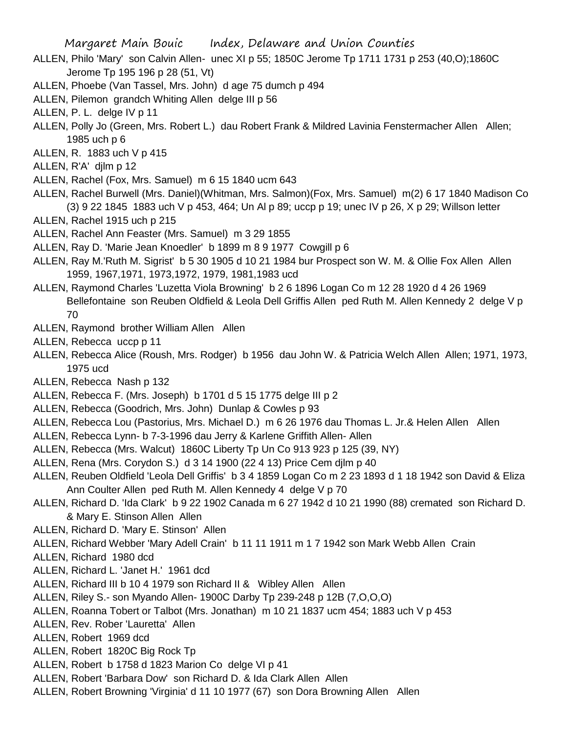- ALLEN, Philo 'Mary' son Calvin Allen- unec XI p 55; 1850C Jerome Tp 1711 1731 p 253 (40,O);1860C Jerome Tp 195 196 p 28 (51, Vt)
- ALLEN, Phoebe (Van Tassel, Mrs. John) d age 75 dumch p 494
- ALLEN, Pilemon grandch Whiting Allen delge III p 56
- ALLEN, P. L. delge IV p 11
- ALLEN, Polly Jo (Green, Mrs. Robert L.) dau Robert Frank & Mildred Lavinia Fenstermacher Allen Allen; 1985 uch p 6
- ALLEN, R. 1883 uch V p 415
- ALLEN, R'A' djlm p 12
- ALLEN, Rachel (Fox, Mrs. Samuel) m 6 15 1840 ucm 643
- ALLEN, Rachel Burwell (Mrs. Daniel)(Whitman, Mrs. Salmon)(Fox, Mrs. Samuel) m(2) 6 17 1840 Madison Co (3) 9 22 1845 1883 uch V p 453, 464; Un Al p 89; uccp p 19; unec IV p 26, X p 29; Willson letter
- ALLEN, Rachel 1915 uch p 215
- ALLEN, Rachel Ann Feaster (Mrs. Samuel) m 3 29 1855
- ALLEN, Ray D. 'Marie Jean Knoedler' b 1899 m 8 9 1977 Cowgill p 6
- ALLEN, Ray M.'Ruth M. Sigrist' b 5 30 1905 d 10 21 1984 bur Prospect son W. M. & Ollie Fox Allen Allen 1959, 1967,1971, 1973,1972, 1979, 1981,1983 ucd
- ALLEN, Raymond Charles 'Luzetta Viola Browning' b 2 6 1896 Logan Co m 12 28 1920 d 4 26 1969 Bellefontaine son Reuben Oldfield & Leola Dell Griffis Allen ped Ruth M. Allen Kennedy 2 delge V p 70
- ALLEN, Raymond brother William Allen Allen
- ALLEN, Rebecca uccp p 11
- ALLEN, Rebecca Alice (Roush, Mrs. Rodger) b 1956 dau John W. & Patricia Welch Allen Allen; 1971, 1973, 1975 ucd
- ALLEN, Rebecca Nash p 132
- ALLEN, Rebecca F. (Mrs. Joseph) b 1701 d 5 15 1775 delge III p 2
- ALLEN, Rebecca (Goodrich, Mrs. John) Dunlap & Cowles p 93
- ALLEN, Rebecca Lou (Pastorius, Mrs. Michael D.) m 6 26 1976 dau Thomas L. Jr.& Helen Allen Allen
- ALLEN, Rebecca Lynn- b 7-3-1996 dau Jerry & Karlene Griffith Allen- Allen
- ALLEN, Rebecca (Mrs. Walcut) 1860C Liberty Tp Un Co 913 923 p 125 (39, NY)
- ALLEN, Rena (Mrs. Corydon S.) d 3 14 1900 (22 4 13) Price Cem djlm p 40
- ALLEN, Reuben Oldfield 'Leola Dell Griffis' b 3 4 1859 Logan Co m 2 23 1893 d 1 18 1942 son David & Eliza Ann Coulter Allen ped Ruth M. Allen Kennedy 4 delge V p 70
- ALLEN, Richard D. 'Ida Clark' b 9 22 1902 Canada m 6 27 1942 d 10 21 1990 (88) cremated son Richard D. & Mary E. Stinson Allen Allen
- ALLEN, Richard D. 'Mary E. Stinson' Allen
- ALLEN, Richard Webber 'Mary Adell Crain' b 11 11 1911 m 1 7 1942 son Mark Webb Allen Crain
- ALLEN, Richard 1980 dcd
- ALLEN, Richard L. 'Janet H.' 1961 dcd
- ALLEN, Richard III b 10 4 1979 son Richard II & Wibley Allen Allen
- ALLEN, Riley S.- son Myando Allen- 1900C Darby Tp 239-248 p 12B (7,O,O,O)
- ALLEN, Roanna Tobert or Talbot (Mrs. Jonathan) m 10 21 1837 ucm 454; 1883 uch V p 453
- ALLEN, Rev. Rober 'Lauretta' Allen
- ALLEN, Robert 1969 dcd
- ALLEN, Robert 1820C Big Rock Tp
- ALLEN, Robert b 1758 d 1823 Marion Co delge VI p 41
- ALLEN, Robert 'Barbara Dow' son Richard D. & Ida Clark Allen Allen
- ALLEN, Robert Browning 'Virginia' d 11 10 1977 (67) son Dora Browning Allen Allen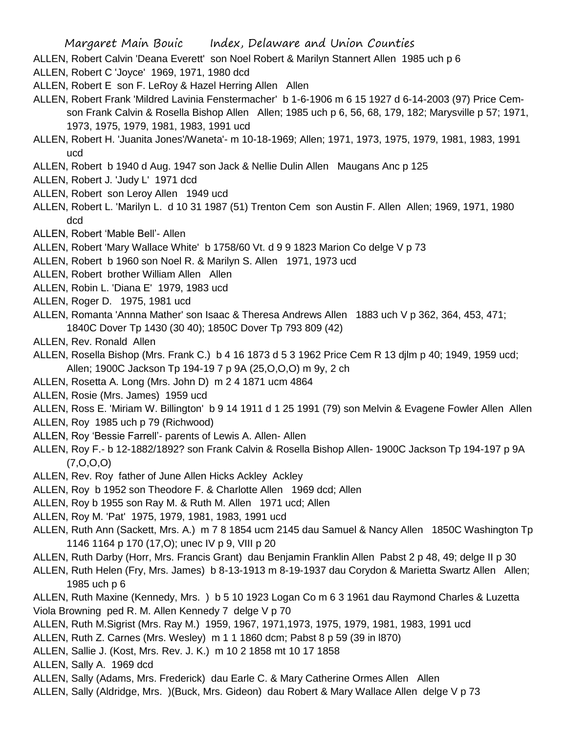- ALLEN, Robert Calvin 'Deana Everett' son Noel Robert & Marilyn Stannert Allen 1985 uch p 6
- ALLEN, Robert C 'Joyce' 1969, 1971, 1980 dcd
- ALLEN, Robert E son F. LeRoy & Hazel Herring Allen Allen
- ALLEN, Robert Frank 'Mildred Lavinia Fenstermacher' b 1-6-1906 m 6 15 1927 d 6-14-2003 (97) Price Cemson Frank Calvin & Rosella Bishop Allen Allen; 1985 uch p 6, 56, 68, 179, 182; Marysville p 57; 1971, 1973, 1975, 1979, 1981, 1983, 1991 ucd
- ALLEN, Robert H. 'Juanita Jones'/Waneta'- m 10-18-1969; Allen; 1971, 1973, 1975, 1979, 1981, 1983, 1991 ucd
- ALLEN, Robert b 1940 d Aug. 1947 son Jack & Nellie Dulin Allen Maugans Anc p 125
- ALLEN, Robert J. 'Judy L' 1971 dcd
- ALLEN, Robert son Leroy Allen 1949 ucd
- ALLEN, Robert L. 'Marilyn L. d 10 31 1987 (51) Trenton Cem son Austin F. Allen Allen; 1969, 1971, 1980 dcd
- ALLEN, Robert 'Mable Bell'- Allen
- ALLEN, Robert 'Mary Wallace White' b 1758/60 Vt. d 9 9 1823 Marion Co delge V p 73
- ALLEN, Robert b 1960 son Noel R. & Marilyn S. Allen 1971, 1973 ucd
- ALLEN, Robert brother William Allen Allen
- ALLEN, Robin L. 'Diana E' 1979, 1983 ucd
- ALLEN, Roger D. 1975, 1981 ucd
- ALLEN, Romanta 'Annna Mather' son Isaac & Theresa Andrews Allen 1883 uch V p 362, 364, 453, 471; 1840C Dover Tp 1430 (30 40); 1850C Dover Tp 793 809 (42)
- ALLEN, Rev. Ronald Allen
- ALLEN, Rosella Bishop (Mrs. Frank C.) b 4 16 1873 d 5 3 1962 Price Cem R 13 djlm p 40; 1949, 1959 ucd; Allen; 1900C Jackson Tp 194-19 7 p 9A (25,O,O,O) m 9y, 2 ch
- ALLEN, Rosetta A. Long (Mrs. John D) m 2 4 1871 ucm 4864
- ALLEN, Rosie (Mrs. James) 1959 ucd
- ALLEN, Ross E. 'Miriam W. Billington' b 9 14 1911 d 1 25 1991 (79) son Melvin & Evagene Fowler Allen Allen
- ALLEN, Roy 1985 uch p 79 (Richwood)
- ALLEN, Roy 'Bessie Farrell'- parents of Lewis A. Allen- Allen
- ALLEN, Roy F.- b 12-1882/1892? son Frank Calvin & Rosella Bishop Allen- 1900C Jackson Tp 194-197 p 9A (7,O,O,O)
- ALLEN, Rev. Roy father of June Allen Hicks Ackley Ackley
- ALLEN, Roy b 1952 son Theodore F. & Charlotte Allen 1969 dcd; Allen
- ALLEN, Roy b 1955 son Ray M. & Ruth M. Allen 1971 ucd; Allen
- ALLEN, Roy M. 'Pat' 1975, 1979, 1981, 1983, 1991 ucd
- ALLEN, Ruth Ann (Sackett, Mrs. A.) m 7 8 1854 ucm 2145 dau Samuel & Nancy Allen 1850C Washington Tp 1146 1164 p 170 (17,O); unec IV p 9, VIII p 20
- ALLEN, Ruth Darby (Horr, Mrs. Francis Grant) dau Benjamin Franklin Allen Pabst 2 p 48, 49; delge II p 30
- ALLEN, Ruth Helen (Fry, Mrs. James) b 8-13-1913 m 8-19-1937 dau Corydon & Marietta Swartz Allen Allen; 1985 uch p 6
- ALLEN, Ruth Maxine (Kennedy, Mrs. ) b 5 10 1923 Logan Co m 6 3 1961 dau Raymond Charles & Luzetta Viola Browning ped R. M. Allen Kennedy 7 delge V p 70
- ALLEN, Ruth M.Sigrist (Mrs. Ray M.) 1959, 1967, 1971,1973, 1975, 1979, 1981, 1983, 1991 ucd
- ALLEN, Ruth Z. Carnes (Mrs. Wesley) m 1 1 1860 dcm; Pabst 8 p 59 (39 in l870)
- ALLEN, Sallie J. (Kost, Mrs. Rev. J. K.) m 10 2 1858 mt 10 17 1858
- ALLEN, Sally A. 1969 dcd
- ALLEN, Sally (Adams, Mrs. Frederick) dau Earle C. & Mary Catherine Ormes Allen Allen
- ALLEN, Sally (Aldridge, Mrs. )(Buck, Mrs. Gideon) dau Robert & Mary Wallace Allen delge V p 73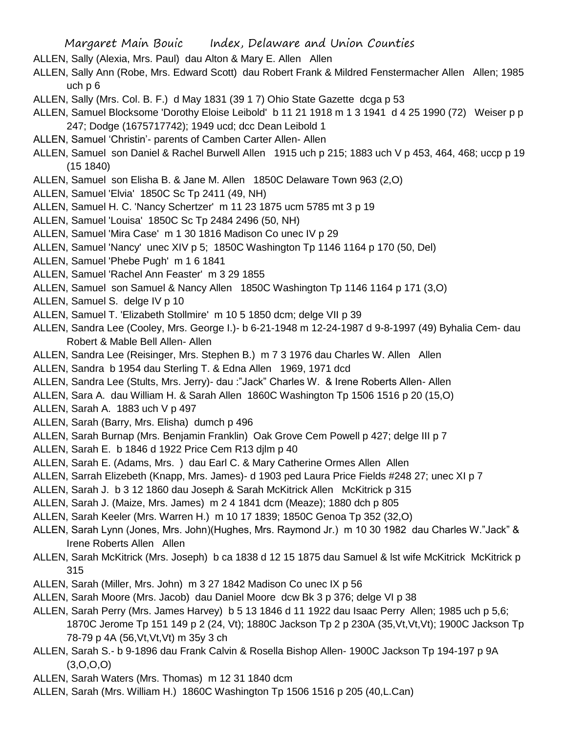- ALLEN, Sally (Alexia, Mrs. Paul) dau Alton & Mary E. Allen Allen
- ALLEN, Sally Ann (Robe, Mrs. Edward Scott) dau Robert Frank & Mildred Fenstermacher Allen Allen; 1985 uch p 6
- ALLEN, Sally (Mrs. Col. B. F.) d May 1831 (39 1 7) Ohio State Gazette dcga p 53
- ALLEN, Samuel Blocksome 'Dorothy Eloise Leibold' b 11 21 1918 m 1 3 1941 d 4 25 1990 (72) Weiser p p 247; Dodge (1675717742); 1949 ucd; dcc Dean Leibold 1
- ALLEN, Samuel 'Christin'- parents of Camben Carter Allen- Allen
- ALLEN, Samuel son Daniel & Rachel Burwell Allen 1915 uch p 215; 1883 uch V p 453, 464, 468; uccp p 19 (15 1840)
- ALLEN, Samuel son Elisha B. & Jane M. Allen 1850C Delaware Town 963 (2,O)
- ALLEN, Samuel 'Elvia' 1850C Sc Tp 2411 (49, NH)
- ALLEN, Samuel H. C. 'Nancy Schertzer' m 11 23 1875 ucm 5785 mt 3 p 19
- ALLEN, Samuel 'Louisa' 1850C Sc Tp 2484 2496 (50, NH)
- ALLEN, Samuel 'Mira Case' m 1 30 1816 Madison Co unec IV p 29
- ALLEN, Samuel 'Nancy' unec XIV p 5; 1850C Washington Tp 1146 1164 p 170 (50, Del)
- ALLEN, Samuel 'Phebe Pugh' m 1 6 1841
- ALLEN, Samuel 'Rachel Ann Feaster' m 3 29 1855
- ALLEN, Samuel son Samuel & Nancy Allen 1850C Washington Tp 1146 1164 p 171 (3,O)
- ALLEN, Samuel S. delge IV p 10
- ALLEN, Samuel T. 'Elizabeth Stollmire' m 10 5 1850 dcm; delge VII p 39
- ALLEN, Sandra Lee (Cooley, Mrs. George I.)- b 6-21-1948 m 12-24-1987 d 9-8-1997 (49) Byhalia Cem- dau Robert & Mable Bell Allen- Allen
- ALLEN, Sandra Lee (Reisinger, Mrs. Stephen B.) m 7 3 1976 dau Charles W. Allen Allen
- ALLEN, Sandra b 1954 dau Sterling T. & Edna Allen 1969, 1971 dcd
- ALLEN, Sandra Lee (Stults, Mrs. Jerry)- dau :"Jack" Charles W. & Irene Roberts Allen- Allen
- ALLEN, Sara A. dau William H. & Sarah Allen 1860C Washington Tp 1506 1516 p 20 (15,O)
- ALLEN, Sarah A. 1883 uch V p 497
- ALLEN, Sarah (Barry, Mrs. Elisha) dumch p 496
- ALLEN, Sarah Burnap (Mrs. Benjamin Franklin) Oak Grove Cem Powell p 427; delge III p 7
- ALLEN, Sarah E. b 1846 d 1922 Price Cem R13 djlm p 40
- ALLEN, Sarah E. (Adams, Mrs. ) dau Earl C. & Mary Catherine Ormes Allen Allen
- ALLEN, Sarrah Elizebeth (Knapp, Mrs. James)- d 1903 ped Laura Price Fields #248 27; unec XI p 7
- ALLEN, Sarah J. b 3 12 1860 dau Joseph & Sarah McKitrick Allen McKitrick p 315
- ALLEN, Sarah J. (Maize, Mrs. James) m 2 4 1841 dcm (Meaze); 1880 dch p 805
- ALLEN, Sarah Keeler (Mrs. Warren H.) m 10 17 1839; 1850C Genoa Tp 352 (32,O)
- ALLEN, Sarah Lynn (Jones, Mrs. John)(Hughes, Mrs. Raymond Jr.) m 10 30 1982 dau Charles W."Jack" & Irene Roberts Allen Allen
- ALLEN, Sarah McKitrick (Mrs. Joseph) b ca 1838 d 12 15 1875 dau Samuel & lst wife McKitrick McKitrick p 315
- ALLEN, Sarah (Miller, Mrs. John) m 3 27 1842 Madison Co unec IX p 56
- ALLEN, Sarah Moore (Mrs. Jacob) dau Daniel Moore dcw Bk 3 p 376; delge VI p 38
- ALLEN, Sarah Perry (Mrs. James Harvey) b 5 13 1846 d 11 1922 dau Isaac Perry Allen; 1985 uch p 5,6; 1870C Jerome Tp 151 149 p 2 (24, Vt); 1880C Jackson Tp 2 p 230A (35, Vt, Vt); 1900C Jackson Tp 78-79 p 4A (56,Vt,Vt,Vt) m 35y 3 ch
- ALLEN, Sarah S.- b 9-1896 dau Frank Calvin & Rosella Bishop Allen- 1900C Jackson Tp 194-197 p 9A (3,O,O,O)
- ALLEN, Sarah Waters (Mrs. Thomas) m 12 31 1840 dcm
- ALLEN, Sarah (Mrs. William H.) 1860C Washington Tp 1506 1516 p 205 (40,L.Can)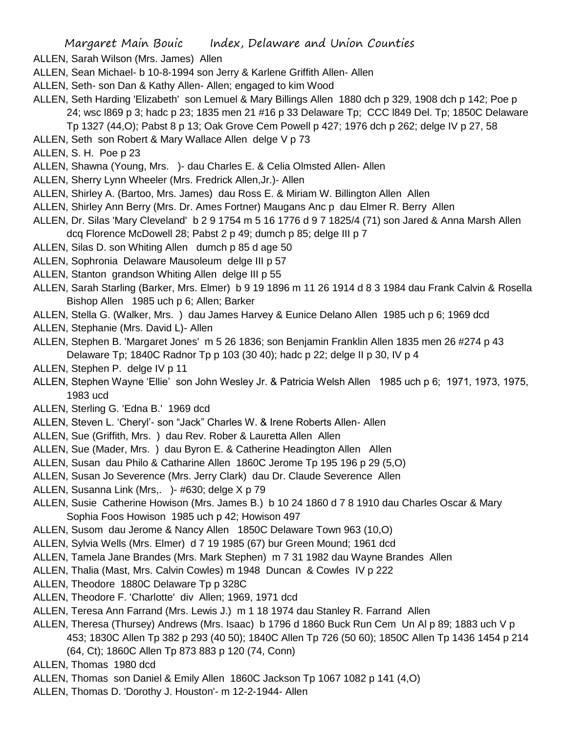- ALLEN, Sarah Wilson (Mrs. James) Allen
- ALLEN, Sean Michael- b 10-8-1994 son Jerry & Karlene Griffith Allen- Allen
- ALLEN, Seth- son Dan & Kathy Allen- Allen; engaged to kim Wood
- ALLEN, Seth Harding 'Elizabeth' son Lemuel & Mary Billings Allen 1880 dch p 329, 1908 dch p 142; Poe p 24; wsc l869 p 3; hadc p 23; 1835 men 21 #16 p 33 Delaware Tp; CCC l849 Del. Tp; 1850C Delaware
	- Tp 1327 (44,O); Pabst 8 p 13; Oak Grove Cem Powell p 427; 1976 dch p 262; delge IV p 27, 58
- ALLEN, Seth son Robert & Mary Wallace Allen delge V p 73
- ALLEN, S. H. Poe p 23
- ALLEN, Shawna (Young, Mrs. )- dau Charles E. & Celia Olmsted Allen- Allen
- ALLEN, Sherry Lynn Wheeler (Mrs. Fredrick Allen,Jr.)- Allen
- ALLEN, Shirley A. (Bartoo, Mrs. James) dau Ross E. & Miriam W. Billington Allen Allen
- ALLEN, Shirley Ann Berry (Mrs. Dr. Ames Fortner) Maugans Anc p dau Elmer R. Berry Allen
- ALLEN, Dr. Silas 'Mary Cleveland' b 2 9 1754 m 5 16 1776 d 9 7 1825/4 (71) son Jared & Anna Marsh Allen dcq Florence McDowell 28; Pabst 2 p 49; dumch p 85; delge III p 7
- ALLEN, Silas D. son Whiting Allen dumch p 85 d age 50
- ALLEN, Sophronia Delaware Mausoleum delge III p 57
- ALLEN, Stanton grandson Whiting Allen delge III p 55
- ALLEN, Sarah Starling (Barker, Mrs. Elmer) b 9 19 1896 m 11 26 1914 d 8 3 1984 dau Frank Calvin & Rosella Bishop Allen 1985 uch p 6; Allen; Barker
- ALLEN, Stella G. (Walker, Mrs. ) dau James Harvey & Eunice Delano Allen 1985 uch p 6; 1969 dcd
- ALLEN, Stephanie (Mrs. David L)- Allen
- ALLEN, Stephen B. 'Margaret Jones' m 5 26 1836; son Benjamin Franklin Allen 1835 men 26 #274 p 43 Delaware Tp; 1840C Radnor Tp p 103 (30 40); hadc p 22; delge II p 30, IV p 4
- ALLEN, Stephen P. delge IV p 11
- ALLEN, Stephen Wayne 'Ellie' son John Wesley Jr. & Patricia Welsh Allen 1985 uch p 6; 1971, 1973, 1975, 1983 ucd
- ALLEN, Sterling G. 'Edna B.' 1969 dcd
- ALLEN, Steven L. 'Cheryl'- son "Jack" Charles W. & Irene Roberts Allen- Allen
- ALLEN, Sue (Griffith, Mrs. ) dau Rev. Rober & Lauretta Allen Allen
- ALLEN, Sue (Mader, Mrs. ) dau Byron E. & Catherine Headington Allen Allen
- ALLEN, Susan dau Philo & Catharine Allen 1860C Jerome Tp 195 196 p 29 (5,O)
- ALLEN, Susan Jo Severence (Mrs. Jerry Clark) dau Dr. Claude Severence Allen
- ALLEN, Susanna Link (Mrs,. )- #630; delge X p 79
- ALLEN, Susie Catherine Howison (Mrs. James B.) b 10 24 1860 d 7 8 1910 dau Charles Oscar & Mary Sophia Foos Howison 1985 uch p 42; Howison 497
- ALLEN, Susom dau Jerome & Nancy Allen 1850C Delaware Town 963 (10,O)
- ALLEN, Sylvia Wells (Mrs. Elmer) d 7 19 1985 (67) bur Green Mound; 1961 dcd
- ALLEN, Tamela Jane Brandes (Mrs. Mark Stephen) m 7 31 1982 dau Wayne Brandes Allen
- ALLEN, Thalia (Mast, Mrs. Calvin Cowles) m 1948 Duncan & Cowles IV p 222
- ALLEN, Theodore 1880C Delaware Tp p 328C
- ALLEN, Theodore F. 'Charlotte' div Allen; 1969, 1971 dcd
- ALLEN, Teresa Ann Farrand (Mrs. Lewis J.) m 1 18 1974 dau Stanley R. Farrand Allen
- ALLEN, Theresa (Thursey) Andrews (Mrs. Isaac) b 1796 d 1860 Buck Run Cem Un Al p 89; 1883 uch V p 453; 1830C Allen Tp 382 p 293 (40 50); 1840C Allen Tp 726 (50 60); 1850C Allen Tp 1436 1454 p 214 (64, Ct); 1860C Allen Tp 873 883 p 120 (74, Conn)
- ALLEN, Thomas 1980 dcd
- ALLEN, Thomas son Daniel & Emily Allen 1860C Jackson Tp 1067 1082 p 141 (4,O)
- ALLEN, Thomas D. 'Dorothy J. Houston'- m 12-2-1944- Allen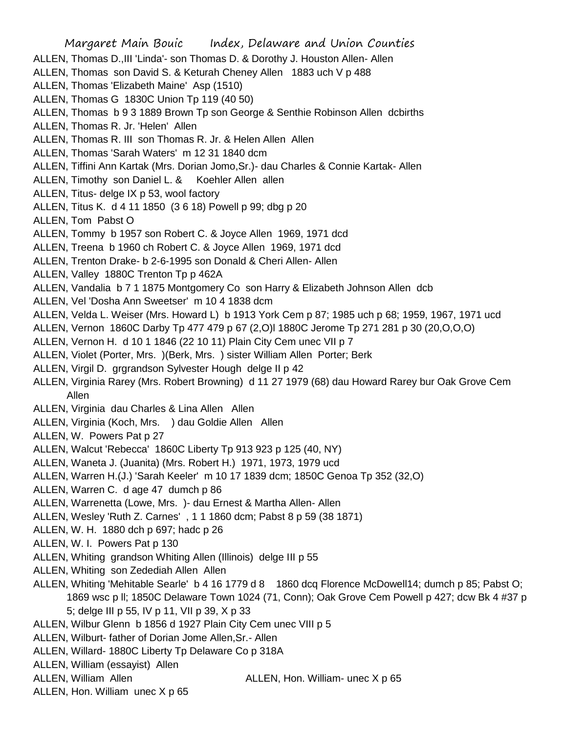- Margaret Main Bouic Index, Delaware and Union Counties ALLEN, Thomas D.,III 'Linda'- son Thomas D. & Dorothy J. Houston Allen- Allen ALLEN, Thomas son David S. & Keturah Cheney Allen 1883 uch V p 488 ALLEN, Thomas 'Elizabeth Maine' Asp (1510) ALLEN, Thomas G 1830C Union Tp 119 (40 50) ALLEN, Thomas b 9 3 1889 Brown Tp son George & Senthie Robinson Allen dcbirths ALLEN, Thomas R. Jr. 'Helen' Allen ALLEN, Thomas R. III son Thomas R. Jr. & Helen Allen Allen ALLEN, Thomas 'Sarah Waters' m 12 31 1840 dcm ALLEN, Tiffini Ann Kartak (Mrs. Dorian Jomo,Sr.)- dau Charles & Connie Kartak- Allen ALLEN, Timothy son Daniel L. & Koehler Allen allen ALLEN, Titus- delge IX p 53, wool factory ALLEN, Titus K. d 4 11 1850 (3 6 18) Powell p 99; dbg p 20 ALLEN, Tom Pabst O ALLEN, Tommy b 1957 son Robert C. & Joyce Allen 1969, 1971 dcd ALLEN, Treena b 1960 ch Robert C. & Joyce Allen 1969, 1971 dcd ALLEN, Trenton Drake- b 2-6-1995 son Donald & Cheri Allen- Allen ALLEN, Valley 1880C Trenton Tp p 462A ALLEN, Vandalia b 7 1 1875 Montgomery Co son Harry & Elizabeth Johnson Allen dcb ALLEN, Vel 'Dosha Ann Sweetser' m 10 4 1838 dcm ALLEN, Velda L. Weiser (Mrs. Howard L) b 1913 York Cem p 87; 1985 uch p 68; 1959, 1967, 1971 ucd ALLEN, Vernon 1860C Darby Tp 477 479 p 67 (2,O)l 1880C Jerome Tp 271 281 p 30 (20,O,O,O) ALLEN, Vernon H. d 10 1 1846 (22 10 11) Plain City Cem unec VII p 7 ALLEN, Violet (Porter, Mrs. )(Berk, Mrs. ) sister William Allen Porter; Berk ALLEN, Virgil D. grgrandson Sylvester Hough delge II p 42 ALLEN, Virginia Rarey (Mrs. Robert Browning) d 11 27 1979 (68) dau Howard Rarey bur Oak Grove Cem Allen ALLEN, Virginia dau Charles & Lina Allen Allen ALLEN, Virginia (Koch, Mrs. ) dau Goldie Allen Allen ALLEN, W. Powers Pat p 27 ALLEN, Walcut 'Rebecca' 1860C Liberty Tp 913 923 p 125 (40, NY) ALLEN, Waneta J. (Juanita) (Mrs. Robert H.) 1971, 1973, 1979 ucd ALLEN, Warren H.(J.) 'Sarah Keeler' m 10 17 1839 dcm; 1850C Genoa Tp 352 (32,O) ALLEN, Warren C. d age 47 dumch p 86 ALLEN, Warrenetta (Lowe, Mrs. )- dau Ernest & Martha Allen- Allen ALLEN, Wesley 'Ruth Z. Carnes' , 1 1 1860 dcm; Pabst 8 p 59 (38 1871) ALLEN, W. H. 1880 dch p 697; hadc p 26 ALLEN, W. I. Powers Pat p 130 ALLEN, Whiting grandson Whiting Allen (Illinois) delge III p 55 ALLEN, Whiting son Zedediah Allen Allen ALLEN, Whiting 'Mehitable Searle' b 4 16 1779 d 8 1860 dcq Florence McDowell14; dumch p 85; Pabst O; 1869 wsc p ll; 1850C Delaware Town 1024 (71, Conn); Oak Grove Cem Powell p 427; dcw Bk 4 #37 p 5; delge III p 55, IV p 11, VII p 39, X p 33 ALLEN, Wilbur Glenn b 1856 d 1927 Plain City Cem unec VIII p 5 ALLEN, Wilburt- father of Dorian Jome Allen,Sr.- Allen ALLEN, Willard- 1880C Liberty Tp Delaware Co p 318A
- ALLEN, William (essayist) Allen
- ALLEN, William Allen **ALLEN, Hon. William- unec X p 65**
- ALLEN, Hon. William unec X p 65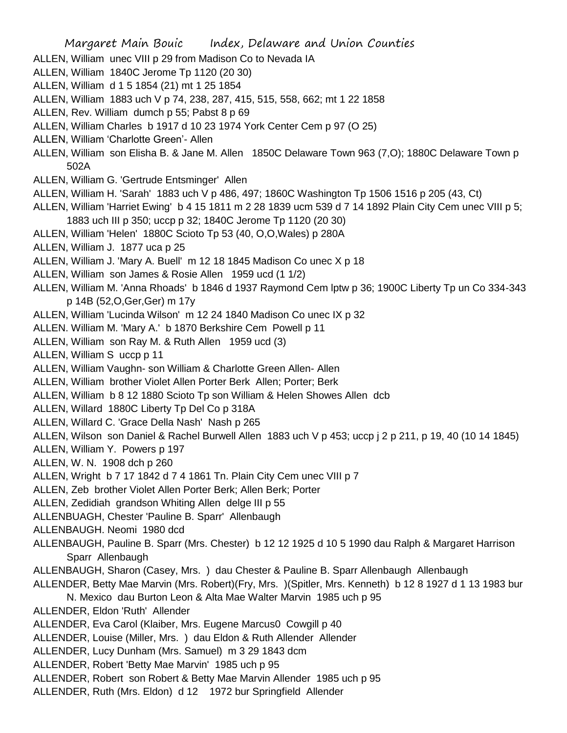- ALLEN, William unec VIII p 29 from Madison Co to Nevada IA
- ALLEN, William 1840C Jerome Tp 1120 (20 30)
- ALLEN, William d 1 5 1854 (21) mt 1 25 1854
- ALLEN, William 1883 uch V p 74, 238, 287, 415, 515, 558, 662; mt 1 22 1858
- ALLEN, Rev. William dumch p 55; Pabst 8 p 69
- ALLEN, William Charles b 1917 d 10 23 1974 York Center Cem p 97 (O 25)
- ALLEN, William 'Charlotte Green'- Allen
- ALLEN, William son Elisha B. & Jane M. Allen 1850C Delaware Town 963 (7,O); 1880C Delaware Town p 502A
- ALLEN, William G. 'Gertrude Entsminger' Allen
- ALLEN, William H. 'Sarah' 1883 uch V p 486, 497; 1860C Washington Tp 1506 1516 p 205 (43, Ct)
- ALLEN, William 'Harriet Ewing' b 4 15 1811 m 2 28 1839 ucm 539 d 7 14 1892 Plain City Cem unec VIII p 5; 1883 uch III p 350; uccp p 32; 1840C Jerome Tp 1120 (20 30)
- ALLEN, William 'Helen' 1880C Scioto Tp 53 (40, O,O,Wales) p 280A
- ALLEN, William J. 1877 uca p 25
- ALLEN, William J. 'Mary A. Buell' m 12 18 1845 Madison Co unec X p 18
- ALLEN, William son James & Rosie Allen 1959 ucd (1 1/2)
- ALLEN, William M. 'Anna Rhoads' b 1846 d 1937 Raymond Cem lptw p 36; 1900C Liberty Tp un Co 334-343 p 14B (52,O,Ger,Ger) m 17y
- ALLEN, William 'Lucinda Wilson' m 12 24 1840 Madison Co unec IX p 32
- ALLEN. William M. 'Mary A.' b 1870 Berkshire Cem Powell p 11
- ALLEN, William son Ray M. & Ruth Allen 1959 ucd (3)
- ALLEN, William S uccp p 11
- ALLEN, William Vaughn- son William & Charlotte Green Allen- Allen
- ALLEN, William brother Violet Allen Porter Berk Allen; Porter; Berk
- ALLEN, William b 8 12 1880 Scioto Tp son William & Helen Showes Allen dcb
- ALLEN, Willard 1880C Liberty Tp Del Co p 318A
- ALLEN, Willard C. 'Grace Della Nash' Nash p 265
- ALLEN, Wilson son Daniel & Rachel Burwell Allen 1883 uch V p 453; uccp j 2 p 211, p 19, 40 (10 14 1845)
- ALLEN, William Y. Powers p 197
- ALLEN, W. N. 1908 dch p 260
- ALLEN, Wright b 7 17 1842 d 7 4 1861 Tn. Plain City Cem unec VIII p 7
- ALLEN, Zeb brother Violet Allen Porter Berk; Allen Berk; Porter
- ALLEN, Zedidiah grandson Whiting Allen delge III p 55
- ALLENBUAGH, Chester 'Pauline B. Sparr' Allenbaugh
- ALLENBAUGH. Neomi 1980 dcd
- ALLENBAUGH, Pauline B. Sparr (Mrs. Chester) b 12 12 1925 d 10 5 1990 dau Ralph & Margaret Harrison Sparr Allenbaugh
- ALLENBAUGH, Sharon (Casey, Mrs. ) dau Chester & Pauline B. Sparr Allenbaugh Allenbaugh
- ALLENDER, Betty Mae Marvin (Mrs. Robert)(Fry, Mrs. )(Spitler, Mrs. Kenneth) b 12 8 1927 d 1 13 1983 bur
	- N. Mexico dau Burton Leon & Alta Mae Walter Marvin 1985 uch p 95
- ALLENDER, Eldon 'Ruth' Allender
- ALLENDER, Eva Carol (Klaiber, Mrs. Eugene Marcus0 Cowgill p 40
- ALLENDER, Louise (Miller, Mrs. ) dau Eldon & Ruth Allender Allender
- ALLENDER, Lucy Dunham (Mrs. Samuel) m 3 29 1843 dcm
- ALLENDER, Robert 'Betty Mae Marvin' 1985 uch p 95
- ALLENDER, Robert son Robert & Betty Mae Marvin Allender 1985 uch p 95
- ALLENDER, Ruth (Mrs. Eldon) d 12 1972 bur Springfield Allender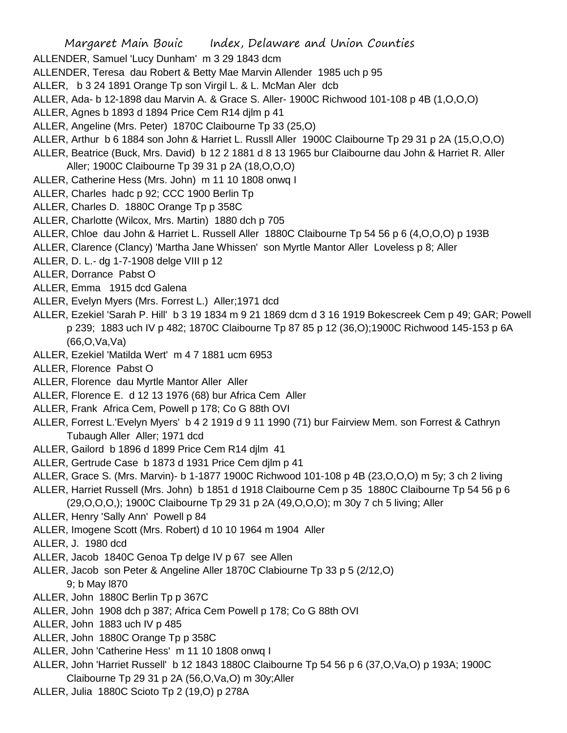- ALLENDER, Samuel 'Lucy Dunham' m 3 29 1843 dcm
- ALLENDER, Teresa dau Robert & Betty Mae Marvin Allender 1985 uch p 95
- ALLER, b 3 24 1891 Orange Tp son Virgil L. & L. McMan Aler dcb
- ALLER, Ada- b 12-1898 dau Marvin A. & Grace S. Aller- 1900C Richwood 101-108 p 4B (1,O,O,O)
- ALLER, Agnes b 1893 d 1894 Price Cem R14 djlm p 41
- ALLER, Angeline (Mrs. Peter) 1870C Claibourne Tp 33 (25,O)
- ALLER, Arthur b 6 1884 son John & Harriet L. Russll Aller 1900C Claibourne Tp 29 31 p 2A (15,O,O,O)
- ALLER, Beatrice (Buck, Mrs. David) b 12 2 1881 d 8 13 1965 bur Claibourne dau John & Harriet R. Aller Aller; 1900C Claibourne Tp 39 31 p 2A (18,O,O,O)
- ALLER, Catherine Hess (Mrs. John) m 11 10 1808 onwq I
- ALLER, Charles hadc p 92; CCC 1900 Berlin Tp
- ALLER, Charles D. 1880C Orange Tp p 358C
- ALLER, Charlotte (Wilcox, Mrs. Martin) 1880 dch p 705
- ALLER, Chloe dau John & Harriet L. Russell Aller 1880C Claibourne Tp 54 56 p 6 (4,O,O,O) p 193B
- ALLER, Clarence (Clancy) 'Martha Jane Whissen' son Myrtle Mantor Aller Loveless p 8; Aller
- ALLER, D. L.- dg 1-7-1908 delge VIII p 12
- ALLER, Dorrance Pabst O
- ALLER, Emma 1915 dcd Galena
- ALLER, Evelyn Myers (Mrs. Forrest L.) Aller;1971 dcd
- ALLER, Ezekiel 'Sarah P. Hill' b 3 19 1834 m 9 21 1869 dcm d 3 16 1919 Bokescreek Cem p 49; GAR; Powell p 239; 1883 uch IV p 482; 1870C Claibourne Tp 87 85 p 12 (36,O);1900C Richwood 145-153 p 6A (66,O,Va,Va)
- ALLER, Ezekiel 'Matilda Wert' m 4 7 1881 ucm 6953
- ALLER, Florence Pabst O
- ALLER, Florence dau Myrtle Mantor Aller Aller
- ALLER, Florence E. d 12 13 1976 (68) bur Africa Cem Aller
- ALLER, Frank Africa Cem, Powell p 178; Co G 88th OVI
- ALLER, Forrest L.'Evelyn Myers' b 4 2 1919 d 9 11 1990 (71) bur Fairview Mem. son Forrest & Cathryn Tubaugh Aller Aller; 1971 dcd
- ALLER, Gailord b 1896 d 1899 Price Cem R14 djlm 41
- ALLER, Gertrude Case b 1873 d 1931 Price Cem djlm p 41
- ALLER, Grace S. (Mrs. Marvin)- b 1-1877 1900C Richwood 101-108 p 4B (23,O,O,O) m 5y; 3 ch 2 living
- ALLER, Harriet Russell (Mrs. John) b 1851 d 1918 Claibourne Cem p 35 1880C Claibourne Tp 54 56 p 6 (29,O,O,O,); 1900C Claibourne Tp 29 31 p 2A (49,O,O,O); m 30y 7 ch 5 living; Aller
- ALLER, Henry 'Sally Ann' Powell p 84
- ALLER, Imogene Scott (Mrs. Robert) d 10 10 1964 m 1904 Aller
- ALLER, J. 1980 dcd
- ALLER, Jacob 1840C Genoa Tp delge IV p 67 see Allen
- ALLER, Jacob son Peter & Angeline Aller 1870C Clabiourne Tp 33 p 5 (2/12,O) 9; b May l870
- ALLER, John 1880C Berlin Tp p 367C
- ALLER, John 1908 dch p 387; Africa Cem Powell p 178; Co G 88th OVI
- ALLER, John 1883 uch IV p 485
- ALLER, John 1880C Orange Tp p 358C
- ALLER, John 'Catherine Hess' m 11 10 1808 onwq I
- ALLER, John 'Harriet Russell' b 12 1843 1880C Claibourne Tp 54 56 p 6 (37,O,Va,O) p 193A; 1900C Claibourne Tp 29 31 p 2A (56,O,Va,O) m 30y;Aller
- ALLER, Julia 1880C Scioto Tp 2 (19,O) p 278A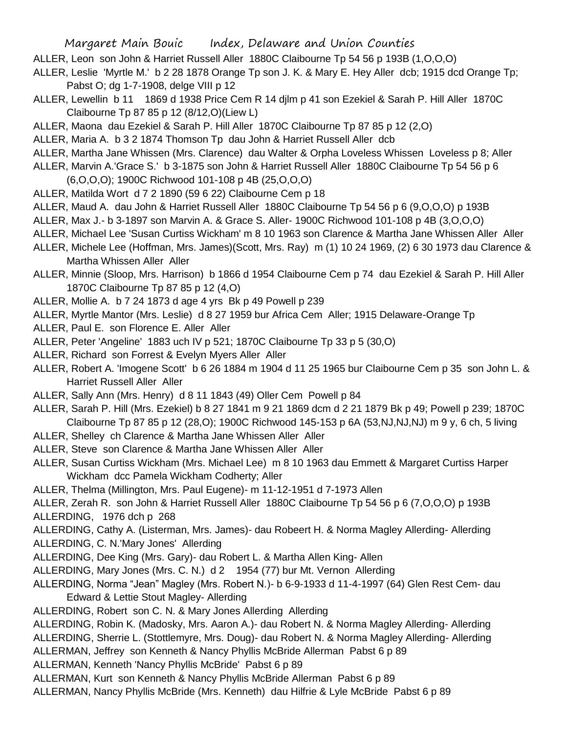- ALLER, Leon son John & Harriet Russell Aller 1880C Claibourne Tp 54 56 p 193B (1,O,O,O)
- ALLER, Leslie 'Myrtle M.' b 2 28 1878 Orange Tp son J. K. & Mary E. Hey Aller dcb; 1915 dcd Orange Tp; Pabst O; dg 1-7-1908, delge VIII p 12
- ALLER, Lewellin b 11 1869 d 1938 Price Cem R 14 djlm p 41 son Ezekiel & Sarah P. Hill Aller 1870C Claibourne Tp 87 85 p 12 (8/12,O)(Liew L)
- ALLER, Maona dau Ezekiel & Sarah P. Hill Aller 1870C Claibourne Tp 87 85 p 12 (2,O)
- ALLER, Maria A. b 3 2 1874 Thomson Tp dau John & Harriet Russell Aller dcb
- ALLER, Martha Jane Whissen (Mrs. Clarence) dau Walter & Orpha Loveless Whissen Loveless p 8; Aller
- ALLER, Marvin A.'Grace S.' b 3-1875 son John & Harriet Russell Aller 1880C Claibourne Tp 54 56 p 6 (6,O,O,O); 1900C Richwood 101-108 p 4B (25,O,O,O)
- ALLER, Matilda Wort d 7 2 1890 (59 6 22) Claibourne Cem p 18
- ALLER, Maud A. dau John & Harriet Russell Aller 1880C Claibourne Tp 54 56 p 6 (9,O,O,O) p 193B
- ALLER, Max J.- b 3-1897 son Marvin A. & Grace S. Aller- 1900C Richwood 101-108 p 4B (3,O,O,O)
- ALLER, Michael Lee 'Susan Curtiss Wickham' m 8 10 1963 son Clarence & Martha Jane Whissen Aller Aller
- ALLER, Michele Lee (Hoffman, Mrs. James)(Scott, Mrs. Ray) m (1) 10 24 1969, (2) 6 30 1973 dau Clarence & Martha Whissen Aller Aller
- ALLER, Minnie (Sloop, Mrs. Harrison) b 1866 d 1954 Claibourne Cem p 74 dau Ezekiel & Sarah P. Hill Aller 1870C Claibourne Tp 87 85 p 12 (4,O)
- ALLER, Mollie A. b 7 24 1873 d age 4 yrs Bk p 49 Powell p 239
- ALLER, Myrtle Mantor (Mrs. Leslie) d 8 27 1959 bur Africa Cem Aller; 1915 Delaware-Orange Tp
- ALLER, Paul E. son Florence E. Aller Aller
- ALLER, Peter 'Angeline' 1883 uch IV p 521; 1870C Claibourne Tp 33 p 5 (30,O)
- ALLER, Richard son Forrest & Evelyn Myers Aller Aller
- ALLER, Robert A. 'Imogene Scott' b 6 26 1884 m 1904 d 11 25 1965 bur Claibourne Cem p 35 son John L. & Harriet Russell Aller Aller
- ALLER, Sally Ann (Mrs. Henry) d 8 11 1843 (49) Oller Cem Powell p 84
- ALLER, Sarah P. Hill (Mrs. Ezekiel) b 8 27 1841 m 9 21 1869 dcm d 2 21 1879 Bk p 49; Powell p 239; 1870C Claibourne Tp 87 85 p 12 (28,O); 1900C Richwood 145-153 p 6A (53,NJ,NJ,NJ) m 9 y, 6 ch, 5 living
- ALLER, Shelley ch Clarence & Martha Jane Whissen Aller Aller
- ALLER, Steve son Clarence & Martha Jane Whissen Aller Aller
- ALLER, Susan Curtiss Wickham (Mrs. Michael Lee) m 8 10 1963 dau Emmett & Margaret Curtiss Harper Wickham dcc Pamela Wickham Codherty; Aller
- ALLER, Thelma (Millington, Mrs. Paul Eugene)- m 11-12-1951 d 7-1973 Allen
- ALLER, Zerah R. son John & Harriet Russell Aller 1880C Claibourne Tp 54 56 p 6 (7,O,O,O) p 193B
- ALLERDING, 1976 dch p 268
- ALLERDING, Cathy A. (Listerman, Mrs. James)- dau Robeert H. & Norma Magley Allerding- Allerding
- ALLERDING, C. N.'Mary Jones' Allerding
- ALLERDING, Dee King (Mrs. Gary)- dau Robert L. & Martha Allen King- Allen
- ALLERDING, Mary Jones (Mrs. C. N.) d 2 1954 (77) bur Mt. Vernon Allerding
- ALLERDING, Norma "Jean" Magley (Mrs. Robert N.)- b 6-9-1933 d 11-4-1997 (64) Glen Rest Cem- dau Edward & Lettie Stout Magley- Allerding
- ALLERDING, Robert son C. N. & Mary Jones Allerding Allerding
- ALLERDING, Robin K. (Madosky, Mrs. Aaron A.)- dau Robert N. & Norma Magley Allerding- Allerding ALLERDING, Sherrie L. (Stottlemyre, Mrs. Doug)- dau Robert N. & Norma Magley Allerding- Allerding
- ALLERMAN, Jeffrey son Kenneth & Nancy Phyllis McBride Allerman Pabst 6 p 89
- ALLERMAN, Kenneth 'Nancy Phyllis McBride' Pabst 6 p 89
- ALLERMAN, Kurt son Kenneth & Nancy Phyllis McBride Allerman Pabst 6 p 89
- ALLERMAN, Nancy Phyllis McBride (Mrs. Kenneth) dau Hilfrie & Lyle McBride Pabst 6 p 89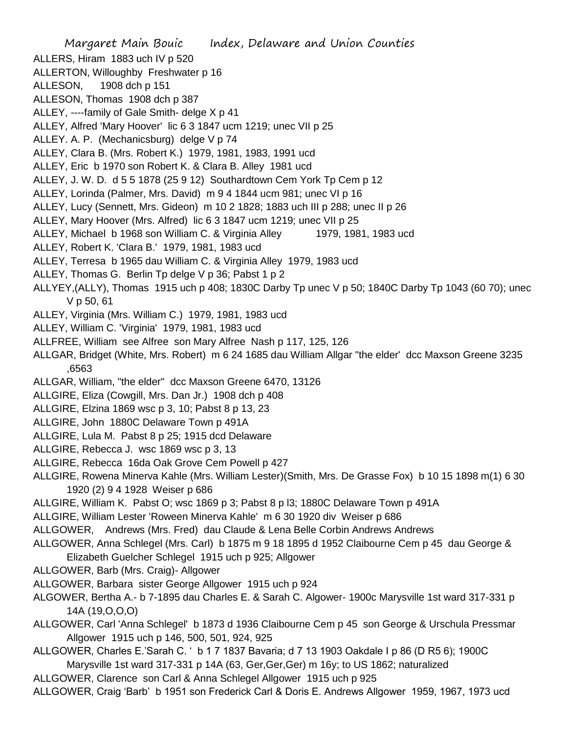Margaret Main Bouic Index, Delaware and Union Counties ALLERS, Hiram 1883 uch IV p 520 ALLERTON, Willoughby Freshwater p 16 ALLESON, 1908 dch p 151 ALLESON, Thomas 1908 dch p 387 ALLEY, ----family of Gale Smith- delge X p 41 ALLEY, Alfred 'Mary Hoover' lic 6 3 1847 ucm 1219; unec VII p 25 ALLEY. A. P. (Mechanicsburg) delge V p 74 ALLEY, Clara B. (Mrs. Robert K.) 1979, 1981, 1983, 1991 ucd ALLEY, Eric b 1970 son Robert K. & Clara B. Alley 1981 ucd ALLEY, J. W. D. d 5 5 1878 (25 9 12) Southardtown Cem York Tp Cem p 12 ALLEY, Lorinda (Palmer, Mrs. David) m 9 4 1844 ucm 981; unec VI p 16 ALLEY, Lucy (Sennett, Mrs. Gideon) m 10 2 1828; 1883 uch III p 288; unec II p 26 ALLEY, Mary Hoover (Mrs. Alfred) lic 6 3 1847 ucm 1219; unec VII p 25 ALLEY, Michael b 1968 son William C. & Virginia Alley 1979, 1981, 1983 ucd ALLEY, Robert K. 'Clara B.' 1979, 1981, 1983 ucd ALLEY, Terresa b 1965 dau William C. & Virginia Alley 1979, 1983 ucd ALLEY, Thomas G. Berlin Tp delge V p 36; Pabst 1 p 2 ALLYEY,(ALLY), Thomas 1915 uch p 408; 1830C Darby Tp unec V p 50; 1840C Darby Tp 1043 (60 70); unec V p 50, 61 ALLEY, Virginia (Mrs. William C.) 1979, 1981, 1983 ucd ALLEY, William C. 'Virginia' 1979, 1981, 1983 ucd ALLFREE, William see Alfree son Mary Alfree Nash p 117, 125, 126 ALLGAR, Bridget (White, Mrs. Robert) m 6 24 1685 dau William Allgar "the elder' dcc Maxson Greene 3235 ,6563 ALLGAR, William, "the elder" dcc Maxson Greene 6470, 13126 ALLGIRE, Eliza (Cowgill, Mrs. Dan Jr.) 1908 dch p 408 ALLGIRE, Elzina 1869 wsc p 3, 10; Pabst 8 p 13, 23 ALLGIRE, John 1880C Delaware Town p 491A ALLGIRE, Lula M. Pabst 8 p 25; 1915 dcd Delaware ALLGIRE, Rebecca J. wsc 1869 wsc p 3, 13 ALLGIRE, Rebecca 16da Oak Grove Cem Powell p 427 ALLGIRE, Rowena Minerva Kahle (Mrs. William Lester)(Smith, Mrs. De Grasse Fox) b 10 15 1898 m(1) 6 30 1920 (2) 9 4 1928 Weiser p 686 ALLGIRE, William K. Pabst O; wsc 1869 p 3; Pabst 8 p l3; 1880C Delaware Town p 491A ALLGIRE, William Lester 'Roween Minerva Kahle' m 6 30 1920 div Weiser p 686 ALLGOWER, Andrews (Mrs. Fred) dau Claude & Lena Belle Corbin Andrews Andrews ALLGOWER, Anna Schlegel (Mrs. Carl) b 1875 m 9 18 1895 d 1952 Claibourne Cem p 45 dau George & Elizabeth Guelcher Schlegel 1915 uch p 925; Allgower ALLGOWER, Barb (Mrs. Craig)- Allgower ALLGOWER, Barbara sister George Allgower 1915 uch p 924 ALGOWER, Bertha A.- b 7-1895 dau Charles E. & Sarah C. Algower- 1900c Marysville 1st ward 317-331 p 14A (19,O,O,O) ALLGOWER, Carl 'Anna Schlegel' b 1873 d 1936 Claibourne Cem p 45 son George & Urschula Pressmar Allgower 1915 uch p 146, 500, 501, 924, 925 ALLGOWER, Charles E.'Sarah C. ' b 1 7 1837 Bavaria; d 7 13 1903 Oakdale I p 86 (D R5 6); 1900C Marysville 1st ward 317-331 p 14A (63, Ger,Ger,Ger) m 16y; to US 1862; naturalized ALLGOWER, Clarence son Carl & Anna Schlegel Allgower 1915 uch p 925

ALLGOWER, Craig 'Barb' b 1951 son Frederick Carl & Doris E. Andrews Allgower 1959, 1967, 1973 ucd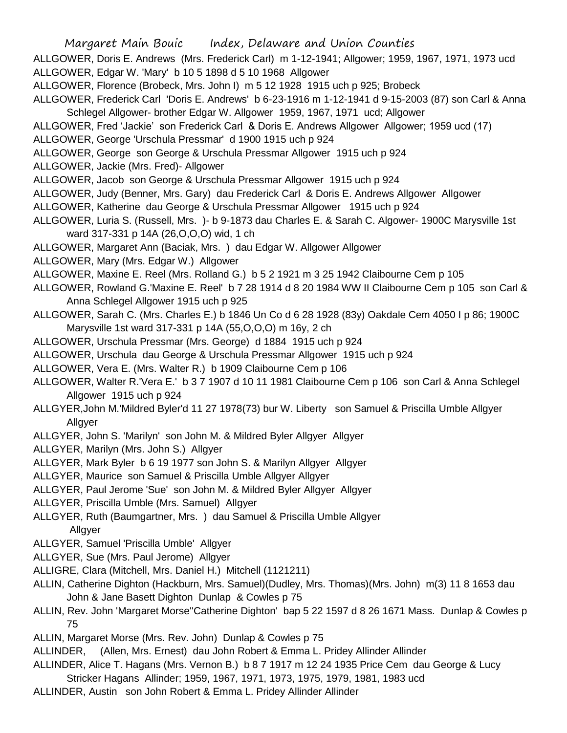ALLGOWER, Doris E. Andrews (Mrs. Frederick Carl) m 1-12-1941; Allgower; 1959, 1967, 1971, 1973 ucd ALLGOWER, Edgar W. 'Mary' b 10 5 1898 d 5 10 1968 Allgower

- ALLGOWER, Florence (Brobeck, Mrs. John I) m 5 12 1928 1915 uch p 925; Brobeck
- ALLGOWER, Frederick Carl 'Doris E. Andrews' b 6-23-1916 m 1-12-1941 d 9-15-2003 (87) son Carl & Anna Schlegel Allgower- brother Edgar W. Allgower 1959, 1967, 1971 ucd; Allgower
- ALLGOWER, Fred 'Jackie' son Frederick Carl & Doris E. Andrews Allgower Allgower; 1959 ucd (17)
- ALLGOWER, George 'Urschula Pressmar' d 1900 1915 uch p 924
- ALLGOWER, George son George & Urschula Pressmar Allgower 1915 uch p 924
- ALLGOWER, Jackie (Mrs. Fred)- Allgower
- ALLGOWER, Jacob son George & Urschula Pressmar Allgower 1915 uch p 924
- ALLGOWER, Judy (Benner, Mrs. Gary) dau Frederick Carl & Doris E. Andrews Allgower Allgower
- ALLGOWER, Katherine dau George & Urschula Pressmar Allgower 1915 uch p 924
- ALLGOWER, Luria S. (Russell, Mrs. )- b 9-1873 dau Charles E. & Sarah C. Algower- 1900C Marysville 1st ward 317-331 p 14A (26,O,O,O) wid, 1 ch
- ALLGOWER, Margaret Ann (Baciak, Mrs. ) dau Edgar W. Allgower Allgower
- ALLGOWER, Mary (Mrs. Edgar W.) Allgower
- ALLGOWER, Maxine E. Reel (Mrs. Rolland G.) b 5 2 1921 m 3 25 1942 Claibourne Cem p 105
- ALLGOWER, Rowland G.'Maxine E. Reel' b 7 28 1914 d 8 20 1984 WW II Claibourne Cem p 105 son Carl & Anna Schlegel Allgower 1915 uch p 925
- ALLGOWER, Sarah C. (Mrs. Charles E.) b 1846 Un Co d 6 28 1928 (83y) Oakdale Cem 4050 I p 86; 1900C Marysville 1st ward 317-331 p 14A (55,O,O,O) m 16y, 2 ch
- ALLGOWER, Urschula Pressmar (Mrs. George) d 1884 1915 uch p 924
- ALLGOWER, Urschula dau George & Urschula Pressmar Allgower 1915 uch p 924
- ALLGOWER, Vera E. (Mrs. Walter R.) b 1909 Claibourne Cem p 106
- ALLGOWER, Walter R.'Vera E.' b 3 7 1907 d 10 11 1981 Claibourne Cem p 106 son Carl & Anna Schlegel Allgower 1915 uch p 924
- ALLGYER,John M.'Mildred Byler'd 11 27 1978(73) bur W. Liberty son Samuel & Priscilla Umble Allgyer Allgyer
- ALLGYER, John S. 'Marilyn' son John M. & Mildred Byler Allgyer Allgyer
- ALLGYER, Marilyn (Mrs. John S.) Allgyer
- ALLGYER, Mark Byler b 6 19 1977 son John S. & Marilyn Allgyer Allgyer
- ALLGYER, Maurice son Samuel & Priscilla Umble Allgyer Allgyer
- ALLGYER, Paul Jerome 'Sue' son John M. & Mildred Byler Allgyer Allgyer
- ALLGYER, Priscilla Umble (Mrs. Samuel) Allgyer
- ALLGYER, Ruth (Baumgartner, Mrs. ) dau Samuel & Priscilla Umble Allgyer Allgyer
- ALLGYER, Samuel 'Priscilla Umble' Allgyer
- ALLGYER, Sue (Mrs. Paul Jerome) Allgyer
- ALLIGRE, Clara (Mitchell, Mrs. Daniel H.) Mitchell (1121211)
- ALLIN, Catherine Dighton (Hackburn, Mrs. Samuel)(Dudley, Mrs. Thomas)(Mrs. John) m(3) 11 8 1653 dau John & Jane Basett Dighton Dunlap & Cowles p 75
- ALLIN, Rev. John 'Margaret Morse''Catherine Dighton' bap 5 22 1597 d 8 26 1671 Mass. Dunlap & Cowles p 75
- ALLIN, Margaret Morse (Mrs. Rev. John) Dunlap & Cowles p 75
- ALLINDER, (Allen, Mrs. Ernest) dau John Robert & Emma L. Pridey Allinder Allinder
- ALLINDER, Alice T. Hagans (Mrs. Vernon B.) b 8 7 1917 m 12 24 1935 Price Cem dau George & Lucy Stricker Hagans Allinder; 1959, 1967, 1971, 1973, 1975, 1979, 1981, 1983 ucd
- ALLINDER, Austin son John Robert & Emma L. Pridey Allinder Allinder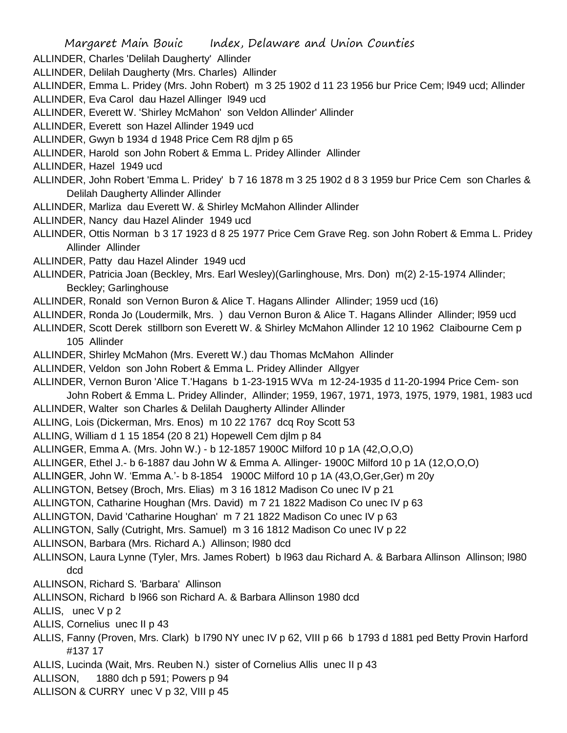ALLINDER, Charles 'Delilah Daugherty' Allinder

ALLINDER, Delilah Daugherty (Mrs. Charles) Allinder

ALLINDER, Emma L. Pridey (Mrs. John Robert) m 3 25 1902 d 11 23 1956 bur Price Cem; l949 ucd; Allinder

ALLINDER, Eva Carol dau Hazel Allinger l949 ucd

ALLINDER, Everett W. 'Shirley McMahon' son Veldon Allinder' Allinder

ALLINDER, Everett son Hazel Allinder 1949 ucd

ALLINDER, Gwyn b 1934 d 1948 Price Cem R8 djlm p 65

ALLINDER, Harold son John Robert & Emma L. Pridey Allinder Allinder

ALLINDER, Hazel 1949 ucd

ALLINDER, John Robert 'Emma L. Pridey' b 7 16 1878 m 3 25 1902 d 8 3 1959 bur Price Cem son Charles & Delilah Daugherty Allinder Allinder

ALLINDER, Marliza dau Everett W. & Shirley McMahon Allinder Allinder

ALLINDER, Nancy dau Hazel Alinder 1949 ucd

ALLINDER, Ottis Norman b 3 17 1923 d 8 25 1977 Price Cem Grave Reg. son John Robert & Emma L. Pridey Allinder Allinder

ALLINDER, Patty dau Hazel Alinder 1949 ucd

ALLINDER, Patricia Joan (Beckley, Mrs. Earl Wesley)(Garlinghouse, Mrs. Don) m(2) 2-15-1974 Allinder; Beckley; Garlinghouse

ALLINDER, Ronald son Vernon Buron & Alice T. Hagans Allinder Allinder; 1959 ucd (16)

ALLINDER, Ronda Jo (Loudermilk, Mrs. ) dau Vernon Buron & Alice T. Hagans Allinder Allinder; l959 ucd

ALLINDER, Scott Derek stillborn son Everett W. & Shirley McMahon Allinder 12 10 1962 Claibourne Cem p 105 Allinder

ALLINDER, Shirley McMahon (Mrs. Everett W.) dau Thomas McMahon Allinder

ALLINDER, Veldon son John Robert & Emma L. Pridey Allinder Allgyer

ALLINDER, Vernon Buron 'Alice T.'Hagans b 1-23-1915 WVa m 12-24-1935 d 11-20-1994 Price Cem- son

John Robert & Emma L. Pridey Allinder, Allinder; 1959, 1967, 1971, 1973, 1975, 1979, 1981, 1983 ucd ALLINDER, Walter son Charles & Delilah Daugherty Allinder Allinder

ALLING, Lois (Dickerman, Mrs. Enos) m 10 22 1767 dcq Roy Scott 53

ALLING, William d 1 15 1854 (20 8 21) Hopewell Cem djlm p 84

ALLINGER, Emma A. (Mrs. John W.) - b 12-1857 1900C Milford 10 p 1A (42,O,O,O)

ALLINGER, Ethel J.- b 6-1887 dau John W & Emma A. Allinger- 1900C Milford 10 p 1A (12,O,O,O)

ALLINGER, John W. 'Emma A.'- b 8-1854 1900C Milford 10 p 1A (43,O,Ger,Ger) m 20y

ALLINGTON, Betsey (Broch, Mrs. Elias) m 3 16 1812 Madison Co unec IV p 21

ALLINGTON, Catharine Houghan (Mrs. David) m 7 21 1822 Madison Co unec IV p 63

ALLINGTON, David 'Catharine Houghan' m 7 21 1822 Madison Co unec IV p 63

ALLINGTON, Sally (Cutright, Mrs. Samuel) m 3 16 1812 Madison Co unec IV p 22

ALLINSON, Barbara (Mrs. Richard A.) Allinson; l980 dcd

ALLINSON, Laura Lynne (Tyler, Mrs. James Robert) b l963 dau Richard A. & Barbara Allinson Allinson; l980 dcd

ALLINSON, Richard S. 'Barbara' Allinson

ALLINSON, Richard b l966 son Richard A. & Barbara Allinson 1980 dcd

ALLIS, unec V p 2

ALLIS, Cornelius unec II p 43

ALLIS, Fanny (Proven, Mrs. Clark) b l790 NY unec IV p 62, VIII p 66 b 1793 d 1881 ped Betty Provin Harford #137 17

ALLIS, Lucinda (Wait, Mrs. Reuben N.) sister of Cornelius Allis unec II p 43

ALLISON, 1880 dch p 591; Powers p 94

ALLISON & CURRY unec V p 32, VIII p 45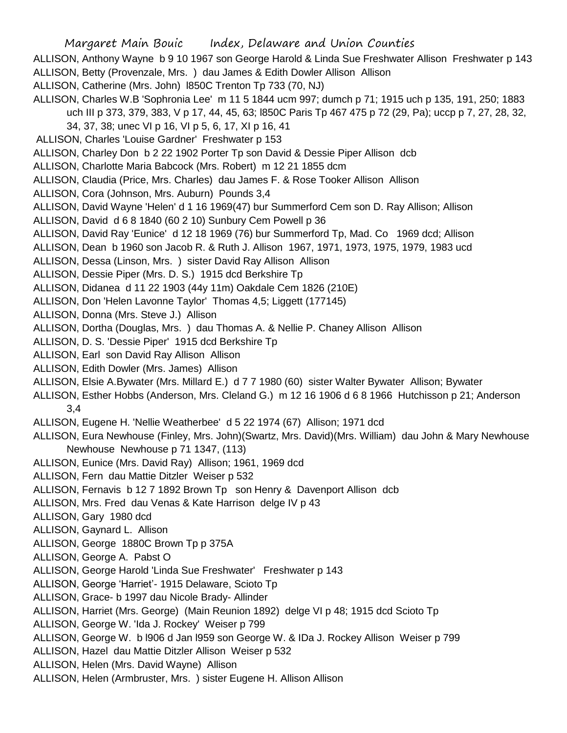ALLISON, Anthony Wayne b 9 10 1967 son George Harold & Linda Sue Freshwater Allison Freshwater p 143 ALLISON, Betty (Provenzale, Mrs. ) dau James & Edith Dowler Allison Allison

- ALLISON, Catherine (Mrs. John) l850C Trenton Tp 733 (70, NJ)
- ALLISON, Charles W.B 'Sophronia Lee' m 11 5 1844 ucm 997; dumch p 71; 1915 uch p 135, 191, 250; 1883 uch III p 373, 379, 383, V p 17, 44, 45, 63; l850C Paris Tp 467 475 p 72 (29, Pa); uccp p 7, 27, 28, 32,
	- 34, 37, 38; unec VI p 16, VI p 5, 6, 17, XI p 16, 41
- ALLISON, Charles 'Louise Gardner' Freshwater p 153
- ALLISON, Charley Don b 2 22 1902 Porter Tp son David & Dessie Piper Allison dcb
- ALLISON, Charlotte Maria Babcock (Mrs. Robert) m 12 21 1855 dcm
- ALLISON, Claudia (Price, Mrs. Charles) dau James F. & Rose Tooker Allison Allison
- ALLISON, Cora (Johnson, Mrs. Auburn) Pounds 3,4
- ALLISON, David Wayne 'Helen' d 1 16 1969(47) bur Summerford Cem son D. Ray Allison; Allison
- ALLISON, David d 6 8 1840 (60 2 10) Sunbury Cem Powell p 36
- ALLISON, David Ray 'Eunice' d 12 18 1969 (76) bur Summerford Tp, Mad. Co 1969 dcd; Allison
- ALLISON, Dean b 1960 son Jacob R. & Ruth J. Allison 1967, 1971, 1973, 1975, 1979, 1983 ucd
- ALLISON, Dessa (Linson, Mrs. ) sister David Ray Allison Allison
- ALLISON, Dessie Piper (Mrs. D. S.) 1915 dcd Berkshire Tp
- ALLISON, Didanea d 11 22 1903 (44y 11m) Oakdale Cem 1826 (210E)
- ALLISON, Don 'Helen Lavonne Taylor' Thomas 4,5; Liggett (177145)
- ALLISON, Donna (Mrs. Steve J.) Allison
- ALLISON, Dortha (Douglas, Mrs. ) dau Thomas A. & Nellie P. Chaney Allison Allison
- ALLISON, D. S. 'Dessie Piper' 1915 dcd Berkshire Tp
- ALLISON, Earl son David Ray Allison Allison
- ALLISON, Edith Dowler (Mrs. James) Allison
- ALLISON, Elsie A.Bywater (Mrs. Millard E.) d 7 7 1980 (60) sister Walter Bywater Allison; Bywater
- ALLISON, Esther Hobbs (Anderson, Mrs. Cleland G.) m 12 16 1906 d 6 8 1966 Hutchisson p 21; Anderson 3,4
- ALLISON, Eugene H. 'Nellie Weatherbee' d 5 22 1974 (67) Allison; 1971 dcd
- ALLISON, Eura Newhouse (Finley, Mrs. John)(Swartz, Mrs. David)(Mrs. William) dau John & Mary Newhouse Newhouse Newhouse p 71 1347, (113)
- ALLISON, Eunice (Mrs. David Ray) Allison; 1961, 1969 dcd
- ALLISON, Fern dau Mattie Ditzler Weiser p 532
- ALLISON, Fernavis b 12 7 1892 Brown Tp son Henry & Davenport Allison dcb
- ALLISON, Mrs. Fred dau Venas & Kate Harrison delge IV p 43
- ALLISON, Gary 1980 dcd
- ALLISON, Gaynard L. Allison
- ALLISON, George 1880C Brown Tp p 375A
- ALLISON, George A. Pabst O
- ALLISON, George Harold 'Linda Sue Freshwater' Freshwater p 143
- ALLISON, George 'Harriet'- 1915 Delaware, Scioto Tp
- ALLISON, Grace- b 1997 dau Nicole Brady- Allinder
- ALLISON, Harriet (Mrs. George) (Main Reunion 1892) delge VI p 48; 1915 dcd Scioto Tp
- ALLISON, George W. 'Ida J. Rockey' Weiser p 799
- ALLISON, George W. b l906 d Jan l959 son George W. & IDa J. Rockey Allison Weiser p 799
- ALLISON, Hazel dau Mattie Ditzler Allison Weiser p 532
- ALLISON, Helen (Mrs. David Wayne) Allison
- ALLISON, Helen (Armbruster, Mrs. ) sister Eugene H. Allison Allison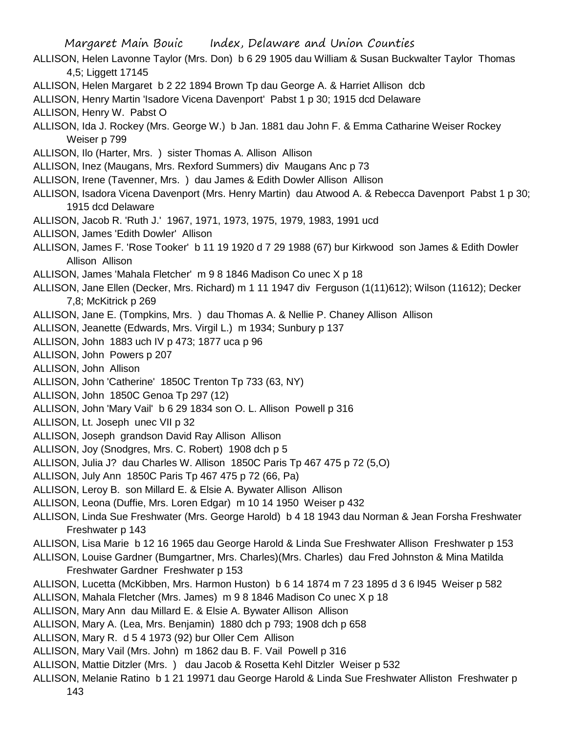- ALLISON, Helen Lavonne Taylor (Mrs. Don) b 6 29 1905 dau William & Susan Buckwalter Taylor Thomas 4,5; Liggett 17145
- ALLISON, Helen Margaret b 2 22 1894 Brown Tp dau George A. & Harriet Allison dcb
- ALLISON, Henry Martin 'Isadore Vicena Davenport' Pabst 1 p 30; 1915 dcd Delaware
- ALLISON, Henry W. Pabst O
- ALLISON, Ida J. Rockey (Mrs. George W.) b Jan. 1881 dau John F. & Emma Catharine Weiser Rockey Weiser p 799
- ALLISON, Ilo (Harter, Mrs. ) sister Thomas A. Allison Allison
- ALLISON, Inez (Maugans, Mrs. Rexford Summers) div Maugans Anc p 73
- ALLISON, Irene (Tavenner, Mrs. ) dau James & Edith Dowler Allison Allison
- ALLISON, Isadora Vicena Davenport (Mrs. Henry Martin) dau Atwood A. & Rebecca Davenport Pabst 1 p 30; 1915 dcd Delaware
- ALLISON, Jacob R. 'Ruth J.' 1967, 1971, 1973, 1975, 1979, 1983, 1991 ucd
- ALLISON, James 'Edith Dowler' Allison
- ALLISON, James F. 'Rose Tooker' b 11 19 1920 d 7 29 1988 (67) bur Kirkwood son James & Edith Dowler Allison Allison
- ALLISON, James 'Mahala Fletcher' m 9 8 1846 Madison Co unec X p 18
- ALLISON, Jane Ellen (Decker, Mrs. Richard) m 1 11 1947 div Ferguson (1(11)612); Wilson (11612); Decker 7,8; McKitrick p 269
- ALLISON, Jane E. (Tompkins, Mrs. ) dau Thomas A. & Nellie P. Chaney Allison Allison
- ALLISON, Jeanette (Edwards, Mrs. Virgil L.) m 1934; Sunbury p 137
- ALLISON, John 1883 uch IV p 473; 1877 uca p 96
- ALLISON, John Powers p 207
- ALLISON, John Allison
- ALLISON, John 'Catherine' 1850C Trenton Tp 733 (63, NY)
- ALLISON, John 1850C Genoa Tp 297 (12)
- ALLISON, John 'Mary Vail' b 6 29 1834 son O. L. Allison Powell p 316
- ALLISON, Lt. Joseph unec VII p 32
- ALLISON, Joseph grandson David Ray Allison Allison
- ALLISON, Joy (Snodgres, Mrs. C. Robert) 1908 dch p 5
- ALLISON, Julia J? dau Charles W. Allison 1850C Paris Tp 467 475 p 72 (5,O)
- ALLISON, July Ann 1850C Paris Tp 467 475 p 72 (66, Pa)
- ALLISON, Leroy B. son Millard E. & Elsie A. Bywater Allison Allison
- ALLISON, Leona (Duffie, Mrs. Loren Edgar) m 10 14 1950 Weiser p 432
- ALLISON, Linda Sue Freshwater (Mrs. George Harold) b 4 18 1943 dau Norman & Jean Forsha Freshwater Freshwater p 143
- ALLISON, Lisa Marie b 12 16 1965 dau George Harold & Linda Sue Freshwater Allison Freshwater p 153
- ALLISON, Louise Gardner (Bumgartner, Mrs. Charles)(Mrs. Charles) dau Fred Johnston & Mina Matilda Freshwater Gardner Freshwater p 153
- ALLISON, Lucetta (McKibben, Mrs. Harmon Huston) b 6 14 1874 m 7 23 1895 d 3 6 l945 Weiser p 582
- ALLISON, Mahala Fletcher (Mrs. James) m 9 8 1846 Madison Co unec X p 18
- ALLISON, Mary Ann dau Millard E. & Elsie A. Bywater Allison Allison
- ALLISON, Mary A. (Lea, Mrs. Benjamin) 1880 dch p 793; 1908 dch p 658
- ALLISON, Mary R. d 5 4 1973 (92) bur Oller Cem Allison
- ALLISON, Mary Vail (Mrs. John) m 1862 dau B. F. Vail Powell p 316
- ALLISON, Mattie Ditzler (Mrs. ) dau Jacob & Rosetta Kehl Ditzler Weiser p 532
- ALLISON, Melanie Ratino b 1 21 19971 dau George Harold & Linda Sue Freshwater Alliston Freshwater p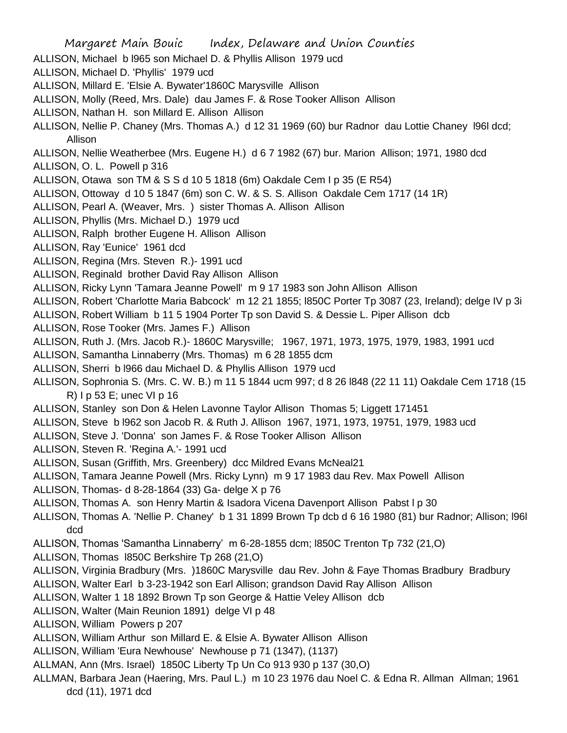- ALLISON, Michael b l965 son Michael D. & Phyllis Allison 1979 ucd
- ALLISON, Michael D. 'Phyllis' 1979 ucd
- ALLISON, Millard E. 'Elsie A. Bywater'1860C Marysville Allison
- ALLISON, Molly (Reed, Mrs. Dale) dau James F. & Rose Tooker Allison Allison
- ALLISON, Nathan H. son Millard E. Allison Allison
- ALLISON, Nellie P. Chaney (Mrs. Thomas A.) d 12 31 1969 (60) bur Radnor dau Lottie Chaney l96l dcd; Allison
- ALLISON, Nellie Weatherbee (Mrs. Eugene H.) d 6 7 1982 (67) bur. Marion Allison; 1971, 1980 dcd
- ALLISON, O. L. Powell p 316
- ALLISON, Otawa son TM & S S d 10 5 1818 (6m) Oakdale Cem I p 35 (E R54)
- ALLISON, Ottoway d 10 5 1847 (6m) son C. W. & S. S. Allison Oakdale Cem 1717 (14 1R)
- ALLISON, Pearl A. (Weaver, Mrs. ) sister Thomas A. Allison Allison
- ALLISON, Phyllis (Mrs. Michael D.) 1979 ucd
- ALLISON, Ralph brother Eugene H. Allison Allison
- ALLISON, Ray 'Eunice' 1961 dcd
- ALLISON, Regina (Mrs. Steven R.)- 1991 ucd
- ALLISON, Reginald brother David Ray Allison Allison
- ALLISON, Ricky Lynn 'Tamara Jeanne Powell' m 9 17 1983 son John Allison Allison
- ALLISON, Robert 'Charlotte Maria Babcock' m 12 21 1855; l850C Porter Tp 3087 (23, Ireland); delge IV p 3i
- ALLISON, Robert William b 11 5 1904 Porter Tp son David S. & Dessie L. Piper Allison dcb
- ALLISON, Rose Tooker (Mrs. James F.) Allison
- ALLISON, Ruth J. (Mrs. Jacob R.)- 1860C Marysville; 1967, 1971, 1973, 1975, 1979, 1983, 1991 ucd
- ALLISON, Samantha Linnaberry (Mrs. Thomas) m 6 28 1855 dcm
- ALLISON, Sherri b l966 dau Michael D. & Phyllis Allison 1979 ucd
- ALLISON, Sophronia S. (Mrs. C. W. B.) m 11 5 1844 ucm 997; d 8 26 l848 (22 11 11) Oakdale Cem 1718 (15 R) I p 53 E; unec VI p 16
- ALLISON, Stanley son Don & Helen Lavonne Taylor Allison Thomas 5; Liggett 171451
- ALLISON, Steve b l962 son Jacob R. & Ruth J. Allison 1967, 1971, 1973, 19751, 1979, 1983 ucd
- ALLISON, Steve J. 'Donna' son James F. & Rose Tooker Allison Allison
- ALLISON, Steven R. 'Regina A.'- 1991 ucd
- ALLISON, Susan (Griffith, Mrs. Greenbery) dcc Mildred Evans McNeal21
- ALLISON, Tamara Jeanne Powell (Mrs. Ricky Lynn) m 9 17 1983 dau Rev. Max Powell Allison
- ALLISON, Thomas- d 8-28-1864 (33) Ga- delge X p 76
- ALLISON, Thomas A. son Henry Martin & Isadora Vicena Davenport Allison Pabst l p 30
- ALLISON, Thomas A. 'Nellie P. Chaney' b 1 31 1899 Brown Tp dcb d 6 16 1980 (81) bur Radnor; Allison; l96l dcd
- ALLISON, Thomas 'Samantha Linnaberry' m 6-28-1855 dcm; l850C Trenton Tp 732 (21,O)
- ALLISON, Thomas l850C Berkshire Tp 268 (21,O)
- ALLISON, Virginia Bradbury (Mrs. )1860C Marysville dau Rev. John & Faye Thomas Bradbury Bradbury
- ALLISON, Walter Earl b 3-23-1942 son Earl Allison; grandson David Ray Allison Allison
- ALLISON, Walter 1 18 1892 Brown Tp son George & Hattie Veley Allison dcb
- ALLISON, Walter (Main Reunion 1891) delge VI p 48
- ALLISON, William Powers p 207
- ALLISON, William Arthur son Millard E. & Elsie A. Bywater Allison Allison
- ALLISON, William 'Eura Newhouse' Newhouse p 71 (1347), (1137)
- ALLMAN, Ann (Mrs. Israel) 1850C Liberty Tp Un Co 913 930 p 137 (30,O)
- ALLMAN, Barbara Jean (Haering, Mrs. Paul L.) m 10 23 1976 dau Noel C. & Edna R. Allman Allman; 1961 dcd (11), 1971 dcd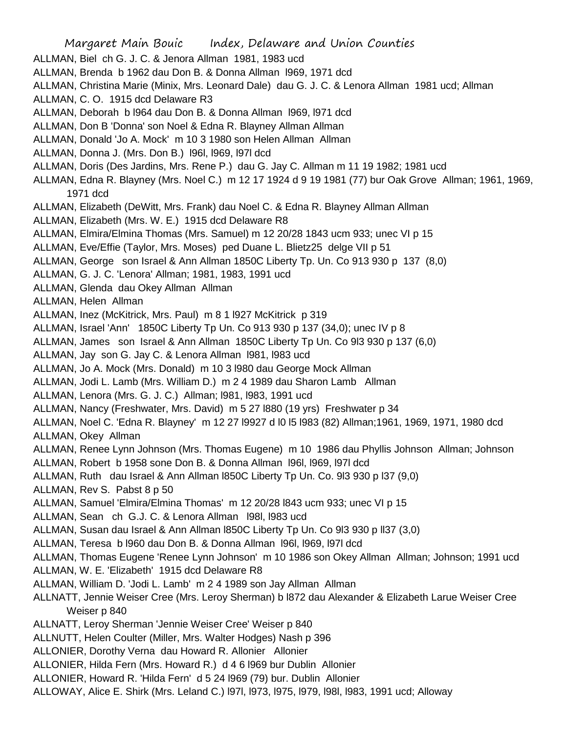Margaret Main Bouic Index, Delaware and Union Counties ALLMAN, Biel ch G. J. C. & Jenora Allman 1981, 1983 ucd ALLMAN, Brenda b 1962 dau Don B. & Donna Allman l969, 1971 dcd ALLMAN, Christina Marie (Minix, Mrs. Leonard Dale) dau G. J. C. & Lenora Allman 1981 ucd; Allman ALLMAN, C. O. 1915 dcd Delaware R3 ALLMAN, Deborah b l964 dau Don B. & Donna Allman l969, l971 dcd ALLMAN, Don B 'Donna' son Noel & Edna R. Blayney Allman Allman ALLMAN, Donald 'Jo A. Mock' m 10 3 1980 son Helen Allman Allman ALLMAN, Donna J. (Mrs. Don B.) l96l, l969, l97l dcd ALLMAN, Doris (Des Jardins, Mrs. Rene P.) dau G. Jay C. Allman m 11 19 1982; 1981 ucd ALLMAN, Edna R. Blayney (Mrs. Noel C.) m 12 17 1924 d 9 19 1981 (77) bur Oak Grove Allman; 1961, 1969, 1971 dcd ALLMAN, Elizabeth (DeWitt, Mrs. Frank) dau Noel C. & Edna R. Blayney Allman Allman ALLMAN, Elizabeth (Mrs. W. E.) 1915 dcd Delaware R8 ALLMAN, Elmira/Elmina Thomas (Mrs. Samuel) m 12 20/28 1843 ucm 933; unec VI p 15 ALLMAN, Eve/Effie (Taylor, Mrs. Moses) ped Duane L. Blietz25 delge VII p 51 ALLMAN, George son Israel & Ann Allman 1850C Liberty Tp. Un. Co 913 930 p 137 (8,0) ALLMAN, G. J. C. 'Lenora' Allman; 1981, 1983, 1991 ucd ALLMAN, Glenda dau Okey Allman Allman ALLMAN, Helen Allman ALLMAN, Inez (McKitrick, Mrs. Paul) m 8 1 l927 McKitrick p 319 ALLMAN, Israel 'Ann' 1850C Liberty Tp Un. Co 913 930 p 137 (34,0); unec IV p 8 ALLMAN, James son Israel & Ann Allman 1850C Liberty Tp Un. Co 9l3 930 p 137 (6,0) ALLMAN, Jay son G. Jay C. & Lenora Allman l981, l983 ucd ALLMAN, Jo A. Mock (Mrs. Donald) m 10 3 l980 dau George Mock Allman ALLMAN, Jodi L. Lamb (Mrs. William D.) m 2 4 1989 dau Sharon Lamb Allman ALLMAN, Lenora (Mrs. G. J. C.) Allman; l981, l983, 1991 ucd ALLMAN, Nancy (Freshwater, Mrs. David) m 5 27 l880 (19 yrs) Freshwater p 34 ALLMAN, Noel C. 'Edna R. Blayney' m 12 27 l9927 d l0 l5 l983 (82) Allman;1961, 1969, 1971, 1980 dcd ALLMAN, Okey Allman ALLMAN, Renee Lynn Johnson (Mrs. Thomas Eugene) m 10 1986 dau Phyllis Johnson Allman; Johnson ALLMAN, Robert b 1958 sone Don B. & Donna Allman l96l, l969, l97l dcd ALLMAN, Ruth dau Israel & Ann Allman l850C Liberty Tp Un. Co. 9l3 930 p l37 (9,0) ALLMAN, Rev S. Pabst 8 p 50 ALLMAN, Samuel 'Elmira/Elmina Thomas' m 12 20/28 l843 ucm 933; unec VI p 15 ALLMAN, Sean ch G.J. C. & Lenora Allman l98l, l983 ucd ALLMAN, Susan dau Israel & Ann Allman l850C Liberty Tp Un. Co 9l3 930 p ll37 (3,0) ALLMAN, Teresa b l960 dau Don B. & Donna Allman l96l, l969, l97l dcd ALLMAN, Thomas Eugene 'Renee Lynn Johnson' m 10 1986 son Okey Allman Allman; Johnson; 1991 ucd ALLMAN, W. E. 'Elizabeth' 1915 dcd Delaware R8 ALLMAN, William D. 'Jodi L. Lamb' m 2 4 1989 son Jay Allman Allman ALLNATT, Jennie Weiser Cree (Mrs. Leroy Sherman) b l872 dau Alexander & Elizabeth Larue Weiser Cree Weiser p 840 ALLNATT, Leroy Sherman 'Jennie Weiser Cree' Weiser p 840 ALLNUTT, Helen Coulter (Miller, Mrs. Walter Hodges) Nash p 396 ALLONIER, Dorothy Verna dau Howard R. Allonier Allonier ALLONIER, Hilda Fern (Mrs. Howard R.) d 4 6 l969 bur Dublin Allonier ALLONIER, Howard R. 'Hilda Fern' d 5 24 l969 (79) bur. Dublin Allonier ALLOWAY, Alice E. Shirk (Mrs. Leland C.) l97l, l973, l975, l979, l98l, l983, 1991 ucd; Alloway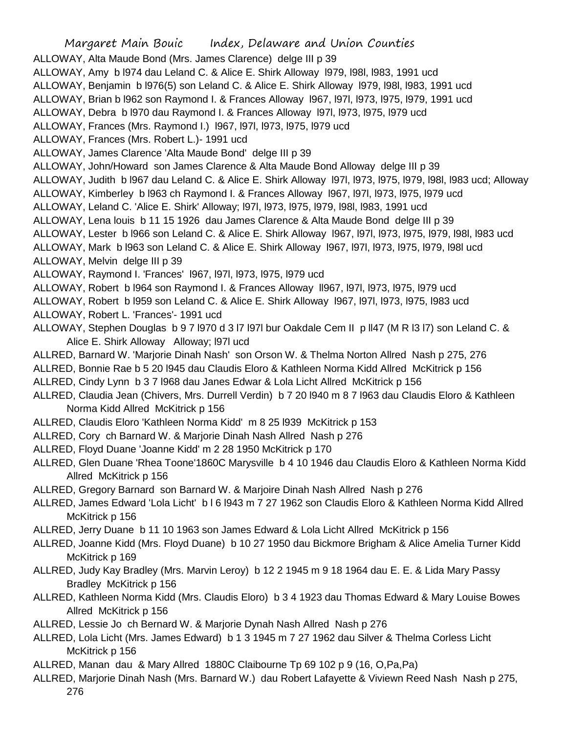Margaret Main Bouic Index, Delaware and Union Counties ALLOWAY, Alta Maude Bond (Mrs. James Clarence) delge III p 39 ALLOWAY, Amy b l974 dau Leland C. & Alice E. Shirk Alloway l979, l98l, l983, 1991 ucd ALLOWAY, Benjamin b l976(5) son Leland C. & Alice E. Shirk Alloway l979, l98l, l983, 1991 ucd ALLOWAY, Brian b l962 son Raymond I. & Frances Alloway l967, l97l, l973, l975, l979, 1991 ucd ALLOWAY, Debra b l970 dau Raymond I. & Frances Alloway l97l, l973, l975, l979 ucd ALLOWAY, Frances (Mrs. Raymond I.) l967, l97l, l973, l975, l979 ucd ALLOWAY, Frances (Mrs. Robert L.)- 1991 ucd ALLOWAY, James Clarence 'Alta Maude Bond' delge III p 39 ALLOWAY, John/Howard son James Clarence & Alta Maude Bond Alloway delge III p 39 ALLOWAY, Judith b l967 dau Leland C. & Alice E. Shirk Alloway l97l, l973, l975, l979, l98l, l983 ucd; Alloway ALLOWAY, Kimberley b l963 ch Raymond I. & Frances Alloway 1967, 1971, 1973, 1975, 1979 ucd ALLOWAY, Leland C. 'Alice E. Shirk' Alloway; l97l, l973, l975, l979, l98l, l983, 1991 ucd ALLOWAY, Lena louis b 11 15 1926 dau James Clarence & Alta Maude Bond delge III p 39 ALLOWAY, Lester b l966 son Leland C. & Alice E. Shirk Alloway l967, l97l, l973, l975, l979, l98l, l983 ucd ALLOWAY, Mark b 1963 son Leland C. & Alice E. Shirk Alloway 1967, 1971, 1973, 1975, 1979, 1981 ucd ALLOWAY, Melvin delge III p 39 ALLOWAY, Raymond I. 'Frances' l967, l97l, l973, l975, l979 ucd ALLOWAY, Robert b l964 son Raymond I. & Frances Alloway II967, l971, l973, l975, l979 ucd ALLOWAY, Robert b l959 son Leland C. & Alice E. Shirk Alloway l967, l97l, l973, l975, l983 ucd ALLOWAY, Robert L. 'Frances'- 1991 ucd ALLOWAY, Stephen Douglas b 9 7 l970 d 3 l7 l97l bur Oakdale Cem II p ll47 (M R l3 l7) son Leland C. & Alice E. Shirk Alloway Alloway; l97l ucd ALLRED, Barnard W. 'Marjorie Dinah Nash' son Orson W. & Thelma Norton Allred Nash p 275, 276 ALLRED, Bonnie Rae b 5 20 l945 dau Claudis Eloro & Kathleen Norma Kidd Allred McKitrick p 156 ALLRED, Cindy Lynn b 3 7 l968 dau Janes Edwar & Lola Licht Allred McKitrick p 156 ALLRED, Claudia Jean (Chivers, Mrs. Durrell Verdin) b 7 20 l940 m 8 7 l963 dau Claudis Eloro & Kathleen Norma Kidd Allred McKitrick p 156 ALLRED, Claudis Eloro 'Kathleen Norma Kidd' m 8 25 l939 McKitrick p 153 ALLRED, Cory ch Barnard W. & Marjorie Dinah Nash Allred Nash p 276 ALLRED, Floyd Duane 'Joanne Kidd' m 2 28 1950 McKitrick p 170 ALLRED, Glen Duane 'Rhea Toone'1860C Marysville b 4 10 1946 dau Claudis Eloro & Kathleen Norma Kidd Allred McKitrick p 156 ALLRED, Gregory Barnard son Barnard W. & Marjoire Dinah Nash Allred Nash p 276 ALLRED, James Edward 'Lola Licht' b l 6 l943 m 7 27 1962 son Claudis Eloro & Kathleen Norma Kidd Allred McKitrick p 156 ALLRED, Jerry Duane b 11 10 1963 son James Edward & Lola Licht Allred McKitrick p 156 ALLRED, Joanne Kidd (Mrs. Floyd Duane) b 10 27 1950 dau Bickmore Brigham & Alice Amelia Turner Kidd McKitrick p 169 ALLRED, Judy Kay Bradley (Mrs. Marvin Leroy) b 12 2 1945 m 9 18 1964 dau E. E. & Lida Mary Passy Bradley McKitrick p 156 ALLRED, Kathleen Norma Kidd (Mrs. Claudis Eloro) b 3 4 1923 dau Thomas Edward & Mary Louise Bowes Allred McKitrick p 156 ALLRED, Lessie Jo ch Bernard W. & Marjorie Dynah Nash Allred Nash p 276 ALLRED, Lola Licht (Mrs. James Edward) b 1 3 1945 m 7 27 1962 dau Silver & Thelma Corless Licht McKitrick p 156

ALLRED, Manan dau & Mary Allred 1880C Claibourne Tp 69 102 p 9 (16, O,Pa,Pa)

ALLRED, Marjorie Dinah Nash (Mrs. Barnard W.) dau Robert Lafayette & Viviewn Reed Nash Nash p 275,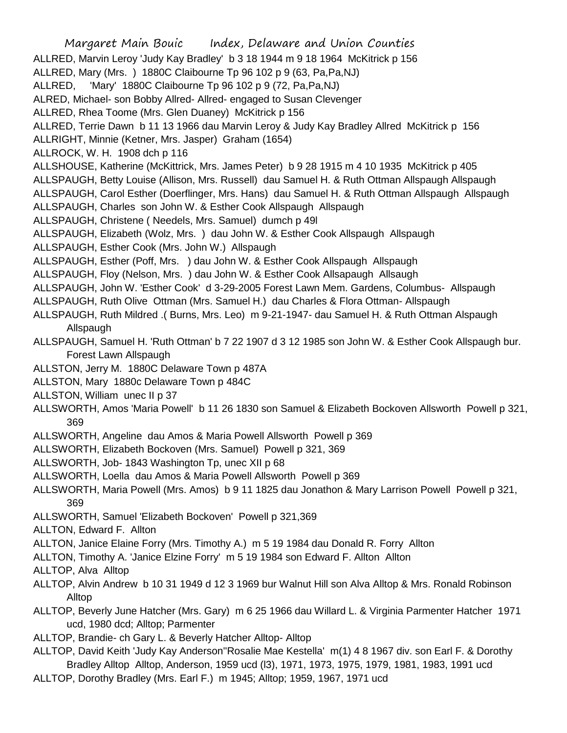| Margaret Main Bouic lndex, Delaware and Union Counties                                                                                                  |
|---------------------------------------------------------------------------------------------------------------------------------------------------------|
| ALLRED, Marvin Leroy 'Judy Kay Bradley' b 3 18 1944 m 9 18 1964 McKitrick p 156<br>ALLRED, Mary (Mrs. ) 1880C Claibourne Tp 96 102 p 9 (63, Pa, Pa, NJ) |
| ALLRED, 'Mary' 1880C Claibourne Tp 96 102 p 9 (72, Pa, Pa, NJ)                                                                                          |
| ALRED, Michael- son Bobby Allred- Allred- engaged to Susan Clevenger                                                                                    |
| ALLRED, Rhea Toome (Mrs. Glen Duaney) McKitrick p 156                                                                                                   |
| ALLRED, Terrie Dawn b 11 13 1966 dau Marvin Leroy & Judy Kay Bradley Allred McKitrick p 156                                                             |
| ALLRIGHT, Minnie (Ketner, Mrs. Jasper) Graham (1654)                                                                                                    |
| ALLROCK, W. H. 1908 dch p 116                                                                                                                           |
| ALLSHOUSE, Katherine (McKittrick, Mrs. James Peter) b 9 28 1915 m 4 10 1935 McKitrick p 405                                                             |
| ALLSPAUGH, Betty Louise (Allison, Mrs. Russell) dau Samuel H. & Ruth Ottman Allspaugh Allspaugh                                                         |
| ALLSPAUGH, Carol Esther (Doerflinger, Mrs. Hans) dau Samuel H. & Ruth Ottman Allspaugh Allspaugh                                                        |
| ALLSPAUGH, Charles son John W. & Esther Cook Allspaugh Allspaugh                                                                                        |
| ALLSPAUGH, Christene (Needels, Mrs. Samuel) dumch p 49l                                                                                                 |
| ALLSPAUGH, Elizabeth (Wolz, Mrs.) dau John W. & Esther Cook Allspaugh Allspaugh                                                                         |
| ALLSPAUGH, Esther Cook (Mrs. John W.) Allspaugh                                                                                                         |
| ALLSPAUGH, Esther (Poff, Mrs. ) dau John W. & Esther Cook Allspaugh Allspaugh                                                                           |
| ALLSPAUGH, Floy (Nelson, Mrs. ) dau John W. & Esther Cook Allsapaugh Allsaugh                                                                           |
| ALLSPAUGH, John W. 'Esther Cook' d 3-29-2005 Forest Lawn Mem. Gardens, Columbus- Allspaugh                                                              |
| ALLSPAUGH, Ruth Olive Ottman (Mrs. Samuel H.) dau Charles & Flora Ottman- Allspaugh                                                                     |
| ALLSPAUGH, Ruth Mildred .( Burns, Mrs. Leo) m 9-21-1947- dau Samuel H. & Ruth Ottman Alspaugh                                                           |
| Allspaugh                                                                                                                                               |
| ALLSPAUGH, Samuel H. 'Ruth Ottman' b 7 22 1907 d 3 12 1985 son John W. & Esther Cook Allspaugh bur.                                                     |
| Forest Lawn Allspaugh                                                                                                                                   |
| ALLSTON, Jerry M. 1880C Delaware Town p 487A                                                                                                            |
| ALLSTON, Mary 1880c Delaware Town p 484C                                                                                                                |
| ALLSTON, William unec II p 37                                                                                                                           |
| ALLSWORTH, Amos 'Maria Powell' b 11 26 1830 son Samuel & Elizabeth Bockoven Allsworth Powell p 321,<br>369                                              |
| ALLSWORTH, Angeline dau Amos & Maria Powell Allsworth Powell p 369                                                                                      |
| ALLSWORTH, Elizabeth Bockoven (Mrs. Samuel) Powell p 321, 369                                                                                           |
| ALLSWORTH, Job- 1843 Washington Tp, unec XII p 68                                                                                                       |
| ALLSWORTH, Loella dau Amos & Maria Powell Allsworth Powell p 369                                                                                        |
| ALLSWORTH, Maria Powell (Mrs. Amos) b 9 11 1825 dau Jonathon & Mary Larrison Powell Powell p 321,<br>369                                                |
| ALLSWORTH, Samuel 'Elizabeth Bockoven' Powell p 321,369                                                                                                 |
| ALLTON, Edward F. Allton                                                                                                                                |
| ALLTON, Janice Elaine Forry (Mrs. Timothy A.) m 5 19 1984 dau Donald R. Forry Allton                                                                    |
| ALLTON, Timothy A. 'Janice Elzine Forry' m 5 19 1984 son Edward F. Allton Allton                                                                        |
| ALLTOP, Alva Alltop                                                                                                                                     |
| ALLTOP, Alvin Andrew b 10 31 1949 d 12 3 1969 bur Walnut Hill son Alva Alltop & Mrs. Ronald Robinson                                                    |
| Alltop                                                                                                                                                  |

- ALLTOP, Beverly June Hatcher (Mrs. Gary) m 6 25 1966 dau Willard L. & Virginia Parmenter Hatcher 1971 ucd, 1980 dcd; Alltop; Parmenter
- ALLTOP, Brandie- ch Gary L. & Beverly Hatcher Alltop- Alltop
- ALLTOP, David Keith 'Judy Kay Anderson''Rosalie Mae Kestella' m(1) 4 8 1967 div. son Earl F. & Dorothy Bradley Alltop Alltop, Anderson, 1959 ucd (l3), 1971, 1973, 1975, 1979, 1981, 1983, 1991 ucd
- ALLTOP, Dorothy Bradley (Mrs. Earl F.) m 1945; Alltop; 1959, 1967, 1971 ucd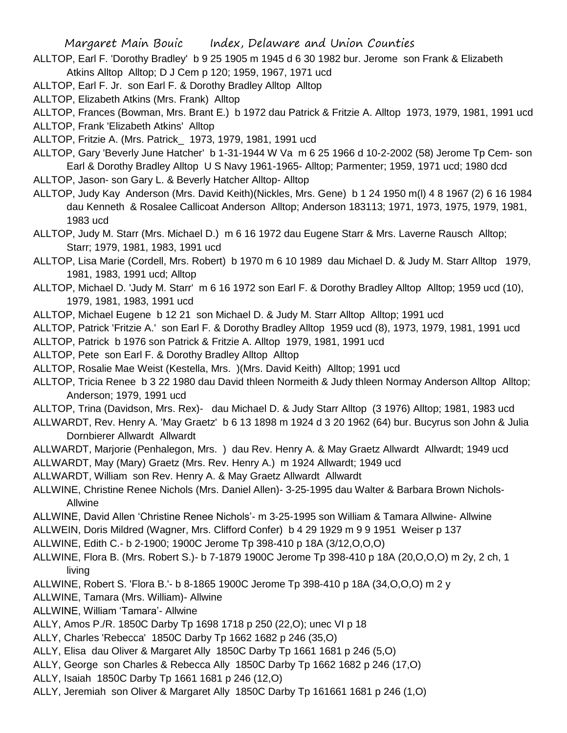- ALLTOP, Earl F. 'Dorothy Bradley' b 9 25 1905 m 1945 d 6 30 1982 bur. Jerome son Frank & Elizabeth Atkins Alltop Alltop; D J Cem p 120; 1959, 1967, 1971 ucd
- ALLTOP, Earl F. Jr. son Earl F. & Dorothy Bradley Alltop Alltop
- ALLTOP, Elizabeth Atkins (Mrs. Frank) Alltop

ALLTOP, Frances (Bowman, Mrs. Brant E.) b 1972 dau Patrick & Fritzie A. Alltop 1973, 1979, 1981, 1991 ucd

ALLTOP, Frank 'Elizabeth Atkins' Alltop

ALLTOP, Fritzie A. (Mrs. Patrick\_ 1973, 1979, 1981, 1991 ucd

ALLTOP, Gary 'Beverly June Hatcher' b 1-31-1944 W Va m 6 25 1966 d 10-2-2002 (58) Jerome Tp Cem- son Earl & Dorothy Bradley Alltop U S Navy 1961-1965- Alltop; Parmenter; 1959, 1971 ucd; 1980 dcd

- ALLTOP, Jason- son Gary L. & Beverly Hatcher Alltop- Alltop
- ALLTOP, Judy Kay Anderson (Mrs. David Keith)(Nickles, Mrs. Gene) b 1 24 1950 m(l) 4 8 1967 (2) 6 16 1984 dau Kenneth & Rosalee Callicoat Anderson Alltop; Anderson 183113; 1971, 1973, 1975, 1979, 1981, 1983 ucd

ALLTOP, Judy M. Starr (Mrs. Michael D.) m 6 16 1972 dau Eugene Starr & Mrs. Laverne Rausch Alltop; Starr; 1979, 1981, 1983, 1991 ucd

- ALLTOP, Lisa Marie (Cordell, Mrs. Robert) b 1970 m 6 10 1989 dau Michael D. & Judy M. Starr Alltop 1979, 1981, 1983, 1991 ucd; Alltop
- ALLTOP, Michael D. 'Judy M. Starr' m 6 16 1972 son Earl F. & Dorothy Bradley Alltop Alltop; 1959 ucd (10), 1979, 1981, 1983, 1991 ucd
- ALLTOP, Michael Eugene b 12 21 son Michael D. & Judy M. Starr Alltop Alltop; 1991 ucd

ALLTOP, Patrick 'Fritzie A.' son Earl F. & Dorothy Bradley Alltop 1959 ucd (8), 1973, 1979, 1981, 1991 ucd

- ALLTOP, Patrick b 1976 son Patrick & Fritzie A. Alltop 1979, 1981, 1991 ucd
- ALLTOP, Pete son Earl F. & Dorothy Bradley Alltop Alltop
- ALLTOP, Rosalie Mae Weist (Kestella, Mrs. )(Mrs. David Keith) Alltop; 1991 ucd
- ALLTOP, Tricia Renee b 3 22 1980 dau David thleen Normeith & Judy thleen Normay Anderson Alltop Alltop; Anderson; 1979, 1991 ucd
- ALLTOP, Trina (Davidson, Mrs. Rex)- dau Michael D. & Judy Starr Alltop (3 1976) Alltop; 1981, 1983 ucd
- ALLWARDT, Rev. Henry A. 'May Graetz' b 6 13 1898 m 1924 d 3 20 1962 (64) bur. Bucyrus son John & Julia Dornbierer Allwardt Allwardt
- ALLWARDT, Marjorie (Penhalegon, Mrs. ) dau Rev. Henry A. & May Graetz Allwardt Allwardt; 1949 ucd
- ALLWARDT, May (Mary) Graetz (Mrs. Rev. Henry A.) m 1924 Allwardt; 1949 ucd
- ALLWARDT, William son Rev. Henry A. & May Graetz Allwardt Allwardt
- ALLWINE, Christine Renee Nichols (Mrs. Daniel Allen)- 3-25-1995 dau Walter & Barbara Brown Nichols-Allwine
- ALLWINE, David Allen 'Christine Renee Nichols'- m 3-25-1995 son William & Tamara Allwine- Allwine
- ALLWEIN, Doris Mildred (Wagner, Mrs. Clifford Confer) b 4 29 1929 m 9 9 1951 Weiser p 137
- ALLWINE, Edith C.- b 2-1900; 1900C Jerome Tp 398-410 p 18A (3/12,O,O,O)
- ALLWINE, Flora B. (Mrs. Robert S.)- b 7-1879 1900C Jerome Tp 398-410 p 18A (20,O,O,O) m 2y, 2 ch, 1 living
- ALLWINE, Robert S. 'Flora B.'- b 8-1865 1900C Jerome Tp 398-410 p 18A (34,O,O,O) m 2 y
- ALLWINE, Tamara (Mrs. William)- Allwine
- ALLWINE, William 'Tamara'- Allwine
- ALLY, Amos P./R. 1850C Darby Tp 1698 1718 p 250 (22,O); unec VI p 18
- ALLY, Charles 'Rebecca' 1850C Darby Tp 1662 1682 p 246 (35,O)
- ALLY, Elisa dau Oliver & Margaret Ally 1850C Darby Tp 1661 1681 p 246 (5,O)
- ALLY, George son Charles & Rebecca Ally 1850C Darby Tp 1662 1682 p 246 (17,O)
- ALLY, Isaiah 1850C Darby Tp 1661 1681 p 246 (12,O)
- ALLY, Jeremiah son Oliver & Margaret Ally 1850C Darby Tp 161661 1681 p 246 (1,O)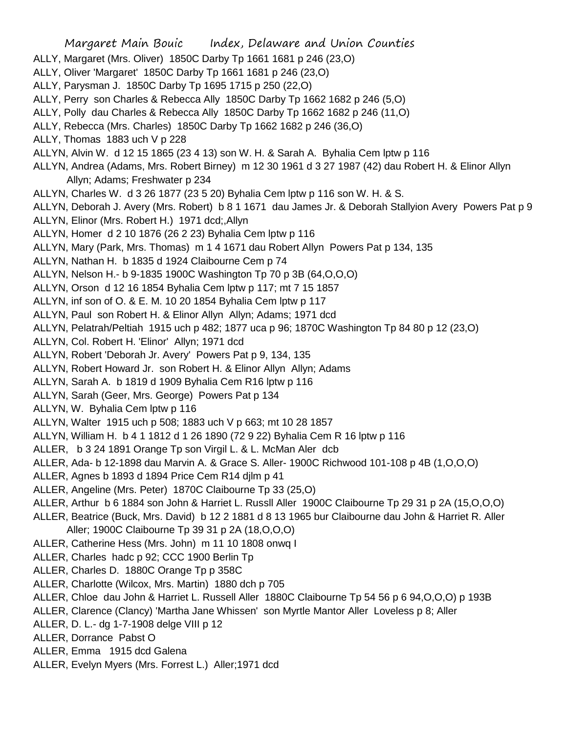Margaret Main Bouic Index, Delaware and Union Counties ALLY, Margaret (Mrs. Oliver) 1850C Darby Tp 1661 1681 p 246 (23,O) ALLY, Oliver 'Margaret' 1850C Darby Tp 1661 1681 p 246 (23,O) ALLY, Parysman J. 1850C Darby Tp 1695 1715 p 250 (22,O) ALLY, Perry son Charles & Rebecca Ally 1850C Darby Tp 1662 1682 p 246 (5,O) ALLY, Polly dau Charles & Rebecca Ally 1850C Darby Tp 1662 1682 p 246 (11,O) ALLY, Rebecca (Mrs. Charles) 1850C Darby Tp 1662 1682 p 246 (36,O) ALLY, Thomas 1883 uch V p 228 ALLYN, Alvin W. d 12 15 1865 (23 4 13) son W. H. & Sarah A. Byhalia Cem lptw p 116 ALLYN, Andrea (Adams, Mrs. Robert Birney) m 12 30 1961 d 3 27 1987 (42) dau Robert H. & Elinor Allyn Allyn; Adams; Freshwater p 234 ALLYN, Charles W. d 3 26 1877 (23 5 20) Byhalia Cem lptw p 116 son W. H. & S. ALLYN, Deborah J. Avery (Mrs. Robert) b 8 1 1671 dau James Jr. & Deborah Stallyion Avery Powers Pat p 9 ALLYN, Elinor (Mrs. Robert H.) 1971 dcd;,Allyn ALLYN, Homer d 2 10 1876 (26 2 23) Byhalia Cem lptw p 116 ALLYN, Mary (Park, Mrs. Thomas) m 1 4 1671 dau Robert Allyn Powers Pat p 134, 135 ALLYN, Nathan H. b 1835 d 1924 Claibourne Cem p 74 ALLYN, Nelson H.- b 9-1835 1900C Washington Tp 70 p 3B (64,O,O,O) ALLYN, Orson d 12 16 1854 Byhalia Cem lptw p 117; mt 7 15 1857 ALLYN, inf son of O. & E. M. 10 20 1854 Byhalia Cem lptw p 117 ALLYN, Paul son Robert H. & Elinor Allyn Allyn; Adams; 1971 dcd ALLYN, Pelatrah/Peltiah 1915 uch p 482; 1877 uca p 96; 1870C Washington Tp 84 80 p 12 (23,O) ALLYN, Col. Robert H. 'Elinor' Allyn; 1971 dcd ALLYN, Robert 'Deborah Jr. Avery' Powers Pat p 9, 134, 135 ALLYN, Robert Howard Jr. son Robert H. & Elinor Allyn Allyn; Adams ALLYN, Sarah A. b 1819 d 1909 Byhalia Cem R16 lptw p 116 ALLYN, Sarah (Geer, Mrs. George) Powers Pat p 134 ALLYN, W. Byhalia Cem lptw p 116 ALLYN, Walter 1915 uch p 508; 1883 uch V p 663; mt 10 28 1857 ALLYN, William H. b 4 1 1812 d 1 26 1890 (72 9 22) Byhalia Cem R 16 lptw p 116 ALLER, b 3 24 1891 Orange Tp son Virgil L. & L. McMan Aler dcb ALLER, Ada- b 12-1898 dau Marvin A. & Grace S. Aller- 1900C Richwood 101-108 p 4B (1,O,O,O) ALLER, Agnes b 1893 d 1894 Price Cem R14 djlm p 41 ALLER, Angeline (Mrs. Peter) 1870C Claibourne Tp 33 (25,O) ALLER, Arthur b 6 1884 son John & Harriet L. Russll Aller 1900C Claibourne Tp 29 31 p 2A (15,O,O,O) ALLER, Beatrice (Buck, Mrs. David) b 12 2 1881 d 8 13 1965 bur Claibourne dau John & Harriet R. Aller Aller; 1900C Claibourne Tp 39 31 p 2A (18,O,O,O) ALLER, Catherine Hess (Mrs. John) m 11 10 1808 onwq I ALLER, Charles hadc p 92; CCC 1900 Berlin Tp ALLER, Charles D. 1880C Orange Tp p 358C ALLER, Charlotte (Wilcox, Mrs. Martin) 1880 dch p 705 ALLER, Chloe dau John & Harriet L. Russell Aller 1880C Claibourne Tp 54 56 p 6 94,O,O,O) p 193B ALLER, Clarence (Clancy) 'Martha Jane Whissen' son Myrtle Mantor Aller Loveless p 8; Aller ALLER, D. L.- dg 1-7-1908 delge VIII p 12 ALLER, Dorrance Pabst O ALLER, Emma 1915 dcd Galena ALLER, Evelyn Myers (Mrs. Forrest L.) Aller;1971 dcd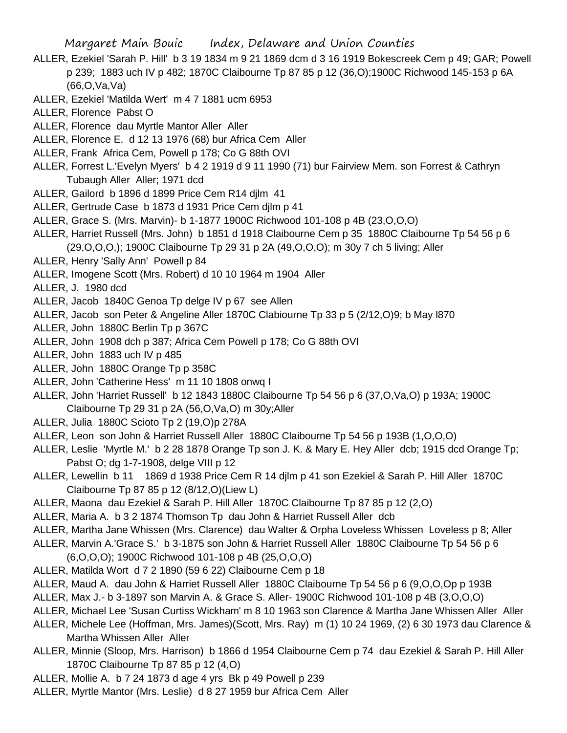- ALLER, Ezekiel 'Sarah P. Hill' b 3 19 1834 m 9 21 1869 dcm d 3 16 1919 Bokescreek Cem p 49; GAR; Powell p 239; 1883 uch IV p 482; 1870C Claibourne Tp 87 85 p 12 (36,O);1900C Richwood 145-153 p 6A (66,O,Va,Va)
- ALLER, Ezekiel 'Matilda Wert' m 4 7 1881 ucm 6953
- ALLER, Florence Pabst O
- ALLER, Florence dau Myrtle Mantor Aller Aller
- ALLER, Florence E. d 12 13 1976 (68) bur Africa Cem Aller
- ALLER, Frank Africa Cem, Powell p 178; Co G 88th OVI
- ALLER, Forrest L.'Evelyn Myers' b 4 2 1919 d 9 11 1990 (71) bur Fairview Mem. son Forrest & Cathryn Tubaugh Aller Aller; 1971 dcd
- ALLER, Gailord b 1896 d 1899 Price Cem R14 djlm 41
- ALLER, Gertrude Case b 1873 d 1931 Price Cem djlm p 41
- ALLER, Grace S. (Mrs. Marvin)- b 1-1877 1900C Richwood 101-108 p 4B (23,O,O,O)
- ALLER, Harriet Russell (Mrs. John) b 1851 d 1918 Claibourne Cem p 35 1880C Claibourne Tp 54 56 p 6 (29,O,O,O,); 1900C Claibourne Tp 29 31 p 2A (49,O,O,O); m 30y 7 ch 5 living; Aller
- ALLER, Henry 'Sally Ann' Powell p 84
- ALLER, Imogene Scott (Mrs. Robert) d 10 10 1964 m 1904 Aller
- ALLER, J. 1980 dcd
- ALLER, Jacob 1840C Genoa Tp delge IV p 67 see Allen
- ALLER, Jacob son Peter & Angeline Aller 1870C Clabiourne Tp 33 p 5 (2/12,O)9; b May l870
- ALLER, John 1880C Berlin Tp p 367C
- ALLER, John 1908 dch p 387; Africa Cem Powell p 178; Co G 88th OVI
- ALLER, John 1883 uch IV p 485
- ALLER, John 1880C Orange Tp p 358C
- ALLER, John 'Catherine Hess' m 11 10 1808 onwq I
- ALLER, John 'Harriet Russell' b 12 1843 1880C Claibourne Tp 54 56 p 6 (37,O,Va,O) p 193A; 1900C Claibourne Tp 29 31 p 2A (56,O,Va,O) m 30y;Aller
- ALLER, Julia 1880C Scioto Tp 2 (19,O)p 278A
- ALLER, Leon son John & Harriet Russell Aller 1880C Claibourne Tp 54 56 p 193B (1,O,O,O)
- ALLER, Leslie 'Myrtle M.' b 2 28 1878 Orange Tp son J. K. & Mary E. Hey Aller dcb; 1915 dcd Orange Tp; Pabst O; dg 1-7-1908, delge VIII p 12
- ALLER, Lewellin b 11 1869 d 1938 Price Cem R 14 djlm p 41 son Ezekiel & Sarah P. Hill Aller 1870C Claibourne Tp 87 85 p 12 (8/12,O)(Liew L)
- ALLER, Maona dau Ezekiel & Sarah P. Hill Aller 1870C Claibourne Tp 87 85 p 12 (2,O)
- ALLER, Maria A. b 3 2 1874 Thomson Tp dau John & Harriet Russell Aller dcb
- ALLER, Martha Jane Whissen (Mrs. Clarence) dau Walter & Orpha Loveless Whissen Loveless p 8; Aller
- ALLER, Marvin A.'Grace S.' b 3-1875 son John & Harriet Russell Aller 1880C Claibourne Tp 54 56 p 6 (6,O,O,O); 1900C Richwood 101-108 p 4B (25,O,O,O)
- ALLER, Matilda Wort d 7 2 1890 (59 6 22) Claibourne Cem p 18
- ALLER, Maud A. dau John & Harriet Russell Aller 1880C Claibourne Tp 54 56 p 6 (9,O,O,Op p 193B
- ALLER, Max J.- b 3-1897 son Marvin A. & Grace S. Aller- 1900C Richwood 101-108 p 4B (3,O,O,O)
- ALLER, Michael Lee 'Susan Curtiss Wickham' m 8 10 1963 son Clarence & Martha Jane Whissen Aller Aller
- ALLER, Michele Lee (Hoffman, Mrs. James)(Scott, Mrs. Ray) m (1) 10 24 1969, (2) 6 30 1973 dau Clarence & Martha Whissen Aller Aller
- ALLER, Minnie (Sloop, Mrs. Harrison) b 1866 d 1954 Claibourne Cem p 74 dau Ezekiel & Sarah P. Hill Aller 1870C Claibourne Tp 87 85 p 12 (4,O)
- ALLER, Mollie A. b 7 24 1873 d age 4 yrs Bk p 49 Powell p 239
- ALLER, Myrtle Mantor (Mrs. Leslie) d 8 27 1959 bur Africa Cem Aller